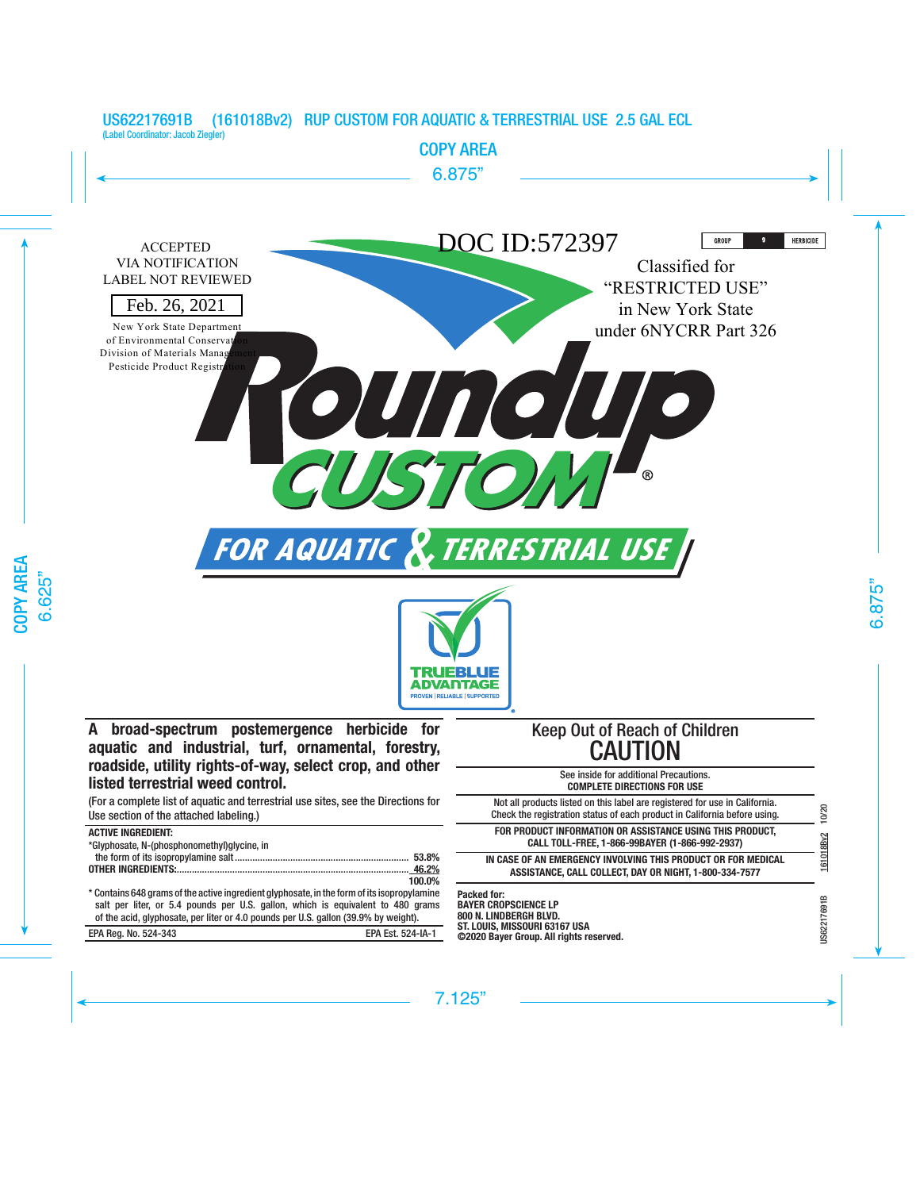

**©2020 Bayer Group. All rights reserved.**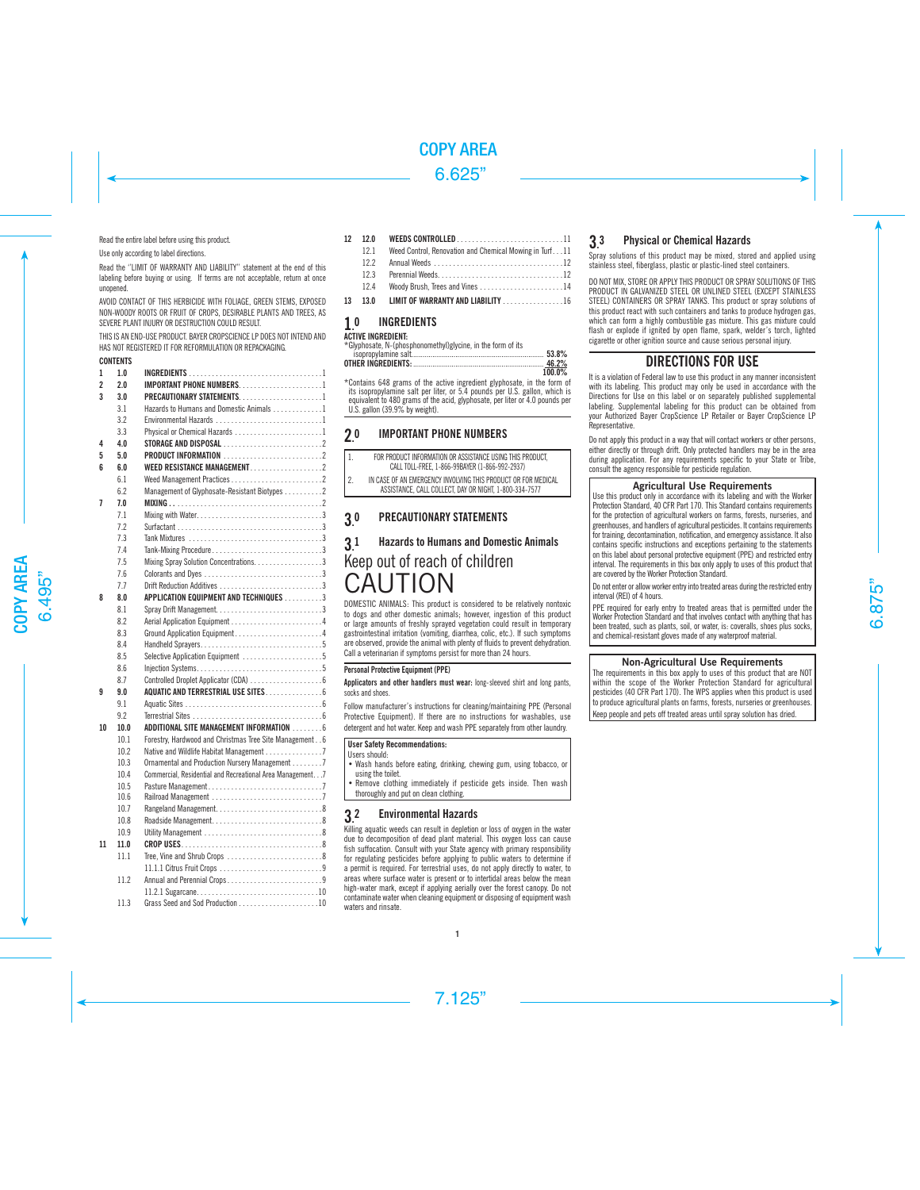Read the entire label before using this product.

Use only according to label directions.

Read the ''LIMIT OF WARRANTY AND LIABILITY'' statement at the end of this labeling before buying or using. If terms are not acceptable, return at once unopened.

AVOID CONTACT OF THIS HERBICIDE WITH FOLIAGE, GREEN STEMS, EXPOSED NON-WOODY ROOTS OR FRUIT OF CROPS, DESIRABLE PLANTS AND TREES, AS SEVERE PLANT INJURY OR DESTRUCTION COULD RESULT.

THIS IS AN END-LISE PRODUCT. BAYER CROPSCIENCE LP DOES NOT INTEND AND HAS NOT REGISTERED IT FOR REFORMULATION OR REPACKAGING.

# **CONTENTS**

| 1                       | 1.0  |                                                             |  |
|-------------------------|------|-------------------------------------------------------------|--|
| $\overline{2}$          | 2.0  | <b>IMPORTANT PHONE NUMBERS1</b>                             |  |
| $\overline{\mathbf{3}}$ | 30   | PRECAUTIONARY STATEMENTS1                                   |  |
|                         | 3.1  | Hazards to Humans and Domestic Animals 1                    |  |
|                         | 3.2  |                                                             |  |
|                         | 3.3  | Physical or Chemical Hazards 1                              |  |
| 4                       | 4.0  |                                                             |  |
| 5                       | 5.0  | <b>PRODUCT INFORMATION</b> 2                                |  |
| ĥ                       | 6.0  |                                                             |  |
|                         | 6.1  | Weed Management Practices2                                  |  |
|                         | 6.2  | Management of Glyphosate-Resistant Biotypes 2               |  |
| 7                       | 7.0  |                                                             |  |
|                         | 7.1  |                                                             |  |
|                         | 7.2  |                                                             |  |
|                         | 7.3  |                                                             |  |
|                         | 7.4  | Tank-Mixing Procedure3                                      |  |
|                         | 7.5  | Mixing Spray Solution Concentrations. 3                     |  |
|                         | 7.6  |                                                             |  |
|                         | 7.7  |                                                             |  |
| 8                       | 80   | APPLICATION EQUIPMENT AND TECHNIQUES 3                      |  |
|                         | 8.1  |                                                             |  |
|                         | 8.2  |                                                             |  |
|                         | 8.3  |                                                             |  |
|                         | 8.4  |                                                             |  |
|                         | 8.5  | Selective Application Equipment 5                           |  |
|                         | 8.6  |                                                             |  |
|                         | 8.7  | Controlled Droplet Applicator (CDA) 6                       |  |
| 9                       | 9.0  |                                                             |  |
|                         | 9.1  |                                                             |  |
|                         | 9.2  |                                                             |  |
| 10                      | 10.0 | ADDITIONAL SITE MANAGEMENT INFORMATION  6                   |  |
|                         | 10.1 | Forestry, Hardwood and Christmas Tree Site Management 6     |  |
|                         | 10.2 | Native and Wildlife Habitat Management 7                    |  |
|                         | 10.3 | Ornamental and Production Nursery Management 7              |  |
|                         | 10.4 | Commercial, Residential and Recreational Area Management. 7 |  |
|                         | 10.5 |                                                             |  |
|                         | 10.6 |                                                             |  |
|                         | 10.7 |                                                             |  |
|                         | 10.8 |                                                             |  |
|                         | 10.9 |                                                             |  |
| 11                      | 11.0 |                                                             |  |
|                         | 11.1 | Tree, Vine and Shrub Crops 8                                |  |
|                         |      |                                                             |  |
|                         | 11.2 | Annual and Perennial Crops9                                 |  |
|                         |      |                                                             |  |
|                         | 11.3 |                                                             |  |

# 12 12.0 WEEDS CONTROLLED . 11 12.1 Weed Control, Renovation and Chemical Mowing in Turf...11<br>12.2 Annual Weeds 12.2 Annual Weeds . 12 12.3 Perennial Weeds . 12 12.4 Woody Brush, Trees and Vines . 14

13 13.0 LIMIT OF WARRANTY AND LIABILITY . . . . . . . . . . . . . . 16

#### 1. **INGREDIENTS**

# **ACTIVE INGREDIENT:**

\*Glyphosate, N-(phosphonomethyl)glycine, in the form of its

|                      |  |  |  |  |  |  |  | 53.8%  |  |
|----------------------|--|--|--|--|--|--|--|--------|--|
|                      |  |  |  |  |  |  |  | 46.2%  |  |
|                      |  |  |  |  |  |  |  | 100 0% |  |
| $\sim$ $\sim$ $\sim$ |  |  |  |  |  |  |  |        |  |

\*Contains 648 grams of the active ingredient glyphosate, in the form of its isopropylamine salt per liter, or 5.4 pounds per U.S. gallon, which is equivalent to 480 grams of the acid, glyphosate, per liter or 4.0 pounds per U.S. gallon (39.9% by weight).

#### $20$ **IMPORTANT PHONE NUMBERS**

| 1. | FOR PRODUCT INFORMATION OR ASSISTANCE USING THIS PRODUCT.     |
|----|---------------------------------------------------------------|
|    | CALL TOLL-FREE. 1-866-99BAYER (1-866-992-2937)                |
| 2. | IN CASE OF AN EMERGENCY INVOLVING THIS PRODUCT OR FOR MEDICAL |
|    | ASSISTANCE, CALL COLLECT, DAY OR NIGHT, 1-800-334-7577        |

#### 3. PRECAUTIONARY STATEMENTS

# 3. 1 Hazards to Humans and Domestic Animals Keep out of reach of children CAUTION

DOMESTIC ANIMALS: This product is considered to be relatively nontoxic to dogs and other domestic animals; however, ingestion of this product or large amounts of freshly sprayed vegetation could result in temporary gastrointestinal irritation (vomiting, diarrhea, colic, etc.). If such symptoms are observed, provide the animal with plenty of fluids to prevent dehydration. Call a veterinarian if symptoms persist for more than 24 hours.

# Personal Protective Equipment (PPE)

Applicators and other handlers must wear: long-sleeved shirt and long pants, socks and shoes.

Follow manufacturer's instructions for cleaning/maintaining PPE (Personal Protective Equipment). If there are no instructions for washables, use detergent and hot water. Keep and wash PPE separately from other laundry.

# User Safety Recommendations:

Users should:

• Wash hands before eating, drinking, chewing gum, using tobacco, or using the toilet.

• Remove clothing immediately if pesticide gets inside. Then wash thoroughly and put on clean clothing.

#### 3. 2 Environmental Hazards

Killing aquatic weeds can result in depletion or loss of oxygen in the water due to decomposition of dead plant material. This oxygen loss can cause fish suffocation. Consult with your State agency with primary responsibility for regulating pesticides before applying to public waters to determine if a permit is required. For terrestrial uses, do not apply directly to water, to areas where surface water is present or to intertidal areas below the mean high-water mark, except if applying aerially over the forest canopy. Do not contaminate water when cleaning equipment or disposing of equipment wash waters and rinsate.

#### 3. 3 Physical or Chemical Hazards

Spray solutions of this product may be mixed, stored and applied using stainless steel, fiberglass, plastic or plastic-lined steel containers.

DO NOT MIX, STORE OR APPLY THIS PRODUCT OR SPRAY SOLUTIONS OF THIS PRODUCT IN GALVANIZED STEEL OR UNLINED STEEL (EXCEPT STAINLESS STEEL) CONTAINERS OR SPRAY TANKS. This product or spray solutions of this product react with such containers and tanks to produce hydrogen gas, which can form a highly combustible gas mixture. This gas mixture could flash or explode if ignited by open flame, spark, welder's torch, lighted cigarette or other ignition source and cause serious personal injury.

# DIRECTIONS FOR USE

It is a violation of Federal law to use this product in any manner inconsistent with its labeling. This product may only be used in accordance with the Directions for Use on this label or on separately published supplemental labeling. Supplemental labeling for this product can be obtained from your Authorized Bayer CropScience LP Retailer or Bayer CropScience LP Representative.

Do not apply this product in a way that will contact workers or other persons, either directly or through drift. Only protected handlers may be in the area during application. For any requirements specific to your State or Tribe, consult the agency responsible for pesticide regulation.

# **Agricultural Use Requirements**

Use this product only in accordance with its labeling and with the Worker Protection Standard, 40 CFR Part 170. This Standard contains requirements for the protection of agricultural workers on farms, forests, nurseries, and greenhouses, and handlers of agricultural pesticides. It contains requirements for training, decontamination, notification, and emergency assistance. It also contains specific instructions and exceptions pertaining to the statements on this label about personal protective equipment (PPE) and restricted entry interval. The requirements in this box only apply to uses of this product that are covered by the Worker Protection Standard.

Do not enter or allow worker entry into treated areas during the restricted entry interval (REI) of 4 hours.

PPE required for early entry to treated areas that is permitted under the Worker Protection Standard and that involves contact with anything that has been treated, such as plants, soil, or water, is: coveralls, shoes plus socks, and chemical-resistant gloves made of any waterproof material.

# **Non-Agricultural Use Requirements**

The requirements in this box apply to uses of this product that are NOT within the scope of the Worker Protection Standard for agricultural pesticides (40 CFR Part 170). The WPS applies when this product is used to produce agricultural plants on farms, forests, nurseries or greenhouses. Keep people and pets off treated areas until spray solution has dried.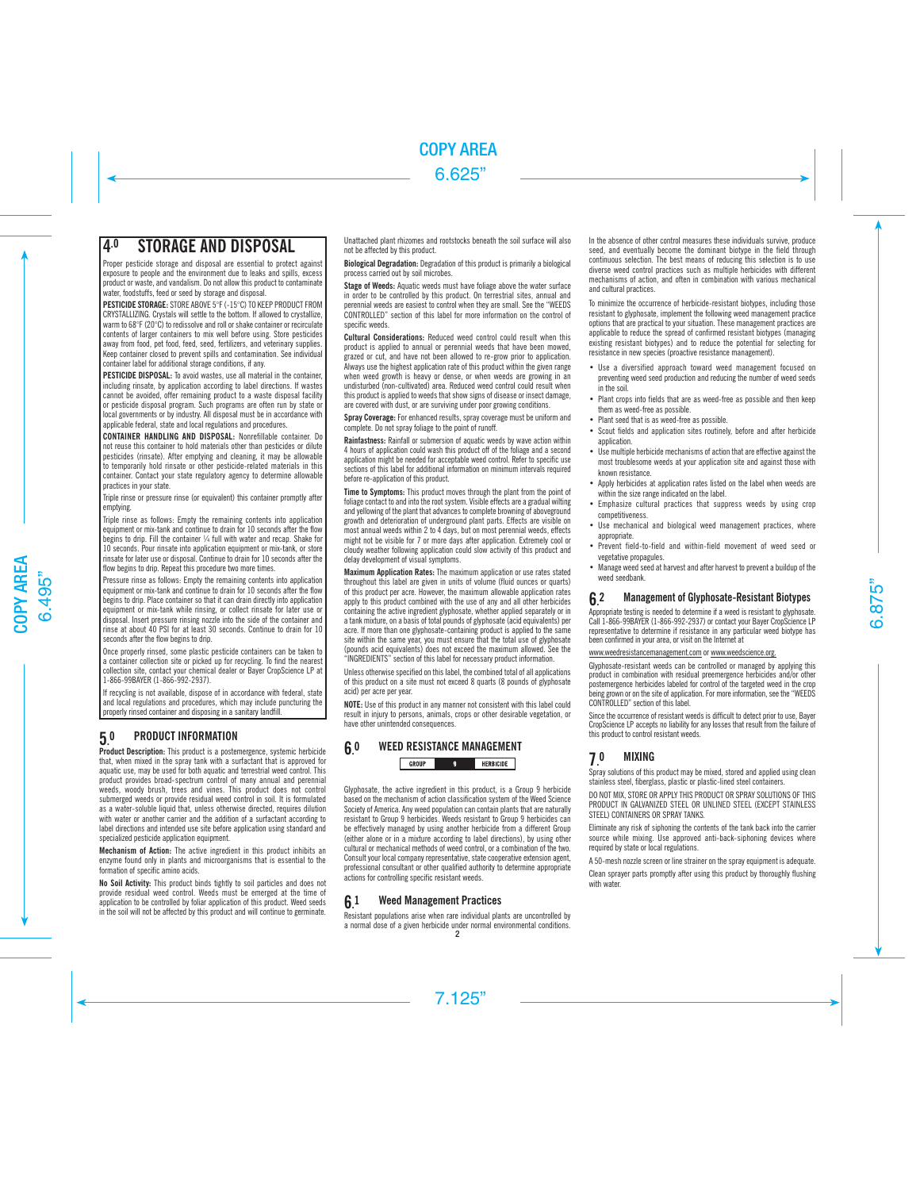# 4.0 STORAGE AND DISPOSAL

Proper pesticide storage and disposal are essential to protect against exposure to people and the environment due to leaks and spills, excess product or waste, and vandalism. Do not allow this product to contaminate water, foodstuffs, feed or seed by storage and disposal.

PESTICIDE STORAGE: STORE ABOVE 5°F (-15°C) TO KEEP PRODUCT FROM CRYSTALLIZING. Crystals will settle to the bottom. If allowed to crystallize, warm to 68°F (20°C) to redissolve and roll or shake container or recirculate contents of larger containers to mix well before using. Store pesticides away from food, pet food, feed, seed, fertilizers, and veterinary supplies. Keep container closed to prevent spills and contamination. See individual container label for additional storage conditions, if any.

**PESTICIDE DISPOSAL:** To avoid wastes, use all material in the container including rinsate, by application according to label directions. If wastes cannot be avoided, offer remaining product to a waste disposal facility or pesticide disposal program. Such programs are often run by state or local governments or by industry. All disposal must be in accordance with applicable federal, state and local regulations and procedures.

CONTAINER HANDLING AND DISPOSAL: Nonrefillable container. Do not reuse this container to hold materials other than pesticides or dilute pesticides (rinsate). After emptying and cleaning, it may be allowable to temporarily hold rinsate or other pesticide-related materials in this container. Contact your state regulatory agency to determine allowable practices in your state.

Triple rinse or pressure rinse (or equivalent) this container promptly after emptying.

Trinle rinse as follows: Empty the remaining contents into application equipment or mix-tank and continue to drain for 10 seconds after the flow begins to drip. Fill the container ¼ full with water and recap. Shake for 10 seconds. Pour rinsate into application equipment or mix-tank, or store rinsate for later use or disposal. Continue to drain for 10 seconds after the flow begins to drip. Repeat this procedure two more times.

Pressure rinse as follows: Empty the remaining contents into application equipment or mix-tank and continue to drain for 10 seconds after the flow begins to drip. Place container so that it can drain directly into application equipment or mix-tank while rinsing, or collect rinsate for later use or disposal. Insert pressure rinsing nozzle into the side of the container and rinse at about 40 PSI for at least 30 seconds. Continue to drain for 10 seconds after the flow begins to drip.

Once properly rinsed, some plastic pesticide containers can be taken to a container collection site or picked up for recycling. To find the nearest collection site, contact your chemical dealer or Bayer CropScience LP at 1-866-99BAYER (1-866-992-2937).

If recycling is not available, dispose of in accordance with federal, state and local regulations and procedures, which may include puncturing the properly rinsed container and disposing in a sanitary landfill.

#### $50$ 0 PRODUCT INFORMATION

Product Description: This product is a postemergence, systemic herbicide that, when mixed in the spray tank with a surfactant that is approved for aquatic use, may be used for both aquatic and terrestrial weed control. This product provides broad-spectrum control of many annual and perennial weeds, woody brush, trees and vines. This product does not control submerged weeds or provide residual weed control in soil. It is formulated as a water-soluble liquid that, unless otherwise directed, requires dilution with water or another carrier and the addition of a surfactant according to label directions and intended use site before application using standard and specialized pesticide application equipment.

Mechanism of Action: The active ingredient in this product inhibits an enzyme found only in plants and microorganisms that is essential to the formation of specific amino acids.

No Soil Activity: This product binds tightly to soil particles and does not provide residual weed control. Weeds must be emerged at the time of application to be controlled by foliar application of this product. Weed seeds in the soil will not be affected by this product and will continue to germinate.

Unattached plant rhizomes and rootstocks beneath the soil surface will also not be affected by this product.

Biological Degradation: Degradation of this product is primarily a biological process carried out by soil microbes.

Stage of Weeds: Aquatic weeds must have foliage above the water surface in order to be controlled by this product. On terrestrial sites, annual and perennial weeds are easiest to control when they are small. See the "WEEDS CONTROLLED" section of this label for more information on the control of specific weeds.

Cultural Considerations: Reduced weed control could result when this product is applied to annual or perennial weeds that have been mowed, grazed or cut, and have not been allowed to re-grow prior to application. Always use the highest application rate of this product within the given range when weed growth is heavy or dense, or when weeds are growing in an undisturbed (non-cultivated) area. Reduced weed control could result when this product is applied to weeds that show signs of disease or insect damage, are covered with dust, or are surviving under poor growing conditions.

Spray Coverage: For enhanced results, spray coverage must be uniform and complete. Do not spray foliage to the point of runoff.

Rainfastness: Rainfall or submersion of aquatic weeds by wave action within 4 hours of application could wash this product off of the foliage and a second application might be needed for acceptable weed control. Refer to specific use sections of this label for additional information on minimum intervals required before re-application of this product.

Time to Symptoms: This product moves through the plant from the point of foliage contact to and into the root system. Visible effects are a gradual wilting and yellowing of the plant that advances to complete browning of aboveground growth and deterioration of underground plant parts. Effects are visible on most annual weeds within 2 to 4 days, but on most perennial weeds, effects might not be visible for 7 or more days after application. Extremely cool or cloudy weather following application could slow activity of this product and delay development of visual symptoms.

Maximum Application Rates: The maximum application or use rates stated throughout this label are given in units of volume (fluid ounces or quarts) of this product per acre. However, the maximum allowable application rates apply to this product combined with the use of any and all other herbicides containing the active ingredient glyphosate, whether applied separately or in a tank mixture, on a basis of total pounds of glyphosate (acid equivalents) per acre. If more than one glyphosate-containing product is applied to the same site within the same year, you must ensure that the total use of glyphosate (pounds acid equivalents) does not exceed the maximum allowed. See the "INGREDIENTS" section of this label for necessary product information.

Unless otherwise specified on this label, the combined total of all applications of this product on a site must not exceed 8 quarts (8 pounds of glyphosate acid) per acre per year.

NOTE: Use of this product in any manner not consistent with this label could result in injury to persons, animals, crops or other desirable vegetation, or have other unintended consequences.

#### 6. WEED RESISTANCE MANAGEMENT

GROUP  $\mathbf{q}$ **HERBICIDE** 

Glyphosate, the active ingredient in this product, is a Group 9 herbicide based on the mechanism of action classification system of the Weed Science Society of America. Any weed population can contain plants that are naturally resistant to Group 9 herbicides. Weeds resistant to Group 9 herbicides can be effectively managed by using another herbicide from a different Group (either alone or in a mixture according to label directions), by using other cultural or mechanical methods of weed control, or a combination of the two. Consult your local company representative, state cooperative extension agent, professional consultant or other qualified authority to determine appropriate actions for controlling specific resistant weeds.

#### $6<sup>1</sup>$ **Weed Management Practices**

Resistant populations arise when rare individual plants are uncontrolled by a normal dose of a given herbicide under normal environmental conditions. 2

In the absence of other control measures these individuals survive, produce seed, and eventually become the dominant biotype in the field through continuous selection. The best means of reducing this selection is to use diverse weed control practices such as multiple herbicides with different mechanisms of action, and often in combination with various mechanical and cultural practices.

To minimize the occurrence of herbicide-resistant biotypes, including those resistant to glyphosate, implement the following weed management practice options that are practical to your situation. These management practices are applicable to reduce the spread of confirmed resistant biotypes (managing existing resistant biotypes) and to reduce the potential for selecting for resistance in new species (proactive resistance management).

- Use a diversified approach toward weed management focused on preventing weed seed production and reducing the number of weed seeds in the soil.
- Plant crops into fields that are as weed-free as possible and then keep them as weed-free as possible.
- Plant seed that is as weed-free as possible.
- Scout fields and application sites routinely, before and after herbicide application.
- Use multiple herbicide mechanisms of action that are effective against the most troublesome weeds at your application site and against those with known resistance.
- Apply herbicides at application rates listed on the label when weeds are within the size range indicated on the label.
- Emphasize cultural practices that suppress weeds by using crop competitiveness.
- Use mechanical and biological weed management practices, where appropriate.
- Prevent field-to-field and within-field movement of weed seed or vegetative propagules.
- Manage weed seed at harvest and after harvest to prevent a buildup of the weed seedbank.

#### 6. 2 Management of Glyphosate-Resistant Biotypes

Appropriate testing is needed to determine if a weed is resistant to glyphosate. Call 1-866-99BAYER (1-866-992-2937) or contact your Bayer CropScience LP representative to determine if resistance in any particular weed biotype has been confirmed in your area, or visit on the Internet at

# www.weedresistancemanagement.com or www.weedscience.org.

Glyphosate-resistant weeds can be controlled or managed by applying this product in combination with residual preemergence herbicides and/or other postemergence herbicides labeled for control of the targeted weed in the crop being grown or on the site of application. For more information, see the "WEEDS CONTROLLED" section of this label.

Since the occurrence of resistant weeds is difficult to detect prior to use, Bayer CropScience LP accepts no liability for any losses that result from the failure of this product to control resistant weeds.

#### 7. **MIXING**

Spray solutions of this product may be mixed, stored and applied using clean stainless steel, fiberglass, plastic or plastic-lined steel containers.

DO NOT MIX, STORE OR APPLY THIS PRODUCT OR SPRAY SOLUTIONS OF THIS PRODUCT IN GALVANIZED STEEL OR UNLINED STEEL (EXCEPT STAINLESS STEEL) CONTAINERS OR SPRAY TANKS.

Eliminate any risk of siphoning the contents of the tank back into the carrier source while mixing. Use approved anti-back-siphoning devices where required by state or local regulations.

A 50-mesh nozzle screen or line strainer on the spray equipment is adequate.

Clean sprayer parts promptly after using this product by thoroughly flushing with water.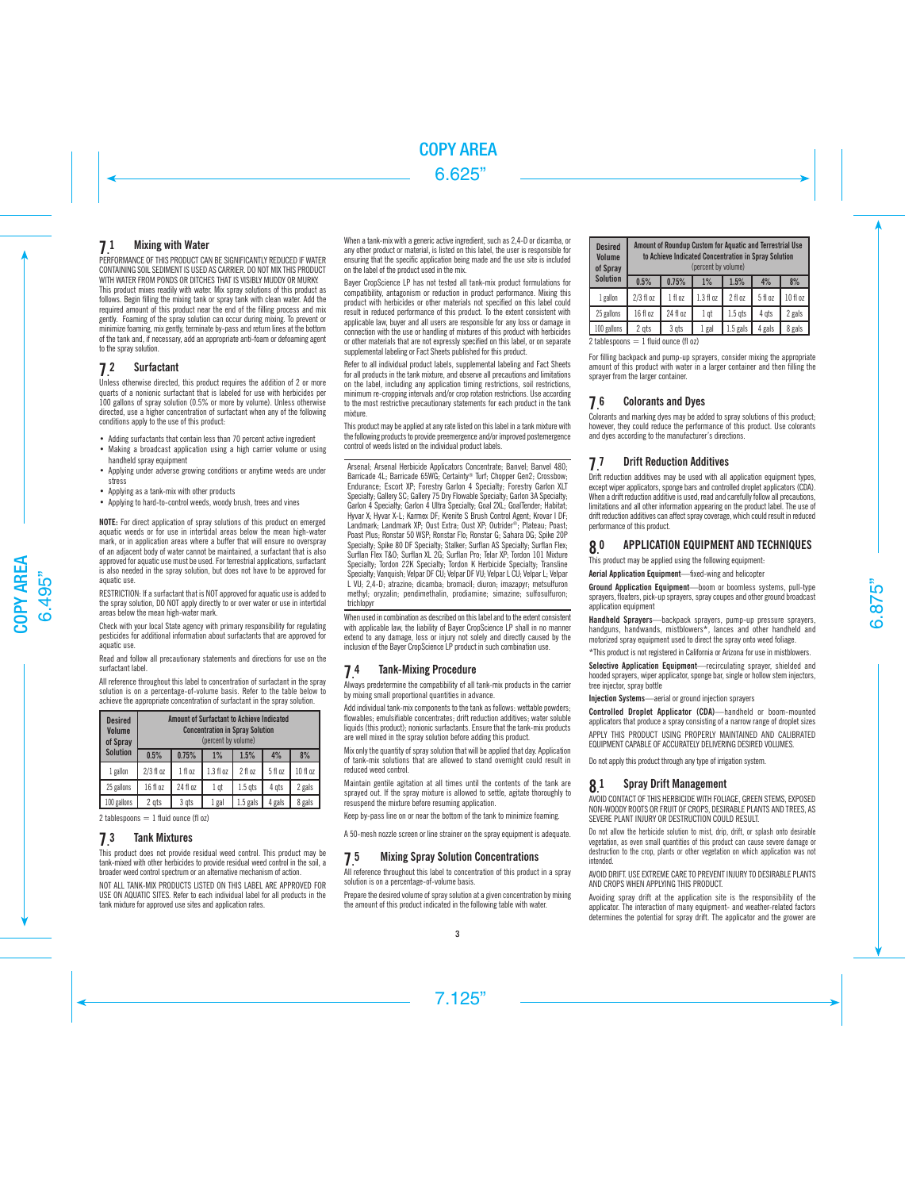#### 7. **Mixing with Water**

PERFORMANCE OF THIS PRODUCT CAN BE SIGNIFICANTLY REDUCED IF WATER CONTAINING SOIL SEDIMENT IS USED AS CARRIER. DO NOT MIX THIS PRODUCT WITH WATER FROM PONDS OR DITCHES THAT IS VISIBLY MUDDY OR MURKY. This product mixes readily with water. Mix spray solutions of this product as follows. Begin filling the mixing tank or spray tank with clean water. Add the required amount of this product near the end of the filling process and mix gently. Foaming of the spray solution can occur during mixing. To prevent or minimize foaming, mix gently, terminate by-pass and return lines at the bottom of the tank and, if necessary, add an appropriate anti-foam or defoaming agent to the spray solution.

#### 7. **Surfactant**

Unless otherwise directed, this product requires the addition of 2 or more quarts of a nonionic surfactant that is labeled for use with herbicides per 100 gallons of spray solution (0.5% or more by volume). Unless otherwise directed, use a higher concentration of surfactant when any of the following conditions apply to the use of this product:

- Adding surfactants that contain less than 70 percent active ingredient
- Making a broadcast application using a high carrier volume or using handheld spray equipment
- Applying under adverse growing conditions or anytime weeds are under stress
- Applying as a tank-mix with other products
- Applying to hard-to-control weeds, woody brush, trees and vines

NOTE: For direct application of spray solutions of this product on emerged aquatic weeds or for use in intertidal areas below the mean high-water mark, or in application areas where a buffer that will ensure no overspray of an adjacent body of water cannot be maintained, a surfactant that is also approved for aquatic use must be used. For terrestrial applications, surfactant is also needed in the spray solution, but does not have to be approved for aquatic use.

RESTRICTION: If a surfactant that is NOT approved for aquatic use is added to the spray solution, DO NOT apply directly to or over water or use in intertidal areas below the mean high-water mark.

Check with your local State agency with primary responsibility for regulating pesticides for additional information about surfactants that are approved for aquatic use.

Read and follow all precautionary statements and directions for use on the surfactant label.

All reference throughout this label to concentration of surfactant in the spray solution is on a percentage-of-volume basis. Refer to the table below to achieve the appropriate concentration of surfactant in the spray solution.

| <b>Desired</b><br>Volume<br>of Spray |             | <b>Amount of Surfactant to Achieve Indicated</b><br><b>Concentration in Spray Solution</b><br>(percent by volume) |                 |            |         |          |  |
|--------------------------------------|-------------|-------------------------------------------------------------------------------------------------------------------|-----------------|------------|---------|----------|--|
| <b>Solution</b>                      | 0.5%        | 0.75%                                                                                                             | $1\%$           | 1.5%       | 4%      | 8%       |  |
| 1 gallon                             | $2/3$ fl oz | 1 fl oz                                                                                                           | 1.3 f1 oz       | 2 fl oz    | 5 fl oz | 10 fl oz |  |
| 25 gallons                           | 16 fl oz    | 24 fl oz                                                                                                          | 1 <sub>qt</sub> | $1.5$ qts  | 4 ats   | 2 gals   |  |
| 100 gallons                          | 2 gts       | 3 gts                                                                                                             | 1 gal           | $1.5$ gals | 4 gals  | 8 gals   |  |

2 tablespoons  $= 1$  fluid ounce (fl oz)

#### 7. **Tank Mixtures**

This product does not provide residual weed control. This product may be tank-mixed with other herbicides to provide residual weed control in the soil, a broader weed control spectrum or an alternative mechanism of action.

NOT ALL TANK-MIX PRODUCTS LISTED ON THIS LABEL ARE APPROVED FOR USE ON AQUATIC SITES. Refer to each individual label for all products in the tank mixture for approved use sites and application rates.

When a tank-mix with a generic active ingredient, such as 2,4-D or dicamba, or any other product or material, is listed on this label, the user is responsible for ensuring that the specific application being made and the use site is included on the label of the product used in the mix.

Bayer CropScience LP has not tested all tank-mix product formulations for compatibility, antagonism or reduction in product performance. Mixing this product with herbicides or other materials not specified on this label could result in reduced performance of this product. To the extent consistent with applicable law, buyer and all users are responsible for any loss or damage in connection with the use or handling of mixtures of this product with herbicides or other materials that are not expressly specified on this label, or on separate supplemental labeling or Fact Sheets published for this product.

Refer to all individual product labels, supplemental labeling and Fact Sheets for all products in the tank mixture, and observe all precautions and limitations on the label, including any application timing restrictions, soil restrictions, minimum re-cropping intervals and/or crop rotation restrictions. Use according to the most restrictive precautionary statements for each product in the tank mixture.

This product may be applied at any rate listed on this label in a tank mixture with the following products to provide preemergence and/or improved postemergence control of weeds listed on the individual product labels.

Arsenal: Arsenal Herbicide Applicators Concentrate: Banvel: Banvel 480; Barricade 4L; Barricade 65WG; Certainty® Turf; Chopper Gen2; Crossbow; Endurance; Escort XP; Forestry Garlon 4 Specialty; Forestry Garlon XLT Specialty; Gallery SC; Gallery 75 Dry Flowable Specialty; Garlon 3A Specialty; Garlon 4 Specialty; Garlon 4 Ultra Specialty; Goal 2XL; GoalTender; Habitat; Hyvar X; Hyvar X-L; Karmex DF; Krenite S Brush Control Agent; Krovar I DF; Landmark; Landmark XP; Oust Extra; Oust XP; Outrider®; Plateau; Poast; Poast Plus; Ronstar 50 WSP; Ronstar Flo; Ronstar G; Sahara DG; Spike 20P Specialty; Spike 80 DF Specialty; Stalker; Surflan AS Specialty; Surflan Flex; Surflan Flex T&O; Surflan XL 2G; Surflan Pro; Telar XP; Tordon 101 Mixture Specialty; Tordon 22K Specialty; Tordon K Herbicide Specialty; Transline Specialty: Vanquish: Velpar DF CU; Velpar DF VU; Velpar L CU; Velpar L; Velpar L VU; 2,4-D; atrazine; dicamba; bromacil; diuron; imazapyr; metsulfuron methyl; oryzalin; pendimethalin, prodiamine; simazine; sulfosulfuron; trichlopyr

When used in combination as described on this label and to the extent consistent with applicable law, the liability of Bayer CropScience LP shall in no manner extend to any damage, loss or injury not solely and directly caused by the inclusion of the Bayer CropScience LP product in such combination use.

#### 7. **Tank-Mixing Procedure**

Always predetermine the compatibility of all tank-mix products in the carrier by mixing small proportional quantities in advance.

Add individual tank-mix components to the tank as follows: wettable powders; flowables; emulsifiable concentrates; drift reduction additives; water soluble liquids (this product); nonionic surfactants. Ensure that the tank-mix products are well mixed in the spray solution before adding this product.

Mix only the quantity of spray solution that will be applied that day. Application of tank-mix solutions that are allowed to stand overnight could result in reduced weed control.

Maintain gentile agitation at all times until the contents of the tank are sprayed out. If the spray mixture is allowed to settle, agitate thoroughly to resuspend the mixture before resuming application.

Keep by-pass line on or near the bottom of the tank to minimize foaming.

A 50-mesh nozzle screen or line strainer on the spray equipment is adequate.

#### 7. **Mixing Spray Solution Concentrations**

All reference throughout this label to concentration of this product in a spray solution is on a percentage-of-volume basis.

Prepare the desired volume of spray solution at a given concentration by mixing the amount of this product indicated in the following table with water.

| <b>Desired</b><br>Volume<br>of Spray | Amount of Roundup Custom for Aquatic and Terrestrial Use<br>to Achieve Indicated Concentration in Spray Solution<br>(percent by volume) |              |           |                   |         |          |  |
|--------------------------------------|-----------------------------------------------------------------------------------------------------------------------------------------|--------------|-----------|-------------------|---------|----------|--|
| <b>Solution</b>                      | 0.5%                                                                                                                                    | 0.75%        | $1\%$     | 1.5%              | 4%      | 8%       |  |
| 1 gallon                             | $2/3$ fl oz                                                                                                                             | $1$ fl $0$ z | 1.3 f1 oz | 2 fl oz           | 5 fl oz | 10 fl oz |  |
| 25 gallons                           | 16 fl oz                                                                                                                                | 24 fl oz     | 1 qt      | 1.5 <sub>gt</sub> | 4 ats   | 2 gals   |  |
| 100 gallons                          | 2 gts                                                                                                                                   | 3 ats        | 1 gal     | $1.5$ gals        | 4 gals  | 8 gals   |  |

2 tablespoons  $= 1$  fluid ounce (fl oz)

For filling backpack and pump-up sprayers, consider mixing the appropriate amount of this product with water in a larger container and then filling the sprayer from the larger container.

#### 7. 6 Colorants and Dyes

Colorants and marking dyes may be added to spray solutions of this product; however, they could reduce the performance of this product. Use colorants and dyes according to the manufacturer's directions.

#### 7. **Drift Reduction Additives**

Drift reduction additives may be used with all application equipment types. except wiper applicators, sponge bars and controlled droplet applicators (CDA). When a drift reduction additive is used, read and carefully follow all precautions, limitations and all other information appearing on the product label. The use of drift reduction additives can affect spray coverage, which could result in reduced performance of this product.

#### 8. APPLICATION EQUIPMENT AND TECHNIQUES

This product may be applied using the following equipment:

Aerial Application Equipment—fixed-wing and helicopter

Ground Application Equipment—boom or boomless systems, pull-type sprayers, floaters, pick-up sprayers, spray coupes and other ground broadcast application equipment

Handheld Sprayers—backpack sprayers, pump-up pressure sprayers handguns, handwands, mistblowers\*, lances and other handheld and motorized spray equipment used to direct the spray onto weed foliage.

\*This product is not registered in California or Arizona for use in mistblowers.

Selective Application Equipment—recirculating sprayer, shielded and hooded sprayers, wiper applicator, sponge bar, single or hollow stem injectors, tree injector, spray bottle

Injection Systems—aerial or ground injection sprayers

Controlled Droplet Applicator (CDA)—handheld or boom-mounted applicators that produce a spray consisting of a narrow range of droplet sizes APPLY THIS PRODUCT USING PROPERLY MAINTAINED AND CALIBRATED EQUIPMENT CAPABLE OF ACCURATELY DELIVERING DESIRED VOLUMES.

Do not apply this product through any type of irrigation system.

#### 8. 1 Spray Drift Management

AVOID CONTACT OF THIS HERBICIDE WITH FOLIAGE, GREEN STEMS, EXPOSED NON-WOODY ROOTS OR FRUIT OF CROPS, DESIRABLE PLANTS AND TREES, AS SEVERE PLANT INJURY OR DESTRUCTION COULD RESULT.

Do not allow the herbicide solution to mist, drip, drift, or splash onto desirable vegetation, as even small quantities of this product can cause severe damage or destruction to the crop, plants or other vegetation on which application was not intended.

AVOID DRIFT. USE EXTREME CARE TO PREVENT INJURY TO DESIRABLE PLANTS AND CROPS WHEN APPLYING THIS PRODUCT.

Avoiding spray drift at the application site is the responsibility of the applicator. The interaction of many equipment- and weather-related factors determines the potential for spray drift. The applicator and the grower are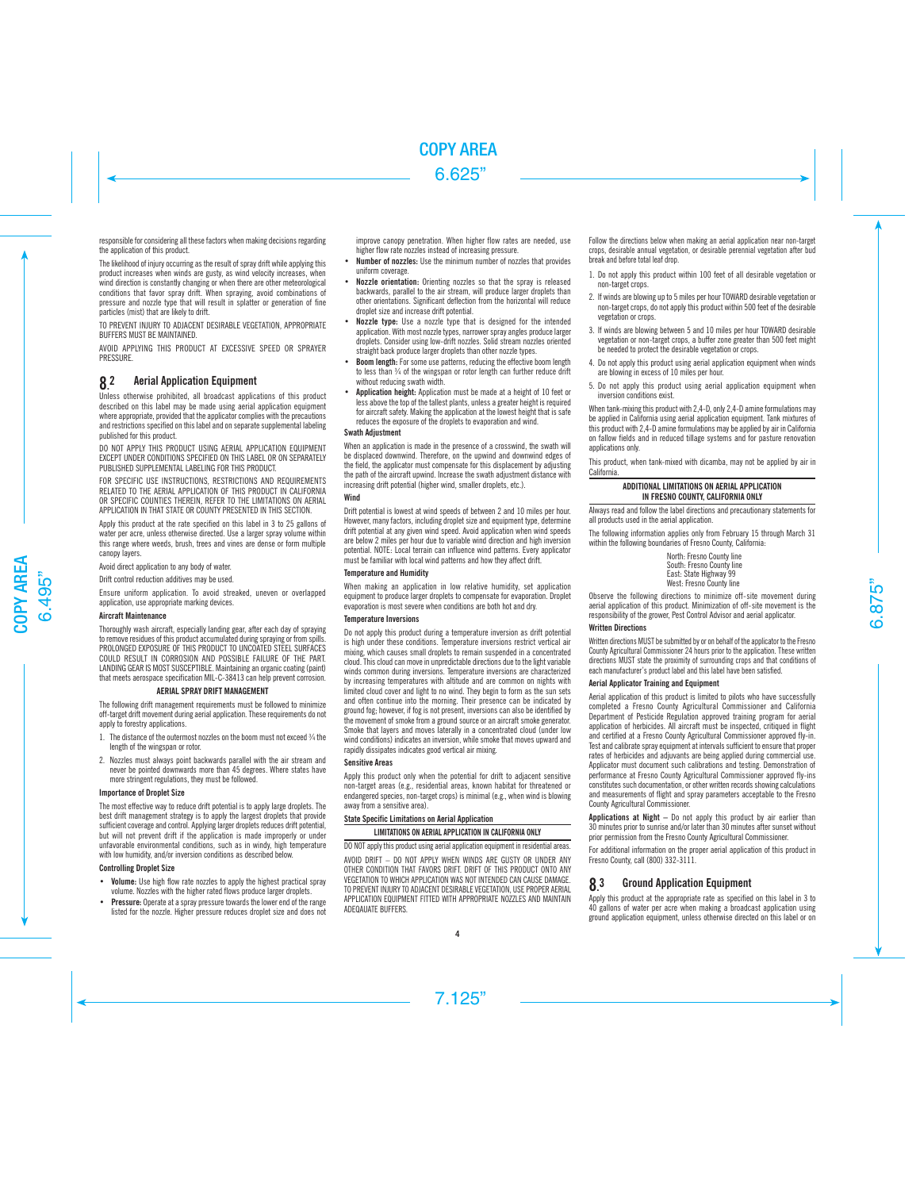responsible for considering all these factors when making decisions regarding the application of this product.

The likelihood of injury occurring as the result of spray drift while applying this product increases when winds are gusty, as wind velocity increases, when wind direction is constantly changing or when there are other meteorological conditions that favor spray drift. When spraying, avoid combinations of pressure and nozzle type that will result in splatter or generation of fine particles (mist) that are likely to drift.

TO PREVENT INJURY TO ADJACENT DESIRABLE VEGETATION, APPROPRIATE BUFFERS MUST BE MAINTAINED.

AVOID APPLYING THIS PRODUCT AT EXCESSIVE SPEED OR SPRAYER **PRESSURE** 

#### 8. **Aerial Application Equipment**

Unless otherwise prohibited, all broadcast applications of this product described on this label may be made using aerial application equipment where appropriate, provided that the applicator complies with the precautions and restrictions specified on this label and on separate supplemental labeling published for this product.

DO NOT APPLY THIS PRODUCT USING AERIAL APPLICATION EQUIPMENT EXCEPT UNDER CONDITIONS SPECIFIED ON THIS LABEL OR ON SEPARATELY PUBLISHED SUPPLEMENTAL LABELING FOR THIS PRODUCT.

FOR SPECIFIC USE INSTRUCTIONS, RESTRICTIONS AND REQUIREMENTS RELATED TO THE AERIAL APPLICATION OF THIS PRODUCT IN CALIFORNIA OR SPECIFIC COUNTIES THEREIN, REFER TO THE LIMITATIONS ON AERIAL APPLICATION IN THAT STATE OR COUNTY PRESENTED IN THIS SECTION.

Apply this product at the rate specified on this label in 3 to 25 gallons of water per acre, unless otherwise directed. Use a larger spray volume within this range where weeds, brush, trees and vines are dense or form multiple canopy layers.

Avoid direct application to any body of water.

Drift control reduction additives may be used.

Ensure uniform application. To avoid streaked, uneven or overlapped application, use appropriate marking devices.

### Aircraft Maintenance

Thoroughly wash aircraft, especially landing gear, after each day of spraying to remove residues of this product accumulated during spraying or from spills. PROLONGED EXPOSURE OF THIS PRODUCT TO UNCOATED STEEL SURFACES COULD RESULT IN CORROSION AND POSSIBLE FAILURE OF THE PART. LANDING GEAR IS MOST SUSCEPTIBLE. Maintaining an organic coating (paint) that meets aerospace specification MIL-C-38413 can help prevent corrosion.

### AERIAL SPRAY DRIFT MANAGEMENT

The following drift management requirements must be followed to minimize off-target drift movement during aerial application. These requirements do not apply to forestry applications.

- 1. The distance of the outermost nozzles on the boom must not exceed  $\frac{3}{4}$  the length of the wingspan or rotor.
- 2. Nozzles must always point backwards parallel with the air stream and never be pointed downwards more than 45 degrees. Where states have more stringent regulations, they must be followed.

# Importance of Droplet Size

The most effective way to reduce drift potential is to apply large droplets. The best drift management strategy is to apply the largest droplets that provide sufficient coverage and control. Applying larger droplets reduces drift potential, but will not prevent drift if the application is made improperly or under unfavorable environmental conditions, such as in windy, high temperature with low humidity, and/or inversion conditions as described below.

# Controlling Droplet Size

- Volume: Use high flow rate nozzles to apply the highest practical spray volume. Nozzles with the higher rated flows produce larger droplets.
- Pressure: Operate at a spray pressure towards the lower end of the range listed for the nozzle. Higher pressure reduces droplet size and does not

improve canopy penetration. When higher flow rates are needed, use higher flow rate nozzles instead of increasing pressure.

- Number of nozzles: Use the minimum number of nozzles that provides uniform coverage.
- Nozzle orientation: Orienting nozzles so that the spray is released backwards, parallel to the air stream, will produce larger droplets than other orientations. Significant deflection from the horizontal will reduce droplet size and increase drift potential.
- Nozzle type: Use a nozzle type that is designed for the intended application. With most nozzle types, narrower spray angles produce larger droplets. Consider using low-drift nozzles. Solid stream nozzles oriented straight back produce larger droplets than other nozzle types.
- **Boom length:** For some use patterns, reducing the effective boom length to less than ¾ of the wingspan or rotor length can further reduce drift without reducing swath width.
- Application height: Application must be made at a height of 10 feet or less above the top of the tallest plants, unless a greater height is required for aircraft safety. Making the application at the lowest height that is safe reduces the exposure of the droplets to evaporation and wind.

# Swath Adjustment

When an application is made in the presence of a crosswind, the swath will be displaced downwind. Therefore, on the upwind and downwind edges of the field, the applicator must compensate for this displacement by adjusting the path of the aircraft upwind. Increase the swath adjustment distance with increasing drift potential (higher wind, smaller droplets, etc.).

### **Wind**

Drift potential is lowest at wind speeds of between 2 and 10 miles per hour. However, many factors, including droplet size and equipment type, determine drift potential at any given wind speed. Avoid application when wind speeds are below 2 miles per hour due to variable wind direction and high inversion potential. NOTE: Local terrain can influence wind patterns. Every applicator must be familiar with local wind patterns and how they affect drift.

### Temperature and Humidity

When making an application in low relative humidity, set application equipment to produce larger droplets to compensate for evaporation. Droplet evaporation is most severe when conditions are both hot and dry.

# Temperature Inversions

Do not apply this product during a temperature inversion as drift potential is high under these conditions. Temperature inversions restrict vertical air mixing, which causes small droplets to remain suspended in a concentrated cloud. This cloud can move in unpredictable directions due to the light variable winds common during inversions. Temperature inversions are characterized by increasing temperatures with altitude and are common on nights with limited cloud cover and light to no wind. They begin to form as the sun sets and often continue into the morning. Their presence can be indicated by ground fog; however, if fog is not present, inversions can also be identified by the movement of smoke from a ground source or an aircraft smoke generator. Smoke that layers and moves laterally in a concentrated cloud (under low wind conditions) indicates an inversion, while smoke that moves upward and rapidly dissipates indicates good vertical air mixing.

# Sensitive Areas

Apply this product only when the potential for drift to adjacent sensitive non-target areas (e.g., residential areas, known habitat for threatened or endangered species, non-target crops) is minimal (e.g., when wind is blowing away from a sensitive area).

# State Specific Limitations on Aerial Application

# LIMITATIONS ON AERIAL APPLICATION IN CALIFORNIA ONLY

DO NOT apply this product using aerial application equipment in residential areas.

AVOID DRIFT – DO NOT APPLY WHEN WINDS ARE GUSTY OR UNDER ANY OTHER CONDITION THAT FAVORS DRIFT. DRIFT OF THIS PRODUCT ONTO ANY VEGETATION TO WHICH APPLICATION WAS NOT INTENDED CAN CAUSE DAMAGE. TO PREVENT INJURY TO ADJACENT DESIRABLE VEGETATION, USE PROPER AERIAL APPLICATION EQUIPMENT FITTED WITH APPROPRIATE NOZZLES AND MAINTAIN ADEQAUATE BUFFERS.

Follow the directions below when making an aerial application near non-target crops, desirable annual vegetation, or desirable perennial vegetation after bud break and before total leaf drop.

- 1. Do not apply this product within 100 feet of all desirable vegetation or non-target crops.
- 2. If winds are blowing up to 5 miles per hour TOWARD desirable vegetation or non-target crops, do not apply this product within 500 feet of the desirable vegetation or crops.
- 3. If winds are blowing between 5 and 10 miles per hour TOWARD desirable vegetation or non-target crops, a buffer zone greater than 500 feet might be needed to protect the desirable vegetation or crops.
- 4. Do not apply this product using aerial application equipment when winds are blowing in excess of 10 miles per hour.
- 5. Do not apply this product using aerial application equipment when inversion conditions exist.

When tank-mixing this product with 2,4-D, only 2,4-D amine formulations may be applied in California using aerial application equipment. Tank mixtures of this product with 2,4-D amine formulations may be applied by air in California on fallow fields and in reduced tillage systems and for pasture renovation applications only.

This product, when tank-mixed with dicamba, may not be applied by air in California.

# ADDITIONAL LIMITATIONS ON AERIAL APPLICATION IN FRESNO COUNTY, CALIFORNIA ONLY

Always read and follow the label directions and precautionary statements for all products used in the aerial application.

The following information applies only from February 15 through March 31 within the following boundaries of Fresno County, California:

> North: Fresno County line South: Fresno County line East: State Highway 99 West: Fresno County line

Observe the following directions to minimize off-site movement during aerial application of this product. Minimization of off-site movement is the responsibility of the grower, Pest Control Advisor and aerial applicator.

# Written Directions

Written directions MUST be submitted by or on behalf of the applicator to the Fresno County Agricultural Commissioner 24 hours prior to the application. These written directions MUST state the proximity of surrounding crops and that conditions of each manufacturer's product label and this label have been satisfied.

# Aerial Applicator Training and Equipment

Aerial application of this product is limited to pilots who have successfully completed a Fresno County Agricultural Commissioner and California Department of Pesticide Regulation approved training program for aerial application of herbicides. All aircraft must be inspected, critiqued in flight and certified at a Fresno County Agricultural Commissioner approved fly-in. Test and calibrate spray equipment at intervals sufficient to ensure that proper rates of herbicides and adjuvants are being applied during commercial use. Applicator must document such calibrations and testing. Demonstration of performance at Fresno County Agricultural Commissioner approved fly-ins constitutes such documentation, or other written records showing calculations and measurements of flight and spray parameters acceptable to the Fresno County Agricultural Commissioner.

Applications at Night – Do not apply this product by air earlier than 30 minutes prior to sunrise and/or later than 30 minutes after sunset without prior permission from the Fresno County Agricultural Commissioner.

For additional information on the proper aerial application of this product in Fresno County, call (800) 332-3111.

#### 8. **Ground Application Equipment**

Apply this product at the appropriate rate as specified on this label in 3 to 40 gallons of water per acre when making a broadcast application using ground application equipment, unless otherwise directed on this label or on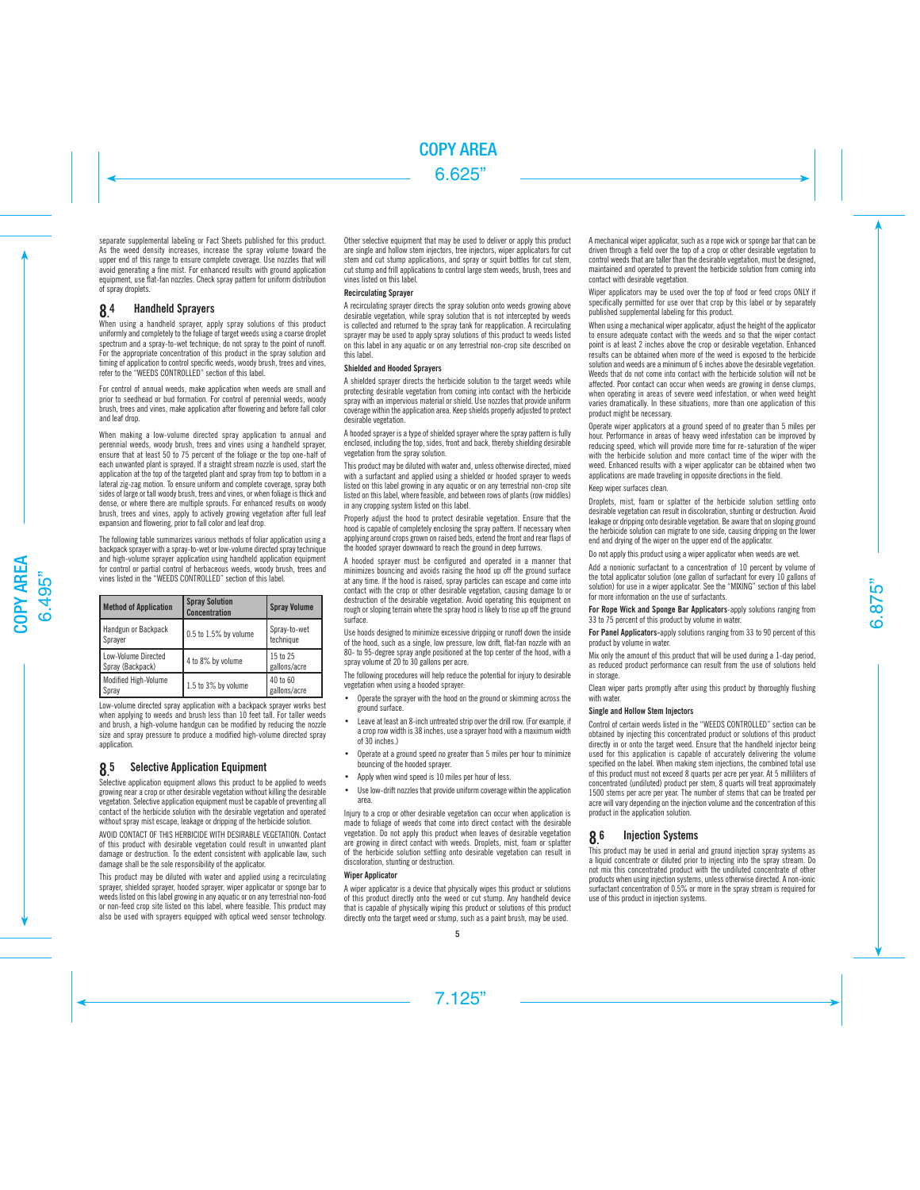separate supplemental labeling or Fact Sheets published for this product. As the weed density increases, increase the spray volume toward the upper end of this range to ensure complete coverage. Use nozzles that will avoid generating a fine mist. For enhanced results with ground application equipment, use flat-fan nozzles. Check spray pattern for uniform distribution of spray droplets.

#### 8. **Handheld Sprayers**

When using a handheld sprayer, apply spray solutions of this product uniformly and completely to the foliage of target weeds using a coarse droplet spectrum and a spray-to-wet technique; do not spray to the point of runoff. For the appropriate concentration of this product in the spray solution and timing of application to control specific weeds, woody brush, trees and vines, refer to the "WEEDS CONTROLLED" section of this label.

For control of annual weeds, make application when weeds are small and prior to seedhead or bud formation. For control of perennial weeds, woody brush, trees and vines, make application after flowering and before fall color and leaf drop.

When making a low-volume directed spray application to annual and perennial weeds, woody brush, trees and vines using a handheld sprayer, ensure that at least 50 to 75 percent of the foliage or the top one-half of each unwanted plant is sprayed. If a straight stream nozzle is used, start the application at the top of the targeted plant and spray from top to bottom in a lateral zig-zag motion. To ensure uniform and complete coverage, spray both sides of large or tall woody brush, trees and vines, or when foliage is thick and dense, or where there are multiple sprouts. For enhanced results on woody brush, trees and vines, apply to actively growing vegetation after full leaf expansion and flowering, prior to fall color and leaf drop.

The following table summarizes various methods of foliar application using a backpack sprayer with a spray-to-wet or low-volume directed spray technique and high-volume sprayer application using handheld application equipment for control or partial control of herbaceous weeds, woody brush, trees and vines listed in the "WEEDS CONTROLLED" section of this label.

| <b>Method of Application</b>            | <b>Spray Solution</b><br><b>Concentration</b> | <b>Spray Volume</b>       |
|-----------------------------------------|-----------------------------------------------|---------------------------|
| Handgun or Backpack<br>Sprayer          | $0.5$ to $1.5\%$ by volume                    | Spray-to-wet<br>technique |
| Low-Volume Directed<br>Spray (Backpack) | 4 to 8% by volume                             | 15 to 25<br>gallons/acre  |
| Modified High-Volume<br>Spray           | 1.5 to 3% by volume                           | 40 to 60<br>gallons/acre  |

Low-volume directed spray application with a backpack sprayer works best when applying to weeds and brush less than 10 feet tall. For taller weeds and brush, a high-volume handgun can be modified by reducing the nozzle size and spray pressure to produce a modified high-volume directed spray application.

#### **85 Selective Application Equipment**

Selective application equipment allows this product to be applied to weeds growing near a crop or other desirable vegetation without killing the desirable vegetation. Selective application equipment must be capable of preventing all contact of the herbicide solution with the desirable vegetation and operated without spray mist escape, leakage or dripping of the herbicide solution.

AVOID CONTACT OF THIS HERBICIDE WITH DESIRABLE VEGETATION. Contact of this product with desirable vegetation could result in unwanted plant damage or destruction. To the extent consistent with applicable law, such damage shall be the sole responsibility of the applicator.

This product may be diluted with water and applied using a recirculating sprayer, shielded sprayer, hooded sprayer, wiper applicator or sponge bar to weeds listed on this label growing in any aquatic or on any terrestrial non-food or non-feed crop site listed on this label, where feasible. This product may also be used with sprayers equipped with optical weed sensor technology. Other selective equipment that may be used to deliver or apply this product are single and hollow stem injectors, tree injectors, wiper applicators for cut stem and cut stump applications, and spray or squirt bottles for cut stem, cut stump and frill applications to control large stem weeds, brush, trees and vines listed on this label.

# Recirculating Sprayer

A recirculating sprayer directs the spray solution onto weeds growing above desirable vegetation, while spray solution that is not intercepted by weeds is collected and returned to the spray tank for reapplication. A recirculating sprayer may be used to apply spray solutions of this product to weeds listed on this label in any aquatic or on any terrestrial non-crop site described on this label.

# Shielded and Hooded Sprayers

A shielded sprayer directs the herbicide solution to the target weeds while protecting desirable vegetation from coming into contact with the herbicide spray with an impervious material or shield. Use nozzles that provide uniform coverage within the application area. Keep shields properly adjusted to protect desirable vegetation.

A hooded sprayer is a type of shielded sprayer where the spray pattern is fully enclosed, including the top, sides, front and back, thereby shielding desirable vegetation from the spray solution.

This product may be diluted with water and, unless otherwise directed, mixed with a surfactant and applied using a shielded or hooded sprayer to weeds listed on this label growing in any aquatic or on any terrestrial non-crop site listed on this label, where feasible, and between rows of plants (row middles) in any cropping system listed on this label.

Properly adjust the hood to protect desirable vegetation. Ensure that the hood is capable of completely enclosing the spray pattern. If necessary when applying around crops grown on raised beds, extend the front and rear flaps of the hooded sprayer downward to reach the ground in deep furrows.

A hooded sprayer must be configured and operated in a manner that minimizes bouncing and avoids raising the hood up off the ground surface at any time. If the hood is raised, spray particles can escape and come into contact with the crop or other desirable vegetation, causing damage to or destruction of the desirable vegetation. Avoid operating this equipment on rough or sloping terrain where the spray hood is likely to rise up off the ground surface.

Use hoods designed to minimize excessive dripping or runoff down the inside of the hood, such as a single, low pressure, low drift, flat-fan nozzle with an 80- to 95-degree spray angle positioned at the top center of the hood, with a spray volume of 20 to 30 gallons per acre.

The following procedures will help reduce the potential for injury to desirable vegetation when using a hooded sprayer:

- Operate the sprayer with the hood on the ground or skimming across the ground surface.
- Leave at least an 8-inch untreated strip over the drill row. (For example, if a crop row width is 38 inches, use a sprayer hood with a maximum width of 30 inches.)
- Operate at a ground speed no greater than 5 miles per hour to minimize bouncing of the hooded sprayer.
- Apply when wind speed is 10 miles per hour of less.
- Use low-drift nozzles that provide uniform coverage within the application area.

Injury to a crop or other desirable vegetation can occur when application is made to foliage of weeds that come into direct contact with the desirable vegetation. Do not apply this product when leaves of desirable vegetation are growing in direct contact with weeds. Droplets, mist, foam or splatter of the herbicide solution settling onto desirable vegetation can result in discoloration, stunting or destruction.

# **Winer Annlicator**

A wiper applicator is a device that physically wipes this product or solutions of this product directly onto the weed or cut stump. Any handheld device that is capable of physically wiping this product or solutions of this product directly onto the target weed or stump, such as a paint brush, may be used.

A mechanical wiper applicator, such as a rope wick or sponge bar that can be driven through a field over the top of a crop or other desirable vegetation to control weeds that are taller than the desirable vegetation, must be designed, maintained and operated to prevent the herbicide solution from coming into contact with desirable vegetation.

Wiper applicators may be used over the top of food or feed crops ONLY if specifically permitted for use over that crop by this label or by separately published supplemental labeling for this product.

When using a mechanical wiper applicator, adjust the height of the applicator to ensure adequate contact with the weeds and so that the wiper contact point is at least 2 inches above the crop or desirable vegetation. Enhanced results can be obtained when more of the weed is exposed to the herbicide solution and weeds are a minimum of 6 inches above the desirable vegetation. Weeds that do not come into contact with the herbicide solution will not be affected. Poor contact can occur when weeds are growing in dense clumps, when operating in areas of severe weed infestation, or when weed height varies dramatically. In these situations, more than one application of this product might be necessary.

Operate wiper applicators at a ground speed of no greater than 5 miles per hour. Performance in areas of heavy weed infestation can be improved by reducing speed, which will provide more time for re-saturation of the wiper with the herbicide solution and more contact time of the wiper with the weed. Enhanced results with a wiper applicator can be obtained when two applications are made traveling in opposite directions in the field.

# Keep wiper surfaces clean.

Droplets, mist, foam or splatter of the herbicide solution settling onto desirable vegetation can result in discoloration, stunting or destruction. Avoid leakage or dripping onto desirable vegetation. Be aware that on sloping ground the herbicide solution can migrate to one side, causing dripping on the lower end and drying of the wiper on the upper end of the applicator.

Do not apply this product using a wiper applicator when weeds are wet.

Add a nonionic surfactant to a concentration of 10 percent by volume of the total applicator solution (one gallon of surfactant for every 10 gallons of solution) for use in a wiper applicator. See the "MIXING" section of this label for more information on the use of surfactants.

For Rope Wick and Sponge Bar Applicators-apply solutions ranging from 33 to 75 percent of this product by volume in water.

For Panel Applicators-apply solutions ranging from 33 to 90 percent of this product by volume in water.

Mix only the amount of this product that will be used during a 1-day period, as reduced product performance can result from the use of solutions held in storage.

Clean wiper parts promptly after using this product by thoroughly flushing with water.

# Single and Hollow Stem Injectors

Control of certain weeds listed in the "WEEDS CONTROLLED" section can be obtained by injecting this concentrated product or solutions of this product directly in or onto the target weed. Ensure that the handheld injector being used for this application is capable of accurately delivering the volume specified on the label. When making stem injections, the combined total use of this product must not exceed 8 quarts per acre per year. At 5 milliliters of concentrated (undiluted) product per stem, 8 quarts will treat approximately 1500 stems per acre per year. The number of stems that can be treated per acre will vary depending on the injection volume and the concentration of this product in the application solution.

#### 8. **Injection Systems**

This product may be used in aerial and ground injection spray systems as a liquid concentrate or diluted prior to injecting into the spray stream. Do not mix this concentrated product with the undiluted concentrate of other products when using injection systems, unless otherwise directed. A non-ionic surfactant concentration of 0.5% or more in the spray stream is required for use of this product in injection systems.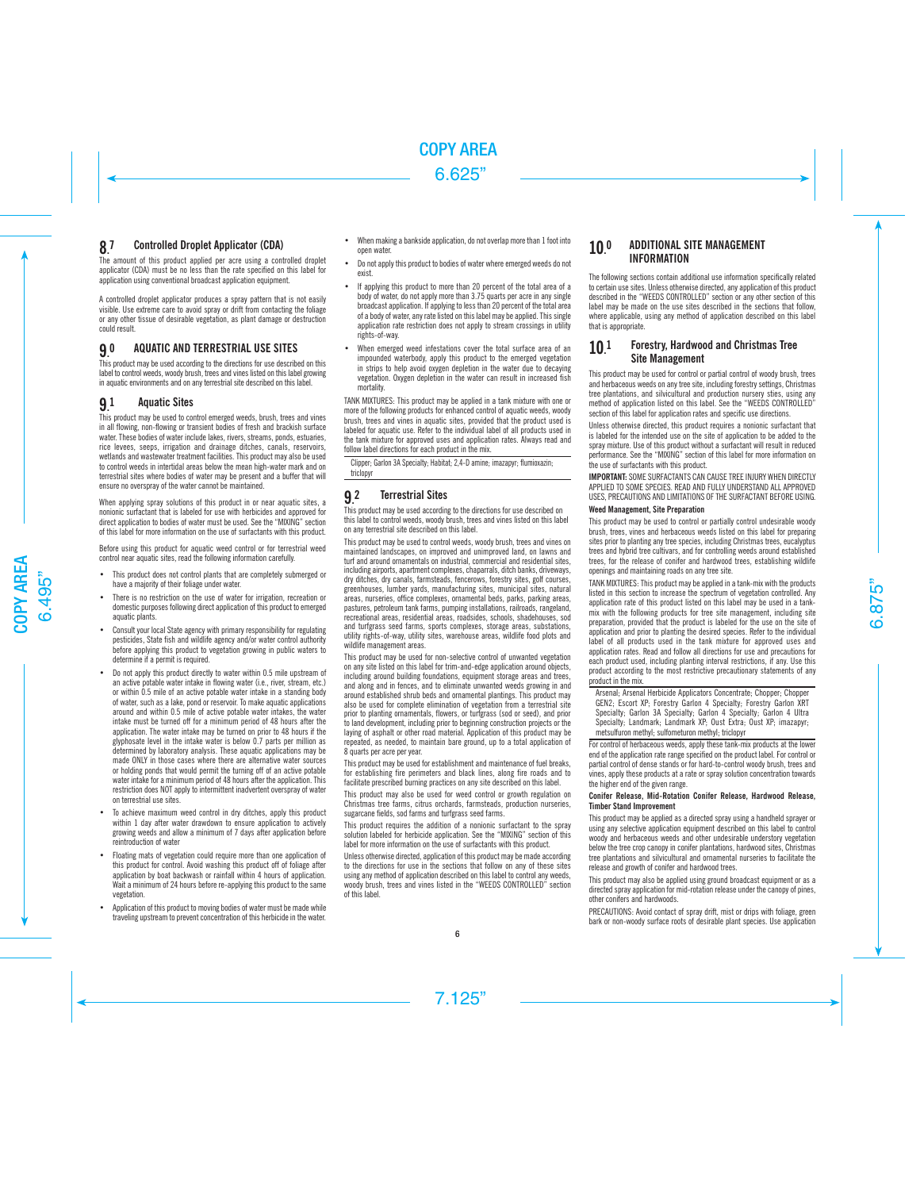#### 8. Controlled Droplet Applicator (CDA)

The amount of this product applied per acre using a controlled droplet applicator (CDA) must be no less than the rate specified on this label for application using conventional broadcast application equipment.

A controlled droplet applicator produces a spray pattern that is not easily visible. Use extreme care to avoid spray or drift from contacting the foliage or any other tissue of desirable vegetation, as plant damage or destruction could result.

#### 9. 0 AQUATIC AND TERRESTRIAL USE SITES

This product may be used according to the directions for use described on this label to control weeds, woody brush, trees and vines listed on this label growing in aquatic environments and on any terrestrial site described on this label.

#### 9. **Aquatic Sites**

This product may be used to control emerged weeds, brush, trees and vines in all flowing, non-flowing or transient bodies of fresh and brackish surface water. These bodies of water include lakes, rivers, streams, ponds, estuaries, rice levees, seeps, irrigation and drainage ditches, canals, reservoirs, wetlands and wastewater treatment facilities. This product may also be used to control weeds in intertidal areas below the mean high-water mark and on terrestrial sites where bodies of water may be present and a buffer that will ensure no overspray of the water cannot be maintained.

When applying spray solutions of this product in or near aquatic sites, a nonionic surfactant that is labeled for use with herbicides and approved for direct application to bodies of water must be used. See the "MIXING" section of this label for more information on the use of surfactants with this product.

Before using this product for aquatic weed control or for terrestrial weed control near aquatic sites, read the following information carefully.

- This product does not control plants that are completely submerged or have a majority of their foliage under water.
- There is no restriction on the use of water for irrigation, recreation or domestic purposes following direct application of this product to emerged aquatic plants.
- Consult your local State agency with primary responsibility for regulating pesticides, State fish and wildlife agency and/or water control authority before applying this product to vegetation growing in public waters to determine if a permit is required.
- Do not apply this product directly to water within 0.5 mile upstream of an active potable water intake in flowing water (i.e., river, stream, etc.) or within 0.5 mile of an active potable water intake in a standing body of water, such as a lake, pond or reservoir. To make aquatic applications around and within 0.5 mile of active potable water intakes, the water intake must be turned off for a minimum period of 48 hours after the application. The water intake may be turned on prior to 48 hours if the glyphosate level in the intake water is below 0.7 parts per million as determined by laboratory analysis. These aquatic applications may be made ONLY in those cases where there are alternative water sources or holding ponds that would permit the turning off of an active potable water intake for a minimum period of 48 hours after the application. This restriction does NOT apply to intermittent inadvertent overspray of water on terrestrial use sites.
- To achieve maximum weed control in dry ditches, apply this product within 1 day after water drawdown to ensure application to actively growing weeds and allow a minimum of 7 days after application before reintroduction of water
- Floating mats of vegetation could require more than one application of this product for control. Avoid washing this product off of foliage after application by boat backwash or rainfall within 4 hours of application. Wait a minimum of 24 hours before re-applying this product to the same vegetation.
- Application of this product to moving bodies of water must be made while traveling upstream to prevent concentration of this herbicide in the water.
- When making a bankside application, do not overlap more than 1 foot into open water.
- Do not apply this product to bodies of water where emerged weeds do not exist.
- If applying this product to more than 20 percent of the total area of a body of water, do not apply more than 3.75 quarts per acre in any single broadcast application. If applying to less than 20 percent of the total area of a body of water, any rate listed on this label may be applied. This single application rate restriction does not apply to stream crossings in utility rights-of-way.
- When emerged weed infestations cover the total surface area of an impounded waterbody, apply this product to the emerged vegetation in strips to help avoid oxygen depletion in the water due to decaying vegetation. Oxygen depletion in the water can result in increased fish mortality.

TANK MIXTURES: This product may be applied in a tank mixture with one or more of the following products for enhanced control of aquatic weeds, woody brush, trees and vines in aquatic sites, provided that the product used is labeled for aquatic use. Refer to the individual label of all products used in the tank mixture for approved uses and application rates. Always read and follow label directions for each product in the mix.

Clipper; Garlon 3A Specialty; Habitat; 2,4-D amine; imazapyr; flumioxazin; triclopyr

#### 9. **Terrestrial Sites**

This product may be used according to the directions for use described on this label to control weeds, woody brush, trees and vines listed on this label on any terrestrial site described on this label.

This product may be used to control weeds, woody brush, trees and vines on maintained landscapes, on improved and unimproved land, on lawns and turf and around ornamentals on industrial, commercial and residential sites, including airports, apartment complexes, chaparrals, ditch banks, driveways, dry ditches, dry canals, farmsteads, fencerows, forestry sites, golf courses, greenhouses, lumber yards, manufacturing sites, municipal sites, natural areas, nurseries, office complexes, ornamental beds, parks, parking areas, pastures, petroleum tank farms, pumping installations, railroads, rangeland, recreational areas, residential areas, roadsides, schools, shadehouses, sod and turfgrass seed farms, sports complexes, storage areas, substations, utility rights-of-way, utility sites, warehouse areas, wildlife food plots and wildlife management areas.

This product may be used for non-selective control of unwanted vegetation on any site listed on this label for trim-and-edge application around objects, including around building foundations, equipment storage areas and trees, and along and in fences, and to eliminate unwanted weeds growing in and around established shrub beds and ornamental plantings. This product may also be used for complete elimination of vegetation from a terrestrial site prior to planting ornamentals, flowers, or turfgrass (sod or seed), and prior to land development, including prior to beginning construction projects or the laying of asphalt or other road material. Application of this product may be repeated, as needed, to maintain bare ground, up to a total application of 8 quarts per acre per year.

This product may be used for establishment and maintenance of fuel breaks, for establishing fire perimeters and black lines, along fire roads and to facilitate prescribed burning practices on any site described on this label.

This product may also be used for weed control or growth regulation on Christmas tree farms, citrus orchards, farmsteads, production nurseries, sugarcane fields, sod farms and turfgrass seed farms.

This product requires the addition of a nonionic surfactant to the spray solution labeled for herbicide application. See the "MIXING" section of this label for more information on the use of surfactants with this product.

Unless otherwise directed, application of this product may be made according to the directions for use in the sections that follow on any of these sites using any method of application described on this label to control any weeds, woody brush, trees and vines listed in the "WEEDS CONTROLLED" section of this label.

### 10. ADDITIONAL SITE MANAGEMENT INFORMATION

The following sections contain additional use information specifically related to certain use sites. Unless otherwise directed, any application of this product described in the "WEEDS CONTROLLED" section or any other section of this label may be made on the use sites described in the sections that follow, where applicable, using any method of application described on this label that is appropriate.

### 10. 1 Forestry, Hardwood and Christmas Tree Site Management

This product may be used for control or partial control of woody brush, trees and herbaceous weeds on any tree site, including forestry settings, Christmas tree plantations, and silvicultural and production nursery sties, using any method of application listed on this label. See the "WEEDS CONTROLLED" section of this label for application rates and specific use directions.

Unless otherwise directed, this product requires a nonionic surfactant that is labeled for the intended use on the site of application to be added to the spray mixture. Use of this product without a surfactant will result in reduced performance. See the "MIXING" section of this label for more information on the use of surfactants with this product.

IMPORTANT: SOME SURFACTANTS CAN CAUSE TREE INJURY WHEN DIRECTLY APPLIED TO SOME SPECIES. READ AND FULLY UNDERSTAND ALL APPROVED USES, PRECAUTIONS AND LIMITATIONS OF THE SURFACTANT BEFORE USING.

# Weed Management, Site Preparation

This product may be used to control or partially control undesirable woody brush, trees, vines and herbaceous weeds listed on this label for preparing sites prior to planting any tree species, including Christmas trees, eucalyptus trees and hybrid tree cultivars, and for controlling weeds around established trees, for the release of conifer and hardwood trees, establishing wildlife openings and maintaining roads on any tree site.

TANK MIXTURES: This product may be applied in a tank-mix with the products listed in this section to increase the spectrum of vegetation controlled. Any application rate of this product listed on this label may be used in a tankmix with the following products for tree site management, including site preparation, provided that the product is labeled for the use on the site of application and prior to planting the desired species. Refer to the individual label of all products used in the tank mixture for approved uses and application rates. Read and follow all directions for use and precautions for each product used, including planting interval restrictions, if any. Use this product according to the most restrictive precautionary statements of any product in the mix.

Arsenal; Arsenal Herbicide Applicators Concentrate; Chopper; Chopper GEN2; Escort XP; Forestry Garlon 4 Specialty; Forestry Garlon XRT Specialty; Garlon 3A Specialty; Garlon 4 Specialty; Garlon 4 Ultra Specialty; Landmark; Landmark XP; Oust Extra; Oust XP; imazapyr; metsulfuron methyl; sulfometuron methyl; triclopyr

For control of herbaceous weeds, apply these tank-mix products at the lower end of the application rate range specified on the product label. For control or partial control of dense stands or for hard-to-control woody brush, trees and vines, apply these products at a rate or spray solution concentration towards the higher end of the given range.

# Conifer Release, Mid-Rotation Conifer Release, Hardwood Release, Timber Stand Improvement

This product may be applied as a directed spray using a handheld sprayer or using any selective application equipment described on this label to control woody and herbaceous weeds and other undesirable understory vegetation below the tree crop canopy in conifer plantations, hardwood sites, Christmas tree plantations and silvicultural and ornamental nurseries to facilitate the release and growth of conifer and hardwood trees.

This product may also be applied using ground broadcast equipment or as a directed spray application for mid-rotation release under the canopy of pines, other conifers and hardwoods.

PRECAUTIONS: Avoid contact of spray drift, mist or drips with foliage, green bark or non-woody surface roots of desirable plant species. Use application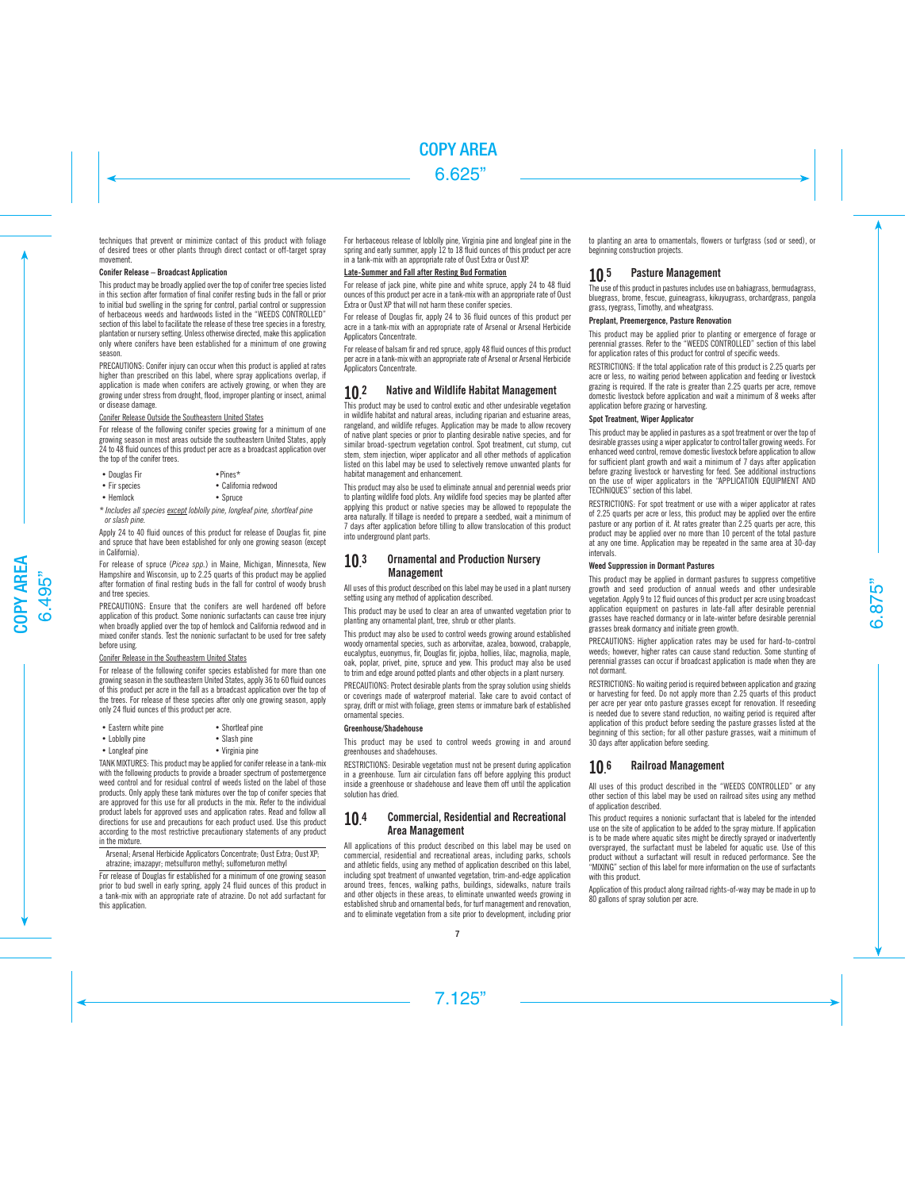techniques that prevent or minimize contact of this product with foliage of desired trees or other plants through direct contact or off-target spray movement.

# Conifer Release – Broadcast Application

This product may be broadly applied over the top of conifer tree species listed in this section after formation of final conifer resting buds in the fall or prior to initial bud swelling in the spring for control, partial control or suppression of herbaceous weeds and hardwoods listed in the "WEEDS CONTROLLED" section of this label to facilitate the release of these tree species in a forestry, plantation or nursery setting. Unless otherwise directed, make this application only where conifers have been established for a minimum of one growing season.

PRECAUTIONS: Conifer injury can occur when this product is applied at rates higher than prescribed on this label, where spray applications overlap, if application is made when conifers are actively growing, or when they are growing under stress from drought, flood, improper planting or insect, animal or disease damage.

# Conifer Release Outside the Southeastern United States

For release of the following conifer species growing for a minimum of one growing season in most areas outside the southeastern United States, apply 24 to 48 fluid ounces of this product per acre as a broadcast application over the top of the conifer trees.

- Douglas Fir Pines\*
- Fir species California redwood
- 
- Hemlock Spruce

*\* Includes all species except loblolly pine, longleaf pine, shortleaf pine or slash pine.*

Apply 24 to 40 fluid ounces of this product for release of Douglas fir, pine and spruce that have been established for only one growing season (except in California).

For release of spruce (*Picea spp.*) in Maine, Michigan, Minnesota, New Hampshire and Wisconsin, up to 2.25 quarts of this product may be applied after formation of final resting buds in the fall for control of woody brush and tree species.

PRECAUTIONS: Ensure that the conifers are well hardened off before application of this product. Some nonionic surfactants can cause tree injury when broadly applied over the top of hemlock and California redwood and in mixed conifer stands. Test the nonionic surfactant to be used for tree safety before using.

# Conifer Release in the Southeastern United States

For release of the following conifer species established for more than one growing season in the southeastern United States, apply 36 to 60 fluid ounces of this product per acre in the fall as a broadcast application over the top of the trees. For release of these species after only one growing season, apply only 24 fluid ounces of this product per acre.

| • Eastern white pine | • Shortleaf pine |
|----------------------|------------------|
| • Loblolly pine      | • Slash pine     |

- Longleaf pine Virginia pine
- TANK MIXTURES: This product may be applied for conifer release in a tank-mix

with the following products to provide a broader spectrum of postemergence weed control and for residual control of weeds listed on the label of those products. Only apply these tank mixtures over the top of conifer species that are approved for this use for all products in the mix. Refer to the individual product labels for approved uses and application rates. Read and follow all directions for use and precautions for each product used. Use this product according to the most restrictive precautionary statements of any product in the mixture.

Arsenal; Arsenal Herbicide Applicators Concentrate; Oust Extra; Oust XP; atrazine; imazapyr; metsulfuron methyl; sulfometuron methyl

For release of Douglas fir established for a minimum of one growing season prior to bud swell in early spring, apply 24 fluid ounces of this product in a tank-mix with an appropriate rate of atrazine. Do not add surfactant for this application.

For herbaceous release of loblolly pine, Virginia pine and longleaf pine in the spring and early summer, apply 12 to 18 fluid ounces of this product per acre in a tank-mix with an appropriate rate of Oust Extra or Oust XP.

# Late-Summer and Fall after Resting Bud Formation

For release of jack pine, white pine and white spruce, apply 24 to 48 fluid ounces of this product per acre in a tank-mix with an appropriate rate of Oust Extra or Oust XP that will not harm these conifer species.

For release of Douglas fir, apply 24 to 36 fluid ounces of this product per acre in a tank-mix with an appropriate rate of Arsenal or Arsenal Herbicide Applicators Concentrate.

For release of balsam fir and red spruce, apply 48 fluid ounces of this product per acre in a tank-mix with an appropriate rate of Arsenal or Arsenal Herbicide Applicators Concentrate

#### $10<sup>2</sup>$ 2 Native and Wildlife Habitat Management

This product may be used to control exotic and other undesirable vegetation in wildlife habitat and natural areas, including riparian and estuarine areas, rangeland, and wildlife refuges. Application may be made to allow recovery of native plant species or prior to planting desirable native species, and for similar broad-spectrum vegetation control. Spot treatment, cut stump, cut stem, stem injection, wiper applicator and all other methods of application listed on this label may be used to selectively remove unwanted plants for habitat management and enhancement.

This product may also be used to eliminate annual and perennial weeds prior to planting wildlife food plots. Any wildlife food species may be planted after applying this product or native species may be allowed to repopulate the area naturally. If tillage is needed to prepare a seedbed, wait a minimum of 7 days after application before tilling to allow translocation of this product into underground plant parts.

### 10. **Ornamental and Production Nursery** Management

All uses of this product described on this label may be used in a plant nursery setting using any method of application described.

This product may be used to clear an area of unwanted vegetation prior to planting any ornamental plant, tree, shrub or other plants.

This product may also be used to control weeds growing around established woody ornamental species, such as arborvitae, azalea, boxwood, crabapple, eucalyptus, euonymus, fir, Douglas fir, jojoba, hollies, lilac, magnolia, maple, oak, poplar, privet, pine, spruce and yew. This product may also be used to trim and edge around potted plants and other objects in a plant nursery.

PRECAUTIONS: Protect desirable plants from the spray solution using shields or coverings made of waterproof material. Take care to avoid contact of spray, drift or mist with foliage, green stems or immature bark of established ornamental species.

# Greenhouse/Shadehouse

This product may be used to control weeds growing in and around greenhouses and shadehouses.

RESTRICTIONS: Desirable vegetation must not be present during application in a greenhouse. Turn air circulation fans off before applying this product inside a greenhouse or shadehouse and leave them off until the application solution has dried.

### 10. Commercial, Residential and Recreational Area Management

All applications of this product described on this label may be used on commercial, residential and recreational areas, including parks, schools and athletic fields, using any method of application described on this label, including spot treatment of unwanted vegetation, trim-and-edge application around trees, fences, walking paths, buildings, sidewalks, nature trails and other objects in these areas, to eliminate unwanted weeds growing in established shrub and ornamental beds, for turf management and renovation, and to eliminate vegetation from a site prior to development, including prior

to planting an area to ornamentals, flowers or turfgrass (sod or seed), or beginning construction projects.

#### 10. 5 Pasture Management

The use of this product in pastures includes use on bahiagrass, bermudagrass, bluegrass, brome, fescue, guineagrass, kikuyugrass, orchardgrass, pangola grass, ryegrass, Timothy, and wheatgrass.

# Preplant, Preemergence, Pasture Renovation

This product may be applied prior to planting or emergence of forage or perennial grasses. Refer to the "WEEDS CONTROLLED" section of this label for application rates of this product for control of specific weeds.

RESTRICTIONS: If the total application rate of this product is 2.25 quarts per acre or less, no waiting period between application and feeding or livestock grazing is required. If the rate is greater than 2.25 quarts per acre, remove domestic livestock before application and wait a minimum of 8 weeks after application before grazing or harvesting.

# Spot Treatment, Wiper Applicator

This product may be applied in pastures as a spot treatment or over the top of desirable grasses using a wiper applicator to control taller growing weeds. For enhanced weed control, remove domestic livestock before application to allow for sufficient plant growth and wait a minimum of 7 days after application before grazing livestock or harvesting for feed. See additional instructions on the use of wiper applicators in the "APPLICATION EQUIPMENT AND TECHNIQUES" section of this label.

RESTRICTIONS: For spot treatment or use with a wiper applicator at rates of 2.25 quarts per acre or less, this product may be applied over the entire pasture or any portion of it. At rates greater than 2.25 quarts per acre, this product may be applied over no more than 10 percent of the total pasture at any one time. Application may be repeated in the same area at 30-day intervals.

# Weed Suppression in Dormant Pastures

This product may be applied in dormant pastures to suppress competitive growth and seed production of annual weeds and other undesirable vegetation. Apply 9 to 12 fluid ounces of this product per acre using broadcast application equipment on pastures in late-fall after desirable perennial grasses have reached dormancy or in late-winter before desirable perennial grasses break dormancy and initiate green growth.

PRECAUTIONS: Higher application rates may be used for hard-to-control weeds; however, higher rates can cause stand reduction. Some stunting of perennial grasses can occur if broadcast application is made when they are not dormant.

RESTRICTIONS: No waiting period is required between application and grazing or harvesting for feed. Do not apply more than 2.25 quarts of this product per acre per year onto pasture grasses except for renovation. If reseeding is needed due to severe stand reduction, no waiting period is required after application of this product before seeding the pasture grasses listed at the beginning of this section; for all other pasture grasses, wait a minimum of 30 days after application before seeding.

#### 10. 6 Railroad Management

All uses of this product described in the "WEEDS CONTROLLED" or any other section of this label may be used on railroad sites using any method of application described.

This product requires a nonionic surfactant that is labeled for the intended use on the site of application to be added to the spray mixture. If application is to be made where aquatic sites might be directly sprayed or inadvertently oversprayed, the surfactant must be labeled for aquatic use. Use of this product without a surfactant will result in reduced performance. See the "MIXING" section of this label for more information on the use of surfactants with this product.

Application of this product along railroad rights-of-way may be made in up to 80 gallons of spray solution per acre.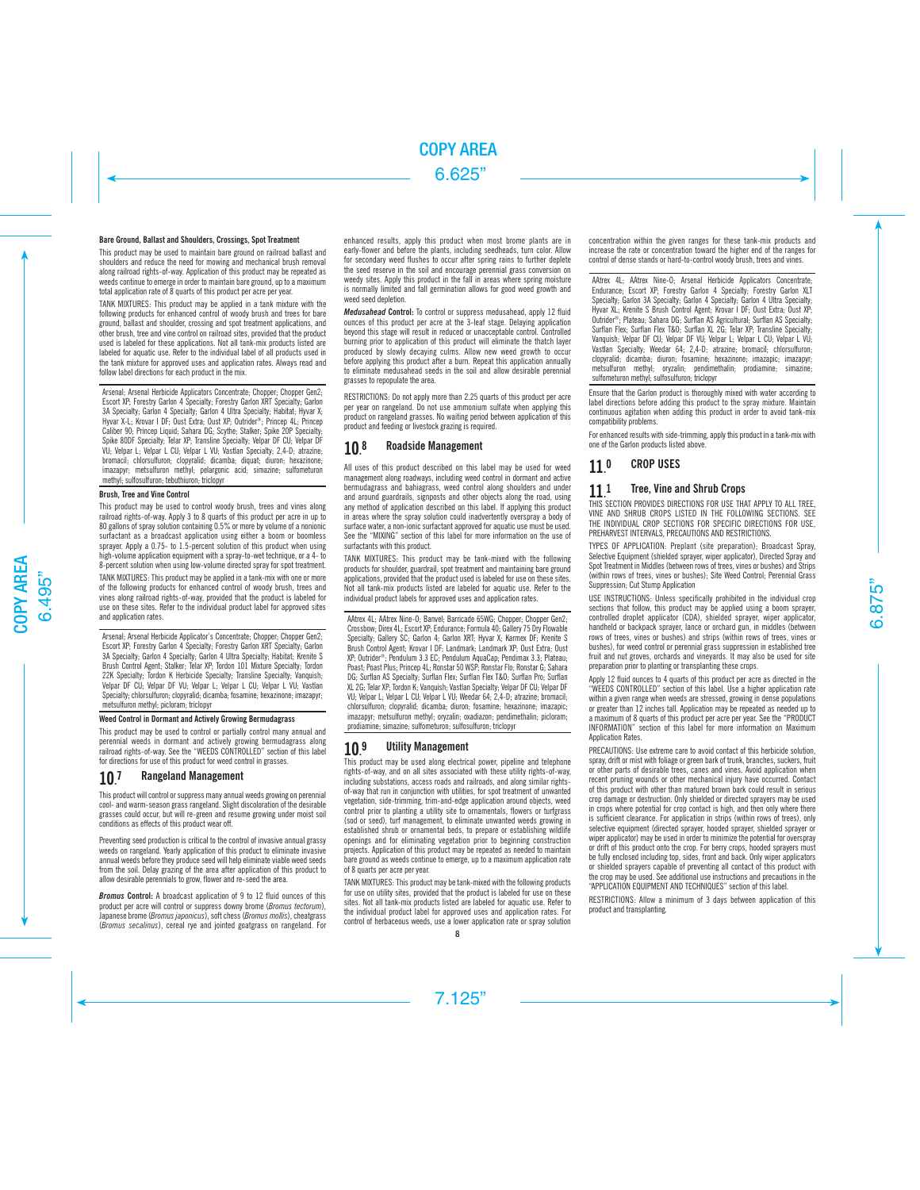## Bare Ground, Ballast and Shoulders, Crossings, Spot Treatment

This product may be used to maintain bare ground on railroad ballast and shoulders and reduce the need for mowing and mechanical brush removal along railroad rights-of-way. Application of this product may be repeated as weeds continue to emerge in order to maintain bare ground, up to a maximum total application rate of 8 quarts of this product per acre per year.

TANK MIXTURES: This product may be applied in a tank mixture with the following products for enhanced control of woody brush and trees for bare ground, ballast and shoulder, crossing and spot treatment applications, and other brush, tree and vine control on railroad sites, provided that the product used is labeled for these applications. Not all tank-mix products listed are labeled for aquatic use. Refer to the individual label of all products used in the tank mixture for approved uses and application rates. Always read and follow label directions for each product in the mix.

Arsenal: Arsenal Herbicide Applicators Concentrate: Chopper: Chopper Gen2: Escort XP; Forestry Garlon 4 Specialty; Forestry Garlon XRT Specialty; Garlon 3A Specialty; Garlon 4 Specialty; Garlon 4 Ultra Specialty; Habitat; Hyvar X; Hyvar X-L; Krovar I DF; Oust Extra; Oust XP; Outrider®; Princep 4L; Princep Caliber 90; Princep Liquid; Sahara DG; Scythe; Stalker; Spike 20P Specialty; Spike 80DF Specialty; Telar XP; Transline Specialty; Velpar DF CU; Velpar DF VU; Velpar L; Velpar L CU; Velpar L VU; Vastlan Specialty; 2,4-D; atrazine; bromacil; chlorsulfuron; clopyralid; dicamba; diquat; diuron; hexazinone; imazapyr; metsulfuron methyl; pelargonic acid; simazine; sulfometuron methyl; sulfosulfuron; tebuthiuron; triclopyr

### Brush, Tree and Vine Control

This product may be used to control woody brush, trees and vines along railroad rights-of-way. Apply 3 to 8 quarts of this product per acre in up to 80 gallons of spray solution containing 0.5% or more by volume of a nonionic surfactant as a broadcast application using either a boom or boomless sprayer. Apply a 0.75- to 1.5-percent solution of this product when using high-volume application equipment with a spray-to-wet technique, or a 4- to 8-percent solution when using low-volume directed spray for spot treatment.

TANK MIXTURES: This product may be applied in a tank-mix with one or more of the following products for enhanced control of woody brush, trees and vines along railroad rights-of-way, provided that the product is labeled for use on these sites. Refer to the individual product label for approved sites and application rates.

Arsenal: Arsenal Herbicide Applicator's Concentrate: Chopper: Chopper Gen2: Escort XP; Forestry Garlon 4 Specialty; Forestry Garlon XRT Specialty; Garlon 3A Specialty; Garlon 4 Specialty; Garlon 4 Ultra Specialty; Habitat; Krenite S Brush Control Agent; Stalker; Telar XP; Tordon 101 Mixture Specialty; Tordon 22K Specialty; Tordon K Herbicide Specialty; Transline Specialty; Vanquish; Velpar DF CU; Velpar DF VU; Velpar L; Velpar L CU; Velpar L VU; Vastlan Specialty; chlorsulfuron; clopyralid; dicamba; fosamine; hexazinone; imazapyr; metsulfuron methyl; picloram; triclopyr

# Weed Control in Dormant and Actively Growing Bermudagrass

This product may be used to control or partially control many annual and perennial weeds in dormant and actively growing bermudagrass along railroad rights-of-way. See the "WEEDS CONTROLLED" section of this label for directions for use of this product for weed control in grasses.

#### 10. 7 Rangeland Management

This product will control or suppress many annual weeds growing on perennial cool- and warm-season grass rangeland. Slight discoloration of the desirable grasses could occur, but will re-green and resume growing under moist soil conditions as effects of this product wear off.

Preventing seed production is critical to the control of invasive annual grassy weeds on rangeland. Yearly application of this product to eliminate invasive annual weeds before they produce seed will help eliminate viable weed seeds from the soil. Delay grazing of the area after application of this product to allow desirable perennials to grow, flower and re-seed the area.

*Bromus* Control: A broadcast application of 9 to 12 fluid ounces of this product per acre will control or suppress downy brome (*Bromus tectorum*), Japanese brome (*Bromus japonicus*), soft chess (*Bromus mollis*), cheatgrass (*Bromus secalinus*), cereal rye and jointed goatgrass on rangeland. For enhanced results, apply this product when most brome plants are in early-flower and before the plants, including seedheads, turn color. Allow for secondary weed flushes to occur after spring rains to further deplete the seed reserve in the soil and encourage perennial grass conversion on weedy sites. Apply this product in the fall in areas where spring moisture is normally limited and fall germination allows for good weed growth and weed seed depletion.

*Medusahead* Control: To control or suppress medusahead, apply 12 fluid ounces of this product per acre at the 3-leaf stage. Delaying application beyond this stage will result in reduced or unacceptable control. Controlled burning prior to application of this product will eliminate the thatch layer produced by slowly decaying culms. Allow new weed growth to occur before applying this product after a burn. Repeat this application annually to eliminate medusahead seeds in the soil and allow desirable perennial grasses to repopulate the area.

RESTRICTIONS: Do not apply more than 2.25 quarts of this product per acre per year on rangeland. Do not use ammonium sulfate when applying this product on rangeland grasses. No waiting period between application of this product and feeding or livestock grazing is required.

#### 10. 8 Roadside Management

All uses of this product described on this label may be used for weed management along roadways, including weed control in dormant and active bermudagrass and bahiagrass, weed control along shoulders and under and around guardrails, signposts and other objects along the road, using any method of application described on this label. If applying this product in areas where the spray solution could inadvertently overspray a body of surface water, a non-ionic surfactant approved for aquatic use must be used. See the "MIXING" section of this label for more information on the use of surfactants with this product.

TANK MIXTURES: This product may be tank-mixed with the following products for shoulder, guardrail, spot treatment and maintaining bare ground applications, provided that the product used is labeled for use on these sites. Not all tank-mix products listed are labeled for aquatic use. Refer to the individual product labels for approved uses and application rates.

AAtrex 4L; AAtrex Nine-O; Banvel; Barricade 65WG; Chonner; Chonner Gen2; Crossbow; Direx 4L; Escort XP; Endurance; Formula 40; Gallery 75 Dry Flowable Specialty: Gallery SC; Garlon 4: Garlon XRT; Hyvar X; Karmex DF; Krenite S Brush Control Agent; Krovar I DF; Landmark; Landmark XP; Oust Extra; Oust XP; Outrider®; Pendulum 3.3 EC; Pendulum AquaCap; Pendimax 3.3; Plateau; Poast; Poast Plus; Princep 4L; Ronstar 50 WSP; Ronstar Flo; Ronstar G; Sahara DG; Surflan AS Specialty; Surflan Flex; Surflan Flex T&O; Surflan Pro; Surflan XL 2G; Telar XP; Tordon K; Vanquish; Vastlan Specialty; Velpar DF CU; Velpar DF VU; Velpar L; Velpar L CU; Velpar L VU; Weedar 64; 2,4-D; atrazine; bromacil; chlorsulfuron; clopyralid; dicamba; diuron; fosamine; hexazinone; imazapic; imazapyr; metsulfuron methyl; oryzalin; oxadiazon; pendimethalin; picloram; prodiamine; simazine; sulfometuron; sulfosulfuron; triclopyr

#### 10 9 9 Utility Management

This product may be used along electrical power, pipeline and telephone rights-of-way, and on all sites associated with these utility rights-of-way, including substations, access roads and railroads, and along similar rightsof-way that run in conjunction with utilities, for spot treatment of unwanted vegetation, side-trimming, trim-and-edge application around objects, weed control prior to planting a utility site to ornamentals, flowers or turfgrass (sod or seed), turf management, to eliminate unwanted weeds growing in established shrub or ornamental beds, to prepare or establishing wildlife openings and for eliminating vegetation prior to beginning construction projects. Application of this product may be repeated as needed to maintain bare ground as weeds continue to emerge, up to a maximum application rate of 8 quarts per acre per year.

TANK MIXTURES: This product may be tank-mixed with the following products for use on utility sites, provided that the product is labeled for use on these sites. Not all tank-mix products listed are labeled for aquatic use. Refer to the individual product label for approved uses and application rates. For control of herbaceous weeds, use a lower application rate or spray solution

concentration within the given ranges for these tank-mix products and increase the rate or concentration toward the higher end of the ranges for control of dense stands or hard-to-control woody brush, trees and vines.

AAtrex 4L; AAtrex Nine-O; Arsenal Herbicide Applicators Concentrate; Endurance; Escort XP; Forestry Garlon 4 Specialty; Forestry Garlon XLT Specialty; Garlon 3A Specialty; Garlon 4 Specialty; Garlon 4 Ultra Specialty; Hyvar XL; Krenite S Brush Control Agent; Krovar I DF; Oust Extra; Oust XP; Outrider®; Plateau; Sahara DG; Surflan AS Agricultural; Surflan AS Specialty; Surflan Flex; Surflan Flex T&O; Surflan XL 2G; Telar XP; Transline Specialty; Vanquish; Velpar DF CU; Velpar DF VU; Velpar L; Velpar L CU; Velpar L VU; Vastlan Specialty; Weedar 64; 2,4-D; atrazine; bromacil; chlorsulfuron; clopyralid; dicamba; diuron; fosamine; hexazinone; imazapic; imazapyr; metsulfuron methyl; oryzalin; pendimethalin; prodiamine; simazine; sulfometuron methyl; sulfosulfuron; triclopyr

Ensure that the Garlon product is thoroughly mixed with water according to label directions before adding this product to the spray mixture. Maintain continuous agitation when adding this product in order to avoid tank-mix compatibility problems.

For enhanced results with side-trimming, apply this product in a tank-mix with one of the Garlon products listed above.

#### 11. 0 CROP USES

#### 11. **Tree, Vine and Shrub Crops**

THIS SECTION PROVIDES DIRECTIONS FOR USE THAT APPLY TO ALL TREE, VINE AND SHRUB CROPS LISTED IN THE FOLLOWING SECTIONS. SEE THE INDIVIDUAL CROP SECTIONS FOR SPECIFIC DIRECTIONS FOR USE, PREHARVEST INTERVALS, PRECAUTIONS AND RESTRICTIONS.

TYPES OF APPLICATION: Preplant (site preparation); Broadcast Spray, Selective Equipment (shielded sprayer, wiper applicator), Directed Spray and Spot Treatment in Middles (between rows of trees, vines or bushes) and Strips (within rows of trees, vines or bushes); Site Weed Control; Perennial Grass Suppression; Cut Stump Application

USE INSTRUCTIONS: Unless specifically prohibited in the individual crop sections that follow, this product may be applied using a boom sprayer, controlled droplet applicator (CDA), shielded sprayer, wiper applicator, handheld or backpack sprayer, lance or orchard gun, in middles (between rows of trees, vines or bushes) and strips (within rows of trees, vines or bushes), for weed control or perennial grass suppression in established tree fruit and nut groves, orchards and vineyards. It may also be used for site preparation prior to planting or transplanting these crops.

Apply 12 fluid ounces to 4 quarts of this product per acre as directed in the "WEEDS CONTROLLED" section of this label. Use a higher application rate within a given range when weeds are stressed, growing in dense populations or greater than 12 inches tall. Application may be repeated as needed up to a maximum of 8 quarts of this product per acre per year. See the "PRODUCT INFORMATION" section of this label for more information on Maximum Application Rates.

PRECAUTIONS: Use extreme care to avoid contact of this herbicide solution, spray, drift or mist with foliage or green bark of trunk, branches, suckers, fruit or other parts of desirable trees, canes and vines. Avoid application when recent pruning wounds or other mechanical injury have occurred. Contact of this product with other than matured brown bark could result in serious crop damage or destruction. Only shielded or directed sprayers may be used in crops where potential for crop contact is high, and then only where there is sufficient clearance. For application in strips (within rows of trees), only selective equipment (directed sprayer, hooded sprayer, shielded sprayer or wiper applicator) may be used in order to minimize the potential for overspray or drift of this product onto the crop. For berry crops, hooded sprayers must be fully enclosed including top, sides, front and back. Only wiper applicators or shielded sprayers capable of preventing all contact of this product with the crop may be used. See additional use instructions and precautions in the "APPLICATION EQUIPMENT AND TECHNIQUES" section of this label.

RESTRICTIONS: Allow a minimum of 3 days between application of this product and transplanting.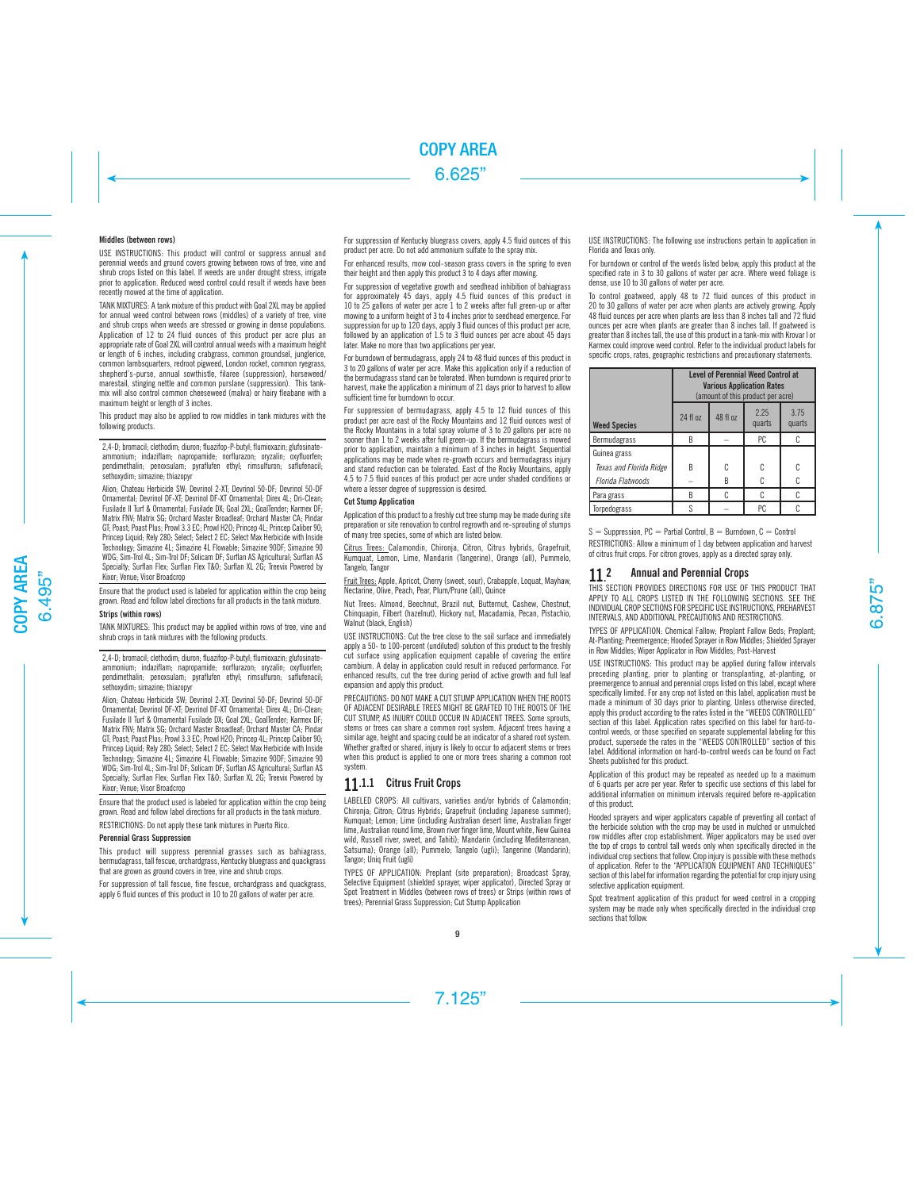# Middles (between rows)

USE INSTRUCTIONS: This product will control or suppress annual and perennial weeds and ground covers growing between rows of tree, vine and shrub crops listed on this label. If weeds are under drought stress, irrigate prior to application. Reduced weed control could result if weeds have been recently mowed at the time of application.

TANK MIXTURES: A tank mixture of this product with Goal 2XL may be applied for annual weed control between rows (middles) of a variety of tree, vine and shrub crops when weeds are stressed or growing in dense populations. Application of 12 to 24 fluid ounces of this product per acre plus an appropriate rate of Goal 2XL will control annual weeds with a maximum height or length of 6 inches, including crabgrass, common groundsel, junglerice, common lambsquarters, redroot pigweed, London rocket, common ryegrass, shepherd's-purse, annual sowthistle, filaree (suppression), horseweed/ marestail, stinging nettle and common purslane (suppression). This tankmix will also control common cheeseweed (malva) or hairy fleabane with a maximum height or length of 3 inches.

This product may also be applied to row middles in tank mixtures with the following products.

2,4-D; bromacil; clethodim; diuron; fluazifop-P-butyl; flumioxazin; glufosinateammonium; indaziflam; napropamide; norflurazon; oryzalin; oxyfluorfen; pendimethalin; penoxsulam; pyraflufen ethyl; rimsulfuron; saflufenacil; sethoxydim; simazine; thiazopyr

Alion; Chateau Herbicide SW; Devrinol 2-XT; Devrinol 50-DF; Devrinol 50-DF Ornamental; Devrinol DF-XT; Devrinol DF-XT Ornamental; Direx 4L; Dri-Clean; Fusilade II Turf & Ornamental; Fusilade DX; Goal 2XL; GoalTender; Karmex DF; Matrix FNV; Matrix SG; Orchard Master Broadleaf; Orchard Master CA; Pindar GT; Poast; Poast Plus; Prowl 3.3 EC; Prowl H2O; Princep 4L; Princep Caliber 90; Princep Liquid; Rely 280; Select; Select 2 EC; Select Max Herbicide with Inside Technology; Simazine 4L; Simazine 4L Flowable; Simazine 90DF; Simazine 90 WDG; Sim-Trol 4L; Sim-Trol DF; Solicam DF; Surflan AS Agricultural; Surflan AS Specialty; Surflan Flex; Surflan Flex T&O; Surflan XL 2G; Treevix Powered by Kixor; Venue; Visor Broadcrop

Ensure that the product used is labeled for application within the crop being grown. Read and follow label directions for all products in the tank mixture.

### Strips (within rows)

TANK MIXTURES: This product may be applied within rows of tree, vine and shrub crops in tank mixtures with the following products.

2,4-D; bromacil; clethodim; diuron; fluazifop-P-butyl; flumioxazin; glufosinateammonium; indaziflam; napropamide; norflurazon; oryzalin; oxyfluorfen; pendimethalin; penoxsulam; pyraflufen ethyl; rimsulfuron; saflufenacil; sethoxydim; simazine; thiazopyr

Alion; Chateau Herbicide SW; Devrinol 2-XT; Devrinol 50-DF; Devrinol 50-DF Ornamental; Devrinol DF-XT; Devrinol DF-XT Ornamental; Direx 4L; Dri-Clean; Fusilade II Turf & Ornamental Fusilade DX; Goal 2XL; GoalTender; Karmex DF; Matrix FNV; Matrix SG; Orchard Master Broadleaf; Orchard Master CA; Pindar GT; Poast; Poast Plus; Prowl 3.3 EC; Prowl H2O; Princep 4L; Princep Caliber 90; Princep Liquid; Rely 280; Select; Select 2 EC; Select Max Herbicide with Inside Technology; Simazine 4L; Simazine 4L Flowable; Simazine 90DF; Simazine 90 WDG; Sim-Trol 4L; Sim-Trol DF; Solicam DF; Surflan AS Agricultural; Surflan AS Specialty: Surflan Flex; Surflan Flex T&O; Surflan XL 2G; Treevix Powered by Kixor; Venue; Visor Broadcrop

Ensure that the product used is labeled for application within the crop being grown. Read and follow label directions for all products in the tank mixture.

RESTRICTIONS: Do not apply these tank mixtures in Puerto Rico.

# Perennial Grass Suppression

This product will suppress perennial grasses such as bahiagrass, bermudagrass, tall fescue, orchardgrass, Kentucky bluegrass and quackgrass that are grown as ground covers in tree, vine and shrub crops.

For suppression of tall fescue, fine fescue, orchardgrass and quackgrass, apply 6 fluid ounces of this product in 10 to 20 gallons of water per acre.

For suppression of Kentucky bluegrass covers, apply 4.5 fluid ounces of this product per acre. Do not add ammonium sulfate to the spray mix.

For enhanced results, mow cool-season grass covers in the spring to even their height and then apply this product 3 to 4 days after mowing.

For suppression of vegetative growth and seedhead inhibition of bahiagrass for approximately 45 days, apply 4.5 fluid ounces of this product in 10 to 25 gallons of water per acre 1 to 2 weeks after full green-up or after mowing to a uniform height of 3 to 4 inches prior to seedhead emergence. For suppression for up to 120 days, apply 3 fluid ounces of this product per acre. followed by an application of 1.5 to 3 fluid ounces per acre about 45 days later. Make no more than two applications per year.

For burndown of bermudagrass, apply 24 to 48 fluid ounces of this product in 3 to 20 gallons of water per acre. Make this application only if a reduction of the bermudagrass stand can be tolerated. When burndown is required prior to harvest, make the application a minimum of 21 days prior to harvest to allow sufficient time for burndown to occur.

For suppression of bermudagrass, apply 4.5 to 12 fluid ounces of this product per acre east of the Rocky Mountains and 12 fluid ounces west of the Rocky Mountains in a total spray volume of 3 to 20 gallons per acre no sooner than 1 to 2 weeks after full green-up. If the bermudagrass is mowed prior to application, maintain a minimum of 3 inches in height. Sequential applications may be made when re-growth occurs and bermudagrass injury and stand reduction can be tolerated. East of the Rocky Mountains, apply 4.5 to 7.5 fluid ounces of this product per acre under shaded conditions or where a lesser degree of suppression is desired.

#### Cut Stump Application

Application of this product to a freshly cut tree stump may be made during site preparation or site renovation to control regrowth and re-sprouting of stumps of many tree species, some of which are listed below.

Citrus Trees: Calamondin, Chironja, Citron, Citrus hybrids, Grapefruit, Kumquat, Lemon, Lime, Mandarin (Tangerine), Orange (all), Pummelo, Tangelo, Tangor

Fruit Trees: Apple, Apricot, Cherry (sweet, sour), Crabapple, Loquat, Mayhaw, Nectarine, Olive, Peach, Pear, Plum/Prune (all), Quince

Nut Trees: Almond, Beechnut, Brazil nut, Butternut, Cashew, Chestnut, Chinquapin, Filbert (hazelnut), Hickory nut, Macadamia, Pecan, Pistachio, Walnut (black, English)

USE INSTRUCTIONS: Cut the tree close to the soil surface and immediately apply a 50- to 100-percent (undiluted) solution of this product to the freshly cut surface using application equipment capable of covering the entire cambium. A delay in application could result in reduced performance. For enhanced results, cut the tree during period of active growth and full leaf expansion and apply this product.

PRECAUTIONS: DO NOT MAKE A CUT STUMP APPLICATION WHEN THE ROOTS OF ADJACENT DESIRABLE TREES MIGHT BE GRAFTED TO THE ROOTS OF THE CUT STUMP, AS INJURY COULD OCCUR IN ADJACENT TREES. Some sprouts, stems or trees can share a common root system. Adjacent trees having a similar age, height and spacing could be an indicator of a shared root system. Whether grafted or shared, injury is likely to occur to adjacent stems or trees when this product is applied to one or more trees sharing a common root system.

# 11.1.1 Citrus Fruit Crops

LABELED CROPS: All cultivars, varieties and/or hybrids of Calamondin; Chironja; Citron; Citrus Hybrids; Grapefruit (including Japanese summer); Kumquat; Lemon; Lime (including Australian desert lime, Australian finger lime, Australian round lime, Brown river finger lime, Mount white, New Guinea wild, Russell river, sweet, and Tahiti); Mandarin (including Mediterranean, Satsuma); Orange (all); Pummelo; Tangelo (ugli); Tangerine (Mandarin); Tangor; Uniq Fruit (ugli)

TYPES OF APPLICATION: Preplant (site preparation); Broadcast Spray, Selective Equipment (shielded sprayer, wiper applicator), Directed Spray or Spot Treatment in Middles (between rows of trees) or Strips (within rows of trees); Perennial Grass Suppression; Cut Stump Application

USE INSTRUCTIONS: The following use instructions pertain to application in Florida and Texas only.

For burndown or control of the weeds listed below, apply this product at the specified rate in 3 to 30 gallons of water per acre. Where weed foliage is dense, use 10 to 30 gallons of water per acre.

To control goatweed, apply 48 to 72 fluid ounces of this product in 20 to 30 gallons of water per acre when plants are actively growing. Apply 48 fluid ounces per acre when plants are less than 8 inches tall and 72 fluid ounces per acre when plants are greater than 8 inches tall. If goatweed is greater than 8 inches tall, the use of this product in a tank-mix with Krovar I or Karmex could improve weed control. Refer to the individual product labels for specific crops, rates, geographic restrictions and precautionary statements.

|                         | <b>Level of Perennial Weed Control at</b><br><b>Various Application Rates</b><br>(amount of this product per acre) |          |                |                |  |
|-------------------------|--------------------------------------------------------------------------------------------------------------------|----------|----------------|----------------|--|
| <b>Weed Species</b>     | 24 fl oz                                                                                                           | 48 fl oz | 2.25<br>quarts | 3.75<br>quarts |  |
| Bermudagrass            | B                                                                                                                  |          | PC             |                |  |
| Guinea grass            |                                                                                                                    |          |                |                |  |
| Texas and Florida Ridge | R                                                                                                                  | C        | C              |                |  |
| Florida Flatwoods       |                                                                                                                    | B        |                |                |  |
| Para grass              | B                                                                                                                  |          |                |                |  |
| Torpedograss            |                                                                                                                    |          | PC             |                |  |

 $S =$  Suppression, PC = Partial Control, B = Burndown, C = Control

RESTRICTIONS: Allow a minimum of 1 day between application and harvest of citrus fruit crops. For citron groves, apply as a directed spray only.

#### 11. 2 Annual and Perennial Crops

THIS SECTION PROVIDES DIRECTIONS FOR USE OF THIS PRODUCT THAT APPLY TO ALL CROPS LISTED IN THE FOLLOWING SECTIONS. SEE THE INDIVIDUAL CROP SECTIONS FOR SPECIFIC USE INSTRUCTIONS, PREHARVEST INTERVALS, AND ADDITIONAL PRECAUTIONS AND RESTRICTIONS.

TYPES OF APPLICATION: Chemical Fallow; Preplant Fallow Beds; Preplant; At-Planting; Preemergence; Hooded Sprayer in Row Middles; Shielded Sprayer in Row Middles; Wiper Applicator in Row Middles; Post-Harvest

USE INSTRUCTIONS: This product may be applied during fallow intervals preceding planting, prior to planting or transplanting, at-planting, or preemergence to annual and perennial crops listed on this label, except where specifically limited. For any crop not listed on this label, application must be made a minimum of 30 days prior to planting. Unless otherwise directed, apply this product according to the rates listed in the "WEEDS CONTROLLED" section of this label. Application rates specified on this label for hard-tocontrol weeds, or those specified on separate supplemental labeling for this product, supersede the rates in the "WEEDS CONTROLLED" section of this label. Additional information on hard-to-control weeds can be found on Fact Sheets published for this product.

Application of this product may be repeated as needed up to a maximum of 6 quarts per acre per year. Refer to specific use sections of this label for additional information on minimum intervals required before re-application of this product.

Hooded sprayers and wiper applicators capable of preventing all contact of the herbicide solution with the crop may be used in mulched or unmulched row middles after crop establishment. Wiper applicators may be used over the top of crops to control tall weeds only when specifically directed in the individual crop sections that follow. Crop injury is possible with these methods of application. Refer to the "APPLICATION EQUIPMENT AND TECHNIQUES" section of this label for information regarding the potential for crop injury using selective application equipment.

Spot treatment application of this product for weed control in a cropping system may be made only when specifically directed in the individual crop sections that follow.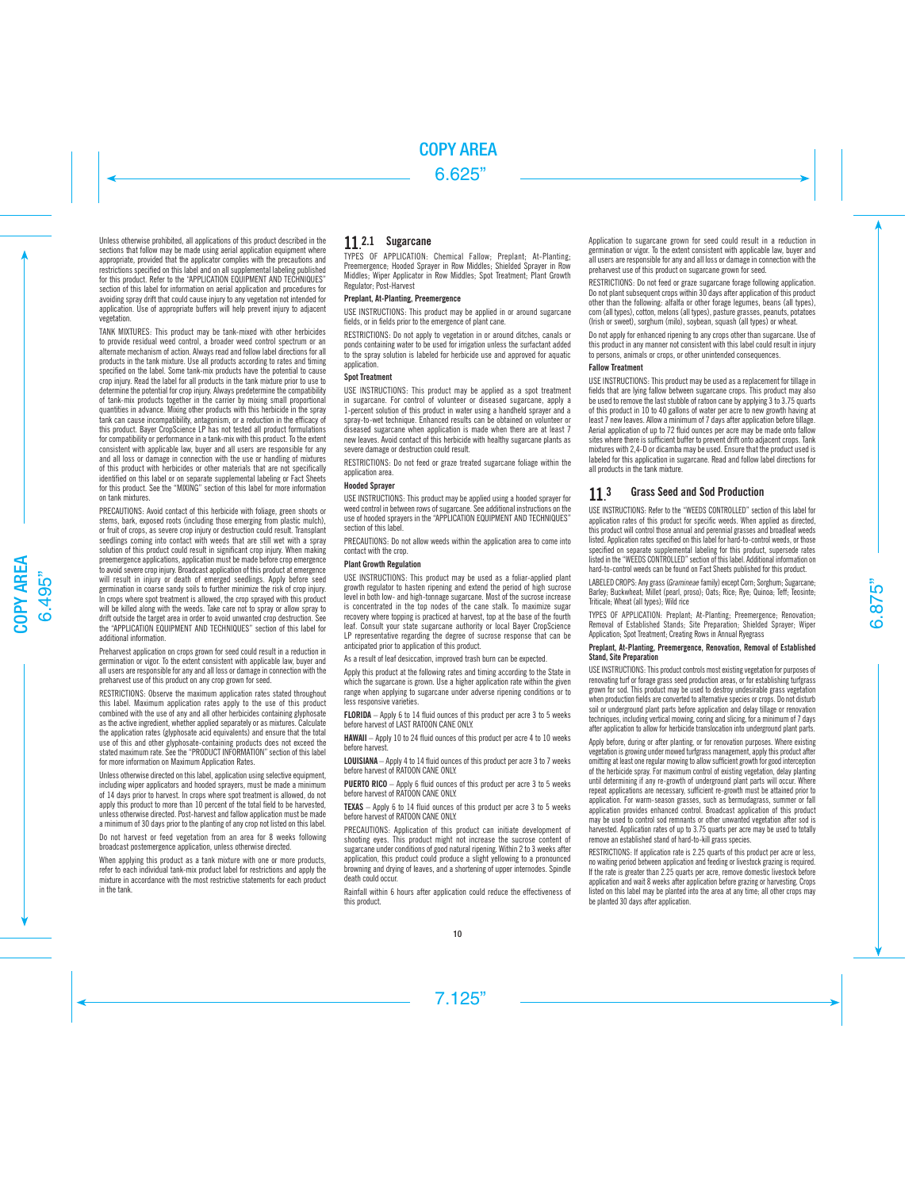Unless otherwise prohibited, all applications of this product described in the sections that follow may be made using aerial application equipment where appropriate, provided that the applicator complies with the precautions and restrictions specified on this label and on all supplemental labeling published for this product. Refer to the "APPLICATION EQUIPMENT AND TECHNIQUES" section of this label for information on aerial application and procedures for avoiding spray drift that could cause injury to any vegetation not intended for application. Use of appropriate buffers will help prevent injury to adjacent vegetation.

TANK MIXTURES: This product may be tank-mixed with other herbicides to provide residual weed control, a broader weed control spectrum or an alternate mechanism of action. Always read and follow label directions for all products in the tank mixture. Use all products according to rates and timing specified on the label. Some tank-mix products have the potential to cause crop injury. Read the label for all products in the tank mixture prior to use to determine the potential for crop injury. Always predetermine the compatibility of tank-mix products together in the carrier by mixing small proportional quantities in advance. Mixing other products with this herbicide in the spray tank can cause incompatibility, antagonism, or a reduction in the efficacy of this product. Bayer CropScience LP has not tested all product formulations for compatibility or performance in a tank-mix with this product. To the extent consistent with applicable law, buyer and all users are responsible for any and all loss or damage in connection with the use or handling of mixtures of this product with herbicides or other materials that are not specifically identified on this label or on separate supplemental labeling or Fact Sheets for this product. See the "MIXING" section of this label for more information on tank mixtures.

PRECAUTIONS: Avoid contact of this herbicide with foliage, green shoots or stems, bark, exposed roots (including those emerging from plastic mulch), or fruit of crops, as severe crop injury or destruction could result. Transplant seedlings coming into contact with weeds that are still wet with a spray solution of this product could result in significant crop injury. When making preemergence applications, application must be made before crop emergence to avoid severe crop injury. Broadcast application of this product at emergence will result in injury or death of emerged seedlings. Apply before seed germination in coarse sandy soils to further minimize the risk of crop injury. In crops where spot treatment is allowed, the crop sprayed with this product will be killed along with the weeds. Take care not to spray or allow spray to drift outside the target area in order to avoid unwanted crop destruction. See the "APPLICATION EQUIPMENT AND TECHNIQUES" section of this label for additional information.

Preharvest application on crops grown for seed could result in a reduction in germination or vigor. To the extent consistent with applicable law, buyer and all users are responsible for any and all loss or damage in connection with the preharvest use of this product on any crop grown for seed.

RESTRICTIONS: Observe the maximum application rates stated throughout this label. Maximum application rates apply to the use of this product combined with the use of any and all other herbicides containing glyphosate as the active ingredient, whether applied separately or as mixtures. Calculate the application rates (glyphosate acid equivalents) and ensure that the total use of this and other glyphosate-containing products does not exceed the stated maximum rate. See the "PRODUCT INFORMATION" section of this label for more information on Maximum Application Rates.

Unless otherwise directed on this label, application using selective equipment, including wiper applicators and hooded sprayers, must be made a minimum of 14 days prior to harvest. In crops where spot treatment is allowed, do not apply this product to more than 10 percent of the total field to be harvested, unless otherwise directed. Post-harvest and fallow application must be made a minimum of 30 days prior to the planting of any crop not listed on this label.

Do not harvest or feed vegetation from an area for 8 weeks following broadcast postemergence application, unless otherwise directed.

When applying this product as a tank mixture with one or more products. refer to each individual tank-mix product label for restrictions and apply the mixture in accordance with the most restrictive statements for each product in the tank.

# 11.<sup>2.1</sup> Sugarcane

TYPES OF APPLICATION: Chemical Fallow; Preplant; At-Planting; Preemergence: Hooded Sprayer in Row Middles: Shielded Sprayer in Row Middles; Wiper Applicator in Row Middles; Spot Treatment; Plant Growth Regulator; Post-Harvest

# Preplant, At-Planting, Preemergence

USE INSTRUCTIONS: This product may be applied in or around sugarcane fields, or in fields prior to the emergence of plant cane.

RESTRICTIONS: Do not apply to vegetation in or around ditches, canals or ponds containing water to be used for irrigation unless the surfactant added to the spray solution is labeled for herbicide use and approved for aquatic application.

# Spot Treatment

USE INSTRUCTIONS: This product may be applied as a spot treatment in sugarcane. For control of volunteer or diseased sugarcane, apply a 1-percent solution of this product in water using a handheld sprayer and a spray-to-wet technique. Enhanced results can be obtained on volunteer or diseased sugarcane when application is made when there are at least 7 new leaves. Avoid contact of this herbicide with healthy sugarcane plants as severe damage or destruction could result.

RESTRICTIONS: Do not feed or graze treated sugarcane foliage within the application area.

# Hooded Sprayer

USE INSTRUCTIONS: This product may be applied using a hooded sprayer for weed control in between rows of sugarcane. See additional instructions on the use of hooded sprayers in the "APPLICATION EQUIPMENT AND TECHNIQUES" section of this label.

PRECAUTIONS: Do not allow weeds within the application area to come into contact with the crop.

# Plant Growth Regulation

USE INSTRUCTIONS: This product may be used as a foliar-applied plant growth regulator to hasten ripening and extend the period of high sucrose level in both low- and high-tonnage sugarcane. Most of the sucrose increase is concentrated in the top nodes of the cane stalk. To maximize sugar recovery where topping is practiced at harvest, top at the base of the fourth leaf. Consult your state sugarcane authority or local Bayer CropScience LP representative regarding the degree of sucrose response that can be anticipated prior to application of this product.

As a result of leaf desiccation, improved trash burn can be expected.

Apply this product at the following rates and timing according to the State in which the sugarcane is grown. Use a higher application rate within the given range when applying to sugarcane under adverse ripening conditions or to less responsive varieties.

FLORIDA – Apply 6 to 14 fluid ounces of this product per acre 3 to 5 weeks before harvest of LAST RATOON CANE ONLY.

HAWAII – Apply 10 to 24 fluid ounces of this product per acre 4 to 10 weeks before harvest.

LOUISIANA – Apply 4 to 14 fluid ounces of this product per acre 3 to 7 weeks before harvest of RATOON CANE ONLY.

PUERTO RICO – Apply 6 fluid ounces of this product per acre 3 to 5 weeks before harvest of RATOON CANE ONLY.

TEXAS – Apply 6 to 14 fluid ounces of this product per acre 3 to 5 weeks before harvest of RATOON CANE ONLY.

PRECAUTIONS: Application of this product can initiate development of shooting eyes. This product might not increase the sucrose content of sugarcane under conditions of good natural ripening. Within 2 to 3 weeks after application, this product could produce a slight yellowing to a pronounced browning and drying of leaves, and a shortening of upper internodes. Spindle death could occur.

Rainfall within 6 hours after application could reduce the effectiveness of this product.

Application to sugarcane grown for seed could result in a reduction in germination or vigor. To the extent consistent with applicable law, buyer and all users are responsible for any and all loss or damage in connection with the preharvest use of this product on sugarcane grown for seed.

RESTRICTIONS: Do not feed or graze sugarcane forage following application. Do not plant subsequent crops within 30 days after application of this product other than the following: alfalfa or other forage legumes, beans (all types), corn (all types), cotton, melons (all types), pasture grasses, peanuts, potatoes (Irish or sweet), sorghum (milo), soybean, squash (all types) or wheat.

Do not apply for enhanced ripening to any crops other than sugarcane. Use of this product in any manner not consistent with this label could result in injury to persons, animals or crops, or other unintended consequences.

# Fallow Treatment

USE INSTRUCTIONS: This product may be used as a replacement for tillage in fields that are lying fallow between sugarcane crops. This product may also be used to remove the last stubble of ratoon cane by applying 3 to 3.75 quarts of this product in 10 to 40 gallons of water per acre to new growth having at least 7 new leaves. Allow a minimum of 7 days after application before tillage. Aerial application of up to 72 fluid ounces per acre may be made onto fallow sites where there is sufficient buffer to prevent drift onto adjacent crops. Tank mixtures with 2,4-D or dicamba may be used. Ensure that the product used is labeled for this application in sugarcane. Read and follow label directions for all products in the tank mixture.

#### 11. Grass Seed and Sod Production

USE INSTRUCTIONS: Refer to the "WEEDS CONTROLLED" section of this label for application rates of this product for specific weeds. When applied as directed, this product will control those annual and perennial grasses and broadleaf weeds listed. Application rates specified on this label for hard-to-control weeds, or those specified on separate supplemental labeling for this product, supersede rates listed in the "WEEDS CONTROLLED" section of this label. Additional information on hard-to-control weeds can be found on Fact Sheets published for this product.

LABELED CROPS: Any grass (*Gramineae* family) except Corn; Sorghum; Sugarcane; Barley; Buckwheat; Millet (pearl, proso); Oats; Rice; Rye; Quinoa; Teff; Teosinte; Triticale; Wheat (all types); Wild rice

TYPES OF APPLICATION: Preplant; At-Planting; Preemergence; Renovation; Removal of Established Stands; Site Preparation; Shielded Sprayer; Wiper Application; Spot Treatment; Creating Rows in Annual Ryegrass

# Preplant, At-Planting, Preemergence, Renovation, Removal of Established Stand, Site Preparation

USE INSTRUCTIONS: This product controls most existing vegetation for purposes of renovating turf or forage grass seed production areas, or for establishing turfgrass grown for sod. This product may be used to destroy undesirable grass vegetation when production fields are converted to alternative species or crops. Do not disturb soil or underground plant parts before application and delay tillage or renovation techniques, including vertical mowing, coring and slicing, for a minimum of 7 days after application to allow for herbicide translocation into underground plant parts.

Apply before, during or after planting, or for renovation purposes. Where existing vegetation is growing under mowed turfgrass management, apply this product after omitting at least one regular mowing to allow sufficient growth for good interception of the herbicide spray. For maximum control of existing vegetation, delay planting until determining if any re-growth of underground plant parts will occur. Where repeat applications are necessary, sufficient re-growth must be attained prior to application. For warm-season grasses, such as bermudagrass, summer or fall application provides enhanced control. Broadcast application of this product may be used to control sod remnants or other unwanted vegetation after sod is harvested. Application rates of up to 3.75 quarts per acre may be used to totally remove an established stand of hard-to-kill grass species.

RESTRICTIONS: If application rate is 2.25 quarts of this product per acre or less, no waiting period between application and feeding or livestock grazing is required. If the rate is greater than 2.25 quarts per acre, remove domestic livestock before application and wait 8 weeks after application before grazing or harvesting. Crops listed on this label may be planted into the area at any time; all other crops may be planted 30 days after application.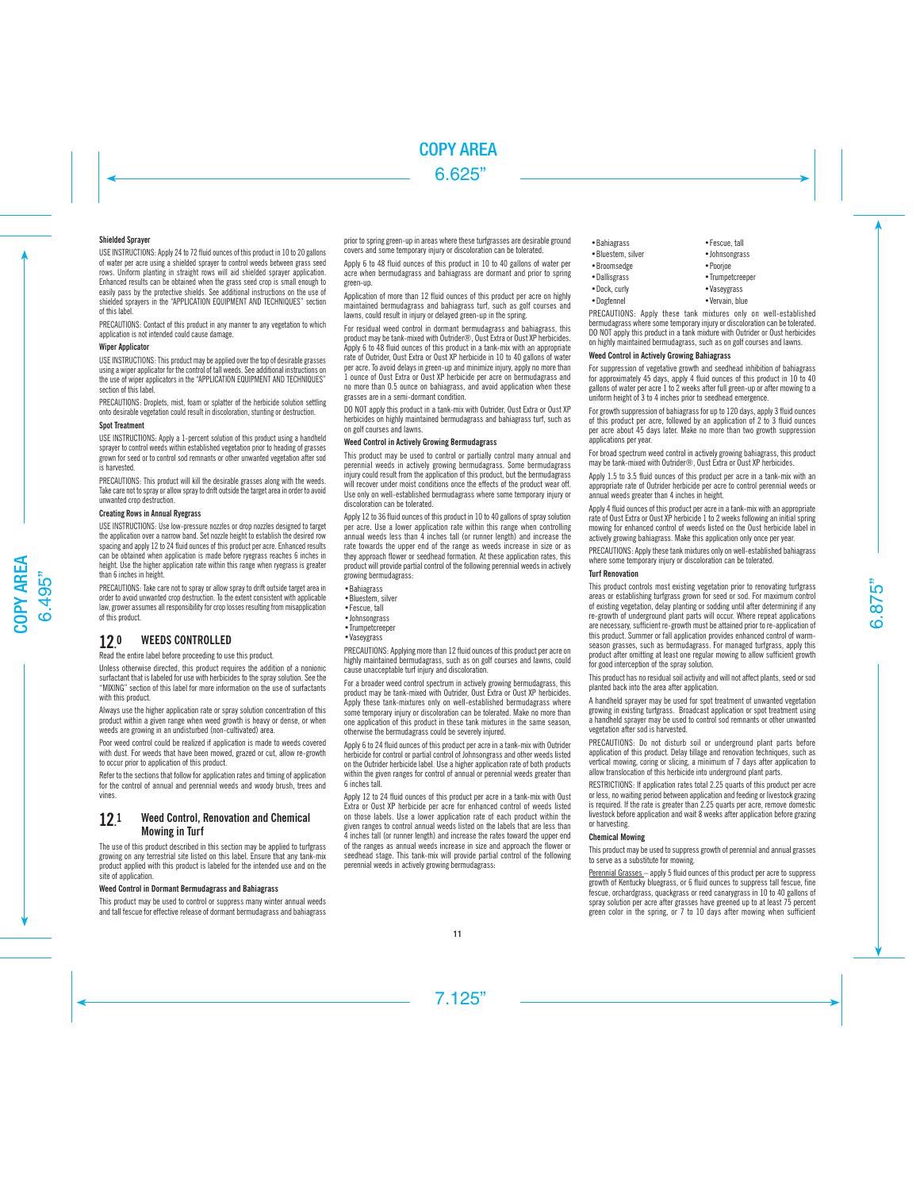# Shielded Sprayer

USE INSTRUCTIONS: Apply 24 to 72 fluid ounces of this product in 10 to 20 gallons of water per acre using a shielded sprayer to control weeds between grass seed rows. Uniform planting in straight rows will aid shielded sprayer application. Enhanced results can be obtained when the grass seed crop is small enough to easily pass by the protective shields. See additional instructions on the use of shielded sprayers in the "APPLICATION EQUIPMENT AND TECHNIQUES" section of this label.

PRECAUTIONS: Contact of this product in any manner to any vegetation to which application is not intended could cause damage.

# **Winer Annlicator**

USE INSTRUCTIONS: This product may be applied over the top of desirable grasses using a wiper applicator for the control of tall weeds. See additional instructions on the use of wiper applicators in the "APPLICATION FOLUPMENT AND TECHNIQUES" section of this label

PRECAUTIONS: Droplets, mist, foam or splatter of the herbicide solution settling onto desirable vegetation could result in discoloration, stunting or destruction.

#### Spot Treatment

USE INSTRUCTIONS: Apply a 1-percent solution of this product using a handheld sprayer to control weeds within established vegetation prior to heading of grasses grown for seed or to control sod remnants or other unwanted vegetation after sod is harvested.

PRECAUTIONS: This product will kill the desirable grasses along with the weeds. Take care not to spray or allow spray to drift outside the target area in order to avoid unwanted crop destruction.

### Creating Rows in Annual Ryegrass

USE INSTRUCTIONS: Use low-pressure nozzles or drop nozzles designed to target the application over a narrow band. Set nozzle height to establish the desired row spacing and apply 12 to 24 fluid ounces of this product per acre. Enhanced results can be obtained when application is made before ryegrass reaches 6 inches in height. Use the higher application rate within this range when ryegrass is greater than 6 inches in height.

PRECAUTIONS: Take care not to spray or allow spray to drift outside target area in order to avoid unwanted crop destruction. To the extent consistent with applicable law, grower assumes all responsibility for crop losses resulting from misapplication of this product.

#### 12. WEEDS CONTROLLED

Read the entire label before proceeding to use this product.

Unless otherwise directed, this product requires the addition of a nonionic surfactant that is labeled for use with herbicides to the spray solution. See the "MIXING" section of this label for more information on the use of surfactants with this product

Always use the higher application rate or spray solution concentration of this product within a given range when weed growth is heavy or dense, or when weeds are growing in an undisturbed (non-cultivated) area.

Poor weed control could be realized if application is made to weeds covered with dust. For weeds that have been mowed, grazed or cut, allow re-growth to occur prior to application of this product.

Refer to the sections that follow for application rates and timing of application for the control of annual and perennial weeds and woody brush, trees and vines.

#### 12. 1 Weed Control, Renovation and Chemical Mowing in Turf

The use of this product described in this section may be applied to turfgrass growing on any terrestrial site listed on this label. Ensure that any tank-mix product applied with this product is labeled for the intended use and on the site of application.

# Weed Control in Dormant Bermudagrass and Bahiagrass

This product may be used to control or suppress many winter annual weeds and tall fescue for effective release of dormant bermudagrass and bahiagrass prior to spring green-up in areas where these turfgrasses are desirable ground covers and some temporary injury or discoloration can be tolerated.

Apply 6 to 48 fluid ounces of this product in 10 to 40 gallons of water per acre when bermudagrass and bahiagrass are dormant and prior to spring green-up.

Application of more than 12 fluid ounces of this product per acre on highly maintained bermudagrass and bahiagrass turf, such as golf courses and lawns, could result in injury or delayed green-up in the spring.

For residual weed control in dormant bermudagrass and bahiagrass, this product may be tank-mixed with Outrider®, Oust Extra or Oust XP herbicides. Apply 6 to 48 fluid ounces of this product in a tank-mix with an appropriate rate of Outrider, Oust Extra or Oust XP herbicide in 10 to 40 gallons of water per acre. To avoid delays in green-up and minimize injury, apply no more than 1 ounce of Oust Extra or Oust XP herbicide per acre on bermudagrass and no more than 0.5 ounce on bahiagrass, and avoid application when these grasses are in a semi-dormant condition.

DO NOT apply this product in a tank-mix with Outrider, Oust Extra or Oust XP herbicides on highly maintained bermudagrass and bahiagrass turf, such as on golf courses and lawns.

### Weed Control in Actively Growing Bermudagrass

This product may be used to control or partially control many annual and perennial weeds in actively growing bermudagrass. Some bermudagrass injury could result from the application of this product, but the bermudagrass will recover under moist conditions once the effects of the product wear off. Use only on well-established bermudagrass where some temporary injury or discoloration can be tolerated.

Apply 12 to 36 fluid ounces of this product in 10 to 40 gallons of spray solution per acre. Use a lower application rate within this range when controlling annual weeds less than 4 inches tall (or runner length) and increase the rate towards the upper end of the range as weeds increase in size or as they approach flower or seedhead formation. At these application rates, this product will provide partial control of the following perennial weeds in actively growing bermudagrass:

- •Bahiagrass
- •Bluestem, silver •Fescue, tall
- •Johnsongrass
- •Trumpetcreeper
- •Vaseygrass
	-

PRECAUTIONS: Applying more than 12 fluid ounces of this product per acre on highly maintained bermudagrass, such as on golf courses and lawns, could cause unacceptable turf injury and discoloration.

For a broader weed control spectrum in actively growing bermudagrass, this product may be tank-mixed with Outrider, Oust Extra or Oust XP herbicides. Apply these tank-mixtures only on well-established bermudagrass where some temporary injury or discoloration can be tolerated. Make no more than one application of this product in these tank mixtures in the same season, otherwise the bermudagrass could be severely injured.

Apply 6 to 24 fluid ounces of this product per acre in a tank-mix with Outrider herbicide for control or partial control of Johnsongrass and other weeds listed on the Outrider herbicide label. Use a higher application rate of both products within the given ranges for control of annual or perennial weeds greater than 6 inches tall.

Apply 12 to 24 fluid ounces of this product per acre in a tank-mix with Oust Extra or Oust XP herbicide per acre for enhanced control of weeds listed on those labels. Use a lower application rate of each product within the given ranges to control annual weeds listed on the labels that are less than  $\overline{4}$  inches tall (or runner length) and increase the rates toward the upper end of the ranges as annual weeds increase in size and approach the flower or seedhead stage. This tank-mix will provide partial control of the following perennial weeds in actively growing bermudagrass:

- 
- 
- •Broomsedge Poorioe
	-
- Dallisgrass Trumpetcreeper
- •Dock, curly **•Vaseygrass**
- •Dogfennel •Vervain, blue

PRECAUTIONS: Apply these tank mixtures only on well-established bermudagrass where some temporary injury or discoloration can be tolerated. DO NOT apply this product in a tank mixture with Outrider or Oust herbicides on highly maintained bermudagrass, such as on golf courses and lawns.

# Weed Control in Actively Growing Bahiagrass

For suppression of vegetative growth and seedhead inhibition of bahiagrass for approximately 45 days, apply 4 fluid ounces of this product in 10 to 40 gallons of water per acre 1 to 2 weeks after full green-up or after mowing to a uniform height of 3 to 4 inches prior to seedhead emergence.

For growth suppression of bahiagrass for up to 120 days, apply 3 fluid ounces of this product per acre, followed by an application of 2 to 3 fluid ounces per acre about 45 days later. Make no more than two growth suppression applications per year.

For broad spectrum weed control in actively growing bahiagrass, this product may be tank-mixed with Outrider®, Oust Extra or Oust XP herbicides.

Apply 1.5 to 3.5 fluid ounces of this product per acre in a tank-mix with an appropriate rate of Outrider herbicide per acre to control perennial weeds or annual weeds greater than 4 inches in height.

Apply 4 fluid ounces of this product per acre in a tank-mix with an appropriate rate of Oust Extra or Oust XP herbicide 1 to 2 weeks following an initial spring mowing for enhanced control of weeds listed on the Oust herbicide label in actively growing bahiagrass. Make this application only once per year.

PRECAUTIONS: Apply these tank mixtures only on well-established bahiagrass where some temporary injury or discoloration can be tolerated.

### Turf Renovation

This product controls most existing vegetation prior to renovating turfgrass areas or establishing turfgrass grown for seed or sod. For maximum control of existing vegetation, delay planting or sodding until after determining if any re-growth of underground plant parts will occur. Where repeat applications are necessary, sufficient re-growth must be attained prior to re-application of this product. Summer or fall application provides enhanced control of warmseason grasses, such as bermudagrass. For managed turfgrass, apply this product after omitting at least one regular mowing to allow sufficient growth for good interception of the spray solution.

This product has no residual soil activity and will not affect plants, seed or sod planted back into the area after application.

A handheld sprayer may be used for spot treatment of unwanted vegetation growing in existing turfgrass. Broadcast application or spot treatment using a handheld sprayer may be used to control sod remnants or other unwanted vegetation after sod is harvested.

PRECAUTIONS: Do not disturb soil or underground plant parts before application of this product. Delay tillage and renovation techniques, such as vertical mowing, coring or slicing, a minimum of 7 days after application to allow translocation of this herbicide into underground plant parts.

RESTRICTIONS: If application rates total 2.25 quarts of this product per acre or less, no waiting period between application and feeding or livestock grazing is required. If the rate is greater than 2.25 quarts per acre, remove domestic livestock before application and wait 8 weeks after application before grazing or harvesting.

# Chemical Mowing

This product may be used to suppress growth of perennial and annual grasses to serve as a substitute for mowing.

Perennial Grasses – apply 5 fluid ounces of this product per acre to suppress growth of Kentucky bluegrass, or 6 fluid ounces to suppress tall fescue, fine fescue, orchardgrass, quackgrass or reed canarygrass in 10 to 40 gallons of spray solution per acre after grasses have greened up to at least 75 percent green color in the spring, or 7 to 10 days after mowing when sufficient

•Bahiagrass •Fescue, tall • Johnsongrass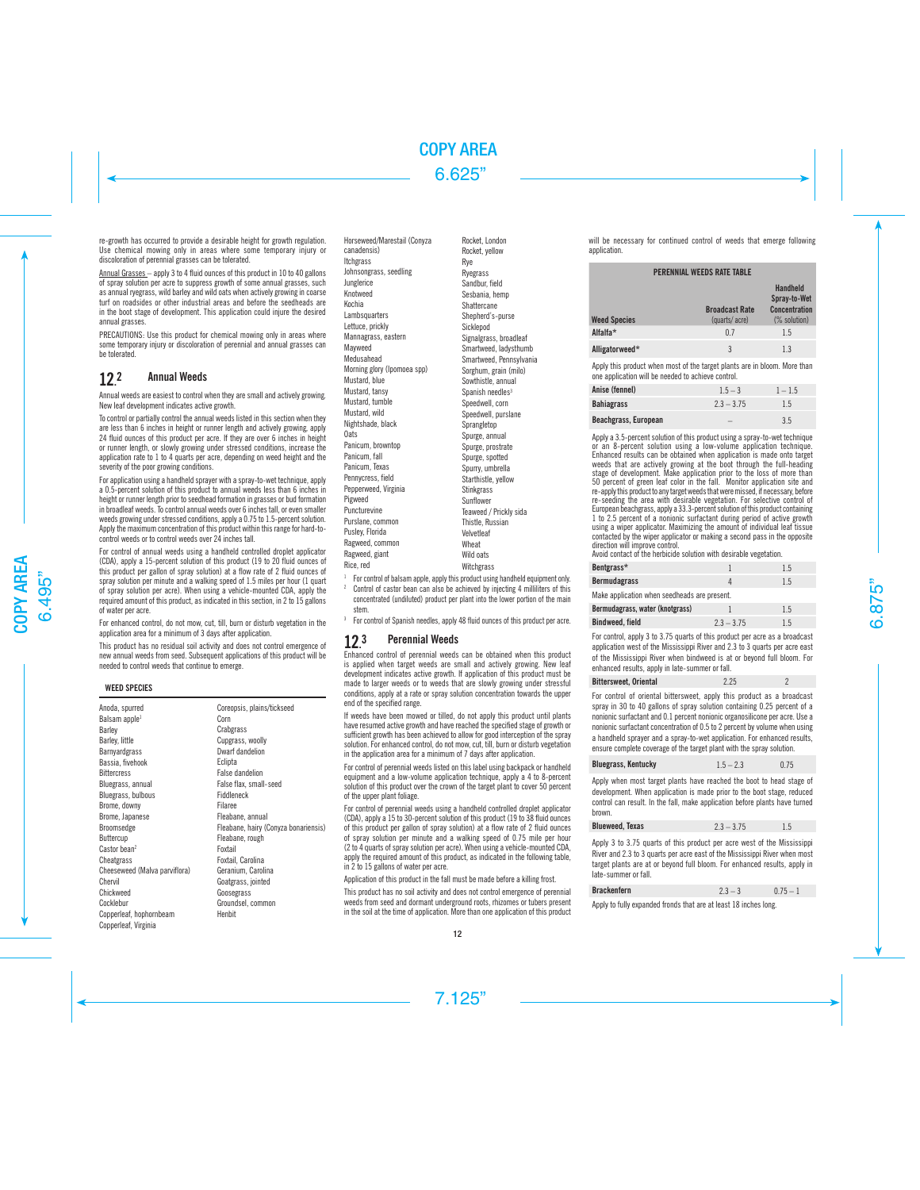re-growth has occurred to provide a desirable height for growth regulation. Use chemical mowing only in areas where some temporary injury or discoloration of perennial grasses can be tolerated.

Annual Grasses – apply 3 to 4 fluid ounces of this product in 10 to 40 gallons of spray solution per acre to suppress growth of some annual grasses, such as annual ryegrass, wild barley and wild oats when actively growing in coarse turf on roadsides or other industrial areas and before the seedheads are in the boot stage of development. This application could injure the desired annual grasses.

PRECAUTIONS: Use this product for chemical mowing only in areas where some temporary injury or discoloration of perennial and annual grasses can be tolerated.

#### 12. **Annual Weeds**

Annual weeds are easiest to control when they are small and actively growing. New leaf development indicates active growth.

To control or partially control the annual weeds listed in this section when they are less than 6 inches in height or runner length and actively growing, apply 24 fluid ounces of this product per acre. If they are over 6 inches in height or runner length, or slowly growing under stressed conditions, increase the application rate to 1 to 4 quarts per acre, depending on weed height and the severity of the poor growing conditions.

For application using a handheld sprayer with a spray-to-wet technique, apply a 0.5-percent solution of this product to annual weeds less than 6 inches in height or runner length prior to seedhead formation in grasses or bud formation in broadleaf weeds. To control annual weeds over 6 inches tall, or even smaller weeds growing under stressed conditions, apply a 0.75 to 1.5-percent solution. Apply the maximum concentration of this product within this range for hard-tocontrol weeds or to control weeds over 24 inches tall.

For control of annual weeds using a handheld controlled droplet applicator (CDA), apply a 15-percent solution of this product (19 to 20 fluid ounces of this product per gallon of spray solution) at a flow rate of 2 fluid ounces of spray solution per minute and a walking speed of 1.5 miles per hour (1 quart of spray solution per acre). When using a vehicle-mounted CDA, apply the required amount of this product, as indicated in this section, in 2 to 15 gallons of water per acre.

For enhanced control, do not mow, cut, till, burn or disturb vegetation in the application area for a minimum of 3 days after application.

This product has no residual soil activity and does not control emergence of new annual weeds from seed. Subsequent applications of this product will be needed to control weeds that continue to emerge.

# **WEED SPECIES**

| Anoda, spurred                | Coreopsis, plains/tickseed           |
|-------------------------------|--------------------------------------|
| Balsam apple <sup>1</sup>     | Corn                                 |
| Barley                        | Crabgrass                            |
| Barley, little                | Cupgrass, woolly                     |
| Barnyardgrass                 | Dwarf dandelion                      |
| Bassia, fivehook              | Eclipta                              |
| <b>Bittercress</b>            | <b>False dandelion</b>               |
| Bluegrass, annual             | False flax, small-seed               |
| Bluegrass, bulbous            | Fiddleneck                           |
| Brome, downy                  | Filaree                              |
| Brome, Japanese               | Fleabane, annual                     |
| Broomsedge                    | Fleabane, hairy (Conyza bonariensis) |
| Buttercup                     | Fleabane, rough                      |
| Castor bean <sup>2</sup>      | Foxtail                              |
| Cheatgrass                    | Foxtail, Carolina                    |
| Cheeseweed (Malva parviflora) | Geranium, Carolina                   |
| Chervil                       | Goatgrass, jointed                   |
| Chickweed                     | Goosegrass                           |
| Cocklebur                     | Groundsel, common                    |
| Copperleaf, hophornbeam       | Henbit                               |
| Connerleaf Virginia           |                                      |

Horseweed/Marestail (Conyza canadensis) Itchgrass Johnsongrass, seedling Junglerice Knotweed Kochia Lambsquarters Lettuce, prickly Mannagrass, eastern Mayweed Medusahead Morning glory (Ipomoea spp) Mustard, blue Mustard, tansy Mustard, tumble Mustard, wild Nightshade, black **Oats** Panicum, browntop Panicum, fall Panicum, Texas Pennycress, field Pepperweed, Virginia Pigweed Puncturevine Purslane, common Pusley, Florida Ragweed, common Ragweed, giant Rice, red

Rocket, London Rocket, yellow Rye Ryegrass Sandbur, field Sesbania, hemp **Shattercane** Shepherd's-purse Sicklepod Signalgrass, broadleaf Smartweed, ladysthumb Smartweed, Pennsylvania Sorghum, grain (milo) Sowthistle, annual Spanish needles<sup>3</sup> Speedwell, corn Speedwell, purslane Sprangletop Spurge, annual Spurge, prostrate Spurge, spotted Spurry, umbrella Starthistle, yellow **Stinkgrass** Sunflower Teaweed / Prickly sida Thistle, Russian Velvetleaf Wheat Wild oats

<sup>1</sup> For control of balsam apple, apply this product using handheld equipment only.

Witchgrass

- Control of castor bean can also be achieved by injecting 4 milliliters of this concentrated (undiluted) product per plant into the lower portion of the main stem.
- For control of Spanish needles, apply 48 fluid ounces of this product per acre.

#### $12.3$ 3 Perennial Weeds

Enhanced control of perennial weeds can be obtained when this product is applied when target weeds are small and actively growing. New leaf development indicates active growth. If application of this product must be made to larger weeds or to weeds that are slowly growing under stressful conditions, apply at a rate or spray solution concentration towards the upper end of the specified range.

If weeds have been mowed or tilled, do not apply this product until plants have resumed active growth and have reached the specified stage of growth or sufficient growth has been achieved to allow for good interception of the spray solution. For enhanced control, do not mow, cut, till, burn or disturb vegetation in the application area for a minimum of 7 days after application.

For control of perennial weeds listed on this label using backpack or handheld equipment and a low-volume application technique, apply a 4 to 8-percent solution of this product over the crown of the target plant to cover 50 percent of the upper plant foliage.

For control of perennial weeds using a handheld controlled droplet applicator (CDA), apply a 15 to 30-percent solution of this product (19 to 38 fluid ounces of this product per gallon of spray solution) at a flow rate of 2 fluid ounces of spray solution per minute and a walking speed of 0.75 mile per hour (2 to 4 quarts of spray solution per acre). When using a vehicle-mounted CDA, apply the required amount of this product, as indicated in the following table, in 2 to 15 gallons of water per acre.

Application of this product in the fall must be made before a killing frost.

This product has no soil activity and does not control emergence of perennial weeds from seed and dormant underground roots, rhizomes or tubers present in the soil at the time of application. More than one application of this product

will be necessary for continued control of weeds that emerge following application.

### PERENNIAL WEEDS RATE TABLE

| <b>Weed Species</b> | <b>Broadcast Rate</b><br>(quarts/acre) | Handheld<br>Spray-to-Wet<br><b>Concentration</b><br>(% solution) |
|---------------------|----------------------------------------|------------------------------------------------------------------|
| Alfalfa*            | 0.7                                    | 1.5                                                              |
| Alligatorweed*      | 3                                      | 1.3                                                              |

Apply this product when most of the target plants are in bloom. More than one application will be needed to achieve control.

| Anise (fennel)       | $1.5 - 3$    | $1 - 1.5$ |
|----------------------|--------------|-----------|
| <b>Bahiagrass</b>    | $2.3 - 3.75$ | 1.5       |
| Beachgrass, European | -            | 3.5       |

Apply a 3.5-percent solution of this product using a spray-to-wet technique or an 8-percent solution using a low-volume application technique. Enhanced results can be obtained when application is made onto target weeds that are actively growing at the boot through the full-heading stage of development. Make application prior to the loss of more than 50 percent of green leaf color in the fall. Monitor application site and re-apply this product to any target weeds that were missed, if necessary, before re-seeding the area with desirable vegetation. For selective control of European beachgrass, apply a 33.3-percent solution of this product containing 1 to 2.5 percent of a nonionic surfactant during period of active growth using a wiper applicator. Maximizing the amount of individual leaf tissue contacted by the wiper applicator or making a second pass in the opposite direction will improve control.

Avoid contact of the herbicide solution with desirable vegetation.

| Bentgrass*                                   |              | 1.5 |
|----------------------------------------------|--------------|-----|
| <b>Bermudagrass</b>                          |              | 15  |
| Make application when seedheads are present. |              |     |
| Bermudagrass, water (knotgrass)              |              | 15  |
| Bindweed, field                              | $2.3 - 3.75$ |     |

For control, apply 3 to 3.75 quarts of this product per acre as a broadcast application west of the Mississippi River and 2.3 to 3 quarts per acre east of the Mississippi River when bindweed is at or beyond full bloom. For enhanced results, apply in late-summer or fall.

| <b>Bittersweet, Oriental</b> | 2.25 |  |
|------------------------------|------|--|

For control of oriental bittersweet, apply this product as a broadcast spray in 30 to 40 gallons of spray solution containing 0.25 percent of a nonionic surfactant and 0.1 percent nonionic organosilicone per acre. Use a nonionic surfactant concentration of 0.5 to 2 percent by volume when using a handheld sprayer and a spray-to-wet application. For enhanced results, ensure complete coverage of the target plant with the spray solution.

| <b>Bluegrass, Kentucky</b> | $1.5 - 2.3$ | 0.75 |
|----------------------------|-------------|------|
|----------------------------|-------------|------|

Apply when most target plants have reached the boot to head stage of development. When application is made prior to the boot stage, reduced control can result. In the fall, make application before plants have turned brown.

| <b>Blueweed, Texas</b> | $2.3 - 3.75$ | 1.5 |
|------------------------|--------------|-----|
|------------------------|--------------|-----|

Apply 3 to 3.75 quarts of this product per acre west of the Mississippi River and 2.3 to 3 quarts per acre east of the Mississippi River when most target plants are at or beyond full bloom. For enhanced results, apply in late-summer or fall.

| <b>Brackenfern</b> | 23 | 0.75 |
|--------------------|----|------|
|                    |    |      |

Apply to fully expanded fronds that are at least 18 inches long.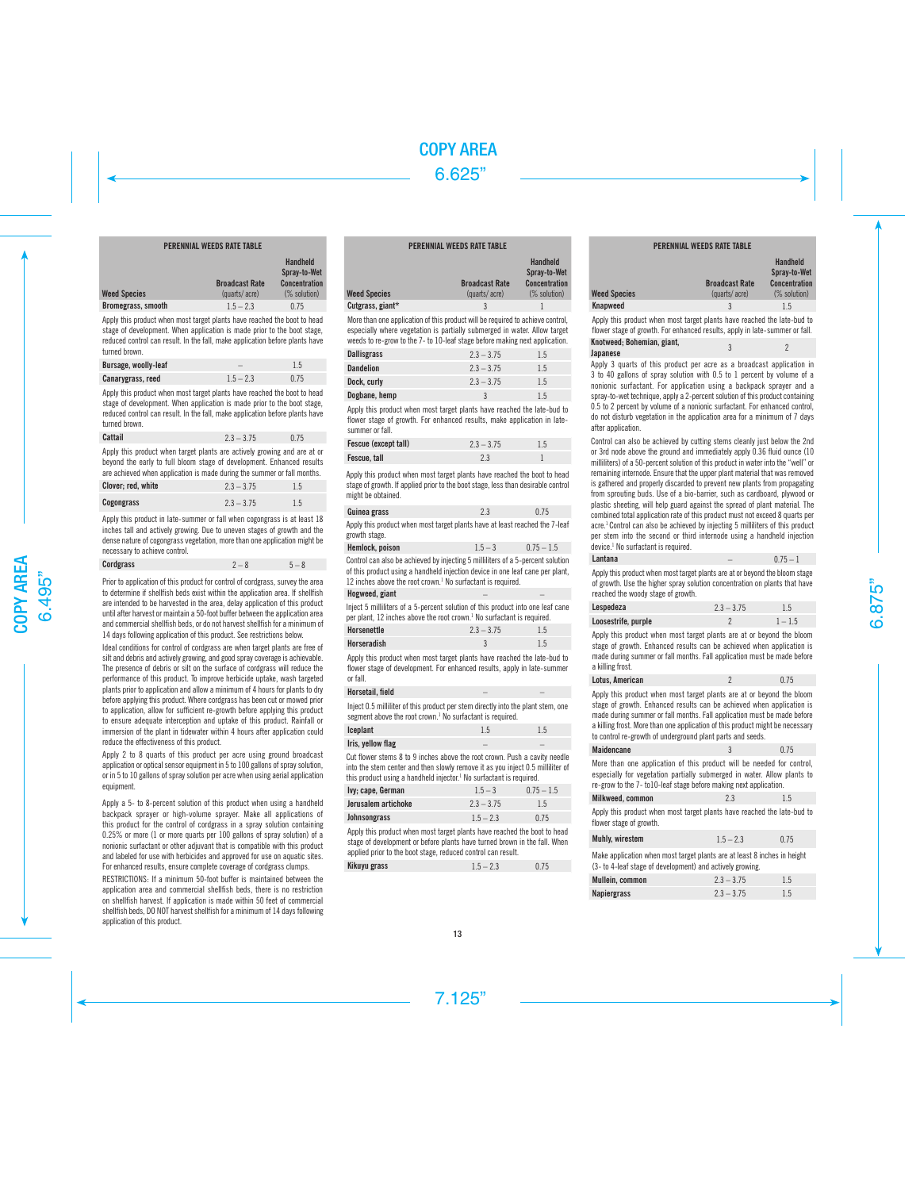# PERENNIAL WEEDS RATE TABLE

|                           | <b>Broadcast Rate</b> | Handheld<br>Spray-to-Wet<br>Concentration |
|---------------------------|-----------------------|-------------------------------------------|
| <b>Weed Species</b>       | (quarts/acre)         | (% solution)                              |
| <b>Bromegrass, smooth</b> | $1.5 - 2.3$           | 0.75                                      |

Apply this product when most target plants have reached the boot to head stage of development. When application is made prior to the boot stage, reduced control can result. In the fall, make application before plants have turned brown.

| Bursage, woolly-leaf |             |      |
|----------------------|-------------|------|
| Canarygrass, reed    | $1.5 - 2.3$ | 0.75 |

Apply this product when most target plants have reached the boot to head stage of development. When application is made prior to the boot stage, reduced control can result. In the fall, make application before plants have turned brown.

| Cattail | $2.3 - 3.75$ | 0.75 |
|---------|--------------|------|
|         |              |      |

Apply this product when target plants are actively growing and are at or beyond the early to full bloom stage of development. Enhanced results are achieved when application is made during the summer or fall months.

| Clover: red. white | $2.3 - 3.75$ | 1.5 |
|--------------------|--------------|-----|
| Cogongrass         | $2.3 - 3.75$ | 1.5 |

Apply this product in late-summer or fall when cogongrass is at least 18 inches tall and actively growing. Due to uneven stages of growth and the dense nature of cogongrass vegetation, more than one application might be necessary to achieve control.

| Cordgrass | $2 - 8$ | $5 - 8$ |
|-----------|---------|---------|
|-----------|---------|---------|

Prior to application of this product for control of cordgrass, survey the area to determine if shellfish beds exist within the application area. If shellfish are intended to be harvested in the area, delay application of this product until after harvest or maintain a 50-foot buffer between the application area and commercial shellfish beds, or do not harvest shellfish for a minimum of 14 days following application of this product. See restrictions below.

Ideal conditions for control of cordgrass are when target plants are free of silt and debris and actively growing, and good spray coverage is achievable. The presence of debris or silt on the surface of cordgrass will reduce the performance of this product. To improve herbicide uptake, wash targeted plants prior to application and allow a minimum of 4 hours for plants to dry before applying this product. Where cordgrass has been cut or mowed prior to application, allow for sufficient re-growth before applying this product to ensure adequate interception and uptake of this product. Rainfall or immersion of the plant in tidewater within 4 hours after application could reduce the effectiveness of this product.

Apply 2 to 8 quarts of this product per acre using ground broadcast application or optical sensor equipment in 5 to 100 gallons of spray solution, or in 5 to 10 gallons of spray solution per acre when using aerial application equipment.

Apply a 5- to 8-percent solution of this product when using a handheld backpack sprayer or high-volume sprayer. Make all applications of this product for the control of cordgrass in a spray solution containing 0.25% or more (1 or more quarts per 100 gallons of spray solution) of a nonionic surfactant or other adjuvant that is compatible with this product and labeled for use with herbicides and approved for use on aquatic sites. For enhanced results, ensure complete coverage of cordgrass clumps.

RESTRICTIONS: If a minimum 50-foot buffer is maintained between the application area and commercial shellfish beds, there is no restriction on shellfish harvest. If application is made within 50 feet of commercial shellfish beds, DO NOT harvest shellfish for a minimum of 14 days following application of this product.

# PERENNIAL WEEDS RATE TABLE

|                     | <b>Broadcast Rate</b> | <b>Handheld</b><br>Spray-to-Wet<br><b>Concentration</b> |
|---------------------|-----------------------|---------------------------------------------------------|
| <b>Weed Species</b> | (quarts/acre)         | (% solution)                                            |
| Cutgrass, giant*    | 2                     |                                                         |

More than one application of this product will be required to achieve control, especially where vegetation is partially submerged in water. Allow target weeds to re-grow to the 7- to 10-leaf stage before making next application.

| <b>Dallisgrass</b> | $2.3 - 3.75$ | 1.5 |
|--------------------|--------------|-----|
| <b>Dandelion</b>   | $2.3 - 3.75$ | 1.5 |
| Dock, curly        | $2.3 - 3.75$ | 1.5 |
| Dogbane, hemp      | 3            | 1.5 |

Apply this product when most target plants have reached the late-bud to flower stage of growth. For enhanced results, make application in latesummer or fall.

| Fescue (except tall) | $2.3 - 3.75$ | 1.5 |
|----------------------|--------------|-----|
| Fescue, tall         |              |     |

Apply this product when most target plants have reached the boot to head stage of growth. If applied prior to the boot stage, less than desirable control might be obtained.

| Guinea grass                                                                                 | 2.3 | 0.75 |
|----------------------------------------------------------------------------------------------|-----|------|
| Apply this product when most target plants have at least reached the 7-leaf<br>growth stage. |     |      |

**Hemlock, poison**  $1.5 - 3$   $0.75 - 1.5$ Control can also be achieved by injecting 5 milliliters of a 5-percent solution of this product using a handheld injection device in one leaf cane per plant, 12 inches above the root crown.1 No surfactant is required.

### Hogweed, giant

Inject 5 milliliters of a 5-percent solution of this product into one leaf cane per plant, 12 inches above the root crown.<sup>1</sup> No surfactant is required.

| Horsenettle | $2.3 - 3.75$ | 1.5 |
|-------------|--------------|-----|
| Horseradish | ν            | 1.5 |

Apply this product when most target plants have reached the late-bud to flower stage of development. For enhanced results, apply in late-summer or fall.

### Horsetail, field

Inject 0.5 milliliter of this product per stem directly into the plant stem, one segment above the root crown.<sup>1</sup> No surfactant is required.

| Iceplant          | 1.5 | 1.5 |
|-------------------|-----|-----|
| Iris, yellow flag |     |     |

Cut flower stems 8 to 9 inches above the root crown. Push a cavity needle into the stem center and then slowly remove it as you inject 0.5 milliliter of this product using a handheld injector.<sup>1</sup> No surfactant is required.

| Ivy; cape, German   | $1.5 - 3$    | $0.75 - 1.5$ |
|---------------------|--------------|--------------|
| Jerusalem artichoke | $2.3 - 3.75$ | 1.5          |
| Johnsongrass        | $1.5 - 2.3$  | 0.75         |

Apply this product when most target plants have reached the boot to head stage of development or before plants have turned brown in the fall. When applied prior to the boot stage, reduced control can result.

| Kikuyu grass | $1.5 - 2.3$ | 0.75 |
|--------------|-------------|------|
|--------------|-------------|------|

| <b>FERENNIAL WEEDS RAIE IADLE</b> |                       |                                                  |
|-----------------------------------|-----------------------|--------------------------------------------------|
|                                   | <b>Broadcast Rate</b> | Handheld<br>Spray-to-Wet<br><b>Concentration</b> |
| <b>Weed Species</b>               | (quarts/acre)         | (% solution)                                     |
| Knapweed                          | 3                     | 1.5                                              |

PERENNIAL WEEDS RATE TABLE

Apply this product when most target plants have reached the late-bud to flower stage of growth. For enhanced results, apply in late-summer or fall.

| Knotweed; Bohemian, giant, |  |
|----------------------------|--|
| Japanese                   |  |
|                            |  |

Apply 3 quarts of this product per acre as a broadcast application in 3 to 40 gallons of spray solution with 0.5 to 1 percent by volume of a nonionic surfactant. For application using a backpack sprayer and a spray-to-wet technique, apply a 2-percent solution of this product containing 0.5 to 2 percent by volume of a nonionic surfactant. For enhanced control, do not disturb vegetation in the application area for a minimum of 7 days after application.

Control can also be achieved by cutting stems cleanly just below the 2nd or 3rd node above the ground and immediately apply 0.36 fluid ounce (10 milliliters) of a 50-percent solution of this product in water into the "well" or remaining internode. Ensure that the upper plant material that was removed is gathered and properly discarded to prevent new plants from propagating from sprouting buds. Use of a bio-barrier, such as cardboard, plywood or plastic sheeting, will help guard against the spread of plant material. The combined total application rate of this product must not exceed 8 quarts per acre.<sup>1</sup> Control can also be achieved by injecting 5 milliliters of this product per stem into the second or third internode using a handheld injection device.1 No surfactant is required.

| Lantana | $0.75 - 1$ |
|---------|------------|
|         |            |

Apply this product when most target plants are at or beyond the bloom stage of growth. Use the higher spray solution concentration on plants that have reached the woody stage of growth.

| Lespedeza           | $2.3 - 3.75$ | 1.5       |
|---------------------|--------------|-----------|
| Loosestrife, purple |              | $1 - 1.5$ |

Apply this product when most target plants are at or beyond the bloom stage of growth. Enhanced results can be achieved when application is made during summer or fall months. Fall application must be made before a killing frost.

| Lotus, American |  | 0.75 |
|-----------------|--|------|
|-----------------|--|------|

Apply this product when most target plants are at or beyond the bloom stage of growth. Enhanced results can be achieved when application is made during summer or fall months. Fall application must be made before a killing frost. More than one application of this product might be necessary to control re-growth of underground plant parts and seeds.

| Maidencane                                                                                                                                                                                                           | 3 | 0.75 |
|----------------------------------------------------------------------------------------------------------------------------------------------------------------------------------------------------------------------|---|------|
| More than one application of this product will be needed for control,<br>especially for vegetation partially submerged in water. Allow plants to<br>re-grow to the 7-to10-leaf stage before making next application. |   |      |

| Milkweed, common | 2.3 | 1.5 |
|------------------|-----|-----|
|                  |     |     |

Apply this product when most target plants have reached the late-bud to flower stage of growth.

| Muhly, wirestem | $1.5 - 2.3$ | 0.75 |
|-----------------|-------------|------|
|-----------------|-------------|------|

Make application when most target plants are at least 8 inches in height (3- to 4-leaf stage of development) and actively growing.

| Mullein, common    |  | $2.3 - 3.75$ | 1.5 |
|--------------------|--|--------------|-----|
| <b>Napiergrass</b> |  | $2.3 - 3.75$ | 1.5 |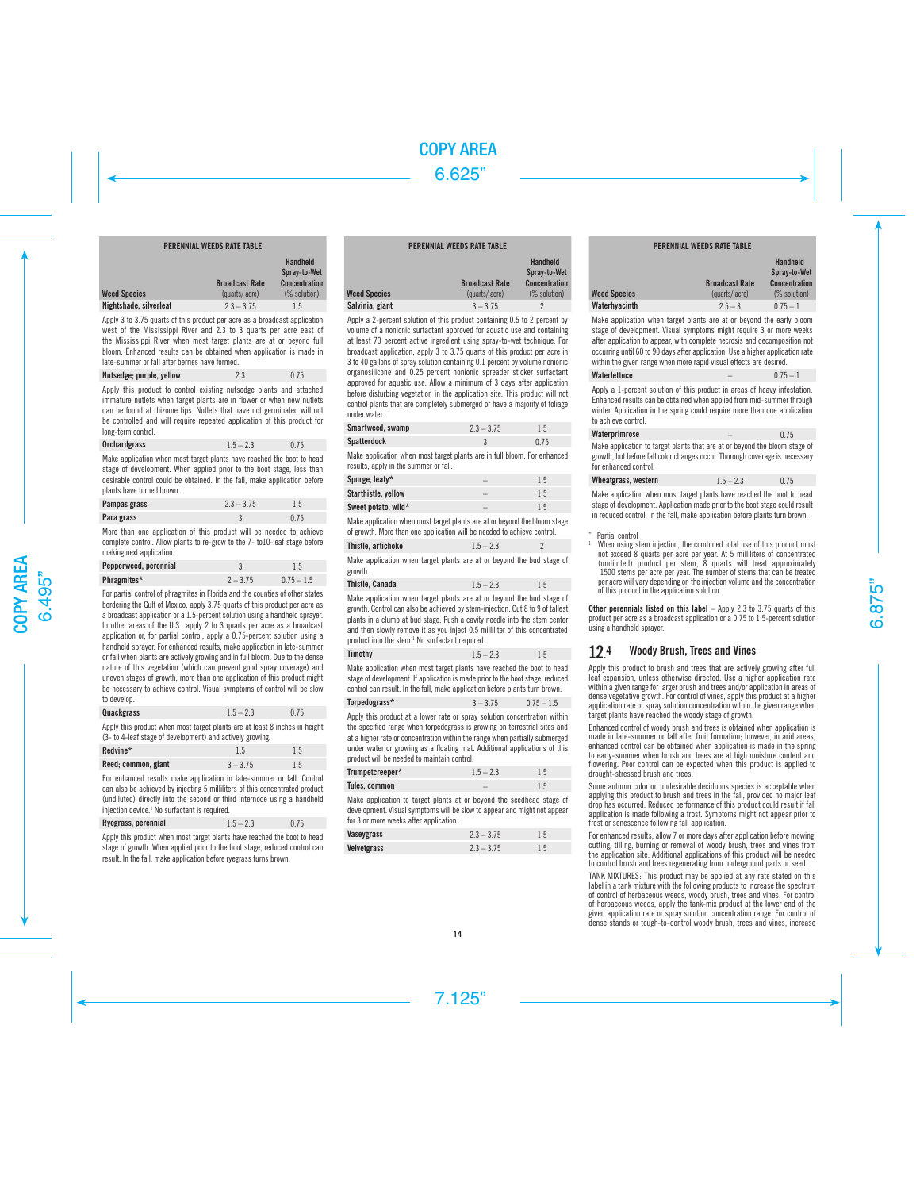# PERENNIAL WEEDS RATE TABLE

|                        | <b>Broadcast Rate</b> | Handheld<br>Spray-to-Wet<br><b>Concentration</b> |
|------------------------|-----------------------|--------------------------------------------------|
| <b>Weed Species</b>    | (quarts/acre)         | (% solution)                                     |
| Nightshade, silverleaf | $2.3 - 3.75$          | 1.5                                              |

Apply 3 to 3.75 quarts of this product per acre as a broadcast application west of the Mississippi River and 2.3 to 3 quarts per acre east of the Mississippi River when most target plants are at or beyond full bloom. Enhanced results can be obtained when application is made in late-summer or fall after berries have formed.

| Nutsedge; purple, yellow | 2.3 | 0.75 |
|--------------------------|-----|------|
|--------------------------|-----|------|

Apply this product to control existing nutsedge plants and attached immature nutlets when target plants are in flower or when new nutlets can be found at rhizome tips. Nutlets that have not germinated will not be controlled and will require repeated application of this product for long-term control.

| 0.75 |
|------|
|      |

Make application when most target plants have reached the boot to head stage of development. When applied prior to the boot stage, less than desirable control could be obtained. In the fall, make application before plants have turned brown.

| Pampas grass | $2.3 - 3.75$ | 1.5  |
|--------------|--------------|------|
| Para grass   |              | 0.75 |

More than one application of this product will be needed to achieve complete control. Allow plants to re-grow to the 7- to10-leaf stage before making next application.

| Pepperweed, perennial |            |              |
|-----------------------|------------|--------------|
| Phragmites*           | $2 - 3.75$ | $0.75 - 1.5$ |

For partial control of phragmites in Florida and the counties of other states bordering the Gulf of Mexico, apply 3.75 quarts of this product per acre as a broadcast application or a 1.5-percent solution using a handheld sprayer. In other areas of the U.S., apply 2 to 3 quarts per acre as a broadcast application or, for partial control, apply a 0.75-percent solution using a handheld sprayer. For enhanced results, make application in late-summer or fall when plants are actively growing and in full bloom. Due to the dense nature of this vegetation (which can prevent good spray coverage) and uneven stages of growth, more than one application of this product might be necessary to achieve control. Visual symptoms of control will be slow to develop.

| Quackgrass | $1.5 - 2.3$ | 0.75 |
|------------|-------------|------|
|            |             |      |

Apply this product when most target plants are at least 8 inches in height (3- to 4-leaf stage of development) and actively growing.

| Redvine*            |  |            |  |
|---------------------|--|------------|--|
| Reed; common, giant |  | $3 - 3.75$ |  |

For enhanced results make application in late-summer or fall. Control can also be achieved by injecting 5 milliliters of this concentrated product (undiluted) directly into the second or third internode using a handheld injection device.<sup>1</sup> No surfactant is required.

| Ryegrass, perennial | $1.5 - 2.3$ | 0.75 |
|---------------------|-------------|------|
|                     |             |      |

Apply this product when most target plants have reached the boot to head stage of growth. When applied prior to the boot stage, reduced control can result. In the fall, make application before ryegrass turns brown.

| <b>PERENNIAL WEEDS RATE TABLE</b> |                                        |                                                                         |  |
|-----------------------------------|----------------------------------------|-------------------------------------------------------------------------|--|
| <b>Weed Species</b>               | <b>Broadcast Rate</b><br>(quarts/acre) | <b>Handheld</b><br>Spray-to-Wet<br><b>Concentration</b><br>(% solution) |  |
| Salvinia, giant                   | $3 - 3.75$                             |                                                                         |  |

 $W_{\mathsf{P}}$ 

Apply a 2-percent solution of this product containing 0.5 to 2 percent by volume of a nonionic surfactant approved for aquatic use and containing at least 70 percent active ingredient using spray-to-wet technique. For broadcast application, apply 3 to 3.75 quarts of this product per acre in 3 to 40 gallons of spray solution containing 0.1 percent by volume nonionic organosilicone and 0.25 percent nonionic spreader sticker surfactant approved for aquatic use. Allow a minimum of 3 days after application before disturbing vegetation in the application site. This product will not control plants that are completely submerged or have a majority of foliage under water.

| Smartweed, swamp | $2.3 - 3.75$ | 1.5  |
|------------------|--------------|------|
| Spatterdock      |              | 0.75 |

Make application when most target plants are in full bloom. For enhanced results, apply in the summer or fall.

| Spurge, leafy*      | 1.5 |
|---------------------|-----|
| Starthistle, vellow |     |
| Sweet potato, wild* | 1.5 |

Make application when most target plants are at or beyond the bloom stage of growth. More than one application will be needed to achieve control.

| Thistle, artichoke                                                 | $1.5 - 2.3$ |  |
|--------------------------------------------------------------------|-------------|--|
| Make annlication when target plants are at or beyond the bud stage |             |  |

ition when target plants are at or beyond the bud stage of growth.

| Thistle, Canada | $1.5 - 2.3$ | 1.5 |
|-----------------|-------------|-----|
|                 |             |     |

Make application when target plants are at or beyond the bud stage of growth. Control can also be achieved by stem-injection. Cut 8 to 9 of tallest plants in a clump at bud stage. Push a cavity needle into the stem center and then slowly remove it as you inject 0.5 milliliter of this concentrated product into the stem.<sup>1</sup> No surfactant required.

| Timothy<br>$1.5 - 2.3$<br>1.5 |
|-------------------------------|
|                               |

Make application when most target plants have reached the boot to head stage of development. If application is made prior to the boot stage, reduced control can result. In the fall, make application before plants turn brown.

# $T$ orpedograss\*  $3 - 3.75$  0.75 – 1.5

Apply this product at a lower rate or spray solution concentration within the specified range when torpedograss is growing on terrestrial sites and at a higher rate or concentration within the range when partially submerged under water or growing as a floating mat. Additional applications of this product will be needed to maintain control.

| Trumpetcreeper* | $1.5 - 2.3$ | 1.5 |
|-----------------|-------------|-----|
| Tules, common   |             | 1.5 |

Make application to target plants at or beyond the seedhead stage of development. Visual symptoms will be slow to appear and might not appear for 3 or more weeks after application.

| Vaseygrass  | $2.3 - 3.75$ | 1.5 |
|-------------|--------------|-----|
| Velvetgrass | $2.3 - 3.75$ | 1.5 |

| <b>Broadcast Rate</b>                | Handheld<br>Spray-to-Wet<br><b>Concentration</b> |
|--------------------------------------|--------------------------------------------------|
| <b>Weed Species</b><br>(quarts/acre) | (% solution)                                     |
| Waterhyacinth<br>$2.5 - 3$           | $0.75 - 1$                                       |

Make application when target plants are at or beyond the early bloom stage of development. Visual symptoms might require 3 or more weeks after application to appear, with complete necrosis and decomposition not occurring until 60 to 90 days after application. Use a higher application rate within the given range when more rapid visual effects are desired.

| Waterlettuce | $0.75 - 1$ |
|--------------|------------|
|              |            |

Apply a 1-percent solution of this product in areas of heavy infestation. Enhanced results can be obtained when applied from mid-summer through winter. Application in the spring could require more than one application to achieve control.

| Waterprimrose                                                              | - | 0.75 |
|----------------------------------------------------------------------------|---|------|
| Make application to target plants that are at or beyond the bloom stage of |   |      |

growth, but before fall color changes occur. Thorough coverage is necessary for enhanced control.

| Wheatgrass, western | $1.5 - 2.3$ | 0.75 |
|---------------------|-------------|------|
|                     |             |      |

Make application when most target plants have reached the boot to head stage of development. Application made prior to the boot stage could result in reduced control. In the fall, make application before plants turn brown.

 $*$  Partial control

When using stem injection, the combined total use of this product must not exceed 8 quarts per acre per year. At 5 milliliters of concentrated (undiluted) product per stem, 8 quarts will treat approximately 1500 stems per acre per year. The number of stems that can be treated per acre will vary depending on the injection volume and the concentration of this product in the application solution.

**Other perennials listed on this label** – Apply 2.3 to 3.75 quarts of this product per acre as a broadcast application or a 0.75 to 1.5-percent solution using a handheld sprayer.

#### 124 4 Woody Brush, Trees and Vines

Apply this product to brush and trees that are actively growing after full leaf expansion, unless otherwise directed. Use a higher application rate within a given range for larger brush and trees and/or application in areas of dense vegetative growth. For control of vines, apply this product at a higher application rate or spray solution concentration within the given range when target plants have reached the woody stage of growth.

Enhanced control of woody brush and trees is obtained when application is made in late-summer or fall after fruit formation; however, in arid areas, enhanced control can be obtained when application is made in the spring to early-summer when brush and trees are at high moisture content and flowering. Poor control can be expected when this product is applied to drought-stressed brush and trees.

Some autumn color on undesirable deciduous species is acceptable when applying this product to brush and trees in the fall, provided no major leaf drop has occurred. Reduced performance of this product could result if fall application is made following a frost. Symptoms might not appear prior to frost or senescence following fall application.

For enhanced results, allow 7 or more days after application before mowing cutting, tilling, burning or removal of woody brush, trees and vines from the application site. Additional applications of this product will be needed to control brush and trees regenerating from underground parts or seed.

TANK MIXTURES: This product may be applied at any rate stated on this label in a tank mixture with the following products to increase the spectrum of control of herbaceous weeds, woody brush, trees and vines. For control of herbaceous weeds, apply the tank-mix product at the lower end of the given application rate or spray solution concentration range. For control of dense stands or tough-to-control woody brush, trees and vines, increase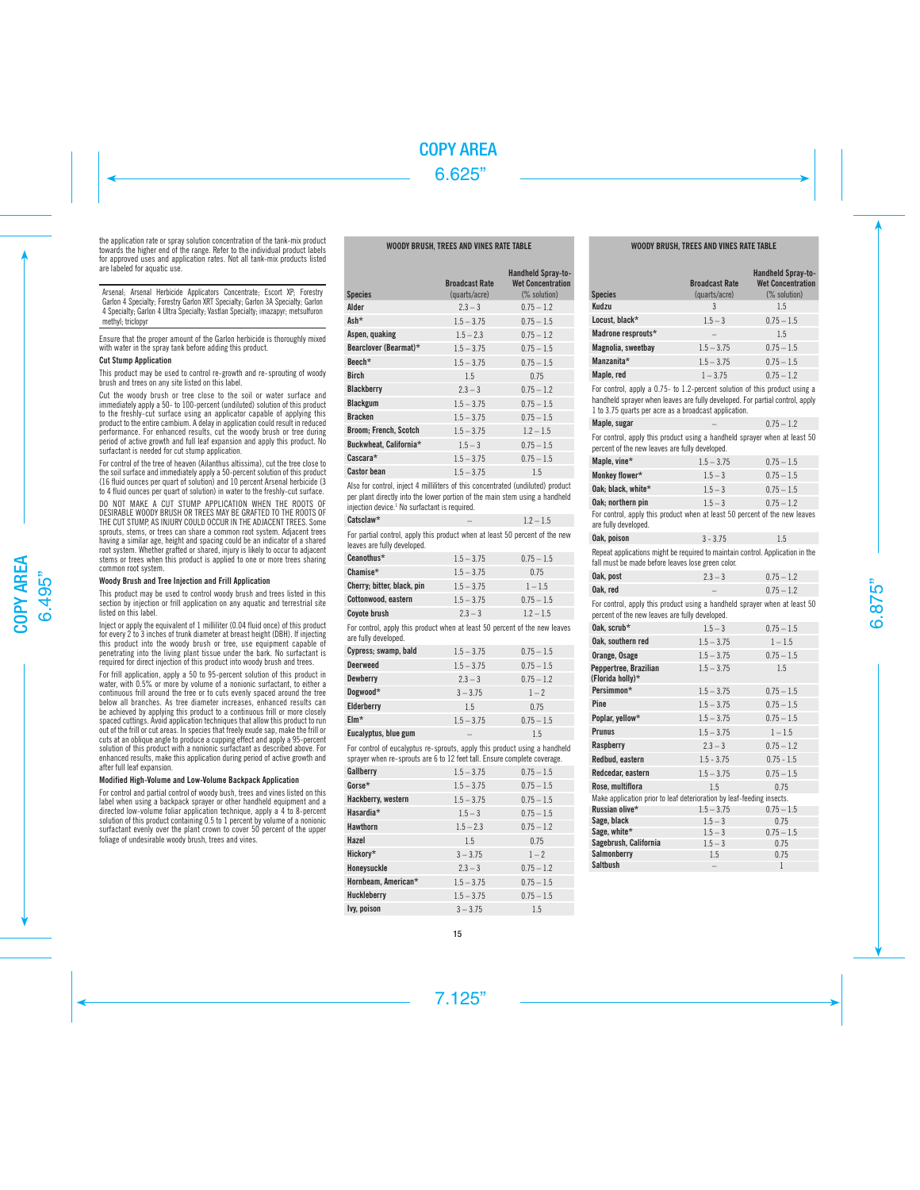the application rate or spray solution concentration of the tank-mix product towards the higher end of the range. Refer to the individual product labels for approved uses and application rates. Not all tank-mix products listed are labeled for aquatic use.

Arsenal; Arsenal Herbicide Applicators Concentrate; Escort XP; Forestry Garlon 4 Specialty; Forestry Garlon XRT Specialty; Garlon 3A Specialty; Garlon 4 Specialty; Garlon 4 Ultra Specialty; Vastlan Specialty; imazapyr; metsulfuron methyl: triclopyr

Ensure that the proper amount of the Garlon herbicide is thoroughly mixed with water in the spray tank before adding this product.

### Cut Stump Application

This product may be used to control re-growth and re-sprouting of woody brush and trees on any site listed on this label.

Cut the woody brush or tree close to the soil or water surface and immediately apply a 50- to 100-percent (undiluted) solution of this product to the freshly-cut surface using an applicator capable of applying this product to the entire cambium. A delay in application could result in reduced performance. For enhanced results, cut the woody brush or tree during period of active growth and full leaf expansion and apply this product. No surfactant is needed for cut stump application.

For control of the tree of heaven (Ailanthus altissima), cut the tree close to the soil surface and immediately apply a 50-percent solution of this product (16 fluid ounces per quart of solution) and 10 percent Arsenal herbicide (3 to 4 fluid ounces per quart of solution) in water to the freshly-cut surface.

DO NOT MAKE A CUT STUMP APPLICATION WHEN THE ROOTS OF DESIRABLE WOODY BRUSH OR TREES MAY BE GRAFTED TO THE ROOTS OF THE CUT STUMP, AS INJURY COULD OCCUR IN THE ADJACENT TREES. Some sprouts, stems, or trees can share a common root system. Adjacent trees having a similar age, height and spacing could be an indicator of a shared root system. Whether grafted or shared, injury is likely to occur to adjacent stems or trees when this product is applied to one or more trees sharing common root system.

# Woody Brush and Tree Injection and Frill Application

This product may be used to control woody brush and trees listed in this section by injection or frill application on any aquatic and terrestrial site listed on this label.

Inject or apply the equivalent of 1 milliliter (0.04 fluid once) of this product for every 2 to 3 inches of trunk diameter at breast height (DBH). If injecting this product into the woody brush or tree, use equipment capable of penetrating into the living plant tissue under the bark. No surfactant is required for direct injection of this product into woody brush and trees.

For frill application, apply a 50 to 95-percent solution of this product in water, with 0.5% or more by volume of a nonionic surfactant, to either a continuous frill around the tree or to cuts evenly spaced around the tree below all branches. As tree diameter increases, enhanced results can be achieved by applying this product to a continuous frill or more closely spaced cuttings. Avoid application techniques that allow this product to run out of the frill or cut areas. In species that freely exude sap, make the frill or cuts at an oblique angle to produce a cupping effect and apply a 95-percent solution of this product with a nonionic surfactant as described above. For enhanced results, make this application during period of active growth and after full leaf expansion.

# Modified High-Volume and Low-Volume Backpack Application

For control and partial control of woody bush, trees and vines listed on this label when using a backpack sprayer or other handheld equipment and a directed low-volume foliar application technique, apply a 4 to 8-percent solution of this product containing 0.5 to 1 percent by volume of a nonionic surfactant evenly over the plant crown to cover 50 percent of the upper foliage of undesirable woody brush, trees and vines.

# WOODY BRUSH, TREES AND VINES RATE TABLE

| <b>Species</b>         | <b>Broadcast Rate</b><br>(quarts/acre) | <b>Handheld Spray-to-</b><br><b>Wet Concentration</b><br>(% solution) |
|------------------------|----------------------------------------|-----------------------------------------------------------------------|
| Alder                  | $2.3 - 3$                              | $0.75 - 1.2$                                                          |
| Ash*                   | $1.5 - 3.75$                           | $0.75 - 1.5$                                                          |
| Aspen, quaking         | $1.5 - 2.3$                            | $0.75 - 1.2$                                                          |
| Bearclover (Bearmat)*  | $1.5 - 3.75$                           | $0.75 - 1.5$                                                          |
| Beech*                 | $1.5 - 3.75$                           | $0.75 - 1.5$                                                          |
| <b>Birch</b>           | 1.5                                    | 0.75                                                                  |
| <b>Blackberry</b>      | $2.3 - 3$                              | $0.75 - 1.2$                                                          |
| <b>Blackgum</b>        | $1.5 - 3.75$                           | $0.75 - 1.5$                                                          |
| <b>Bracken</b>         | $1.5 - 3.75$                           | $0.75 - 1.5$                                                          |
| Broom; French, Scotch  | $1.5 - 3.75$                           | $1.2 - 1.5$                                                           |
| Buckwheat, California* | $1.5 - 3$                              | $0.75 - 1.5$                                                          |
| $C$ ascara $*$         | $1.5 - 3.75$                           | $0.75 - 1.5$                                                          |
| <b>Castor bean</b>     | $1.5 - 3.75$                           | 1.5                                                                   |

Also for control, inject 4 milliliters of this concentrated (undiluted) product per plant directly into the lower portion of the main stem using a handheld injection device.1 No surfactant is required.

| Catsclaw* |                                                                        | $1.2 - 1.5$ |
|-----------|------------------------------------------------------------------------|-------------|
|           | For nartial control annly this product when at least 50 percent of the |             |

For partial control, apply this product when at least 50 percent of the new leaves are fully developed.

| Ceanothus*                 | $1.5 - 3.75$ | $0.75 - 1.5$ |
|----------------------------|--------------|--------------|
| Chamise*                   | $1.5 - 3.75$ | 0.75         |
| Cherry; bitter, black, pin | $1.5 - 3.75$ | $1 - 1.5$    |
| Cottonwood, eastern        | $1.5 - 3.75$ | $0.75 - 1.5$ |
| Coyote brush               | $2.3 - 3$    | $1.2 - 1.5$  |

For control, apply this product when at least 50 percent of the new leaves are fully developed.

| Cypress; swamp, bald | $1.5 - 3.75$ | $0.75 - 1.5$ |
|----------------------|--------------|--------------|
| <b>Deerweed</b>      | $1.5 - 3.75$ | $0.75 - 1.5$ |
| Dewberry             | $2.3 - 3$    | $0.75 - 1.2$ |
| Dogwood*             | $3 - 3.75$   | $1 - 2$      |
| Elderberry           | 1.5          | 0.75         |
| $EIm*$               | $1.5 - 3.75$ | $0.75 - 1.5$ |
| Eucalvotus, blue gum |              | 1.5          |

For control of eucalyptus re-sprouts, apply this product using a handheld sprayer when re-sprouts are 6 to 12 feet tall. Ensure complete coverage.

| Gallberry           | $1.5 - 3.75$ | $0.75 - 1.5$ |
|---------------------|--------------|--------------|
| Gorse*              | $1.5 - 3.75$ | $0.75 - 1.5$ |
| Hackberry, western  | $1.5 - 3.75$ | $0.75 - 1.5$ |
| Hasardia*           | $1.5 - 3$    | $0.75 - 1.5$ |
| <b>Hawthorn</b>     | $1.5 - 2.3$  | $0.75 - 1.2$ |
| Hazel               | 1.5          | 0.75         |
| Hickory*            | $3 - 3.75$   | $1 - 2$      |
| Honeysuckle         | $2.3 - 3$    | $0.75 - 1.2$ |
| Hornbeam, American* | $1.5 - 3.75$ | $0.75 - 1.5$ |
| Huckleberry         | $1.5 - 3.75$ | $0.75 - 1.5$ |
| Ivy, poison         | $3 - 375$    | 1.5          |

# WOODY BRUSH, TREES AND VINES RATE TABLE

| <b>Species</b>     | <b>Broadcast Rate</b><br>(quarts/acre) | <b>Handheld Spray-to-</b><br><b>Wet Concentration</b><br>(% solution) |
|--------------------|----------------------------------------|-----------------------------------------------------------------------|
| Kudzu              | 3                                      | 1.5                                                                   |
| Locust, black*     | $1.5 - 3$                              | $0.75 - 1.5$                                                          |
| Madrone resprouts* | -                                      | 1.5                                                                   |
| Magnolia, sweetbay | $1.5 - 3.75$                           | $0.75 - 1.5$                                                          |
| Manzanita*         | $1.5 - 3.75$                           | $0.75 - 1.5$                                                          |
| Maple, red         | $1 - 3.75$                             | $0.75 - 1.2$                                                          |

For control, apply a 0.75- to 1.2-percent solution of this product using a handheld sprayer when leaves are fully developed. For partial control, apply 1 to 3.75 quarts per acre as a broadcast application.

| Maple, sugar | $0.75 - 1.2$ |
|--------------|--------------|
|              |              |

For control, apply this product using a handheld sprayer when at least 50 percent of the new leaves are fully developed.

| Maple, vine*       | $1.5 - 3.75$ | $0.75 - 1.5$ |
|--------------------|--------------|--------------|
| Monkey flower*     | $1.5 - 3$    | $0.75 - 1.5$ |
| Oak: black. white* | $1.5 - 3$    | $0.75 - 1.5$ |
| Oak; northern pin  | $1.5 - 3$    | $0.75 - 1.2$ |
|                    |              |              |

For control, apply this product when at least 50 percent of the new leaves are fully developed.

Repeat applications might be required to maintain control. Application in the fall must be made before leaves lose green color.

| Oak, post | $2.3 - 3$ | $0.75 - 1.2$ |
|-----------|-----------|--------------|
| Oak. red  |           | $0.75 - 1.2$ |

For control, apply this product using a handheld sprayer when at least 50 percent of the new leaves are fully developed.

| Oak, scrub*                                                           | $1.5 - 3$                | $0.75 - 1.5$ |
|-----------------------------------------------------------------------|--------------------------|--------------|
| Oak. southern red                                                     | $1.5 - 3.75$             | $1 - 1.5$    |
| Orange, Osage                                                         | $1.5 - 3.75$             | $0.75 - 1.5$ |
| Peppertree, Brazilian<br>(Florida holly)*                             | $1.5 - 3.75$             | 1.5          |
| Persimmon*                                                            | $1.5 - 3.75$             | $0.75 - 1.5$ |
| Pine                                                                  | $1.5 - 3.75$             | $0.75 - 1.5$ |
| Poplar, yellow*                                                       | $1.5 - 3.75$             | $0.75 - 1.5$ |
| <b>Prunus</b>                                                         | $1.5 - 3.75$             | $1 - 1.5$    |
| Raspberry                                                             | $2.3 - 3$                | $0.75 - 1.2$ |
| Redbud, eastern                                                       | $1.5 - 3.75$             | $0.75 - 1.5$ |
| Redcedar, eastern                                                     | $1.5 - 3.75$             | $0.75 - 1.5$ |
| Rose, multiflora                                                      | 1.5                      | 0.75         |
| Make application prior to leaf deterioration by leaf-feeding insects. |                          |              |
| Russian olive*                                                        | $1.5 - 3.75$             | $0.75 - 1.5$ |
| Sage, black                                                           | $1.5 - 3$                | 0.75         |
| Sage, white*                                                          | $1.5 - 3$                | $0.75 - 1.5$ |
| Sagebrush, California                                                 | $1.5 - 3$                | 0.75         |
| Salmonberry                                                           | 1.5                      | 0.75         |
| <b>Saltbush</b>                                                       | $\overline{\phantom{0}}$ | 1            |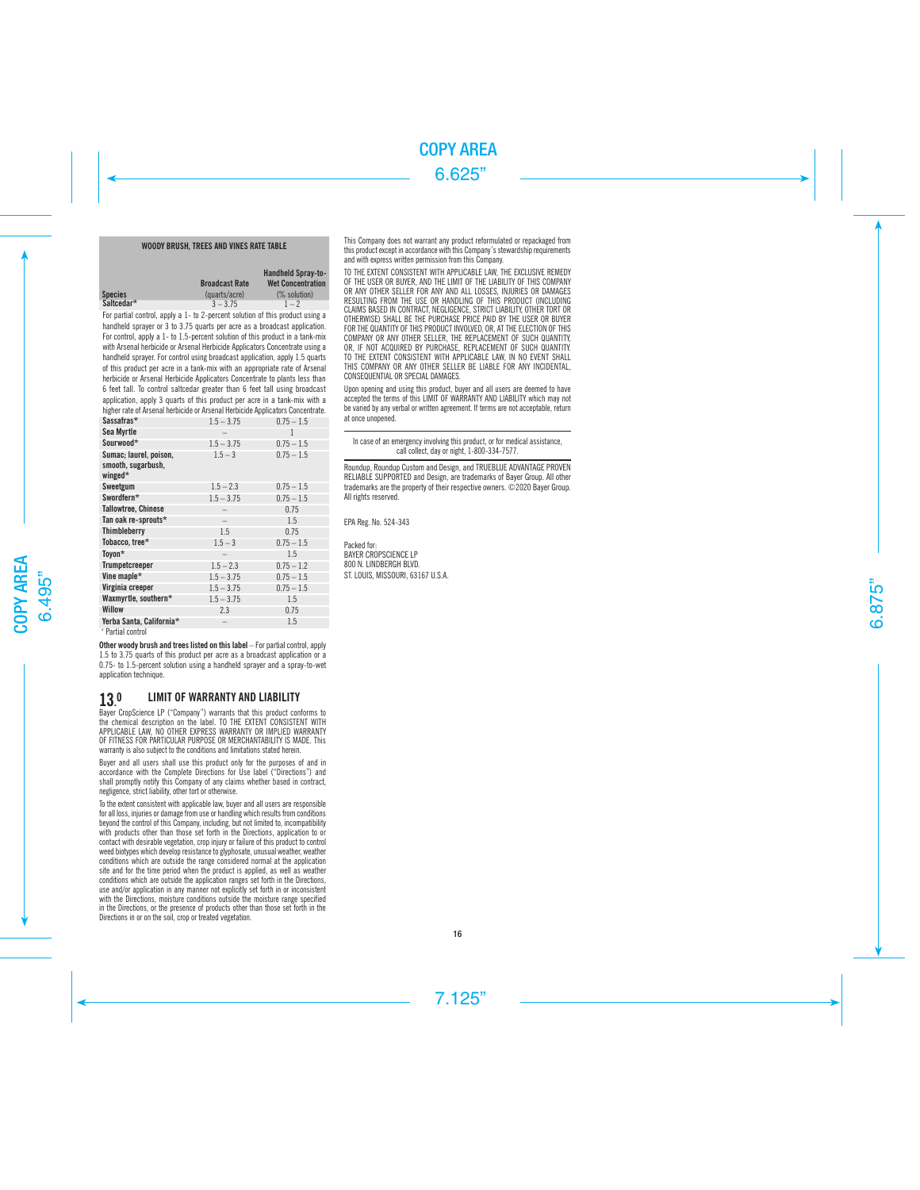# WOODY BRUSH, TREES AND VINES RATE TABLE

|                | <b>Broadcast Rate</b> | <b>Handheld Spray-to-</b><br><b>Wet Concentration</b> |
|----------------|-----------------------|-------------------------------------------------------|
| <b>Species</b> | (quarts/acre)         | (% solution)                                          |
| Saltcedar*     | $3 - 3.75$            | $1 - 2$                                               |

For partial control, apply a 1- to 2-percent solution of this product using a handheld sprayer or 3 to 3.75 quarts per acre as a broadcast application. For control, apply a 1- to 1.5-percent solution of this product in a tank-mix with Arsenal herbicide or Arsenal Herbicide Applicators Concentrate using a handheld sprayer. For control using broadcast application, apply 1.5 quarts of this product per acre in a tank-mix with an appropriate rate of Arsenal herbicide or Arsenal Herbicide Applicators Concentrate to plants less than 6 feet tall. To control saltcedar greater than 6 feet tall using broadcast application, apply 3 quarts of this product per acre in a tank-mix with a higher rate of Arsenal herbicide or Arsenal Herbicide Applicators Concentrate.

| Sassafras*                                              | $1.5 - 3.75$             | $0.75 - 1.5$ |
|---------------------------------------------------------|--------------------------|--------------|
| Sea Myrtle                                              |                          | 1            |
| Sourwood*                                               | $1.5 - 3.75$             | $0.75 - 1.5$ |
| Sumac; laurel, poison,<br>smooth, sugarbush,<br>winged* | $1.5 - 3$                | $0.75 - 1.5$ |
| Sweetgum                                                | $1.5 - 2.3$              | $0.75 - 1.5$ |
| Swordfern*                                              | $1.5 - 3.75$             | $0.75 - 1.5$ |
| <b>Tallowtree, Chinese</b>                              |                          | 0.75         |
| Tan oak re-sprouts*                                     | $\qquad \qquad$          | 1.5          |
| Thimbleberry                                            | 1.5                      | 0.75         |
| Tobacco, tree*                                          | $1.5 - 3$                | $0.75 - 1.5$ |
| Toyon*                                                  | $\overline{\phantom{a}}$ | 1.5          |
| <b>Trumpetcreeper</b>                                   | $1.5 - 2.3$              | $0.75 - 1.2$ |
| Vine maple*                                             | $1.5 - 3.75$             | $0.75 - 1.5$ |
| Virginia creeper                                        | $1.5 - 3.75$             | $0.75 - 1.5$ |
| Waxmyrtle, southern*                                    | $1.5 - 3.75$             | 1.5          |
| <b>Willow</b>                                           | 2.3                      | 0.75         |
| Yerba Santa, California*                                | $\overline{\phantom{a}}$ | 1.5          |
|                                                         |                          |              |

\* Partial control

Other woody brush and trees listed on this label – For partial control, apply 1.5 to 3.75 quarts of this product per acre as a broadcast application or a 0.75- to 1.5-percent solution using a handheld sprayer and a spray-to-wet application technique.

#### 13. LIMIT OF WARRANTY AND LIABILITY

Bayer CropScience LP ("Company") warrants that this product conforms to the chemical description on the label. TO THE EXTENT CONSISTENT WITH APPLICABLE LAW, NO OTHER EXPRESS WARRANTY OR IMPLIED WARRANTY OF FITNESS FOR PARTICULAR PURPOSE OR MERCHANTABILITY IS MADE. This warranty is also subject to the conditions and limitations stated herein.

Buyer and all users shall use this product only for the purposes of and in accordance with the Complete Directions for Use label ("Directions") and shall promptly notify this Company of any claims whether based in contract, negligence, strict liability, other tort or otherwise.

To the extent consistent with applicable law, buyer and all users are responsible for all loss, injuries or damage from use or handling which results from conditions beyond the control of this Company, including, but not limited to, incompatibility with products other than those set forth in the Directions, application to or contact with desirable vegetation, crop injury or failure of this product to control weed biotypes which develop resistance to glyphosate, unusual weather, weather conditions which are outside the range considered normal at the application site and for the time period when the product is applied, as well as weather conditions which are outside the application ranges set forth in the Directions, use and/or application in any manner not explicitly set forth in or inconsistent with the Directions, moisture conditions outside the moisture range specified in the Directions, or the presence of products other than those set forth in the Directions in or on the soil, crop or treated vegetation.

This Company does not warrant any product reformulated or repackaged from this product except in accordance with this Company's stewardship requirements and with express written permission from this Company.

TO THE EXTENT CONSISTENT WITH APPLICABLE LAW, THE EXCLUSIVE REMEDY OF THE USER OR BUYER, AND THE LIMIT OF THE LIABILITY OF THIS COMPANY OR ANY OTHER SELLER FOR ANY AND ALL LOSSES, INJURIES OR DAMAGES RESULTING FROM THE USE OR HANDLING OF THIS PRODUCT (INCLUDING CLAIMS BASED IN CONTRACT, NEGLIGENCE, STRICT LIABILITY, OTHER TORT OR OTHERWISE) SHALL BE THE PURCHASE PRICE PAID BY THE USER OR BUYER FOR THE QUANTITY OF THIS PRODUCT INVOLVED, OR, AT THE ELECTION OF THIS COMPANY OR ANY OTHER SELLER, THE REPLACEMENT OF SUCH QUANTITY, OR, IF NOT ACQUIRED BY PURCHASE, REPLACEMENT OF SUCH QUANTITY. TO THE EXTENT CONSISTENT WITH APPLICABLE LAW, IN NO EVENT SHALL THIS COMPANY OR ANY OTHER SELLER BE LIABLE FOR ANY INCIDENTAL, CONSEQUENTIAL OR SPECIAL DAMAGES.

Upon opening and using this product, buyer and all users are deemed to have accepted the terms of this LIMIT OF WARRANTY AND LIABILITY which may not be varied by any verbal or written agreement. If terms are not acceptable, return at once unopened.

In case of an emergency involving this product, or for medical assistance, call collect, day or night, 1-800-334-7577.

Roundup, Roundup Custom and Design, and TRUEBLUE ADVANTAGE PROVEN RELIABLE SUPPORTED and Design, are trademarks of Bayer Group. All other trademarks are the property of their respective owners. ©2020 Bayer Group. All rights reserved.

EPA Reg. No. 524-343

Packed for: BAYER CROPSCIENCE LP 800 N. LINDBERGH BLVD. ST. LOUIS, MISSOURI, 63167 U.S.A.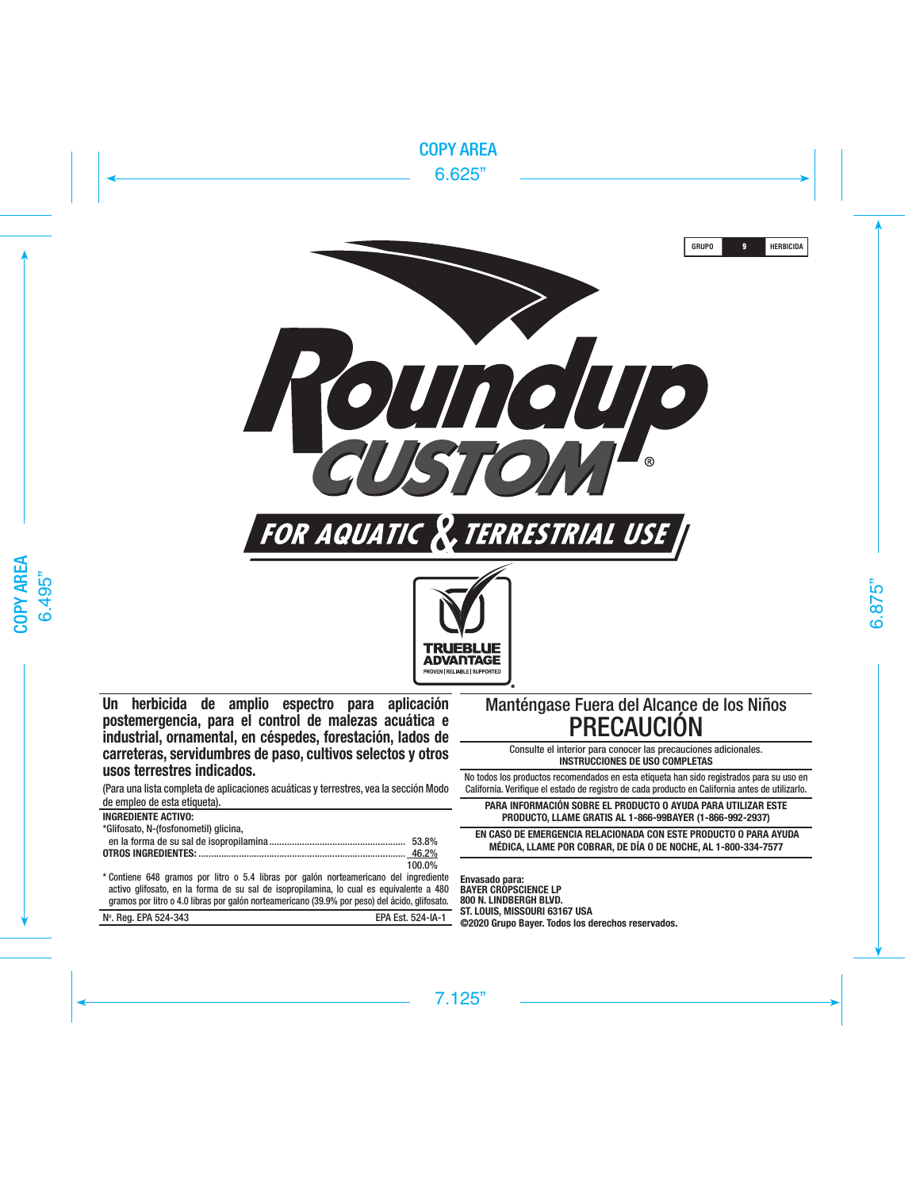

**Un herbicida de amplio espectro para aplicación postemergencia, para el control de malezas acuática e industrial, ornamental, en céspedes, forestación, lados de carreteras, servidumbres de paso, cultivos selectos y otros usos terrestres indicados.**

(Para una lista completa de aplicaciones acuáticas y terrestres, vea la sección Modo de empleo de esta etiqueta).

| <b>INGREDIENTE ACTIVO:</b>            |        |
|---------------------------------------|--------|
| *Glifosato, N-(fosfonometil) glicina, |        |
|                                       |        |
|                                       |        |
|                                       | 100.0% |

\* Contiene 648 gramos por litro o 5.4 libras por galón norteamericano del ingrediente activo glifosato, en la forma de su sal de isopropilamina, lo cual es equivalente a 480 gramos por litro o 4.0 libras por galón norteamericano (39.9% por peso) del ácido, glifosato.

| N°, Rea, EPA 524-343 | EPA Est. 524-IA-1 |
|----------------------|-------------------|
|                      |                   |

# Manténgase Fuera del Alcance de los Niños PRECAUCIÓN

Consulte el interior para conocer las precauciones adicionales. **INSTRUCCIONES DE USO COMPLETAS**

No todos los productos recomendados en esta etiqueta han sido registrados para su uso en California. Verifique el estado de registro de cada producto en California antes de utilizarlo.

**PARA INFORMACIÓN SOBRE EL PRODUCTO O AYUDA PARA UTILIZAR ESTE PRODUCTO, LLAME GRATIS AL 1-866-99BAYER (1-866-992-2937)**

 **EN CASO DE EMERGENCIA RELACIONADA CON ESTE PRODUCTO O PARA AYUDA MÉDICA, LLAME POR COBRAR, DE DÍA O DE NOCHE, AL 1-800-334-7577**

**Envasado para: BAYER CROPSCIENCE LP 800 N. LINDBERGH BLVD. ST. LOUIS, MISSOURI 63167 USA ©2020 Grupo Bayer. Todos los derechos reservados.**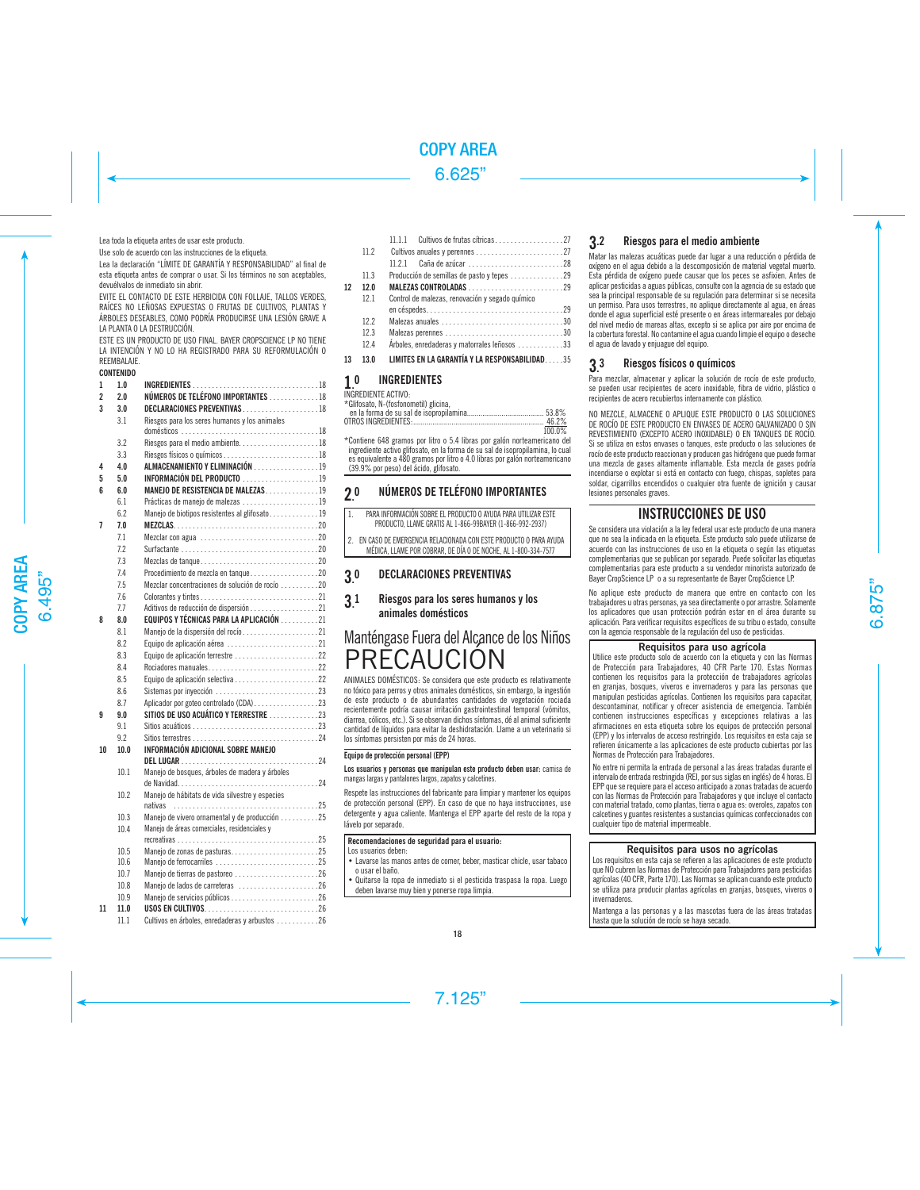# Lea toda la etiqueta antes de usar este producto.

Use solo de acuerdo con las instrucciones de la etiqueta.

Lea la declaración "LÍMITE DE GARANTÍA Y RESPONSABILIDAD" al final de esta etiqueta antes de comprar o usar. Si los términos no son aceptables, devuélvalos de inmediato sin abrir.

EVITE EL CONTACTO DE ESTE HERBICIDA CON FOLLAJE, TALLOS VERDES, RAÍCES NO LEÑOSAS EXPUESTAS O FRUTAS DE CULTIVOS, PLANTAS Y ÁRBOLES DESEABLES, COMO PODRÍA PRODUCIRSE UNA LESIÓN GRAVE A LA PLANTA O LA DESTRUCCIÓN.

ESTE ES UN PRODUCTO DE USO FINAL. BAYER CROPSCIENCE LP NO TIENE LA INTENCIÓN Y NO LO HA REGISTRADO PARA SU REFORMULACIÓN O REEMBALAJE.

# CONTENIDO

| 1              | 1.0  |                                                 |  |
|----------------|------|-------------------------------------------------|--|
| $\overline{2}$ | 20   | NÚMEROS DE TELÉFONO IMPORTANTES 18              |  |
| 3              | 3.0  | DECLARACIONES PREVENTIVAS  18                   |  |
|                | 3.1  | Riesgos para los seres humanos y los animales   |  |
|                | 3.2  |                                                 |  |
|                | 3.3  | Riesgos físicos o químicos 18                   |  |
| 4              | 40   | ALMACENAMIENTO Y ELIMINACIÓN 19                 |  |
| 5              | 5.0  | INFORMACIÓN DEL PRODUCTO 19                     |  |
| ĥ              | 60   | MANEJO DE RESISTENCIA DE MALEZAS19              |  |
|                | 6.1  | Prácticas de manejo de malezas 19               |  |
|                | 6.2  | Manejo de biotipos resistentes al glifosato19   |  |
| 7              | 7.0  |                                                 |  |
|                | 7.1  |                                                 |  |
|                | 7.2  |                                                 |  |
|                | 7.3  |                                                 |  |
|                | 7.4  | Procedimiento de mezcla en tanque20             |  |
|                | 7.5  | Mezclar concentraciones de solución de rocío 20 |  |
|                | 7.6  |                                                 |  |
|                | 7.7  | Aditivos de reducción de dispersión 21          |  |
| 8              | 8.0  | EQUIPOS Y TÉCNICAS PARA LA APLICACIÓN 21        |  |
|                | 8.1  | Manejo de la dispersión del rocío21             |  |
|                | 8.2  | Equipo de aplicación aérea 21                   |  |
|                | 8.3  | Equipo de aplicación terrestre 22               |  |
|                | 8.4  | Rociadores manuales22                           |  |
|                | 8.5  |                                                 |  |
|                | 8.6  |                                                 |  |
|                | 8.7  |                                                 |  |
| 9              | 9.0  | SITIOS DE USO ACUÁTICO Y TERRESTRE 23           |  |
|                | 9.1  |                                                 |  |
|                | 92   |                                                 |  |
| 10             | 100  | INFORMACIÓN ADICIONAL SOBRE MANEJO              |  |
|                | 101  | Manejo de bosques, árboles de madera y árboles  |  |
|                |      |                                                 |  |
|                | 102  | Manejo de hábitats de vida silvestre y especies |  |
|                |      |                                                 |  |
|                | 10.3 | Manejo de vivero ornamental y de producción 25  |  |
|                | 10.4 | Maneio de áreas comerciales, residenciales v    |  |
|                | 10.5 | Manejo de zonas de pasturas25                   |  |
|                | 10.6 | Manejo de ferrocarriles 25                      |  |
|                | 10.7 | Manejo de tierras de pastoreo 26                |  |
|                | 10.8 | Manejo de lados de carreteras 26                |  |
|                | 10.9 |                                                 |  |
| 11             | 11.0 |                                                 |  |
|                | 11.1 | Cultivos en árboles, enredaderas y arbustos 26  |  |
|                |      |                                                 |  |

|    | 112  |                                                 |
|----|------|-------------------------------------------------|
|    |      | 11 2 1                                          |
|    | 11.3 | Producción de semillas de pasto y tepes 29      |
| 12 | 120  | MALEZAS CONTROLADAS 29                          |
|    | 121  | Control de malezas, renovación y segado químico |
|    |      |                                                 |
|    | 122  |                                                 |
|    | 123  | Malezas perennes 30                             |
|    | 124  | Árboles, enredaderas y matorrales leñosos 33    |
| 13 | 130  | LIMITES EN LA GARANTÍA Y LA RESPONSABILIDAD35   |
|    |      |                                                 |

# $1.0<sub>ncR</sub>$ **INGREDIENTES**

| INGREDIENTE ACTIVO: |  |  |
|---------------------|--|--|
|                     |  |  |

| 100.0% |
|--------|
|        |

\*Contiene 648 gramos por litro o 5.4 libras por galón norteamericano del ingrediente activo glifosato, en la forma de su sal de isopropilamina, lo cual es equivalente a 480 gramos por litro o 4.0 libras por galón norteamericano (39.9% por peso) del ácido, glifosato.

#### $20$ 0 NÚMEROS DE TELÉFONO IMPORTANTES

- 1. PARA INFORMACIÓN SOBRE EL PRODUCTO O AYUDA PARA UTILIZAR ESTE PRODUCTO, LLAME GRATIS AL 1-866-99BAYER (1-866-992-2937)
- 2. EN CASO DE EMERGENCIA RELACIONADA CON ESTE PRODUCTO O PARA AYUDA MÉDICA, LLAME POR COBRAR, DE DÍA O DE NOCHE, AL 1-800-334-7577

#### 3. 0 DECLARACIONES PREVENTIVAS

3. 1 Riesgos para los seres humanos y los animales domésticos

# Manténgase Fuera del Alcance de los Niños **PRECAUCIÓN**

ANIMALES DOMÉSTICOS: Se considera que este producto es relativamente no tóxico para perros y otros animales domésticos, sin embargo, la ingestión de este producto o de abundantes cantidades de vegetación rociada recientemente podría causar irritación gastrointestinal temporal (vómitos, diarrea, cólicos, etc.). Si se observan dichos síntomas, dé al animal suficiente cantidad de líquidos para evitar la deshidratación. Llame a un veterinario si los síntomas persisten por más de 24 horas.

# Equipo de protección personal (EPP)

Los usuarios y personas que manipulan este producto deben usar: camisa de mangas largas y pantalones largos, zapatos y calcetines.

Respete las instrucciones del fabricante para limpiar y mantener los equipos de protección personal (EPP). En caso de que no haya instrucciones, use detergente y agua caliente. Mantenga el EPP aparte del resto de la ropa y lávelo por separado.

# Recomendaciones de seguridad para el usuario:

Los usuarios deben:

• Lavarse las manos antes de comer, beber, masticar chicle, usar tabaco o usar el baño.

• Quitarse la ropa de inmediato si el pesticida traspasa la ropa. Luego deben lavarse muy bien y ponerse ropa limpia.

# 3.2 Riesgos para el medio ambiente

Matar las malezas acuáticas puede dar lugar a una reducción o pérdida de oxígeno en el agua debido a la descomposición de material vegetal muerto. Esta pérdida de oxígeno puede causar que los peces se asfixien. Antes de aplicar pesticidas a aguas públicas, consulte con la agencia de su estado que sea la principal responsable de su regulación para determinar si se necesita un permiso. Para usos terrestres, no aplique directamente al agua, en áreas donde el agua superficial esté presente o en áreas intermareales por debajo del nivel medio de mareas altas, excepto si se aplica por aire por encima de la cobertura forestal. No contamine el agua cuando limpie el equipo o deseche el agua de lavado y enjuague del equipo.

#### 3. 3 Riesgos físicos o químicos

Para mezclar, almacenar y aplicar la solución de rocío de este producto, se pueden usar recipientes de acero inoxidable, fibra de vidrio, plástico o recipientes de acero recubiertos internamente con plástico.

NO MEZCLE, ALMACENE O APLIQUE ESTE PRODUCTO O LAS SOLUCIONES DE ROCÍO DE ESTE PRODUCTO EN ENVASES DE ACERO GALVANIZADO O SIN REVESTIMIENTO (EXCEPTO ACERO INOXIDABLE) O EN TANQUES DE ROCÍO. Si se utiliza en estos envases o tanques, este producto o las soluciones de rocío de este producto reaccionan y producen gas hidrógeno que puede formar una mezcla de gases altamente inflamable. Esta mezcla de gases podría incendiarse o explotar si está en contacto con fuego, chispas, sopletes para soldar, cigarrillos encendidos o cualquier otra fuente de ignición y causar lesiones personales graves.

# INSTRUCCIONES DE USO

Se considera una violación a la ley federal usar este producto de una manera que no sea la indicada en la etiqueta. Este producto solo puede utilizarse de acuerdo con las instrucciones de uso en la etiqueta o según las etiquetas complementarias que se publican por separado. Puede solicitar las etiquetas complementarias para este producto a su vendedor minorista autorizado de Bayer CropScience LP o a su representante de Bayer CropScience LP.

No aplique este producto de manera que entre en contacto con los trabajadores u otras personas, ya sea directamente o por arrastre. Solamente los aplicadores que usan protección podrán estar en el área durante su aplicación. Para verificar requisitos específicos de su tribu o estado, consulte con la agencia responsable de la regulación del uso de pesticidas.

# Requisitos para uso agrícola

Utilice este producto solo de acuerdo con la etiqueta y con las Normas de Protección para Trabajadores, 40 CFR Parte 170. Estas Normas contienen los requisitos para la protección de trabajadores agrícolas en granjas, bosques, viveros e invernaderos y para las personas que manipulan pesticidas agrícolas. Contienen los requisitos para capacitar, descontaminar, notificar y ofrecer asistencia de emergencia. También contienen instrucciones específicas y excepciones relativas a las afirmaciones en esta etiqueta sobre los equipos de protección personal (EPP) y los intervalos de acceso restringido. Los requisitos en esta caja se refieren únicamente a las aplicaciones de este producto cubiertas por las Normas de Protección para Trabajadores.

No entre ni permita la entrada de personal a las áreas tratadas durante el intervalo de entrada restringida (REI, por sus siglas en inglés) de 4 horas. El EPP que se requiere para el acceso anticipado a zonas tratadas de acuerdo con las Normas de Protección para Trabajadores y que incluye el contacto con material tratado, como plantas, tierra o agua es: overoles, zapatos con calcetines y guantes resistentes a sustancias químicas confeccionados con cualquier tipo de material impermeable.

# Requisitos para usos no agrícolas

Los requisitos en esta caja se refieren a las aplicaciones de este producto que NO cubren las Normas de Protección para Trabajadores para pesticidas agrícolas (40 CFR, Parte 170). Las Normas se aplican cuando este producto se utiliza para producir plantas agrícolas en granjas, bosques, viveros o invernaderos.

Mantenga a las personas y a las mascotas fuera de las áreas tratadas hasta que la solución de rocío se haya secado.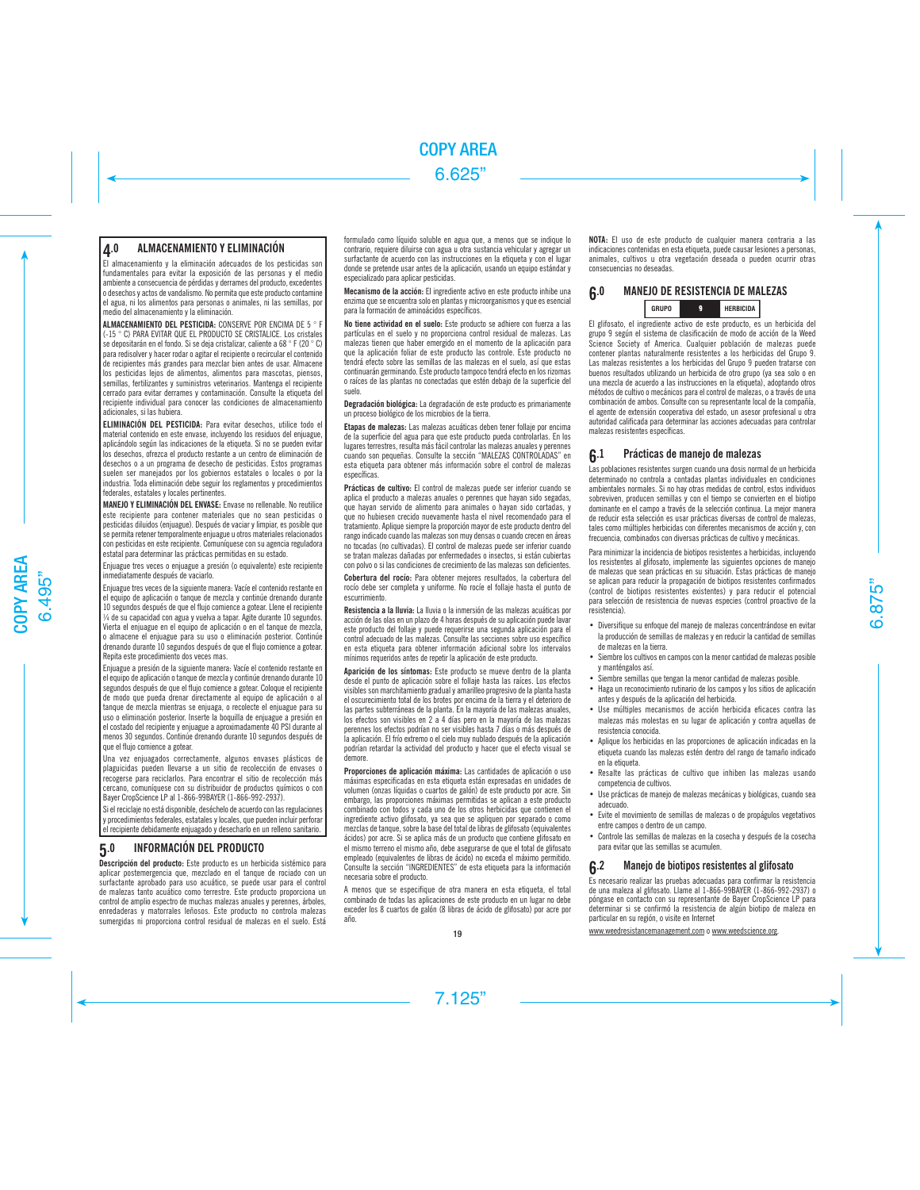# 4.0 ALMACENAMIENTO Y ELIMINACIÓN

El almacenamiento y la eliminación adecuados de los pesticidas son fundamentales para evitar la exposición de las personas y el medio ambiente a consecuencia de pérdidas y derrames del producto, excedentes o desechos y actos de vandalismo. No permita que este producto contamine el agua, ni los alimentos para personas o animales, ni las semillas, por medio del almacenamiento y la eliminación.

ALMACENAMIENTO DEL PESTICIDA: CONSERVE POR ENCIMA DE 5 ° F (-15 ° C) PARA EVITAR QUE EL PRODUCTO SE CRISTALICE. Los cristales se depositarán en el fondo. Si se deja cristalizar, caliente a 68 ° F (20 ° C) para redisolver y hacer rodar o agitar el recipiente o recircular el contenido de recipientes más grandes para mezclar bien antes de usar. Almacene los pesticidas lejos de alimentos, alimentos para mascotas, piensos, semillas, fertilizantes y suministros veterinarios. Mantenga el recipiente cerrado para evitar derrames y contaminación. Consulte la etiqueta del recipiente individual para conocer las condiciones de almacenamiento adicionales, si las hubiera.

ELIMINACIÓN DEL PESTICIDA: Para evitar desechos, utilice todo el material contenido en este envase, incluyendo los residuos del enjuague, aplicándolo según las indicaciones de la etiqueta. Si no se pueden evitar los desechos, ofrezca el producto restante a un centro de eliminación de desechos o a un programa de desecho de pesticidas. Estos programas suelen ser manejados por los gobiernos estatales o locales o por la industria. Toda eliminación debe seguir los reglamentos y procedimientos federales, estatales y locales pertinentes.

MANEJO Y ELIMINACIÓN DEL ENVASE: Envase no rellenable. No reutilice este recipiente para contener materiales que no sean pesticidas o pesticidas diluidos (enjuague). Después de vaciar y limpiar, es posible que se permita retener temporalmente enjuague u otros materiales relacionados con pesticidas en este recipiente. Comuníquese con su agencia reguladora estatal para determinar las prácticas permitidas en su estado.

Enjuague tres veces o enjuague a presión (o equivalente) este recipiente inmediatamente después de vaciarlo.

Enjuague tres veces de la siguiente manera: Vacíe el contenido restante en el equipo de aplicación o tanque de mezcla y continúe drenando durante 10 segundos después de que el flujo comience a gotear. Llene el recipiente ¼ de su capacidad con agua y vuelva a tapar. Agite durante 10 segundos. Vierta el enjuague en el equipo de aplicación o en el tanque de mezcla, o almacene el enjuague para su uso o eliminación posterior. Continúe drenando durante 10 segundos después de que el flujo comience a gotear. Repita este procedimiento dos veces mas.

Enjuague a presión de la siguiente manera: Vacíe el contenido restante en el equipo de aplicación o tanque de mezcla y continúe drenando durante 10 segundos después de que el flujo comience a gotear. Coloque el recipiente de modo que pueda drenar directamente al equipo de aplicación o al tanque de mezcla mientras se enjuaga, o recolecte el enjuague para su uso o eliminación posterior. Inserte la boquilla de enjuague a presión en el costado del recipiente y enjuague a aproximadamente 40 PSI durante al menos 30 segundos. Continúe drenando durante 10 segundos después de que el flujo comience a gotear.

Una vez enjuagados correctamente, algunos envases plásticos de plaguicidas pueden llevarse a un sitio de recolección de envases o recogerse para reciclarlos. Para encontrar el sitio de recolección más cercano, comuníquese con su distribuidor de productos químicos o con Bayer CropScience LP al 1-866-99BAYER (1-866-992-2937).

Si el reciclaje no está disponible, deséchelo de acuerdo con las regulaciones y procedimientos federales, estatales y locales, que pueden incluir perforar el recipiente debidamente enjuagado y desecharlo en un relleno sanitario.

# 5.0 INFORMACIÓN DEL PRODUCTO

Descripción del producto: Este producto es un herbicida sistémico para aplicar postemergencia que, mezclado en el tanque de rociado con un surfactante aprobado para uso acuático, se puede usar para el control de malezas tanto acuático como terrestre. Este producto proporciona un control de amplio espectro de muchas malezas anuales y perennes, árboles, enredaderas y matorrales leñosos. Este producto no controla malezas sumergidas ni proporciona control residual de malezas en el suelo. Está formulado como líquido soluble en agua que, a menos que se indique lo contrario, requiere diluirse con agua u otra sustancia vehicular y agregar un surfactante de acuerdo con las instrucciones en la etiqueta y con el lugar donde se pretende usar antes de la aplicación, usando un equipo estándar y especializado para aplicar pesticidas.

Mecanismo de la acción: El ingrediente activo en este producto inhibe una enzima que se encuentra solo en plantas y microorganismos y que es esencial para la formación de aminoácidos específicos.

No tiene actividad en el suelo: Este producto se adhiere con fuerza a las partículas en el suelo y no proporciona control residual de malezas. Las malezas tienen que haber emergido en el momento de la aplicación para que la aplicación foliar de este producto las controle. Este producto no tendrá efecto sobre las semillas de las malezas en el suelo, así que estas continuarán germinando. Este producto tampoco tendrá efecto en los rizomas o raíces de las plantas no conectadas que estén debajo de la superficie del suelo.

Degradación biológica: La degradación de este producto es primariamente un proceso biológico de los microbios de la tierra.

Etapas de malezas: Las malezas acuáticas deben tener follaje por encima de la superficie del agua para que este producto pueda controlarlas. En los lugares terrestres, resulta más fácil controlar las malezas anuales y perennes cuando son pequeñas. Consulte la sección "MALEZAS CONTROLADAS" en esta etiqueta para obtener más información sobre el control de malezas específicas.

Prácticas de cultivo: El control de malezas puede ser inferior cuando se aplica el producto a malezas anuales o perennes que hayan sido segadas, que hayan servido de alimento para animales o hayan sido cortadas, y que no hubiesen crecido nuevamente hasta el nivel recomendado para el tratamiento. Aplique siempre la proporción mayor de este producto dentro del rango indicado cuando las malezas son muy densas o cuando crecen en áreas no tocadas (no cultivadas). El control de malezas puede ser inferior cuando se tratan malezas dañadas por enfermedades o insectos, si están cubiertas con polvo o si las condiciones de crecimiento de las malezas son deficientes.

Cobertura del rocío: Para obtener mejores resultados, la cobertura del rocío debe ser completa y uniforme. No rocíe el follaje hasta el punto de escurrimiento.

Resistencia a la lluvia: La lluvia o la inmersión de las malezas acuáticas por acción de las olas en un plazo de 4 horas después de su aplicación puede lavar este producto del follaje y puede requerirse una segunda aplicación para el control adecuado de las malezas. Consulte las secciones sobre uso específico en esta etiqueta para obtener información adicional sobre los intervalos mínimos requeridos antes de repetir la aplicación de este producto.

Aparición de los síntomas: Este producto se mueve dentro de la planta desde el punto de aplicación sobre el follaje hasta las raíces. Los efectos visibles son marchitamiento gradual y amarilleo progresivo de la planta hasta el oscurecimiento total de los brotes por encima de la tierra y el deterioro de las partes subterráneas de la planta. En la mayoría de las malezas anuales, los efectos son visibles en 2 a 4 días pero en la mayoría de las malezas perennes los efectos podrían no ser visibles hasta 7 días o más después de la aplicación. El frío extremo o el cielo muy nublado después de la aplicación podrían retardar la actividad del producto y hacer que el efecto visual se demore.

Proporciones de aplicación máxima: Las cantidades de aplicación o uso máximas especificadas en esta etiqueta están expresadas en unidades de volumen (onzas líquidas o cuartos de galón) de este producto por acre. Sin embargo, las proporciones máximas permitidas se aplican a este producto combinado con todos y cada uno de los otros herbicidas que contienen el ingrediente activo glifosato, ya sea que se apliquen por separado o como mezclas de tanque, sobre la base del total de libras de glifosato (equivalentes ácidos) por acre. Si se aplica más de un producto que contiene glifosato en el mismo terreno el mismo año, debe asegurarse de que el total de glifosato empleado (equivalentes de libras de ácido) no exceda el máximo permitido. Consulte la sección "INGREDIENTES" de esta etiqueta para la información necesaria sobre el producto.

A menos que se especifique de otra manera en esta etiqueta, el total combinado de todas las aplicaciones de este producto en un lugar no debe exceder los 8 cuartos de galón (8 libras de ácido de glifosato) por acre por año.

NOTA: El uso de este producto de cualquier manera contraria a las indicaciones contenidas en esta etiqueta, puede causar lesiones a personas, animales, cultivos u otra vegetación deseada o pueden ocurrir otras consecuencias no deseadas.

# 6.0 MANEJO DE RESISTENCIA DE MALEZAS **GRUPO HERBICIDA**

El glifosato, el ingrediente activo de este producto, es un herbicida del grupo 9 según el sistema de clasificación de modo de acción de la Weed Science Society of America. Cualquier población de malezas puede contener plantas naturalmente resistentes a los herbicidas del Grupo 9. Las malezas resistentes a los herbicidas del Grupo 9 pueden tratarse con buenos resultados utilizando un herbicida de otro grupo (ya sea solo o en una mezcla de acuerdo a las instrucciones en la etiqueta), adoptando otros métodos de cultivo o mecánicos para el control de malezas, o a través de una combinación de ambos. Consulte con su representante local de la compañía, el agente de extensión cooperativa del estado, un asesor profesional u otra autoridad calificada para determinar las acciones adecuadas para controlar malezas resistentes específicas.

# 6.1 Prácticas de manejo de malezas

Las poblaciones resistentes surgen cuando una dosis normal de un herbicida determinado no controla a contadas plantas individuales en condiciones ambientales normales. Si no hay otras medidas de control, estos individuos sobreviven, producen semillas y con el tiempo se convierten en el biotipo dominante en el campo a través de la selección continua. La mejor manera de reducir esta selección es usar prácticas diversas de control de malezas, tales como múltiples herbicidas con diferentes mecanismos de acción y, con frecuencia, combinados con diversas prácticas de cultivo y mecánicas.

Para minimizar la incidencia de biotipos resistentes a herbicidas, incluyendo los resistentes al glifosato, implemente las siguientes opciones de manejo de malezas que sean prácticas en su situación. Estas prácticas de manejo se aplican para reducir la propagación de biotipos resistentes confirmados (control de biotipos resistentes existentes) y para reducir el potencial para selección de resistencia de nuevas especies (control proactivo de la resistencia).

- Diversifique su enfoque del manejo de malezas concentrándose en evitar la producción de semillas de malezas y en reducir la cantidad de semillas de malezas en la tierra.
- Siembre los cultivos en campos con la menor cantidad de malezas posible y manténgalos así.
- Siembre semillas que tengan la menor cantidad de malezas posible.
- Haga un reconocimiento rutinario de los campos y los sitios de aplicación antes y después de la aplicación del herbicida.
- Use múltiples mecanismos de acción herbicida eficaces contra las malezas más molestas en su lugar de aplicación y contra aquellas de resistencia conocida.
- Aplique los herbicidas en las proporciones de aplicación indicadas en la etiqueta cuando las malezas estén dentro del rango de tamaño indicado en la etiqueta.
- Resalte las prácticas de cultivo que inhiben las malezas usando competencia de cultivos.
- Use prácticas de manejo de malezas mecánicas y biológicas, cuando sea adecuado.
- Evite el movimiento de semillas de malezas o de propágulos vegetativos entre campos o dentro de un campo.
- Controle las semillas de malezas en la cosecha y después de la cosecha para evitar que las semillas se acumulen.

# 6.2 Manejo de biotipos resistentes al glifosato

Es necesario realizar las pruebas adecuadas para confirmar la resistencia de una maleza al glifosato. Llame al 1-866-99BAYER (1-866-992-2937) o póngase en contacto con su representante de Bayer CropScience LP para determinar si se confirmó la resistencia de algún biotipo de maleza en particular en su región, o visite en Internet

www.weedresistancemanagement.com o www.weedscience.org.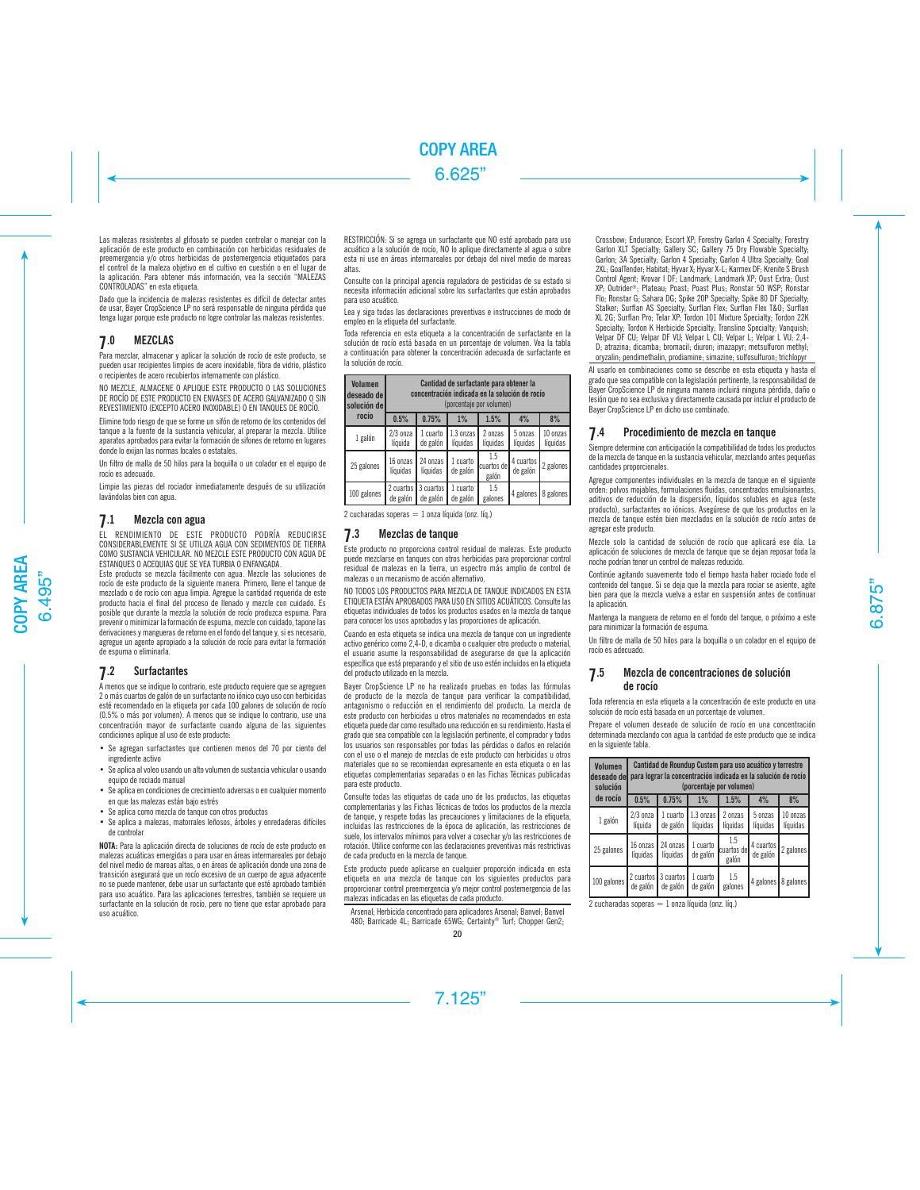Las malezas resistentes al glifosato se pueden controlar o manejar con la aplicación de este producto en combinación con herbicidas residuales de preemergencia y/o otros herbicidas de postemergencia etiquetados para el control de la maleza objetivo en el cultivo en cuestión o en el lugar de la aplicación. Para obtener más información, vea la sección "MALEZAS CONTROLADAS" en esta etiqueta.

Dado que la incidencia de malezas resistentes es difícil de detectar antes de usar, Bayer CropScience LP no será responsable de ninguna pérdida que tenga lugar porque este producto no logre controlar las malezas resistentes.

# 7.0 MEZCLAS

Para mezclar, almacenar y aplicar la solución de rocío de este producto, se pueden usar recipientes limpios de acero inoxidable, fibra de vidrio, plástico o recipientes de acero recubiertos internamente con plástico.

NO MEZCLE, ALMACENE O APLIQUE ESTE PRODUCTO O LAS SOLUCIONES DE ROCÍO DE ESTE PRODUCTO EN ENVASES DE ACERO GALVANIZADO O SIN REVESTIMIENTO (EXCEPTO ACERO INOXIDABLE) O EN TANQUES DE ROCÍO.

Elimine todo riesgo de que se forme un sifón de retorno de los contenidos del tanque a la fuente de la sustancia vehicular, al preparar la mezcla. Utilice aparatos aprobados para evitar la formación de sifones de retorno en lugares donde lo exijan las normas locales o estatales.

Un filtro de malla de 50 hilos para la boquilla o un colador en el equipo de rocío es adecuado.

Limpie las piezas del rociador inmediatamente después de su utilización lavándolas bien con agua.

# 7.1 Mezcla con agua

EL RENDIMIENTO DE ESTE PRODUCTO PODRÍA REDUCIRSE CONSIDERABLEMENTE SI SE UTILIZA AGUA CON SEDIMENTOS DE TIERRA COMO SUSTANCIA VEHICULAR. NO MEZCLE ESTE PRODUCTO CON AGUA DE ESTANQUES O ACEQUIAS QUE SE VEA TURBIA O ENFANGADA.

Este producto se mezcla fácilmente con agua. Mezcle las soluciones de rocío de este producto de la siguiente manera. Primero, llene el tanque de mezclado o de rocío con agua limpia. Agregue la cantidad requerida de este producto hacia el final del proceso de llenado y mezcle con cuidado. Es posible que durante la mezcla la solución de rocío produzca espuma. Para prevenir o minimizar la formación de espuma, mezcle con cuidado, tapone las derivaciones y mangueras de retorno en el fondo del tanque y, si es necesario, agregue un agente apropiado a la solución de rocío para evitar la formación de espuma o eliminarla.

# 7.2 Surfactantes

A menos que se indique lo contrario, este producto requiere que se agreguen 2 o más cuartos de galón de un surfactante no iónico cuyo uso con herbicidas esté recomendado en la etiqueta por cada 100 galones de solución de rocío (0.5% o más por volumen). A menos que se indique lo contrario, use una concentración mayor de surfactante cuando alguna de las siguientes condiciones aplique al uso de este producto:

- Se agregan surfactantes que contienen menos del 70 por ciento del ingrediente activo
- Se aplica al voleo usando un alto volumen de sustancia vehicular o usando equipo de rociado manual
- Se aplica en condiciones de crecimiento adversas o en cualquier momento en que las malezas están bajo estrés
- Se aplica como mezcla de tanque con otros productos
- Se aplica a malezas, matorrales leñosos, árboles y enredaderas difíciles de controlar

NOTA: Para la aplicación directa de soluciones de rocío de este producto en malezas acuáticas emergidas o para usar en áreas intermareales por debajo del nivel medio de mareas altas, o en áreas de aplicación donde una zona de transición asegurará que un rocío excesivo de un cuerpo de agua adyacente no se puede mantener, debe usar un surfactante que esté aprobado también para uso acuático. Para las aplicaciones terrestres, también se requiere un surfactante en la solución de rocío, pero no tiene que estar aprobado para uso acuático.

RESTRICCIÓN: Si se agrega un surfactante que NO esté aprobado para uso acuático a la solución de rocío, NO lo aplique directamente al agua o sobre esta ni use en áreas intermareales por debajo del nivel medio de mareas altas.

Consulte con la principal agencia reguladora de pesticidas de su estado si necesita información adicional sobre los surfactantes que están aprobados para uso acuático.

Lea y siga todas las declaraciones preventivas e instrucciones de modo de empleo en la etiqueta del surfactante.

Toda referencia en esta etiqueta a la concentración de surfactante en la solución de rocío está basada en un porcentaje de volumen. Vea la tabla a continuación para obtener la concentración adecuada de surfactante en la solución de rocío.

| <b>Volumen</b><br>deseado de<br>solución de l | Cantidad de surfactante para obtener la<br>concentración indicada en la solución de rocío<br>(porcentaie por volumen) |                                     |                       |                             |                       |                      |
|-----------------------------------------------|-----------------------------------------------------------------------------------------------------------------------|-------------------------------------|-----------------------|-----------------------------|-----------------------|----------------------|
| rocío                                         | 0.5%                                                                                                                  | 0.75%                               | 1%                    | 1.5%                        | 4%                    | 8%                   |
| 1 galón                                       | $2/3$ onza<br>líquida                                                                                                 | 1 cuarto<br>de galón                | 1.3 onzas<br>líquidas | 2 onzas<br>líquidas         | 5 onzas<br>líquidas   | 10 onzas<br>líquidas |
| 25 galones                                    | 16 onzas<br>líquidas                                                                                                  | 24 onzas<br>líquidas                | 1 cuarto<br>de galón  | 1.5<br>cuartos del<br>galón | 4 cuartos<br>de galón | 2 galones            |
| 100 galones                                   | de galón                                                                                                              | 2 cuartos   3 cuartos  <br>de galón | 1 cuarto<br>de galón  | 1.5<br>galones              | 4 galones 8 galones   |                      |

 $2$  cucharadas soperas  $= 1$  onza líquida (onz. líq.)

# 7.3 Mezclas de tanque

Este producto no proporciona control residual de malezas. Este producto puede mezclarse en tanques con otros herbicidas para proporcionar control residual de malezas en la tierra, un espectro más amplio de control de malezas o un mecanismo de acción alternativo.

NO TODOS LOS PRODUCTOS PARA MEZCLA DE TANQUE INDICADOS EN ESTA ETIQUETA ESTÁN APROBADOS PARA USO EN SITIOS ACUÁTICOS. Consulte las etiquetas individuales de todos los productos usados en la mezcla de tanque para conocer los usos aprobados y las proporciones de aplicación.

Cuando en esta etiqueta se indica una mezcla de tanque con un ingrediente activo genérico como 2,4-D, o dicamba o cualquier otro producto o material, el usuario asume la responsabilidad de asegurarse de que la aplicación específica que está preparando y el sitio de uso estén incluidos en la etiqueta del producto utilizado en la mezcla.

Bayer CropScience LP no ha realizado pruebas en todas las fórmulas de producto de la mezcla de tanque para verificar la compatibilidad, antagonismo o reducción en el rendimiento del producto. La mezcla de este producto con herbicidas u otros materiales no recomendados en esta etiqueta puede dar como resultado una reducción en su rendimiento. Hasta el grado que sea compatible con la legislación pertinente, el comprador y todos los usuarios son responsables por todas las pérdidas o daños en relación con el uso o el manejo de mezclas de este producto con herbicidas u otros materiales que no se recomiendan expresamente en esta etiqueta o en las etiquetas complementarias separadas o en las Fichas Técnicas publicadas para este producto.

Consulte todas las etiquetas de cada uno de los productos, las etiquetas complementarias y las Fichas Técnicas de todos los productos de la mezcla de tanque, y respete todas las precauciones y limitaciones de la etiqueta, incluidas las restricciones de la época de aplicación, las restricciones de suelo, los intervalos mínimos para volver a cosechar y/o las restricciones de rotación. Utilice conforme con las declaraciones preventivas más restrictivas de cada producto en la mezcla de tanque.

Este producto puede aplicarse en cualquier proporción indicada en esta etiqueta en una mezcla de tanque con los siguientes productos para proporcionar control preemergencia y/o mejor control postemergencia de las malezas indicadas en las etiquetas de cada producto.

Arsenal; Herbicida concentrado para aplicadores Arsenal; Banvel; Banvel 480; Barricade 4L; Barricade 65WG; Certainty® Turf; Chopper Gen2;

Crossbow; Endurance; Escort XP; Forestry Garlon 4 Specialty; Forestry Garlon XLT Specialty; Gallery SC; Gallery 75 Dry Flowable Specialty; Garlon; 3A Specialty; Garlon 4 Specialty; Garlon 4 Ultra Specialty; Goal 2XL; GoalTender; Habitat; Hyvar X; Hyvar X-L; Karmex DF; Krenite S Brush Control Agent; Krovar I DF; Landmark; Landmark XP; Oust Extra; Oust XP; Outrider®; Plateau; Poast; Poast Plus; Ronstar 50 WSP; Ronstar Flo; Ronstar G; Sahara DG; Spike 20P Specialty; Spike 80 DF Specialty; Stalker; Surflan AS Specialty; Surflan Flex; Surflan Flex T&O; Surflan XL 2G; Surflan Pro; Telar XP; Tordon 101 Mixture Specialty; Tordon 22K Specialty; Tordon K Herbicide Specialty; Transline Specialty; Vanquish; Velpar DF CU; Velpar DF VU; Velpar L CU; Velpar L; Velpar L VU; 2,4- D; atrazina; dicamba; bromacil; diuron; imazapyr; metsulfuron methyl; oryzalin; pendimethalin, prodiamine; simazine; sulfosulfuron; trichlopyr

Al usarlo en combinaciones como se describe en esta etiqueta y hasta el grado que sea compatible con la legislación pertinente, la responsabilidad de Bayer CropScience LP de ninguna manera incluirá ninguna pérdida, daño o lesión que no sea exclusiva y directamente causada por incluir el producto de Bayer CropScience LP en dicho uso combinado.

# 7.4 Procedimiento de mezcla en tanque

Siempre determine con anticipación la compatibilidad de todos los productos de la mezcla de tanque en la sustancia vehicular, mezclando antes pequeñas cantidades proporcionales.

Agregue componentes individuales en la mezcla de tanque en el siguiente orden: polvos mojables, formulaciones fluidas, concentrados emulsionantes, aditivos de reducción de la dispersión, líquidos solubles en agua (este producto), surfactantes no iónicos. Asegúrese de que los productos en la mezcla de tanque estén bien mezclados en la solución de rocío antes de agregar este producto.

Mezcle solo la cantidad de solución de rocío que aplicará ese día. La aplicación de soluciones de mezcla de tanque que se dejan reposar toda la noche podrían tener un control de malezas reducido.

Continúe agitando suavemente todo el tiempo hasta haber rociado todo el contenido del tanque. Si se deja que la mezcla para rociar se asiente, agite bien para que la mezcla vuelva a estar en suspensión antes de continuar la aplicación.

Mantenga la manguera de retorno en el fondo del tanque, o próximo a este para minimizar la formación de espuma.

Un filtro de malla de 50 hilos para la boquilla o un colador en el equipo de rocío es adecuado.

# **7**.5 Mezcla de concentraciones de solución de rocío

Toda referencia en esta etiqueta a la concentración de este producto en una solución de rocío está basada en un porcentaje de volumen.

Prepare el volumen deseado de solución de rocío en una concentración determinada mezclando con agua la cantidad de este producto que se indica en la siguiente tabla.

| <b>Volumen</b><br>deseado del<br>solución | Cantidad de Roundup Custom para uso acuático y terrestre<br>para lograr la concentración indicada en la solución de rocío<br>(porcentaje por volumen) |                        |                                 |                             |                       |                      |
|-------------------------------------------|-------------------------------------------------------------------------------------------------------------------------------------------------------|------------------------|---------------------------------|-----------------------------|-----------------------|----------------------|
| de rocío                                  | 0.5%                                                                                                                                                  | 0.75%                  | $1\%$                           | 1.5%                        | 4%                    | 8%                   |
| 1 galón                                   | $2/3$ onza<br>líquida                                                                                                                                 | 1 cuarto<br>de galón   | $1.3 \text{ onzas}$<br>líquidas | 2 onzas<br>líquidas         | 5 onzas<br>líquidas   | 10 onzas<br>líquidas |
| 25 galones                                | 16 onzas I<br>líquidas                                                                                                                                | 24 onzas I<br>líquidas | 1 cuarto<br>de galón            | 1.5<br>cuartos del<br>galón | 4 cuartos<br>de galón | 2 galones            |
| 100 galones 2 cuartos 3 cuartos           | $de$ galón                                                                                                                                            | $de$ galón             | 1 cuarto<br>de galón            | 1.5<br>galones              |                       | 4 galones 8 galones  |

2 cucharadas soperas  $= 1$  onza líquida (onz. líq.)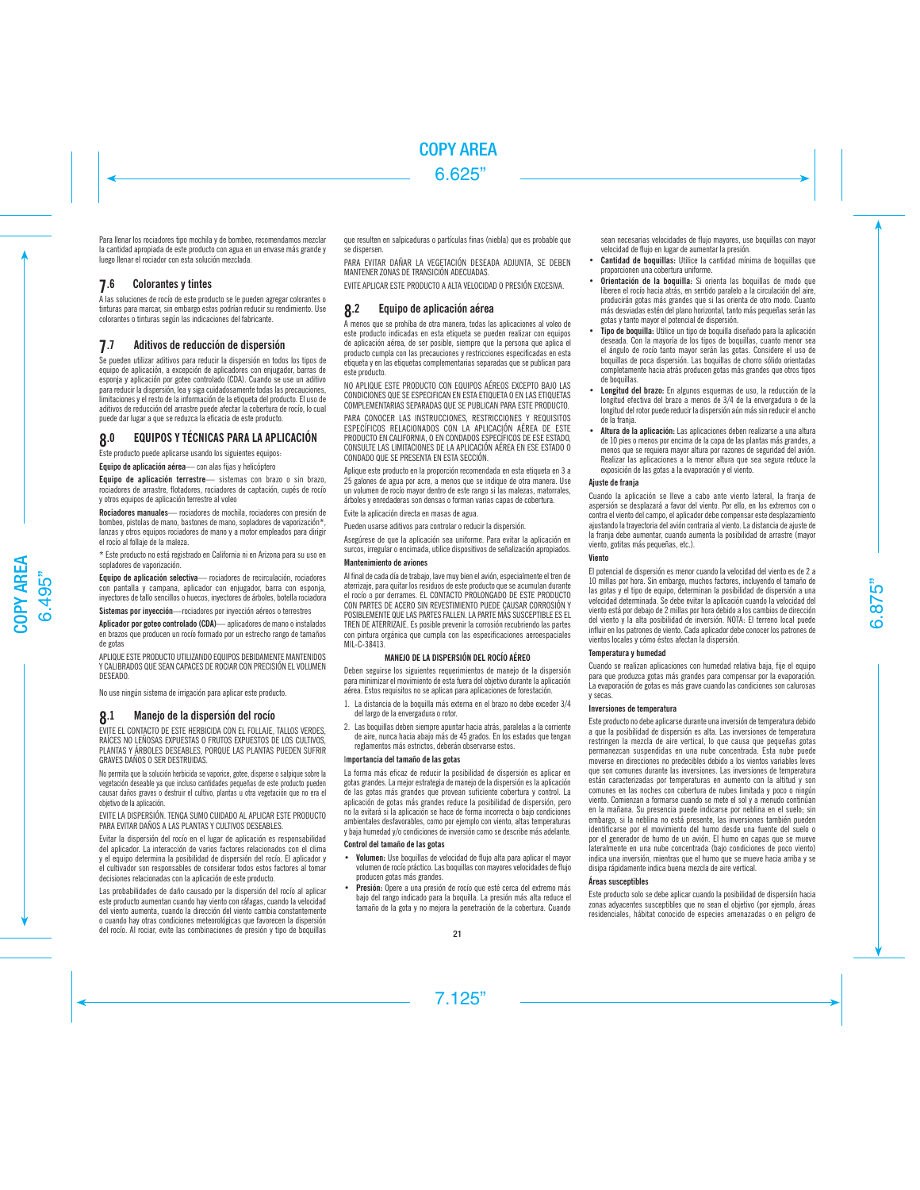Para llenar los rociadores tipo mochila y de bombeo, recomendamos mezclar la cantidad apropiada de este producto con agua en un envase más grande y luego llenar el rociador con esta solución mezclada.

# **7**.6 Colorantes y tintes

A las soluciones de rocío de este producto se le pueden agregar colorantes o tinturas para marcar, sin embargo estos podrían reducir su rendimiento. Use colorantes o tinturas según las indicaciones del fabricante.

# 7.7 Aditivos de reducción de dispersión

Se pueden utilizar aditivos para reducir la dispersión en todos los tipos de equipo de aplicación, a excepción de aplicadores con enjugador, barras de esponja y aplicación por goteo controlado (CDA). Cuando se use un aditivo para reducir la dispersión, lea y siga cuidadosamente todas las precauciones, limitaciones y el resto de la información de la etiqueta del producto. El uso de aditivos de reducción del arrastre puede afectar la cobertura de rocío, lo cual puede dar lugar a que se reduzca la eficacia de este producto.

# 8.0 EQUIPOS Y TÉCNICAS PARA LA APLICACIÓN

Este producto puede aplicarse usando los siguientes equipos:

Equipo de aplicación aérea — con alas fijas y helicóptero

Equipo de aplicación terrestre— sistemas con brazo o sin brazo. rociadores de arrastre, flotadores, rociadores de captación, cupés de rocío y otros equipos de aplicación terrestre al voleo

Rociadores manuales— rociadores de mochila, rociadores con presión de bombeo, pistolas de mano, bastones de mano, sopladores de vaporización\*, lanzas y otros equipos rociadores de mano y a motor empleados para dirigir el rocío al follaje de la maleza.

\* Este producto no está registrado en California ni en Arizona para su uso en sopladores de vaporización.

Equipo de aplicación selectiva— rociadores de recirculación, rociadores con pantalla y campana, aplicador con enjugador, barra con esponja, inyectores de tallo sencillos o huecos, inyectores de árboles, botella rociadora

Sistemas por inyección—rociadores por inyección aéreos o terrestres

Aplicador por goteo controlado (CDA)— aplicadores de mano o instalados en brazos que producen un rocío formado por un estrecho rango de tamaños de gotas

APLIQUE ESTE PRODUCTO UTILIZANDO EQUIPOS DEBIDAMENTE MANTENIDOS Y CALIBRADOS QUE SEAN CAPACES DE ROCIAR CON PRECISIÓN EL VOLUMEN DESEADO.

No use ningún sistema de irrigación para aplicar este producto.

# 8.1 Manejo de la dispersión del rocío

EVITE EL CONTACTO DE ESTE HERBICIDA CON EL FOLLAJE, TALLOS VERDES, RAÍCES NO LEÑOSAS EXPUESTAS O FRUTOS EXPUESTOS DE LOS CULTIVOS, PLANTAS Y ÁRBOLES DESEABLES, PORQUE LAS PLANTAS PUEDEN SUFRIR GRAVES DAÑOS O SER DESTRUIDAS.

No permita que la solución herbicida se vaporice, gotee, disperse o salpique sobre la vegetación deseable ya que incluso cantidades pequeñas de este producto pueden causar daños graves o destruir el cultivo, plantas u otra vegetación que no era el objetivo de la aplicación.

EVITE LA DISPERSIÓN. TENGA SUMO CUIDADO AL APLICAR ESTE PRODUCTO PARA EVITAR DAÑOS A LAS PLANTAS Y CULTIVOS DESEABLES.

Evitar la dispersión del rocío en el lugar de aplicación es responsabilidad del aplicador. La interacción de varios factores relacionados con el clima y el equipo determina la posibilidad de dispersión del rocío. El aplicador y el cultivador son responsables de considerar todos estos factores al tomar decisiones relacionadas con la aplicación de este producto.

Las probabilidades de daño causado por la dispersión del rocío al aplicar este producto aumentan cuando hay viento con ráfagas, cuando la velocidad del viento aumenta, cuando la dirección del viento cambia constantemente o cuando hay otras condiciones meteorológicas que favorecen la dispersión del rocío. Al rociar, evite las combinaciones de presión y tipo de boquillas que resulten en salpicaduras o partículas finas (niebla) que es probable que se dispersen.

PARA EVITAR DAÑAR LA VEGETACIÓN DESEADA ADJUNTA, SE DEBEN MANTENER ZONAS DE TRANSICIÓN ADECUADAS.

EVITE APLICAR ESTE PRODUCTO A ALTA VELOCIDAD O PRESIÓN EXCESIVA.

# 8.2 Equipo de aplicación aérea

A menos que se prohíba de otra manera, todas las aplicaciones al voleo de este producto indicadas en esta etiqueta se pueden realizar con equipos de aplicación aérea, de ser posible, siempre que la persona que aplica el producto cumpla con las precauciones y restricciones especificadas en esta etiqueta y en las etiquetas complementarias separadas que se publican para este producto.

NO APLIQUE ESTE PRODUCTO CON EQUIPOS AÉREOS EXCEPTO BAJO LAS CONDICIONES QUE SE ESPECIFICAN EN ESTA ETIQUETA O EN LAS ETIQUETAS COMPLEMENTARIAS SEPARADAS QUE SE PUBLICAN PARA ESTE PRODUCTO.

PARA CONOCER LAS INSTRUCCIONES, RESTRICCIONES Y REQUISITOS ESPECÍFICOS RELACIONADOS CON LA APLICACIÓN AÉREA DE ESTE PRODUCTO EN CALIFORNIA, O EN CONDADOS ESPECÍFICOS DE ESE ESTADO, CONSULTE LAS LIMITACIONES DE LA APLICACIÓN AÉREA EN ESE ESTADO O CONDADO QUE SE PRESENTA EN ESTA SECCIÓN.

Aplique este producto en la proporción recomendada en esta etiqueta en 3 a 25 galones de agua por acre, a menos que se indique de otra manera. Use un volumen de rocío mayor dentro de este rango si las malezas, matorrales, árboles y enredaderas son densas o forman varias capas de cobertura.

Evite la aplicación directa en masas de agua.

Pueden usarse aditivos para controlar o reducir la dispersión.

Asegúrese de que la aplicación sea uniforme. Para evitar la aplicación en surcos, irregular o encimada, utilice dispositivos de señalización apropiados.

### Mantenimiento de aviones

Al final de cada día de trabajo, lave muy bien el avión, especialmente el tren de aterrizaje, para quitar los residuos de este producto que se acumulan durante el rocío o por derrames. EL CONTACTO PROLONGADO DE ESTE PRODUCTO CON PARTES DE ACERO SIN REVESTIMIENTO PUEDE CAUSAR CORROSIÓN Y POSIBLEMENTE QUE LAS PARTES FALLEN. LA PARTE MÁS SUSCEPTIBLE ES EL TREN DE ATERRIZAJE. Es posible prevenir la corrosión recubriendo las partes con pintura orgánica que cumpla con las especificaciones aeroespaciales MIL-C-38413.

# MANEJO DE LA DISPERSIÓN DEL ROCÍO AÉREO

Deben seguirse los siguientes requerimientos de manejo de la dispersión para minimizar el movimiento de esta fuera del objetivo durante la aplicación aérea. Estos requisitos no se aplican para aplicaciones de forestación.

- 1. La distancia de la boquilla más externa en el brazo no debe exceder 3/4 del largo de la envergadura o rotor.
- 2. Las boquillas deben siempre apuntar hacia atrás, paralelas a la corriente de aire, nunca hacia abajo más de 45 grados. En los estados que tengan reglamentos más estrictos, deberán observarse estos.

# Importancia del tamaño de las gotas

La forma más eficaz de reducir la posibilidad de dispersión es aplicar en gotas grandes. La mejor estrategia de manejo de la dispersión es la aplicación de las gotas más grandes que provean suficiente cobertura y control. La aplicación de gotas más grandes reduce la posibilidad de dispersión, pero no la evitará si la aplicación se hace de forma incorrecta o bajo condiciones ambientales desfavorables, como por ejemplo con viento, altas temperaturas y baja humedad y/o condiciones de inversión como se describe más adelante.

# Control del tamaño de las gotas

- Volumen: Use boquillas de velocidad de flujo alta para aplicar el mayor volumen de rocío práctico. Las boquillas con mayores velocidades de flujo producen gotas más grandes.
- Presión: Opere a una presión de rocío que esté cerca del extremo más bajo del rango indicado para la boquilla. La presión más alta reduce el tamaño de la gota y no mejora la penetración de la cobertura. Cuando

sean necesarias velocidades de flujo mayores, use boquillas con mayor velocidad de flujo en lugar de aumentar la presión.

- Cantidad de boquillas: Utilice la cantidad mínima de boquillas que proporcionen una cobertura uniforme.
- Orientación de la boquilla: Si orienta las boquillas de modo que liberen el rocío hacia atrás, en sentido paralelo a la circulación del aire, producirán gotas más grandes que si las orienta de otro modo. Cuanto más desviadas estén del plano horizontal, tanto más pequeñas serán las gotas y tanto mayor el potencial de dispersión.
- Tipo de boquilla: Utilice un tipo de boquilla diseñado para la aplicación deseada. Con la mayoría de los tipos de boquillas, cuanto menor sea el ángulo de rocío tanto mayor serán las gotas. Considere el uso de boquillas de poca dispersión. Las boquillas de chorro sólido orientadas completamente hacia atrás producen gotas más grandes que otros tipos de boquillas.
- Longitud del brazo: En algunos esquemas de uso, la reducción de la longitud efectiva del brazo a menos de 3/4 de la envergadura o de la longitud del rotor puede reducir la dispersión aún más sin reducir el ancho de la franja.
- Altura de la aplicación: Las aplicaciones deben realizarse a una altura de 10 pies o menos por encima de la copa de las plantas más grandes, a menos que se requiera mayor altura por razones de seguridad del avión. Realizar las aplicaciones a la menor altura que sea segura reduce la exposición de las gotas a la evaporación y el viento.

# Ajuste de franja

Cuando la aplicación se lleve a cabo ante viento lateral, la franja de aspersión se desplazará a favor del viento. Por ello, en los extremos con o contra el viento del campo, el aplicador debe compensar este desplazamiento ajustando la trayectoria del avión contraria al viento. La distancia de ajuste de la franja debe aumentar, cuando aumenta la posibilidad de arrastre (mayor viento, gotitas más pequeñas, etc.).

# Viento

El potencial de dispersión es menor cuando la velocidad del viento es de 2 a 10 millas por hora. Sin embargo, muchos factores, incluyendo el tamaño de las gotas y el tipo de equipo, determinan la posibilidad de dispersión a una velocidad determinada. Se debe evitar la aplicación cuando la velocidad del viento está por debajo de 2 millas por hora debido a los cambios de dirección del viento y la alta posibilidad de inversión. NOTA: El terreno local puede influir en los patrones de viento. Cada aplicador debe conocer los patrones de vientos locales y cómo éstos afectan la dispersión.

# Temperatura y humedad

Cuando se realizan aplicaciones con humedad relativa baja, fije el equipo para que produzca gotas más grandes para compensar por la evaporación. La evaporación de gotas es más grave cuando las condiciones son calurosas y secas.

# Inversiones de temperatura

Este producto no debe aplicarse durante una inversión de temperatura debido a que la posibilidad de dispersión es alta. Las inversiones de temperatura restringen la mezcla de aire vertical, lo que causa que pequeñas gotas permanezcan suspendidas en una nube concentrada. Esta nube puede moverse en direcciones no predecibles debido a los vientos variables leves que son comunes durante las inversiones. Las inversiones de temperatura están caracterizadas por temperaturas en aumento con la altitud y son comunes en las noches con cobertura de nubes limitada y poco o ningún viento. Comienzan a formarse cuando se mete el sol y a menudo continúan en la mañana. Su presencia puede indicarse por neblina en el suelo; sin embargo, si la neblina no está presente, las inversiones también pueden identificarse por el movimiento del humo desde una fuente del suelo o por el generador de humo de un avión. El humo en capas que se mueve lateralmente en una nube concentrada (bajo condiciones de poco viento) indica una inversión, mientras que el humo que se mueve hacia arriba y se disipa rápidamente indica buena mezcla de aire vertical.

# Áreas susceptibles

Este producto solo se debe aplicar cuando la posibilidad de dispersión hacia zonas adyacentes susceptibles que no sean el objetivo (por ejemplo, áreas residenciales, hábitat conocido de especies amenazadas o en peligro de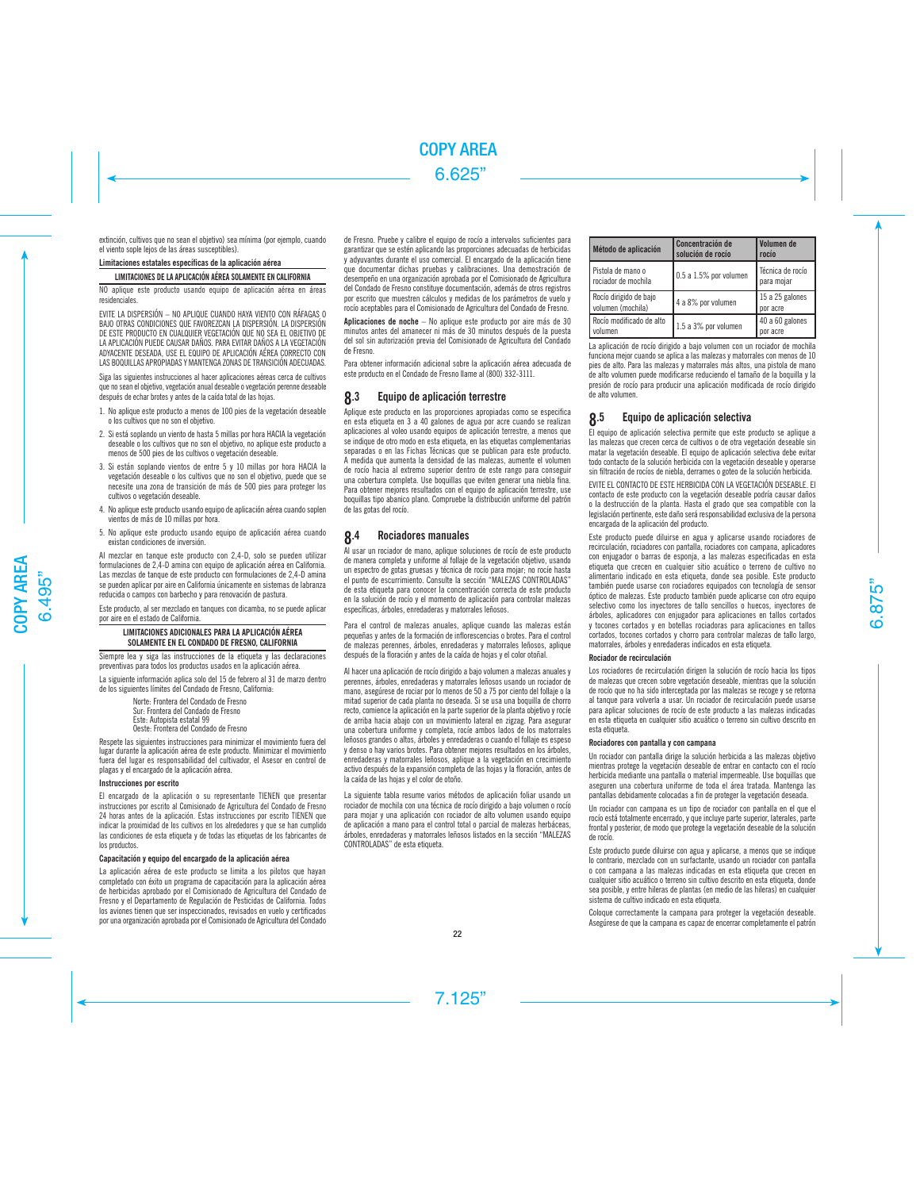extinción, cultivos que no sean el objetivo) sea mínima (por ejemplo, cuando el viento sople lejos de las áreas susceptibles).

### Limitaciones estatales específicas de la aplicación aérea

# LIMITACIONES DE LA APLICACIÓN AÉREA SOLAMENTE EN CALIFORNIA

NO aplique este producto usando equipo de aplicación aérea en áreas residenciales.

EVITE LA DISPERSIÓN – NO APLIQUE CUANDO HAYA VIENTO CON RÁFAGAS O BAJO OTRAS CONDICIONES QUE FAVOREZCAN LA DISPERSIÓN. LA DISPERSIÓN DE ESTE PRODUCTO EN CUALQUIER VEGETACIÓN QUE NO SEA EL OBJETIVO DE LA APLICACIÓN PUEDE CAUSAR DAÑOS. PARA EVITAR DAÑOS A LA VEGETACIÓN ADYACENTE DESEADA, USE EL EQUIPO DE APLICACIÓN AÉREA CORRECTO CON LAS BOQUILLAS APROPIADAS Y MANTENGA ZONAS DE TRANSICIÓN ADECUADAS.

Siga las siguientes instrucciones al hacer aplicaciones aéreas cerca de cultivos que no sean el objetivo, vegetación anual deseable o vegetación perenne deseable después de echar brotes y antes de la caída total de las hojas.

- 1. No aplique este producto a menos de 100 pies de la vegetación deseable o los cultivos que no son el objetivo.
- 2. Si está soplando un viento de hasta 5 millas por hora HACIA la vegetación deseable o los cultivos que no son el objetivo, no aplique este producto a menos de 500 pies de los cultivos o vegetación deseable.
- 3. Si están soplando vientos de entre 5 y 10 millas por hora HACIA la vegetación deseable o los cultivos que no son el objetivo, puede que se necesite una zona de transición de más de 500 pies para proteger los cultivos o vegetación deseable.
- 4. No aplique este producto usando equipo de aplicación aérea cuando soplen vientos de más de 10 millas por hora.
- 5. No aplique este producto usando equipo de aplicación aérea cuando existan condiciones de inversión.

Al mezclar en tanque este producto con 2,4-D, solo se pueden utilizar formulaciones de 2,4-D amina con equipo de aplicación aérea en California. Las mezclas de tanque de este producto con formulaciones de 2,4-D amina se pueden aplicar por aire en California únicamente en sistemas de labranza reducida o campos con barbecho y para renovación de pastura.

Este producto, al ser mezclado en tanques con dicamba, no se puede aplicar por aire en el estado de California.

# LIMITACIONES ADICIONALES PARA LA APLICACIÓN AÉREA SOLAMENTE EN EL CONDADO DE FRESNO, CALIFORNIA

Siempre lea y siga las instrucciones de la etiqueta y las declaraciones preventivas para todos los productos usados en la aplicación aérea.

La siguiente información aplica solo del 15 de febrero al 31 de marzo dentro de los siguientes límites del Condado de Fresno, California:

> Norte: Frontera del Condado de Fresno Sur: Frontera del Condado de Fresno Este: Autopista estatal 99 Oeste: Frontera del Condado de Fresno

Respete las siguientes instrucciones para minimizar el movimiento fuera del lugar durante la aplicación aérea de este producto. Minimizar el movimiento fuera del lugar es responsabilidad del cultivador, el Asesor en control de plagas y el encargado de la aplicación aérea.

### Instrucciones por escrito

El encargado de la aplicación o su representante TIENEN que presentar instrucciones por escrito al Comisionado de Agricultura del Condado de Fresno 24 horas antes de la aplicación. Estas instrucciones por escrito TIENEN que indicar la proximidad de los cultivos en los alrededores y que se han cumplido las condiciones de esta etiqueta y de todas las etiquetas de los fabricantes de los productos.

### Capacitación y equipo del encargado de la aplicación aérea

La aplicación aérea de este producto se limita a los pilotos que hayan completado con éxito un programa de capacitación para la aplicación aérea de herbicidas aprobado por el Comisionado de Agricultura del Condado de Fresno y el Departamento de Regulación de Pesticidas de California. Todos los aviones tienen que ser inspeccionados, revisados en vuelo y certificados por una organización aprobada por el Comisionado de Agricultura del Condado de Fresno. Pruebe y calibre el equipo de rocío a intervalos suficientes para garantizar que se estén aplicando las proporciones adecuadas de herbicidas y adyuvantes durante el uso comercial. El encargado de la aplicación tiene que documentar dichas pruebas y calibraciones. Una demostración de desempeño en una organización aprobada por el Comisionado de Agricultura del Condado de Fresno constituye documentación, además de otros registros por escrito que muestren cálculos y medidas de los parámetros de vuelo y rocío aceptables para el Comisionado de Agricultura del Condado de Fresno.

Aplicaciones de noche – No aplique este producto por aire más de 30 minutos antes del amanecer ni más de 30 minutos después de la puesta del sol sin autorización previa del Comisionado de Agricultura del Condado de Fresno.

Para obtener información adicional sobre la aplicación aérea adecuada de este producto en el Condado de Fresno llame al (800) 332-3111.

# 8.3 Equipo de aplicación terrestre

Aplique este producto en las proporciones apropiadas como se especifica en esta etiqueta en 3 a 40 galones de agua por acre cuando se realizan aplicaciones al voleo usando equipos de aplicación terrestre, a menos que se indique de otro modo en esta etiqueta, en las etiquetas complementarias separadas o en las Fichas Técnicas que se publican para este producto. A medida que aumenta la densidad de las malezas, aumente el volumen de rocío hacia al extremo superior dentro de este rango para conseguir una cobertura completa. Use boquillas que eviten generar una niebla fina. Para obtener mejores resultados con el equipo de aplicación terrestre, use boquillas tipo abanico plano. Compruebe la distribución uniforme del patrón de las gotas del rocío.

# 8.4 Rociadores manuales

Al usar un rociador de mano, aplique soluciones de rocío de este producto de manera completa y uniforme al follaje de la vegetación objetivo, usando un espectro de gotas gruesas y técnica de rocío para mojar; no rocíe hasta el punto de escurrimiento. Consulte la sección "MALEZAS CONTROLADAS" de esta etiqueta para conocer la concentración correcta de este producto en la solución de rocío y el momento de aplicación para controlar malezas específicas, árboles, enredaderas y matorrales leñosos.

Para el control de malezas anuales, aplique cuando las malezas están pequeñas y antes de la formación de inflorescencias o brotes. Para el control de malezas perennes, árboles, enredaderas y matorrales leñosos, aplique después de la floración y antes de la caída de hojas y el color otoñal.

Al hacer una aplicación de rocío dirigido a bajo volumen a malezas anuales y perennes, árboles, enredaderas y matorrales leñosos usando un rociador de mano, asegúrese de rociar por lo menos de 50 a 75 por ciento del follaje o la mitad superior de cada planta no deseada. Si se usa una boquilla de chorro recto, comience la aplicación en la parte superior de la planta objetivo y rocíe de arriba hacia abajo con un movimiento lateral en zigzag. Para asegurar una cobertura uniforme y completa, rocíe ambos lados de los matorrales leñosos grandes o altos, árboles y enredaderas o cuando el follaje es espeso y denso o hay varios brotes. Para obtener mejores resultados en los árboles, enredaderas y matorrales leñosos, aplique a la vegetación en crecimiento activo después de la expansión completa de las hojas y la floración, antes de la caída de las hojas y el color de otoño.

La siguiente tabla resume varios métodos de aplicación foliar usando un rociador de mochila con una técnica de rocío dirigido a bajo volumen o rocío para mojar y una aplicación con rociador de alto volumen usando equipo de aplicación a mano para el control total o parcial de malezas herbáceas, árboles, enredaderas y matorrales leñosos listados en la sección "MALEZAS CONTROLADAS" de esta etiqueta.

| Método de aplicación                        | Concentración de<br>solución de rocío | Volumen de<br>rocío            |
|---------------------------------------------|---------------------------------------|--------------------------------|
| Pistola de mano o<br>rociador de mochila    | 0.5 a 1.5% por volumen                | Técnica de rocío<br>para mojar |
| Rocío dirigido de bajo<br>volumen (mochila) | 4 a 8% por volumen                    | 15 a 25 galones<br>por acre    |
| Rocío modificado de alto<br>volumen         | 1.5 a 3% por volumen                  | 40 a 60 galones<br>por acre    |

La aplicación de rocío dirigido a bajo volumen con un rociador de mochila funciona mejor cuando se aplica a las malezas y matorrales con menos de 10 pies de alto. Para las malezas y matorrales más altos, una pistola de mano de alto volumen puede modificarse reduciendo el tamaño de la boquilla y la presión de rocío para producir una aplicación modificada de rocío dirigido de alto volumen.

# 8.5 Equipo de aplicación selectiva

El equipo de aplicación selectiva permite que este producto se aplique a las malezas que crecen cerca de cultivos o de otra vegetación deseable sin matar la vegetación deseable. El equipo de aplicación selectiva debe evitar todo contacto de la solución herbicida con la vegetación deseable y operarse sin filtración de rocíos de niebla, derrames o goteo de la solución herbicida.

EVITE EL CONTACTO DE ESTE HERBICIDA CON LA VEGETACIÓN DESEABLE. El contacto de este producto con la vegetación deseable podría causar daños o la destrucción de la planta. Hasta el grado que sea compatible con la legislación pertinente, este daño será responsabilidad exclusiva de la persona encargada de la aplicación del producto.

Este producto puede diluirse en agua y aplicarse usando rociadores de recirculación, rociadores con pantalla, rociadores con campana, aplicadores con enjugador o barras de esponja, a las malezas especificadas en esta etiqueta que crecen en cualquier sitio acuático o terreno de cultivo no alimentario indicado en esta etiqueta, donde sea posible. Este producto también puede usarse con rociadores equipados con tecnología de sensor óptico de malezas. Este producto también puede aplicarse con otro equipo selectivo como los inyectores de tallo sencillos o huecos, inyectores de árboles, aplicadores con enjugador para aplicaciones en tallos cortados y tocones cortados y en botellas rociadoras para aplicaciones en tallos cortados, tocones cortados y chorro para controlar malezas de tallo largo, matorrales, árboles y enredaderas indicados en esta etiqueta.

# Rociador de recirculación

Los rociadores de recirculación dirigen la solución de rocío hacia los tipos de malezas que crecen sobre vegetación deseable, mientras que la solución de rocío que no ha sido interceptada por las malezas se recoge y se retorna al tanque para volverla a usar. Un rociador de recirculación puede usarse para aplicar soluciones de rocío de este producto a las malezas indicadas en esta etiqueta en cualquier sitio acuático o terreno sin cultivo descrito en esta etiqueta.

### Rociadores con pantalla y con campana

Un rociador con pantalla dirige la solución herbicida a las malezas objetivo mientras protege la vegetación deseable de entrar en contacto con el rocío herbicida mediante una pantalla o material impermeable. Use boquillas que aseguren una cobertura uniforme de toda el área tratada. Mantenga las pantallas debidamente colocadas a fin de proteger la vegetación deseada.

Un rociador con campana es un tipo de rociador con pantalla en el que el rocío está totalmente encerrado, y que incluye parte superior, laterales, parte frontal y posterior, de modo que protege la vegetación deseable de la solución de rocío.

Este producto puede diluirse con agua y aplicarse, a menos que se indique lo contrario, mezclado con un surfactante, usando un rociador con pantalla o con campana a las malezas indicadas en esta etiqueta que crecen en cualquier sitio acuático o terreno sin cultivo descrito en esta etiqueta, donde sea posible, y entre hileras de plantas (en medio de las hileras) en cualquier sistema de cultivo indicado en esta etiqueta.

Coloque correctamente la campana para proteger la vegetación deseable. Asegúrese de que la campana es capaz de encerrar completamente el patrón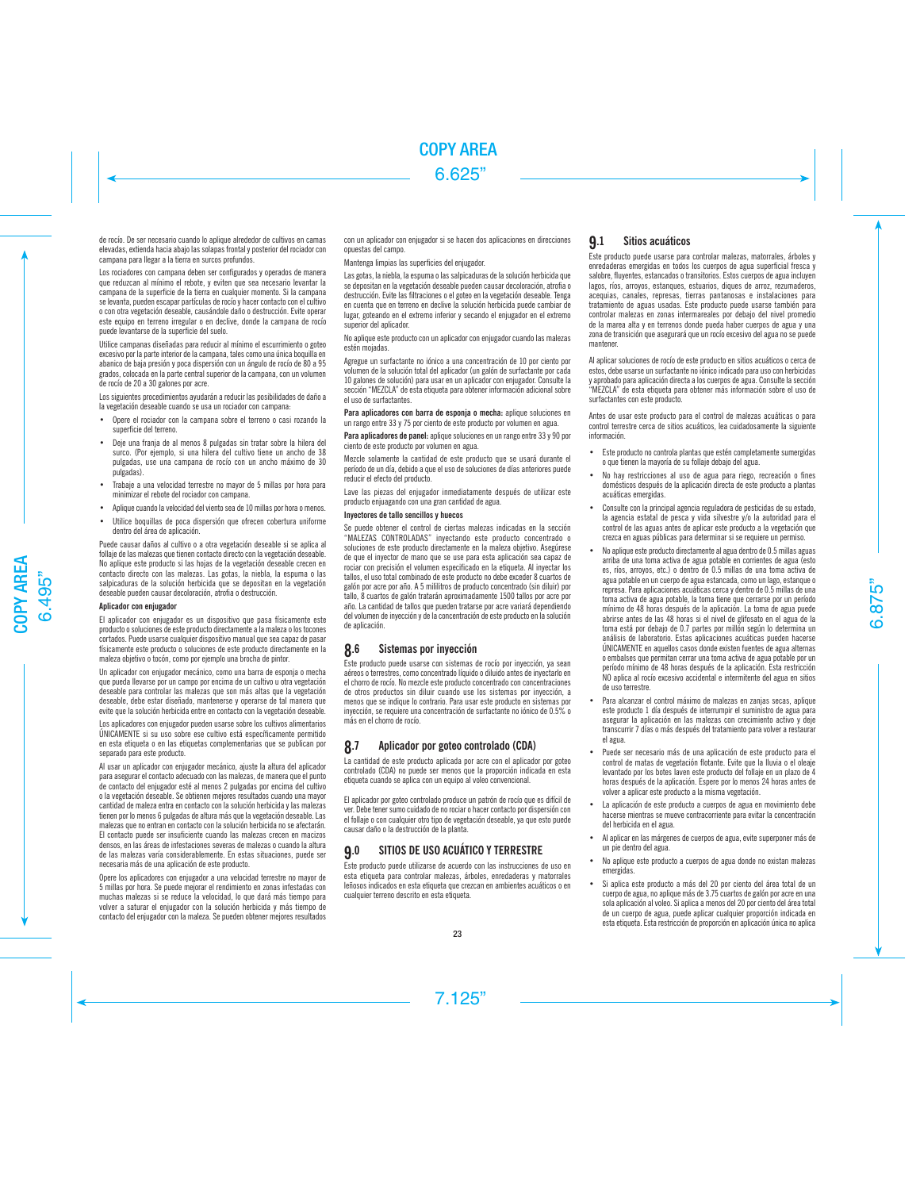de rocío. De ser necesario cuando lo aplique alrededor de cultivos en camas elevadas, extienda hacia abajo las solapas frontal y posterior del rociador con campana para llegar a la tierra en surcos profundos.

Los rociadores con campana deben ser configurados y operados de manera que reduzcan al mínimo el rebote, y eviten que sea necesario levantar la campana de la superficie de la tierra en cualquier momento. Si la campana se levanta, pueden escapar partículas de rocío y hacer contacto con el cultivo o con otra vegetación deseable, causándole daño o destrucción. Evite operar este equipo en terreno irregular o en declive, donde la campana de rocío puede levantarse de la superficie del suelo.

Utilice campanas diseñadas para reducir al mínimo el escurrimiento o goteo excesivo por la parte interior de la campana, tales como una única boquilla en abanico de baja presión y poca dispersión con un ángulo de rocío de 80 a 95 grados, colocada en la parte central superior de la campana, con un volumen de rocío de 20 a 30 galones por acre.

Los siguientes procedimientos ayudarán a reducir las posibilidades de daño a la vegetación deseable cuando se usa un rociador con campana:

- Opere el rociador con la campana sobre el terreno o casi rozando la superficie del terreno.
- Deje una franja de al menos 8 pulgadas sin tratar sobre la hilera del surco. (Por ejemplo, si una hilera del cultivo tiene un ancho de 38 pulgadas, use una campana de rocío con un ancho máximo de 30 pulgadas).
- Trabaje a una velocidad terrestre no mayor de 5 millas por hora para minimizar el rebote del rociador con campana.
- Aplique cuando la velocidad del viento sea de 10 millas por hora o menos.
- Utilice boquillas de poca dispersión que ofrecen cobertura uniforme dentro del área de aplicación.

Puede causar daños al cultivo o a otra vegetación deseable si se aplica al follaje de las malezas que tienen contacto directo con la vegetación deseable. No aplique este producto si las hojas de la vegetación deseable crecen en contacto directo con las malezas. Las gotas, la niebla, la espuma o las salpicaduras de la solución herbicida que se depositan en la vegetación deseable pueden causar decoloración, atrofia o destrucción.

### Aplicador con enjugador

El aplicador con enjugador es un dispositivo que pasa físicamente este producto o soluciones de este producto directamente a la maleza o los tocones cortados. Puede usarse cualquier dispositivo manual que sea capaz de pasar físicamente este producto o soluciones de este producto directamente en la maleza objetivo o tocón, como por ejemplo una brocha de pintor.

Un aplicador con enjugador mecánico, como una barra de esponja o mecha que pueda llevarse por un campo por encima de un cultivo u otra vegetación deseable para controlar las malezas que son más altas que la vegetación deseable, debe estar diseñado, mantenerse y operarse de tal manera que evite que la solución herbicida entre en contacto con la vegetación deseable.

Los aplicadores con enjugador pueden usarse sobre los cultivos alimentarios ÚNICAMENTE si su uso sobre ese cultivo está específicamente permitido en esta etiqueta o en las etiquetas complementarias que se publican por separado para este producto.

Al usar un aplicador con enjugador mecánico, ajuste la altura del aplicador para asegurar el contacto adecuado con las malezas, de manera que el punto de contacto del enjugador esté al menos 2 pulgadas por encima del cultivo o la vegetación deseable. Se obtienen mejores resultados cuando una mayor cantidad de maleza entra en contacto con la solución herbicida y las malezas tienen por lo menos 6 pulgadas de altura más que la vegetación deseable. Las malezas que no entran en contacto con la solución herbicida no se afectarán. El contacto puede ser insuficiente cuando las malezas crecen en macizos densos, en las áreas de infestaciones severas de malezas o cuando la altura de las malezas varía considerablemente. En estas situaciones, puede ser necesaria más de una aplicación de este producto.

Opere los aplicadores con enjugador a una velocidad terrestre no mayor de 5 millas por hora. Se puede mejorar el rendimiento en zonas infestadas con muchas malezas si se reduce la velocidad, lo que dará más tiempo para volver a saturar el enjugador con la solución herbicida y más tiempo de contacto del enjugador con la maleza. Se pueden obtener mejores resultados con un aplicador con enjugador si se hacen dos aplicaciones en direcciones opuestas del campo.

Mantenga limpias las superficies del enjugador.

Las gotas, la niebla, la espuma o las salpicaduras de la solución herbicida que se depositan en la vegetación deseable pueden causar decoloración, atrofia o destrucción. Evite las filtraciones o el goteo en la vegetación deseable. Tenga en cuenta que en terreno en declive la solución herbicida puede cambiar de lugar, goteando en el extremo inferior y secando el enjugador en el extremo superior del aplicador.

No aplique este producto con un aplicador con enjugador cuando las malezas estén mojadas.

Agregue un surfactante no iónico a una concentración de 10 por ciento por volumen de la solución total del aplicador (un galón de surfactante por cada 10 galones de solución) para usar en un aplicador con enjugador. Consulte la sección "MEZCLA" de esta etiqueta para obtener información adicional sobre el uso de surfactantes.

Para aplicadores con barra de esponia o mecha: aplique soluciones en un rango entre 33 y 75 por ciento de este producto por volumen en agua.

Para aplicadores de panel: aplique soluciones en un rango entre 33 y 90 por ciento de este producto por volumen en agua.

Mezcle solamente la cantidad de este producto que se usará durante el período de un día, debido a que el uso de soluciones de días anteriores puede reducir el efecto del producto.

Lave las piezas del enjugador inmediatamente después de utilizar este producto enjuagando con una gran cantidad de agua.

### Inyectores de tallo sencillos y huecos

Se puede obtener el control de ciertas malezas indicadas en la sección "MALEZAS CONTROLADAS" inyectando este producto concentrado o soluciones de este producto directamente en la maleza objetivo. Asegúrese de que el inyector de mano que se use para esta aplicación sea capaz de rociar con precisión el volumen especificado en la etiqueta. Al inyectar los tallos, el uso total combinado de este producto no debe exceder 8 cuartos de galón por acre por año. A 5 mililitros de producto concentrado (sin diluir) por tallo, 8 cuartos de galón tratarán aproximadamente 1500 tallos por acre por año. La cantidad de tallos que pueden tratarse por acre variará dependiendo del volumen de inyección y de la concentración de este producto en la solución de aplicación.

# 8.6 Sistemas por inyección

Este producto puede usarse con sistemas de rocío por inyección, ya sean aéreos o terrestres, como concentrado líquido o diluido antes de inyectarlo en el chorro de rocío. No mezcle este producto concentrado con concentraciones de otros productos sin diluir cuando use los sistemas por inyección, a menos que se indique lo contrario. Para usar este producto en sistemas por inyección, se requiere una concentración de surfactante no iónico de 0.5% o más en el chorro de rocío.

# 8.7 Aplicador por goteo controlado (CDA)

La cantidad de este producto aplicada por acre con el aplicador por goteo controlado (CDA) no puede ser menos que la proporción indicada en esta etiqueta cuando se aplica con un equipo al voleo convencional.

El aplicador por goteo controlado produce un patrón de rocío que es difícil de ver. Debe tener sumo cuidado de no rociar o hacer contacto por dispersión con el follaje o con cualquier otro tipo de vegetación deseable, ya que esto puede causar daño o la destrucción de la planta.

# 9.0 SITIOS DE USO ACUÁTICO Y TERRESTRE

Este producto puede utilizarse de acuerdo con las instrucciones de uso en esta etiqueta para controlar malezas, árboles, enredaderas y matorrales leñosos indicados en esta etiqueta que crezcan en ambientes acuáticos o en cualquier terreno descrito en esta etiqueta.

# 9.1 Sitios acuáticos

Este producto puede usarse para controlar malezas, matorrales, árboles y enredaderas emergidas en todos los cuerpos de agua superficial fresca y salobre, fluyentes, estancados o transitorios. Estos cuerpos de agua incluyen lagos, ríos, arroyos, estanques, estuarios, diques de arroz, rezumaderos, acequias, canales, represas, tierras pantanosas e instalaciones para tratamiento de aguas usadas. Este producto puede usarse también para controlar malezas en zonas intermareales por debajo del nivel promedio de la marea alta y en terrenos donde pueda haber cuerpos de agua y una zona de transición que asegurará que un rocío excesivo del agua no se puede mantener.

Al aplicar soluciones de rocío de este producto en sitios acuáticos o cerca de estos, debe usarse un surfactante no iónico indicado para uso con herbicidas y aprobado para aplicación directa a los cuerpos de agua. Consulte la sección "MEZCLA" de esta etiqueta para obtener más información sobre el uso de surfactantes con este producto.

Antes de usar este producto para el control de malezas acuáticas o para control terrestre cerca de sitios acuáticos, lea cuidadosamente la siguiente información.

- Este producto no controla plantas que estén completamente sumergidas o que tienen la mayoría de su follaje debajo del agua.
- No hay restricciones al uso de agua para riego, recreación o fines domésticos después de la aplicación directa de este producto a plantas acuáticas emergidas.
- Consulte con la principal agencia reguladora de pesticidas de su estado, la agencia estatal de pesca y vida silvestre y/o la autoridad para el control de las aguas antes de aplicar este producto a la vegetación que crezca en aguas públicas para determinar si se requiere un permiso.
- No aplique este producto directamente al agua dentro de 0.5 millas aguas arriba de una toma activa de agua potable en corrientes de agua (esto es, ríos, arroyos, etc.) o dentro de 0.5 millas de una toma activa de agua potable en un cuerpo de agua estancada, como un lago, estanque o represa. Para aplicaciones acuáticas cerca y dentro de 0.5 millas de una toma activa de agua potable, la toma tiene que cerrarse por un período mínimo de 48 horas después de la aplicación. La toma de agua puede abrirse antes de las 48 horas si el nivel de glifosato en el agua de la toma está por debajo de 0.7 partes por millón según lo determina un análisis de laboratorio. Estas aplicaciones acuáticas pueden hacerse ÚNICAMENTE en aquellos casos donde existen fuentes de agua alternas o embalses que permitan cerrar una toma activa de agua potable por un período mínimo de 48 horas después de la aplicación. Esta restricción NO aplica al rocío excesivo accidental e intermitente del agua en sitios de uso terrestre.
- Para alcanzar el control máximo de malezas en zanjas secas, aplique este producto 1 día después de interrumpir el suministro de agua para asegurar la aplicación en las malezas con crecimiento activo y deje transcurrir 7 días o más después del tratamiento para volver a restaurar el agua.
- Puede ser necesario más de una aplicación de este producto para el control de matas de vegetación flotante. Evite que la lluvia o el oleaje levantado por los botes laven este producto del follaje en un plazo de 4 horas después de la aplicación. Espere por lo menos 24 horas antes de volver a aplicar este producto a la misma vegetación.
- La aplicación de este producto a cuerpos de agua en movimiento debe hacerse mientras se mueve contracorriente para evitar la concentración del herbicida en el agua.
- Al aplicar en las márgenes de cuerpos de agua, evite superponer más de un pie dentro del agua.
- No aplique este producto a cuerpos de agua donde no existan malezas emergidas.
- Si aplica este producto a más del 20 por ciento del área total de un cuerpo de agua, no aplique más de 3.75 cuartos de galón por acre en una sola aplicación al voleo. Si aplica a menos del 20 por ciento del área total de un cuerpo de agua, puede aplicar cualquier proporción indicada en esta etiqueta. Esta restricción de proporción en aplicación única no aplica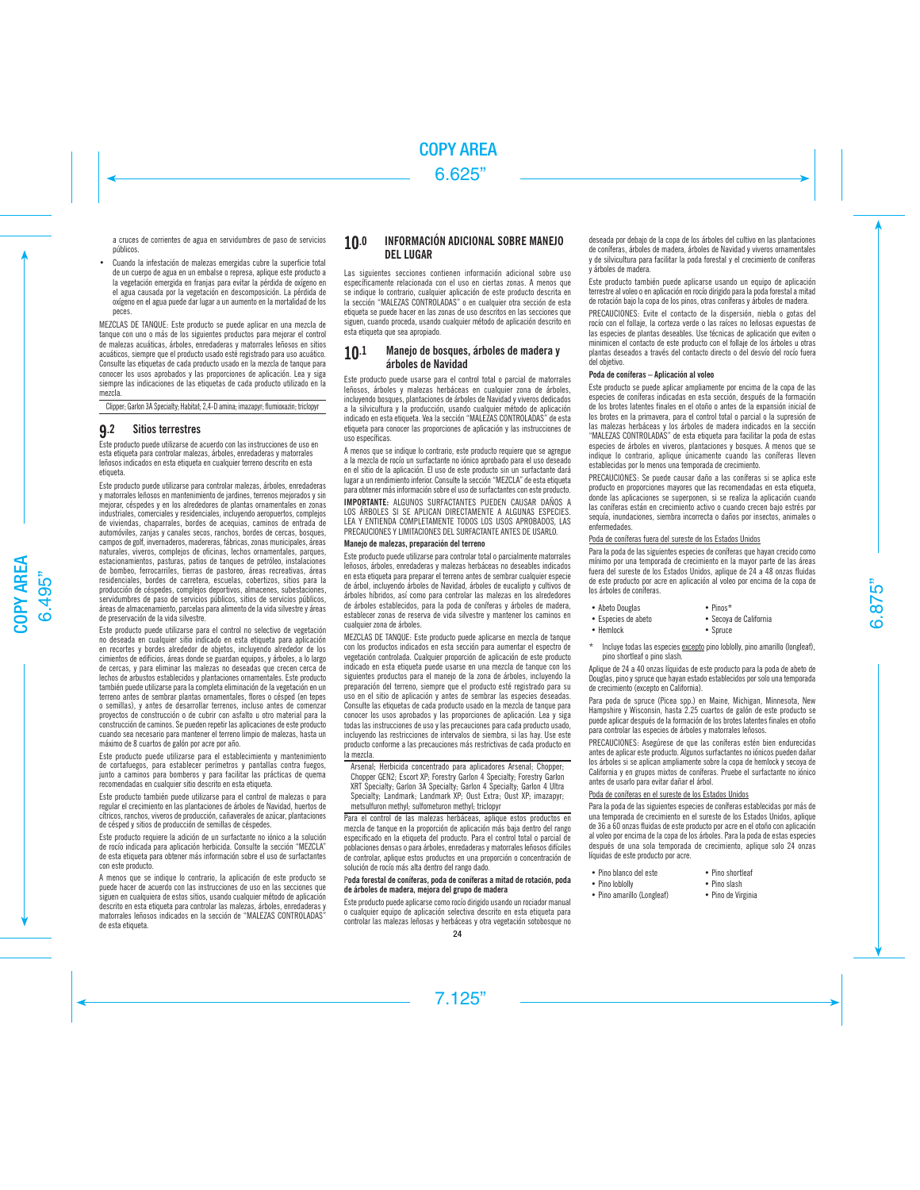a cruces de corrientes de agua en servidumbres de paso de servicios públicos.

• Cuando la infestación de malezas emergidas cubre la superficie total de un cuerpo de agua en un embalse o represa, aplique este producto a la vegetación emergida en franjas para evitar la pérdida de oxígeno en el agua causada por la vegetación en descomposición. La pérdida de oxígeno en el agua puede dar lugar a un aumento en la mortalidad de los peces.

MEZCLAS DE TANQUE: Este producto se puede aplicar en una mezcla de tanque con uno o más de los siguientes productos para mejorar el control de malezas acuáticas, árboles, enredaderas y matorrales leñosos en sitios acuáticos, siempre que el producto usado esté registrado para uso acuático. Consulte las etiquetas de cada producto usado en la mezcla de tanque para conocer los usos aprobados y las proporciones de aplicación. Lea y siga siempre las indicaciones de las etiquetas de cada producto utilizado en la mezcla.

Clipper; Garlon 3A Specialty; Habitat; 2,4-D amina; imazapyr; flumioxazin; triclopyr

# 9.2 Sitios terrestres

Este producto puede utilizarse de acuerdo con las instrucciones de uso en esta etiqueta para controlar malezas, árboles, enredaderas y matorrales leñosos indicados en esta etiqueta en cualquier terreno descrito en esta etiqueta.

Este producto puede utilizarse para controlar malezas, árboles, enredaderas y matorrales leñosos en mantenimiento de jardines, terrenos mejorados y sin mejorar, céspedes y en los alrededores de plantas ornamentales en zonas industriales, comerciales y residenciales, incluyendo aeropuertos, complejos de viviendas, chaparrales, bordes de acequias, caminos de entrada de automóviles, zanjas y canales secos, ranchos, bordes de cercas, bosques, campos de golf, invernaderos, madereras, fábricas, zonas municipales, áreas naturales, viveros, complejos de oficinas, lechos ornamentales, parques, estacionamientos, pasturas, patios de tanques de petróleo, instalaciones de bombeo, ferrocarriles, tierras de pastoreo, áreas recreativas, áreas residenciales, bordes de carretera, escuelas, cobertizos, sitios para la producción de céspedes, complejos deportivos, almacenes, subestaciones, servidumbres de paso de servicios públicos, sitios de servicios públicos, áreas de almacenamiento, parcelas para alimento de la vida silvestre y áreas de preservación de la vida silvestre.

Este producto puede utilizarse para el control no selectivo de vegetación no deseada en cualquier sitio indicado en esta etiqueta para aplicación en recortes y bordes alrededor de objetos, incluyendo alrededor de los cimientos de edificios, áreas donde se guardan equipos, y árboles, a lo largo de cercas, y para eliminar las malezas no deseadas que crecen cerca de lechos de arbustos establecidos y plantaciones ornamentales. Este producto también puede utilizarse para la completa eliminación de la vegetación en un terreno antes de sembrar plantas ornamentales, flores o césped (en tepes o semillas), y antes de desarrollar terrenos, incluso antes de comenzar proyectos de construcción o de cubrir con asfalto u otro material para la construcción de caminos. Se pueden repetir las aplicaciones de este producto cuando sea necesario para mantener el terreno limpio de malezas, hasta un máximo de 8 cuartos de galón por acre por año.

Este producto puede utilizarse para el establecimiento y mantenimiento de cortafuegos, para establecer perímetros y pantallas contra fuegos, junto a caminos para bomberos y para facilitar las prácticas de quema recomendadas en cualquier sitio descrito en esta etiqueta.

Este producto también puede utilizarse para el control de malezas o para regular el crecimiento en las plantaciones de árboles de Navidad, huertos de cítricos, ranchos, viveros de producción, cañaverales de azúcar, plantaciones de césped y sitios de producción de semillas de céspedes.

Este producto requiere la adición de un surfactante no iónico a la solución de rocío indicada para aplicación herbicida. Consulte la sección "MEZCLA" de esta etiqueta para obtener más información sobre el uso de surfactantes con este producto.

A menos que se indique lo contrario, la aplicación de este producto se puede hacer de acuerdo con las instrucciones de uso en las secciones que siguen en cualquiera de estos sitios, usando cualquier método de aplicación descrito en esta etiqueta para controlar las malezas, árboles, enredaderas y matorrales leñosos indicados en la sección de "MALEZAS CONTROLADAS" de esta etiqueta.

# 10.0 INFORMACIÓN ADICIONAL SOBRE MANEJO DEL LUGAR

Las siguientes secciones contienen información adicional sobre uso específicamente relacionada con el uso en ciertas zonas. A menos que se indique lo contrario, cualquier aplicación de este producto descrita en la sección "MALEZAS CONTROLADAS" o en cualquier otra sección de esta etiqueta se puede hacer en las zonas de uso descritos en las secciones que siguen, cuando proceda, usando cualquier método de aplicación descrito en esta etiqueta que sea apropiado.

# 10.1 Manejo de bosques, árboles de madera y árboles de Navidad

Este producto puede usarse para el control total o parcial de matorrales leñosos, árboles y malezas herbáceas en cualquier zona de árboles, incluyendo bosques, plantaciones de árboles de Navidad y viveros dedicados a la silvicultura y la producción, usando cualquier método de aplicación indicado en esta etiqueta. Vea la sección "MALEZAS CONTROLADAS" de esta etiqueta para conocer las proporciones de aplicación y las instrucciones de uso específicas.

A menos que se indique lo contrario, este producto requiere que se agregue a la mezcla de rocío un surfactante no iónico aprobado para el uso deseado en el sitio de la aplicación. El uso de este producto sin un surfactante dará lugar a un rendimiento inferior. Consulte la sección "MEZCLA" de esta etiqueta para obtener más información sobre el uso de surfactantes con este producto.

IMPORTANTE: ALGUNOS SURFACTANTES PUEDEN CAUSAR DAÑOS A LOS ÁRBOLES SI SE APLICAN DIRECTAMENTE A ALGUNAS ESPECIES. LEA Y ENTIENDA COMPLETAMENTE TODOS LOS USOS APROBADOS, LAS PRECAUCIONES Y LIMITACIONES DEL SURFACTANTE ANTES DE USARLO.

### Manejo de malezas, preparación del terreno

Este producto puede utilizarse para controlar total o parcialmente matorrales leñosos, árboles, enredaderas y malezas herbáceas no deseables indicados en esta etiqueta para preparar el terreno antes de sembrar cualquier especie de árbol, incluyendo árboles de Navidad, árboles de eucalipto y cultivos de árboles híbridos, así como para controlar las malezas en los alrededores de árboles establecidos, para la poda de coníferas y árboles de madera, establecer zonas de reserva de vida silvestre y mantener los caminos en cualquier zona de árboles.

MEZCLAS DE TANQUE: Este producto puede aplicarse en mezcla de tanque con los productos indicados en esta sección para aumentar el espectro de vegetación controlada. Cualquier proporción de aplicación de este producto indicado en esta etiqueta puede usarse en una mezcla de tanque con los siguientes productos para el manejo de la zona de árboles, incluyendo la preparación del terreno, siempre que el producto esté registrado para su uso en el sitio de aplicación y antes de sembrar las especies deseadas. Consulte las etiquetas de cada producto usado en la mezcla de tanque para conocer los usos aprobados y las proporciones de aplicación. Lea y siga todas las instrucciones de uso y las precauciones para cada producto usado, incluyendo las restricciones de intervalos de siembra, si las hay. Use este producto conforme a las precauciones más restrictivas de cada producto en la mezcla.

Arsenal; Herbicida concentrado para aplicadores Arsenal; Chopper; Chopper GEN2; Escort XP; Forestry Garlon 4 Specialty; Forestry Garlon XRT Specialty; Garlon 3A Specialty; Garlon 4 Specialty; Garlon 4 Ultra Specialty; Landmark; Landmark XP; Oust Extra; Oust XP; imazapyr; metsulfuron methyl; sulfometuron methyl; triclopyr

Para el control de las malezas herbáceas, aplique estos productos en mezcla de tanque en la proporción de aplicación más baja dentro del rango especificado en la etiqueta del producto. Para el control total o parcial de poblaciones densas o para árboles, enredaderas y matorrales leñosos difíciles de controlar, aplique estos productos en una proporción o concentración de solución de rocío más alta dentro del rango dado.

## Poda forestal de coníferas, poda de coníferas a mitad de rotación, poda de árboles de madera, mejora del grupo de madera

Este producto puede aplicarse como rocío dirigido usando un rociador manual o cualquier equipo de aplicación selectiva descrito en esta etiqueta para controlar las malezas leñosas y herbáceas y otra vegetación sotobosque no  $24$ 

deseada por debajo de la copa de los árboles del cultivo en las plantaciones de coníferas, árboles de madera, árboles de Navidad y viveros ornamentales y de silvicultura para facilitar la poda forestal y el crecimiento de coníferas y árboles de madera.

Este producto también puede aplicarse usando un equipo de aplicación terrestre al voleo o en aplicación en rocío dirigido para la poda forestal a mitad de rotación bajo la copa de los pinos, otras coníferas y árboles de madera.

PRECAUCIONES: Evite el contacto de la dispersión, niebla o gotas del rocío con el follaje, la corteza verde o las raíces no leñosas expuestas de las especies de plantas deseables. Use técnicas de aplicación que eviten o minimicen el contacto de este producto con el follaje de los árboles u otras plantas deseados a través del contacto directo o del desvío del rocío fuera del objetivo.

### Poda de coníferas – Aplicación al voleo

Este producto se puede aplicar ampliamente por encima de la copa de las especies de coníferas indicadas en esta sección, después de la formación de los brotes latentes finales en el otoño o antes de la expansión inicial de los brotes en la primavera, para el control total o parcial o la supresión de las malezas herbáceas y los árboles de madera indicados en la sección "MALEZAS CONTROLADAS" de esta etiqueta para facilitar la poda de estas especies de árboles en viveros, plantaciones y bosques. A menos que se indique lo contrario, aplique únicamente cuando las coníferas lleven establecidas por lo menos una temporada de crecimiento.

PRECAUCIONES: Se puede causar daño a las coníferas si se aplica este producto en proporciones mayores que las recomendadas en esta etiqueta, donde las aplicaciones se superponen, si se realiza la aplicación cuando las coníferas están en crecimiento activo o cuando crecen bajo estrés por sequía, inundaciones, siembra incorrecta o daños por insectos, animales o enfermedades.

### Poda de coníferas fuera del sureste de los Estados Unidos

Para la poda de las siguientes especies de coníferas que hayan crecido como mínimo por una temporada de crecimiento en la mayor parte de las áreas fuera del sureste de los Estados Unidos, aplique de 24 a 48 onzas fluidas de este producto por acre en aplicación al voleo por encima de la copa de los árboles de coníferas.

- Abeto Douglas Pinos\*
	-
- Especies de abeto Secoya de California
	- Spruce
- \* Incluye todas las especies excepto pino loblolly, pino amarillo (longleaf), pino shortleaf o pino slash.

Aplique de 24 a 40 onzas líquidas de este producto para la poda de abeto de Douglas, pino y spruce que hayan estado establecidos por solo una temporada de crecimiento (excepto en California).

Para poda de spruce (Picea spp.) en Maine, Michigan, Minnesota, New Hampshire y Wisconsin, hasta 2.25 cuartos de galón de este producto se puede aplicar después de la formación de los brotes latentes finales en otoño para controlar las especies de árboles y matorrales leñosos.

PRECAUCIONES: Asegúrese de que las coníferas estén bien endurecidas antes de aplicar este producto. Algunos surfactantes no iónicos pueden dañar los árboles si se aplican ampliamente sobre la copa de hemlock y secoya de California y en grupos mixtos de coníferas. Pruebe el surfactante no iónico antes de usarlo para evitar dañar el árbol.

### Poda de coníferas en el sureste de los Estados Unidos

Para la poda de las siguientes especies de coníferas establecidas por más de una temporada de crecimiento en el sureste de los Estados Unidos, aplique de 36 a 60 onzas fluidas de este producto por acre en el otoño con aplicación al voleo por encima de la copa de los árboles. Para la poda de estas especies después de una sola temporada de crecimiento, aplique solo 24 onzas líquidas de este producto por acre.

- Pino blanco del este Pino shortleaf
	-
- Pino loblolly Pino slash
- Pino amarillo (Longleaf) Pino de Virginia
-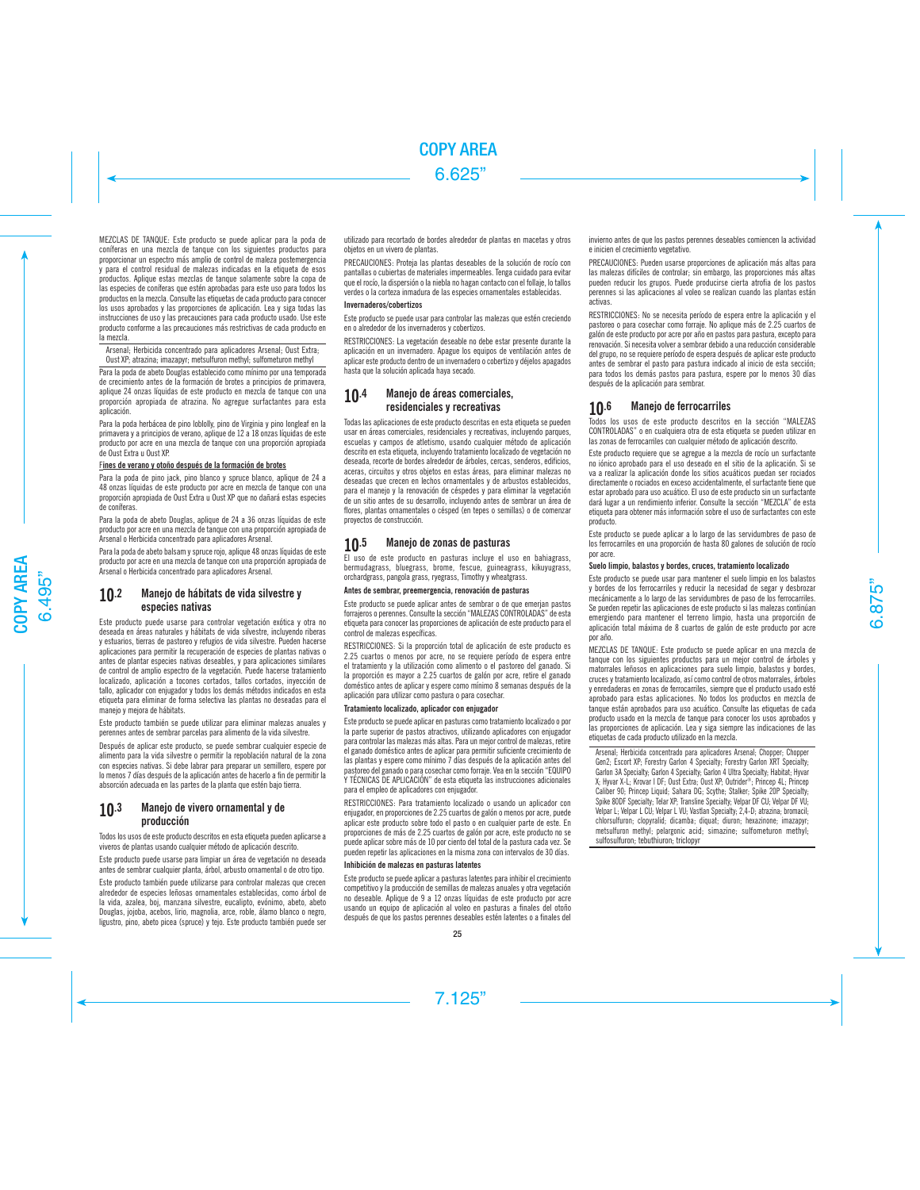MEZCLAS DE TANQUE: Este producto se puede aplicar para la poda de coníferas en una mezcla de tanque con los siguientes productos para proporcionar un espectro más amplio de control de maleza postemergencia y para el control residual de malezas indicadas en la etiqueta de esos productos. Aplique estas mezclas de tanque solamente sobre la copa de las especies de coníferas que estén aprobadas para este uso para todos los productos en la mezcla. Consulte las etiquetas de cada producto para conocer los usos aprobados y las proporciones de aplicación. Lea y siga todas las instrucciones de uso y las precauciones para cada producto usado. Use este producto conforme a las precauciones más restrictivas de cada producto en la mezcla.

Arsenal; Herbicida concentrado para aplicadores Arsenal; Oust Extra; Oust XP; atrazina; imazapyr; metsulfuron methyl; sulfometuron methyl

Para la poda de abeto Douglas establecido como mínimo por una temporada de crecimiento antes de la formación de brotes a principios de primavera, aplique 24 onzas líquidas de este producto en mezcla de tanque con una proporción apropiada de atrazina. No agregue surfactantes para esta aplicación.

Para la poda herbácea de pino loblolly, pino de Virginia y pino longleaf en la primavera y a principios de verano, aplique de 12 a 18 onzas líquidas de este producto por acre en una mezcla de tanque con una proporción apropiada de Oust Extra u Oust XP.

# Fines de verano y otoño después de la formación de brotes

Para la poda de pino jack, pino blanco y spruce blanco, aplique de 24 a 48 onzas líquidas de este producto por acre en mezcla de tanque con una proporción apropiada de Oust Extra u Oust XP que no dañará estas especies de coníferas.

Para la poda de abeto Douglas, aplique de 24 a 36 onzas líquidas de este producto por acre en una mezcla de tanque con una proporción apropiada de Arsenal o Herbicida concentrado para aplicadores Arsenal.

Para la poda de abeto balsam y spruce rojo, aplique 48 onzas líquidas de este producto por acre en una mezcla de tanque con una proporción apropiada de Arsenal o Herbicida concentrado para aplicadores Arsenal.

# 10.2 Manejo de hábitats de vida silvestre y especies nativas

Este producto puede usarse para controlar vegetación exótica y otra no deseada en áreas naturales y hábitats de vida silvestre, incluyendo riberas y estuarios, tierras de pastoreo y refugios de vida silvestre. Pueden hacerse aplicaciones para permitir la recuperación de especies de plantas nativas o antes de plantar especies nativas deseables, y para aplicaciones similares de control de amplio espectro de la vegetación. Puede hacerse tratamiento localizado, aplicación a tocones cortados, tallos cortados, inyección de tallo, aplicador con enjugador y todos los demás métodos indicados en esta etiqueta para eliminar de forma selectiva las plantas no deseadas para el manejo y mejora de hábitats.

Este producto también se puede utilizar para eliminar malezas anuales y perennes antes de sembrar parcelas para alimento de la vida silvestre.

Después de aplicar este producto, se puede sembrar cualquier especie de alimento para la vida silvestre o permitir la repoblación natural de la zona con especies nativas. Si debe labrar para preparar un semillero, espere por lo menos 7 días después de la aplicación antes de hacerlo a fin de permitir la absorción adecuada en las partes de la planta que estén bajo tierra.

# 10.3 Manejo de vivero ornamental y de producción

Todos los usos de este producto descritos en esta etiqueta pueden aplicarse a viveros de plantas usando cualquier método de aplicación descrito.

Este producto puede usarse para limpiar un área de vegetación no deseada antes de sembrar cualquier planta, árbol, arbusto ornamental o de otro tipo.

Este producto también puede utilizarse para controlar malezas que crecen alrededor de especies leñosas ornamentales establecidas, como árbol de la vida, azalea, boj, manzana silvestre, eucalipto, evónimo, abeto, abeto Douglas, jojoba, acebos, lirio, magnolia, arce, roble, álamo blanco o negro, ligustro, pino, abeto picea (spruce) y tejo. Este producto también puede ser utilizado para recortado de bordes alrededor de plantas en macetas y otros objetos en un vivero de plantas.

PRECAUCIONES: Proteja las plantas deseables de la solución de rocío con pantallas o cubiertas de materiales impermeables. Tenga cuidado para evitar que el rocío, la dispersión o la niebla no hagan contacto con el follaje, lo tallos verdes o la corteza inmadura de las especies ornamentales establecidas.

# Invernaderos/cobertizos

Este producto se puede usar para controlar las malezas que estén creciendo en o alrededor de los invernaderos y cobertizos.

RESTRICCIONES: La vegetación deseable no debe estar presente durante la aplicación en un invernadero. Apague los equipos de ventilación antes de aplicar este producto dentro de un invernadero o cobertizo y déjelos apagados hasta que la solución aplicada haya secado.

# 10.4 Manejo de áreas comerciales, residenciales y recreativas

Todas las aplicaciones de este producto descritas en esta etiqueta se pueden usar en áreas comerciales, residenciales y recreativas, incluyendo parques, escuelas y campos de atletismo, usando cualquier método de aplicación descrito en esta etiqueta, incluyendo tratamiento localizado de vegetación no deseada, recorte de bordes alrededor de árboles, cercas, senderos, edificios, aceras, circuitos y otros objetos en estas áreas, para eliminar malezas no deseadas que crecen en lechos ornamentales y de arbustos establecidos, para el manejo y la renovación de céspedes y para eliminar la vegetación de un sitio antes de su desarrollo, incluyendo antes de sembrar un área de flores, plantas ornamentales o césped (en tepes o semillas) o de comenzar proyectos de construcción.

# 10.5 Manejo de zonas de pasturas

El uso de este producto en pasturas incluye el uso en bahiagrass, bermudagrass, bluegrass, brome, fescue, guineagrass, kikuyugrass, orchardgrass, pangola grass, ryegrass, Timothy y wheatgrass.

# Antes de sembrar, preemergencia, renovación de pasturas

Este producto se puede aplicar antes de sembrar o de que emerjan pastos forrajeros o perennes. Consulte la sección "MALEZAS CONTROLADAS" de esta etiqueta para conocer las proporciones de aplicación de este producto para el control de malezas específicas.

RESTRICCIONES: Si la proporción total de aplicación de este producto es 2.25 cuartos o menos por acre, no se requiere período de espera entre el tratamiento y la utilización como alimento o el pastoreo del ganado. Si la proporción es mayor a 2.25 cuartos de galón por acre, retire el ganado doméstico antes de aplicar y espere como mínimo 8 semanas después de la aplicación para utilizar como pastura o para cosechar.

# Tratamiento localizado, aplicador con enjugador

Este producto se puede aplicar en pasturas como tratamiento localizado o por la parte superior de pastos atractivos, utilizando aplicadores con enjugador para controlar las malezas más altas. Para un mejor control de malezas, retire el ganado doméstico antes de aplicar para permitir suficiente crecimiento de las plantas y espere como mínimo 7 días después de la aplicación antes del pastoreo del ganado o para cosechar como forraje. Vea en la sección "EQUIPO Y TÉCNICAS DE APLICACIÓN" de esta etiqueta las instrucciones adicionales para el empleo de aplicadores con enjugador.

RESTRICCIONES: Para tratamiento localizado o usando un aplicador con enjugador, en proporciones de 2.25 cuartos de galón o menos por acre, puede aplicar este producto sobre todo el pasto o en cualquier parte de este. En proporciones de más de 2.25 cuartos de galón por acre, este producto no se puede aplicar sobre más de 10 por ciento del total de la pastura cada vez. Se pueden repetir las aplicaciones en la misma zona con intervalos de 30 días.

# Inhibición de malezas en pasturas latentes

Este producto se puede aplicar a pasturas latentes para inhibir el crecimiento competitivo y la producción de semillas de malezas anuales y otra vegetación no deseable. Aplique de 9 a 12 onzas líquidas de este producto por acre usando un equipo de aplicación al voleo en pasturas a finales del otoño después de que los pastos perennes deseables estén latentes o a finales del invierno antes de que los pastos perennes deseables comiencen la actividad e inicien el crecimiento vegetativo.

PRECAUCIONES: Pueden usarse proporciones de aplicación más altas para las malezas difíciles de controlar; sin embargo, las proporciones más altas pueden reducir los grupos. Puede producirse cierta atrofia de los pastos perennes si las aplicaciones al voleo se realizan cuando las plantas están activas.

RESTRICCIONES: No se necesita período de espera entre la aplicación y el pastoreo o para cosechar como forraje. No aplique más de 2.25 cuartos de galón de este producto por acre por año en pastos para pastura, excepto para renovación. Si necesita volver a sembrar debido a una reducción considerable del grupo, no se requiere período de espera después de aplicar este producto antes de sembrar el pasto para pastura indicado al inicio de esta sección; para todos los demás pastos para pastura, espere por lo menos 30 días después de la aplicación para sembrar.

# 10.6 Manejo de ferrocarriles

Todos los usos de este producto descritos en la sección "MALEZAS CONTROLADAS" o en cualquiera otra de esta etiqueta se pueden utilizar en las zonas de ferrocarriles con cualquier método de aplicación descrito.

Este producto requiere que se agregue a la mezcla de rocío un surfactante no iónico aprobado para el uso deseado en el sitio de la aplicación. Si se va a realizar la aplicación donde los sitios acuáticos puedan ser rociados directamente o rociados en exceso accidentalmente, el surfactante tiene que estar aprobado para uso acuático. El uso de este producto sin un surfactante dará lugar a un rendimiento inferior. Consulte la sección "MEZCLA" de esta etiqueta para obtener más información sobre el uso de surfactantes con este producto.

Este producto se puede aplicar a lo largo de las servidumbres de paso de los ferrocarriles en una proporción de hasta 80 galones de solución de rocío por acre.

# Suelo limpio, balastos y bordes, cruces, tratamiento localizado

Este producto se puede usar para mantener el suelo limpio en los balastos y bordes de los ferrocarriles y reducir la necesidad de segar y desbrozar mecánicamente a lo largo de las servidumbres de paso de los ferrocarriles. Se pueden repetir las aplicaciones de este producto si las malezas continúan emergiendo para mantener el terreno limpio, hasta una proporción de aplicación total máxima de 8 cuartos de galón de este producto por acre por año.

MEZCLAS DE TANQUE: Este producto se puede aplicar en una mezcla de tanque con los siguientes productos para un mejor control de árboles y matorrales leñosos en aplicaciones para suelo limpio, balastos y bordes, cruces y tratamiento localizado, así como control de otros matorrales, árboles y enredaderas en zonas de ferrocarriles, siempre que el producto usado esté aprobado para estas aplicaciones. No todos los productos en mezcla de tanque están aprobados para uso acuático. Consulte las etiquetas de cada producto usado en la mezcla de tanque para conocer los usos aprobados y las proporciones de aplicación. Lea y siga siempre las indicaciones de las etiquetas de cada producto utilizado en la mezcla.

Arsenal; Herbicida concentrado para aplicadores Arsenal; Chopper; Chopper Gen2; Escort XP; Forestry Garlon 4 Specialty; Forestry Garlon XRT Specialty; Garlon 3A Specialty; Garlon 4 Specialty; Garlon 4 Ultra Specialty; Habitat; Hyvar X; Hyvar X-L; Krovar I DF; Oust Extra; Oust XP; Outrider®; Princep 4L; Princep Caliber 90; Princep Liquid; Sahara DG; Scythe; Stalker; Spike 20P Specialty; Spike 80DF Specialty; Telar XP; Transline Specialty; Velpar DF CU; Velpar DF VU; Velpar L; Velpar L CU; Velpar L VU; Vastlan Specialty; 2,4-D; atrazina; bromacil; chlorsulfuron; clopyralid; dicamba; diquat; diuron; hexazinone; imazapyr; metsulfuron methyl; pelargonic acid; simazine; sulfometuron methyl; sulfosulfuron; tebuthiuron; triclopyr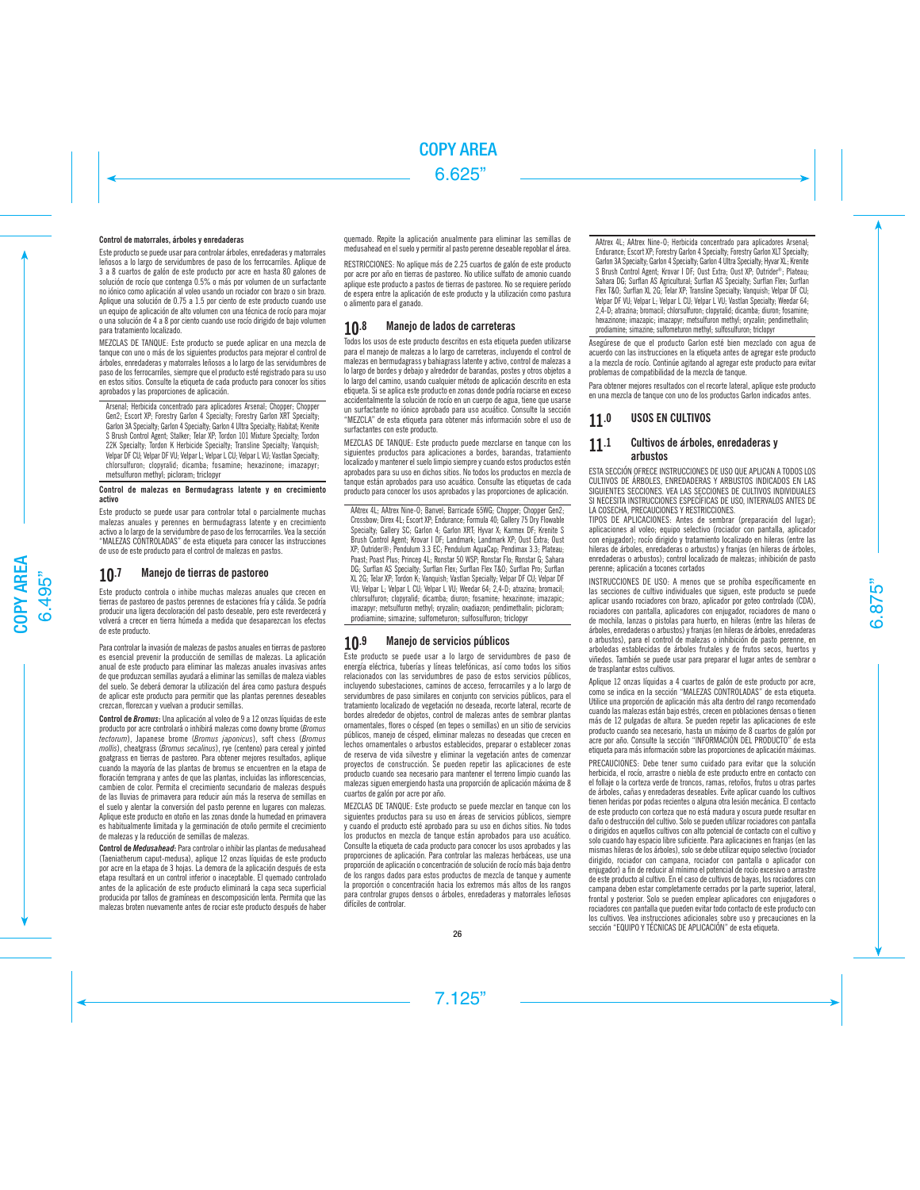# Control de matorrales, árboles y enredaderas

Este producto se puede usar para controlar árboles, enredaderas y matorrales leñosos a lo largo de servidumbres de paso de los ferrocarriles. Aplique de 3 a 8 cuartos de galón de este producto por acre en hasta 80 galones de solución de rocío que contenga 0.5% o más por volumen de un surfactante no iónico como aplicación al voleo usando un rociador con brazo o sin brazo. Aplique una solución de 0.75 a 1.5 por ciento de este producto cuando use un equipo de aplicación de alto volumen con una técnica de rocío para mojar o una solución de 4 a 8 por ciento cuando use rocío dirigido de bajo volumen para tratamiento localizado.

MEZCLAS DE TANQUE: Este producto se puede aplicar en una mezcla de tanque con uno o más de los siguientes productos para mejorar el control de árboles, enredaderas y matorrales leñosos a lo largo de las servidumbres de paso de los ferrocarriles, siempre que el producto esté registrado para su uso en estos sitios. Consulte la etiqueta de cada producto para conocer los sitios aprobados y las proporciones de aplicación.

Arsenal; Herbicida concentrado para aplicadores Arsenal; Chopper; Chopper Gen2; Escort XP; Forestry Garlon 4 Specialty; Forestry Garlon XRT Specialty; Garlon 3A Specialty; Garlon 4 Specialty; Garlon 4 Ultra Specialty; Habitat; Krenite S Brush Control Agent; Stalker; Telar XP; Tordon 101 Mixture Specialty; Tordon 22K Specialty; Tordon K Herbicide Specialty; Transline Specialty; Vanquish; Velpar DF CU; Velpar DF VU; Velpar L; Velpar L CU; Velpar L VU; Vastlan Specialty; chlorsulfuron; clopyralid; dicamba; fosamine; hexazinone; imazapyr; metsulfuron methyl; picloram; triclopyr

## Control de malezas en Bermudagrass latente y en crecimiento activo

Este producto se puede usar para controlar total o parcialmente muchas malezas anuales y perennes en bermudagrass latente y en crecimiento activo a lo largo de la servidumbre de paso de los ferrocarriles. Vea la sección "MALEZAS CONTROLADAS" de esta etiqueta para conocer las instrucciones de uso de este producto para el control de malezas en pastos.

# 10.7 Manejo de tierras de pastoreo

Este producto controla o inhibe muchas malezas anuales que crecen en tierras de pastoreo de pastos perennes de estaciones fría y cálida. Se podría producir una ligera decoloración del pasto deseable, pero este reverdecerá y volverá a crecer en tierra húmeda a medida que desaparezcan los efectos de este producto.

Para controlar la invasión de malezas de pastos anuales en tierras de pastoreo es esencial prevenir la producción de semillas de malezas. La aplicación anual de este producto para eliminar las malezas anuales invasivas antes de que produzcan semillas ayudará a eliminar las semillas de maleza viables del suelo. Se deberá demorar la utilización del área como pastura después de aplicar este producto para permitir que las plantas perennes deseables crezcan, florezcan y vuelvan a producir semillas.

Control de *Bromus*: Una aplicación al voleo de 9 a 12 onzas líquidas de este producto por acre controlará o inhibirá malezas como downy brome (*Bromus tectorum*), Japanese brome (*Bromus japonicus*), soft chess (*Bromus mollis*), cheatgrass (*Bromus secalinus*), rye (centeno) para cereal y jointed goatgrass en tierras de pastoreo. Para obtener mejores resultados, aplique cuando la mayoría de las plantas de bromus se encuentren en la etapa de floración temprana y antes de que las plantas, incluidas las inflorescencias, cambien de color. Permita el crecimiento secundario de malezas después de las lluvias de primavera para reducir aún más la reserva de semillas en el suelo y alentar la conversión del pasto perenne en lugares con malezas. Aplique este producto en otoño en las zonas donde la humedad en primavera es habitualmente limitada y la germinación de otoño permite el crecimiento de malezas y la reducción de semillas de malezas.

Control de *Medusahead*: Para controlar o inhibir las plantas de medusahead (Taeniatherum caput-medusa), aplique 12 onzas líquidas de este producto por acre en la etapa de 3 hojas. La demora de la aplicación después de esta etapa resultará en un control inferior o inaceptable. El quemado controlado antes de la aplicación de este producto eliminará la capa seca superficial producida por tallos de gramíneas en descomposición lenta. Permita que las malezas broten nuevamente antes de rociar este producto después de haber quemado. Repite la aplicación anualmente para eliminar las semillas de medusahead en el suelo y permitir al pasto perenne deseable repoblar el área.

RESTRICCIONES: No aplique más de 2.25 cuartos de galón de este producto por acre por año en tierras de pastoreo. No utilice sulfato de amonio cuando aplique este producto a pastos de tierras de pastoreo. No se requiere período de espera entre la aplicación de este producto y la utilización como pastura o alimento para el ganado.

# 10.8 Manejo de lados de carreteras

Todos los usos de este producto descritos en esta etiqueta pueden utilizarse para el manejo de malezas a lo largo de carreteras, incluyendo el control de malezas en bermudagrass y bahiagrass latente y activo, control de malezas a lo largo de bordes y debajo y alrededor de barandas, postes y otros objetos a lo largo del camino, usando cualquier método de aplicación descrito en esta etiqueta. Si se aplica este producto en zonas donde podría rociarse en exceso accidentalmente la solución de rocío en un cuerpo de agua, tiene que usarse un surfactante no iónico aprobado para uso acuático. Consulte la sección "MEZCLA" de esta etiqueta para obtener más información sobre el uso de surfactantes con este producto.

MEZCLAS DE TANQUE: Este producto puede mezclarse en tanque con los siguientes productos para aplicaciones a bordes, barandas, tratamiento localizado y mantener el suelo limpio siempre y cuando estos productos estén aprobados para su uso en dichos sitios. No todos los productos en mezcla de tanque están aprobados para uso acuático. Consulte las etiquetas de cada producto para conocer los usos aprobados y las proporciones de aplicación.

AAtrex 4L; AAtrex Nine-O; Banvel; Barricade 65WG; Chopper; Chopper Gen2; Crossbow; Direx 4L; Escort XP; Endurance; Formula 40; Gallery 75 Dry Flowable Specialty; Gallery SC; Garlon 4; Garlon XRT; Hyvar X; Karmex DF; Krenite S Brush Control Agent; Krovar I DF; Landmark; Landmark XP; Oust Extra; Oust XP; Outrider®; Pendulum 3.3 EC; Pendulum AquaCap; Pendimax 3.3; Plateau; Poast; Poast Plus; Princep 4L; Ronstar 50 WSP; Ronstar Flo; Ronstar G; Sahara DG; Surflan AS Specialty; Surflan Flex; Surflan Flex T&O; Surflan Pro; Surflan XL 2G; Telar XP; Tordon K; Vanquish; Vastlan Specialty; Velpar DF CU; Velpar DF VU; Velpar L; Velpar L CU; Velpar L VU; Weedar 64; 2,4-D; atrazina; bromacil; chlorsulfuron; clopyralid; dicamba; diuron; fosamine; hexazinone; imazapic; imazapyr; metsulfuron methyl; oryzalin; oxadiazon; pendimethalin; picloram; prodiamine; simazine; sulfometuron; sulfosulfuron; triclopyr

# 10.9 Manejo de servicios públicos

Este producto se puede usar a lo largo de servidumbres de paso de energía eléctrica, tuberías y líneas telefónicas, así como todos los sitios relacionados con las servidumbres de paso de estos servicios públicos, incluyendo subestaciones, caminos de acceso, ferrocarriles y a lo largo de servidumbres de paso similares en conjunto con servicios públicos, para el tratamiento localizado de vegetación no deseada, recorte lateral, recorte de bordes alrededor de objetos, control de malezas antes de sembrar plantas ornamentales, flores o césped (en tepes o semillas) en un sitio de servicios públicos, manejo de césped, eliminar malezas no deseadas que crecen en lechos ornamentales o arbustos establecidos, preparar o establecer zonas de reserva de vida silvestre y eliminar la vegetación antes de comenzar proyectos de construcción. Se pueden repetir las aplicaciones de este producto cuando sea necesario para mantener el terreno limpio cuando las malezas siguen emergiendo hasta una proporción de aplicación máxima de 8 cuartos de galón por acre por año.

MEZCLAS DE TANQUE: Este producto se puede mezclar en tanque con los siguientes productos para su uso en áreas de servicios públicos, siempre y cuando el producto esté aprobado para su uso en dichos sitios. No todos los productos en mezcla de tanque están aprobados para uso acuático. Consulte la etiqueta de cada producto para conocer los usos aprobados y las proporciones de aplicación. Para controlar las malezas herbáceas, use una proporción de aplicación o concentración de solución de rocío más baja dentro de los rangos dados para estos productos de mezcla de tanque y aumente la proporción o concentración hacia los extremos más altos de los rangos para controlar grupos densos o árboles, enredaderas y matorrales leñosos difíciles de controlar.

AAtrex 4L; AAtrex Nine-O; Herbicida concentrado para aplicadores Arsenal; Endurance; Escort XP; Forestry Garlon 4 Specialty; Forestry Garlon XLT Specialty; Garlon 3A Specialty; Garlon 4 Specialty; Garlon 4 Ultra Specialty; Hyvar XL; Krenite S Brush Control Agent; Krovar I DF; Oust Extra; Oust XP; Outrider®; Plateau; Sahara DG; Surflan AS Agricultural; Surflan AS Specialty; Surflan Flex; Surflan Flex T&O; Surflan XL 2G; Telar XP; Transline Specialty; Vanquish; Velpar DF CU; Velpar DF VU; Velpar L; Velpar L CU; Velpar L VU; Vastlan Specialty; Weedar 64; 2,4-D; atrazina; bromacil; chlorsulfuron; clopyralid; dicamba; diuron; fosamine; hexazinone; imazapic; imazapyr; metsulfuron methyl; oryzalin; pendimethalin; prodiamine; simazine; sulfometuron methyl; sulfosulfuron; triclopyr

Asegúrese de que el producto Garlon esté bien mezclado con agua de acuerdo con las instrucciones en la etiqueta antes de agregar este producto a la mezcla de rocío. Continúe agitando al agregar este producto para evitar problemas de compatibilidad de la mezcla de tanque.

Para obtener mejores resultados con el recorte lateral, aplique este producto en una mezcla de tanque con uno de los productos Garlon indicados antes.

# 11.0 USOS EN CULTIVOS

# 11.1 Cultivos de árboles, enredaderas y arbustos

ESTA SECCIÓN OFRECE INSTRUCCIONES DE USO QUE APLICAN A TODOS LOS CULTIVOS DE ÁRBOLES, ENREDADERAS Y ARBUSTOS INDICADOS EN LAS SIGUIENTES SECCIONES. VEA LAS SECCIONES DE CULTIVOS INDIVIDUALES SI NECESITA INSTRUCCIONES ESPECÍFICAS DE USO, INTERVALOS ANTES DE LA COSECHA, PRECAUCIONES Y RESTRICCIONES.

TIPOS DE APLICACIONES: Antes de sembrar (preparación del lugar); aplicaciones al voleo; equipo selectivo (rociador con pantalla, aplicador con enjugador); rocío dirigido y tratamiento localizado en hileras (entre las hileras de árboles, enredaderas o arbustos) y franjas (en hileras de árboles, enredaderas o arbustos); control localizado de malezas; inhibición de pasto perenne; aplicación a tocones cortados

INSTRUCCIONES DE USO: A menos que se prohíba específicamente en las secciones de cultivo individuales que siguen, este producto se puede aplicar usando rociadores con brazo, aplicador por goteo controlado (CDA), rociadores con pantalla, aplicadores con enjugador, rociadores de mano o de mochila, lanzas o pistolas para huerto, en hileras (entre las hileras de árboles, enredaderas o arbustos) y franjas (en hileras de árboles, enredaderas o arbustos), para el control de malezas o inhibición de pasto perenne, en arboledas establecidas de árboles frutales y de frutos secos, huertos y viñedos. También se puede usar para preparar el lugar antes de sembrar o de trasplantar estos cultivos.

Aplique 12 onzas líquidas a 4 cuartos de galón de este producto por acre, como se indica en la sección "MALEZAS CONTROLADAS" de esta etiqueta. Utilice una proporción de aplicación más alta dentro del rango recomendado cuando las malezas están bajo estrés, crecen en poblaciones densas o tienen más de 12 pulgadas de altura. Se pueden repetir las aplicaciones de este producto cuando sea necesario, hasta un máximo de 8 cuartos de galón por acre por año. Consulte la sección "INFORMACIÓN DEL PRODUCTO" de esta etiqueta para más información sobre las proporciones de aplicación máximas.

PRECAUCIONES: Debe tener sumo cuidado para evitar que la solución herbicida, el rocío, arrastre o niebla de este producto entre en contacto con el follaje o la corteza verde de troncos, ramas, retoños, frutos u otras partes de árboles, cañas y enredaderas deseables. Evite aplicar cuando los cultivos tienen heridas por podas recientes o alguna otra lesión mecánica. El contacto de este producto con corteza que no está madura y oscura puede resultar en daño o destrucción del cultivo. Solo se pueden utilizar rociadores con pantalla o dirigidos en aquellos cultivos con alto potencial de contacto con el cultivo y solo cuando hay espacio libre suficiente. Para aplicaciones en franjas (en las mismas hileras de los árboles), solo se debe utilizar equipo selectivo (rociador dirigido, rociador con campana, rociador con pantalla o aplicador con enjugador) a fin de reducir al mínimo el potencial de rocío excesivo o arrastre de este producto al cultivo. En el caso de cultivos de bayas, los rociadores con campana deben estar completamente cerrados por la parte superior, lateral, frontal y posterior. Solo se pueden emplear aplicadores con enjugadores o rociadores con pantalla que pueden evitar todo contacto de este producto con los cultivos. Vea instrucciones adicionales sobre uso y precauciones en la sección "EQUIPO Y TÉCNICAS DE APLICACIÓN" de esta etiqueta.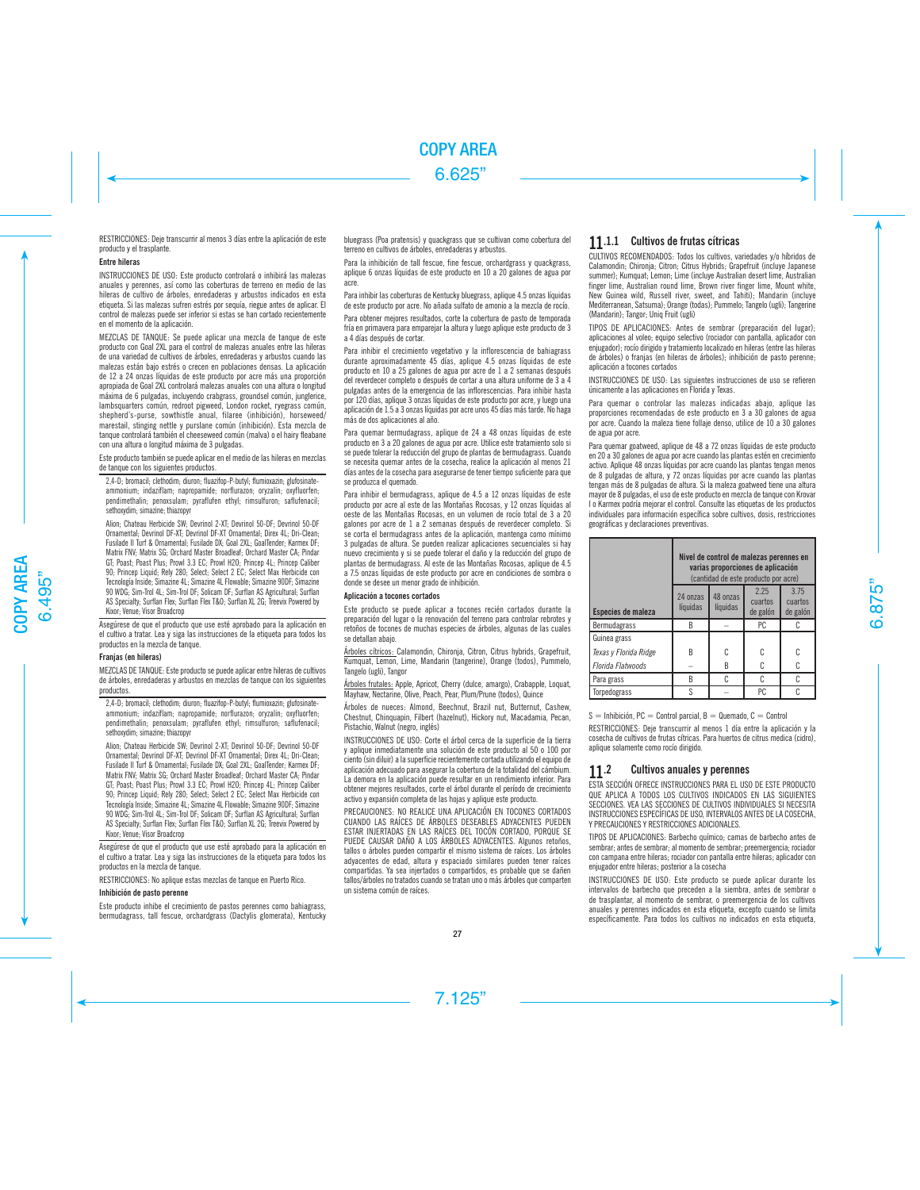RESTRICCIONES: Deje transcurrir al menos 3 días entre la aplicación de este producto y el trasplante.

# Entre hileras

INSTRUCCIONES DE USO: Este producto controlará o inhibirá las malezas anuales y perennes, así como las coberturas de terreno en medio de las hileras de cultivo de árboles, enredaderas y arbustos indicados en esta etiqueta. Si las malezas sufren estrés por sequía, riegue antes de aplicar. El control de malezas puede ser inferior si estas se han cortado recientemente en el momento de la aplicación.

MEZCLAS DE TANQUE: Se puede aplicar una mezcla de tanque de este producto con Goal 2XL para el control de malezas anuales entre las hileras de una variedad de cultivos de árboles, enredaderas y arbustos cuando las malezas están bajo estrés o crecen en poblaciones densas. La aplicación de 12 a 24 onzas líquidas de este producto por acre más una proporción apropiada de Goal 2XL controlará malezas anuales con una altura o longitud máxima de 6 pulgadas, incluyendo crabgrass, groundsel común, junglerice, lambsquarters común, redroot pigweed, London rocket, ryegrass común, shepherd's-purse, sowthistle anual, filaree (inhibición), horseweed/ marestail, stinging nettle y purslane común (inhibición). Esta mezcla de tanque controlará también el cheeseweed común (malva) o el hairy fleabane con una altura o longitud máxima de 3 pulgadas.

Este producto también se puede aplicar en el medio de las hileras en mezclas de tanque con los siguientes productos.

2,4-D; bromacil; clethodim; diuron; fluazifop-P-butyl; flumioxazin; glufosinateammonium; indaziflam; napropamide; norflurazon; oryzalin; oxyfluorfen; pendimethalin; penoxsulam; pyraflufen ethyl; rimsulfuron; saflufenacil; sethoxydim; simazine; thiazopyr

Alion; Chateau Herbicide SW; Devrinol 2-XT; Devrinol 50-DF; Devrinol 50-DF Ornamental; Devrinol DF-XT; Devrinol DF-XT Ornamental; Direx 4L; Dri-Clean; Fusilade II Turf & Ornamental; Fusilade DX; Goal 2XL; GoalTender; Karmex DF; Matrix FNV; Matrix SG; Orchard Master Broadleaf; Orchard Master CA; Pindar GT; Poast; Poast Plus; Prowl 3.3 EC; Prowl H2O; Princep 4L; Princep Caliber 90; Princep Liquid; Rely 280; Select; Select 2 EC; Select Max Herbicide con Tecnología Inside; Simazine 4L; Simazine 4L Flowable; Simazine 90DF; Simazine 90 WDG; Sim-Trol 4L; Sim-Trol DF; Solicam DF; Surflan AS Agricultural; Surflan AS Specialty; Surflan Flex; Surflan Flex T&O; Surflan XL 2G; Treevix Powered by Kixor; Venue; Visor Broadcrop

Asegúrese de que el producto que use esté aprobado para la aplicación en el cultivo a tratar. Lea y siga las instrucciones de la etiqueta para todos los productos en la mezcla de tanque.

#### Franjas (en hileras)

MEZCLAS DE TANQUE: Este producto se puede aplicar entre hileras de cultivos de árboles, enredaderas y arbustos en mezclas de tanque con los siguientes productos.

2,4-D; bromacil; clethodim; diuron; fluazifop-P-butyl; flumioxazin; glufosinateammonium; indaziflam; napropamide; norflurazon; oryzalin; oxyfluorfen; pendimethalin; penoxsulam; pyraflufen ethyl; rimsulfuron; saflufenacil; sethoxydim; simazine; thiazopyr

Alion; Chateau Herbicide SW; Devrinol 2-XT; Devrinol 50-DF; Devrinol 50-DF Ornamental; Devrinol DF-XT; Devrinol DF-XT Ornamental; Direx 4L; Dri-Clean; Fusilade II Turf & Ornamental; Fusilade DX; Goal 2XL; GoalTender; Karmex DF; Matrix FNV; Matrix SG; Orchard Master Broadleaf; Orchard Master CA; Pindar GT; Poast; Poast Plus; Prowl 3.3 EC; Prowl H2O; Princep 4L; Princep Caliber 90; Princep Liquid; Rely 280; Select; Select 2 EC; Select Max Herbicide con Tecnología Inside; Simazine 4L; Simazine 4L Flowable; Simazine 90DF; Simazine 90 WDG; Sim-Trol 4L; Sim-Trol DF; Solicam DF; Surflan AS Agricultural; Surflan AS Specialty; Surflan Flex; Surflan Flex T&O; Surflan XL 2G; Treevix Powered by Kixor; Venue; Visor Broadcrop

Asegúrese de que el producto que use esté aprobado para la aplicación en el cultivo a tratar. Lea y siga las instrucciones de la etiqueta para todos los productos en la mezcla de tanque.

RESTRICCIONES: No aplique estas mezclas de tanque en Puerto Rico.

### Inhibición de pasto perenne

Este producto inhibe el crecimiento de pastos perennes como bahiagrass, bermudagrass, tall fescue, orchardgrass (Dactylis glomerata), Kentucky bluegrass (Poa pratensis) y quackgrass que se cultivan como cobertura del terreno en cultivos de árboles, enredaderas y arbustos.

Para la inhibición de tall fescue, fine fescue, orchardgrass y quackgrass aplique 6 onzas líquidas de este producto en 10 a 20 galones de agua por acre.

Para inhibir las coberturas de Kentucky bluegrass, aplique 4.5 onzas líquidas de este producto por acre. No añada sulfato de amonio a la mezcla de rocío.

Para obtener mejores resultados, corte la cobertura de pasto de temporada fría en primavera para emparejar la altura y luego aplique este producto de 3 a 4 días después de cortar.

Para inhibir el crecimiento vegetativo y la inflorescencia de bahiagrass durante aproximadamente 45 días, aplique 4.5 onzas líquidas de este producto en 10 a 25 galones de agua por acre de 1 a 2 semanas después del reverdecer completo o después de cortar a una altura uniforme de 3 a 4 pulgadas antes de la emergencia de las inflorescencias. Para inhibir hasta por 120 días, aplique 3 onzas líquidas de este producto por acre, y luego una aplicación de 1.5 a 3 onzas líquidas por acre unos 45 días más tarde. No haga más de dos aplicaciones al año.

Para quemar bermudagrass, aplique de 24 a 48 onzas líquidas de este producto en 3 a 20 galones de agua por acre. Utilice este tratamiento solo si se puede tolerar la reducción del grupo de plantas de bermudagrass. Cuando se necesita quemar antes de la cosecha, realice la aplicación al menos 21 días antes de la cosecha para asegurarse de tener tiempo suficiente para que se produzca el quemado.

Para inhibir el bermudagrass, aplique de 4.5 a 12 onzas líquidas de este producto por acre al este de las Montañas Rocosas, y 12 onzas líquidas al oeste de las Montañas Rocosas, en un volumen de rocío total de 3 a 20 galones por acre de 1 a 2 semanas después de reverdecer completo. Si se corta el bermudagrass antes de la aplicación, mantenga como mínimo 3 pulgadas de altura. Se pueden realizar aplicaciones secuenciales si hay nuevo crecimiento y si se puede tolerar el daño y la reducción del grupo de plantas de bermudagrass. Al este de las Montañas Rocosas, aplique de 4.5 a 7.5 onzas líquidas de este producto por acre en condiciones de sombra o donde se desee un menor grado de inhibición.

# Aplicación a tocones cortados

Este producto se puede aplicar a tocones recién cortados durante la preparación del lugar o la renovación del terreno para controlar rebrotes y retoños de tocones de muchas especies de árboles, algunas de las cuales se detallan abajo.

Árboles cítricos: Calamondin, Chironja, Citron, Citrus hybrids, Grapefruit, Kumquat, Lemon, Lime, Mandarin (tangerine), Orange (todos), Pummelo, Tangelo (ugli), Tangor

Árboles frutales: Apple, Apricot, Cherry (dulce, amargo), Crabapple, Loquat, Mayhaw, Nectarine, Olive, Peach, Pear, Plum/Prune (todos), Quince

Árboles de nueces: Almond, Beechnut, Brazil nut, Butternut, Cashew, Chestnut, Chinquapin, Filbert (hazelnut), Hickory nut, Macadamia, Pecan, Pistachio, Walnut (negro, inglés)

INSTRUCCIONES DE USO: Corte el árbol cerca de la superficie de la tierra y aplique inmediatamente una solución de este producto al 50 o 100 por ciento (sin diluir) a la superficie recientemente cortada utilizando el equipo de aplicación adecuado para asegurar la cobertura de la totalidad del cámbium. La demora en la aplicación puede resultar en un rendimiento inferior. Para obtener mejores resultados, corte el árbol durante el período de crecimiento activo y expansión completa de las hojas y aplique este producto.

PRECAUCIONES: NO REALICE UNA APLICACIÓN EN TOCONES CORTADOS CUANDO LAS RAÍCES DE ÁRBOLES DESEABLES ADYACENTES PUEDEN ESTAR INJERTADAS EN LAS RAÍCES DEL TOCÓN CORTADO, PORQUE SE PUEDE CAUSAR DAÑO A LOS ÁRBOLES ADYACENTES. Algunos retoños, tallos o árboles pueden compartir el mismo sistema de raíces. Los árboles adyacentes de edad, altura y espaciado similares pueden tener raíces compartidas. Ya sea injertados o compartidos, es probable que se dañen tallos/árboles no tratados cuando se tratan uno o más árboles que comparten un sistema común de raíces.

# 11.1.1 Cultivos de frutas cítricas

CULTIVOS RECOMENDADOS: Todos los cultivos, variedades y/o híbridos de Calamondin; Chironja; Citron; Citrus Hybrids; Grapefruit (incluye Japanese summer); Kumquat; Lemon; Lime (incluye Australian desert lime, Australian finger lime, Australian round lime, Brown river finger lime, Mount white, New Guinea wild, Russell river, sweet, and Tahiti); Mandarin (incluye) Mediterranean, Satsuma); Orange (todas); Pummelo; Tangelo (ugli); Tangerine (Mandarin); Tangor; Uniq Fruit (ugli)

TIPOS DE APLICACIONES: Antes de sembrar (preparación del lugar); aplicaciones al voleo; equipo selectivo (rociador con pantalla, aplicador con enjugador); rocío dirigido y tratamiento localizado en hileras (entre las hileras de árboles) o franjas (en hileras de árboles); inhibición de pasto perenne; aplicación a tocones cortados

INSTRUCCIONES DE USO: Las siguientes instrucciones de uso se refieren únicamente a las aplicaciones en Florida y Texas.

Para quemar o controlar las malezas indicadas abajo, aplique las proporciones recomendadas de este producto en 3 a 30 galones de agua por acre. Cuando la maleza tiene follaje denso, utilice de 10 a 30 galones de agua por acre.

Para quemar goatweed, aplique de 48 a 72 onzas líquidas de este producto en 20 a 30 galones de agua por acre cuando las plantas estén en crecimiento activo. Aplique 48 onzas líquidas por acre cuando las plantas tengan menos de 8 pulgadas de altura, y 72 onzas líquidas por acre cuando las plantas tengan más de 8 pulgadas de altura. Si la maleza goatweed tiene una altura mayor de 8 pulgadas, el uso de este producto en mezcla de tanque con Krovar I o Karmex podría mejorar el control. Consulte las etiquetas de los productos individuales para información específica sobre cultivos, dosis, restricciones geográficas y declaraciones preventivas.

|                       | Nivel de control de malezas perennes en<br>varias proporciones de aplicación<br>(cantidad de este producto por acre) |                      |                             |                             |  |
|-----------------------|----------------------------------------------------------------------------------------------------------------------|----------------------|-----------------------------|-----------------------------|--|
| Especies de maleza    | 24 onzas<br>líquidas                                                                                                 | 48 onzas<br>líquidas | 2.25<br>cuartos<br>de galón | 3.75<br>cuartos<br>de galón |  |
| Bermudagrass          | R                                                                                                                    |                      | PC                          |                             |  |
| Guinea grass          |                                                                                                                      |                      |                             |                             |  |
| Texas y Florida Ridge | R                                                                                                                    | C                    | C                           | C                           |  |
| Florida Flatwoods     |                                                                                                                      | B                    | C                           | C                           |  |
| Para grass            | B                                                                                                                    |                      |                             |                             |  |
| Torpedograss          | S                                                                                                                    |                      | PC                          |                             |  |

 $S =$  Inhibición, PC = Control parcial, B = Quemado, C = Control

RESTRICCIONES: Deje transcurrir al menos 1 día entre la aplicación y la cosecha de cultivos de frutas cítricas. Para huertos de citrus medica (cidro), aplique solamente como rocío dirigido.

# 11.2 Cultivos anuales y perennes

ESTA SECCIÓN OFRECE INSTRUCCIONES PARA EL USO DE ESTE PRODUCTO QUE APLICA A TODOS LOS CULTIVOS INDICADOS EN LAS SIGUIENTES SECCIONES. VEA LAS SECCIONES DE CULTIVOS INDIVIDUALES SI NECESITA INSTRUCCIONES ESPECÍFICAS DE USO, INTERVALOS ANTES DE LA COSECHA, Y PRECAUCIONES Y RESTRICCIONES ADICIONALES.

TIPOS DE APLICACIONES: Barbecho químico; camas de barbecho antes de sembrar; antes de sembrar; al momento de sembrar; preemergencia; rociador con campana entre hileras; rociador con pantalla entre hileras; aplicador con enjugador entre hileras; posterior a la cosecha

INSTRUCCIONES DE USO: Este producto se puede aplicar durante los intervalos de barbecho que preceden a la siembra, antes de sembrar o de trasplantar, al momento de sembrar, o preemergencia de los cultivos anuales y perennes indicados en esta etiqueta, excepto cuando se limita específicamente. Para todos los cultivos no indicados en esta etiqueta,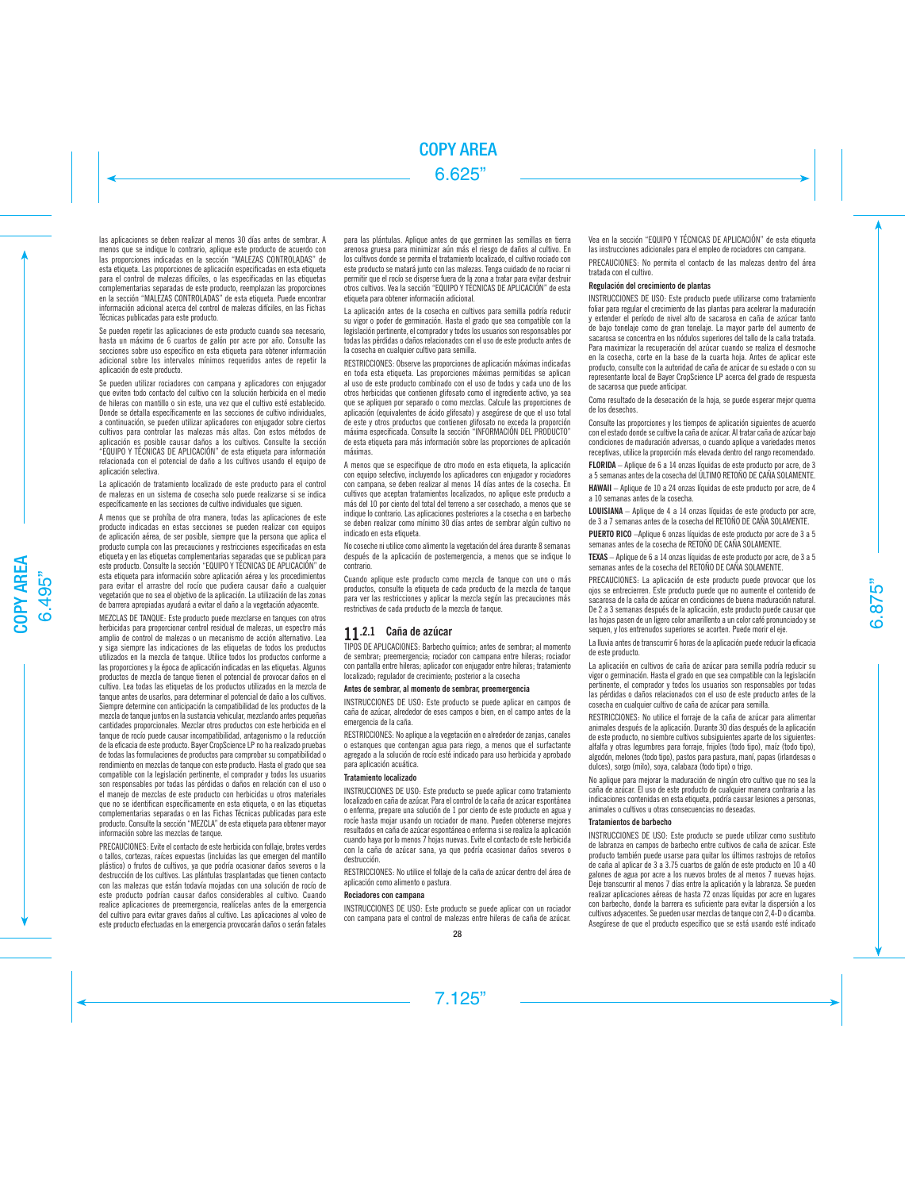las aplicaciones se deben realizar al menos 30 días antes de sembrar. A menos que se indique lo contrario, aplique este producto de acuerdo con las proporciones indicadas en la sección "MALEZAS CONTROLADAS" de esta etiqueta. Las proporciones de aplicación especificadas en esta etiqueta para el control de malezas difíciles, o las especificadas en las etiquetas complementarias separadas de este producto, reemplazan las proporciones en la sección "MALEZAS CONTROLADAS" de esta etiqueta. Puede encontrar información adicional acerca del control de malezas difíciles, en las Fichas Técnicas publicadas para este producto.

Se pueden repetir las aplicaciones de este producto cuando sea necesario, hasta un máximo de 6 cuartos de galón por acre por año. Consulte las secciones sobre uso específico en esta etiqueta para obtener información adicional sobre los intervalos mínimos requeridos antes de repetir la aplicación de este producto.

Se pueden utilizar rociadores con campana y aplicadores con enjugador que eviten todo contacto del cultivo con la solución herbicida en el medio de hileras con mantillo o sin este, una vez que el cultivo esté establecido. Donde se detalla específicamente en las secciones de cultivo individuales, a continuación, se pueden utilizar aplicadores con enjugador sobre ciertos cultivos para controlar las malezas más altas. Con estos métodos de aplicación es posible causar daños a los cultivos. Consulte la sección "EQUIPO Y TÉCNICAS DE APLICACIÓN" de esta etiqueta para información relacionada con el potencial de daño a los cultivos usando el equipo de aplicación selectiva.

La aplicación de tratamiento localizado de este producto para el control de malezas en un sistema de cosecha solo puede realizarse si se indica específicamente en las secciones de cultivo individuales que siguen.

A menos que se prohíba de otra manera, todas las aplicaciones de este producto indicadas en estas secciones se pueden realizar con equipos de aplicación aérea, de ser posible, siempre que la persona que aplica el producto cumpla con las precauciones y restricciones especificadas en esta etiqueta y en las etiquetas complementarias separadas que se publican para este producto. Consulte la sección "EQUIPO Y TÉCNICAS DE APLICACIÓN" de esta etiqueta para información sobre aplicación aérea y los procedimientos para evitar el arrastre del rocío que pudiera causar daño a cualquier vegetación que no sea el objetivo de la aplicación. La utilización de las zonas de barrera apropiadas ayudará a evitar el daño a la vegetación adyacente.

MEZCLAS DE TANQUE: Este producto puede mezclarse en tanques con otros herbicidas para proporcionar control residual de malezas, un espectro más amplio de control de malezas o un mecanismo de acción alternativo. Lea y siga siempre las indicaciones de las etiquetas de todos los productos utilizados en la mezcla de tanque. Utilice todos los productos conforme a las proporciones y la época de aplicación indicadas en las etiquetas. Algunos productos de mezcla de tanque tienen el potencial de provocar daños en el cultivo. Lea todas las etiquetas de los productos utilizados en la mezcla de tanque antes de usarlos, para determinar el potencial de daño a los cultivos. Siempre determine con anticipación la compatibilidad de los productos de la mezcla de tanque juntos en la sustancia vehicular, mezclando antes pequeñas cantidades proporcionales. Mezclar otros productos con este herbicida en el tanque de rocío puede causar incompatibilidad, antagonismo o la reducción de la eficacia de este producto. Bayer CropScience LP no ha realizado pruebas de todas las formulaciones de productos para comprobar su compatibilidad o rendimiento en mezclas de tanque con este producto. Hasta el grado que sea compatible con la legislación pertinente, el comprador y todos los usuarios son responsables por todas las pérdidas o daños en relación con el uso o el manejo de mezclas de este producto con herbicidas u otros materiales que no se identifican específicamente en esta etiqueta, o en las etiquetas complementarias separadas o en las Fichas Técnicas publicadas para este producto. Consulte la sección "MEZCLA" de esta etiqueta para obtener mayor información sobre las mezclas de tanque.

PRECAUCIONES: Evite el contacto de este herbicida con follaje, brotes verdes o tallos, cortezas, raíces expuestas (incluidas las que emergen del mantillo plástico) o frutos de cultivos, ya que podría ocasionar daños severos o la destrucción de los cultivos. Las plántulas trasplantadas que tienen contacto con las malezas que están todavía mojadas con una solución de rocío de este producto podrían causar daños considerables al cultivo. Cuando realice aplicaciones de preemergencia, realícelas antes de la emergencia del cultivo para evitar graves daños al cultivo. Las aplicaciones al voleo de este producto efectuadas en la emergencia provocarán daños o serán fatales para las plántulas. Aplique antes de que germinen las semillas en tierra arenosa gruesa para minimizar aún más el riesgo de daños al cultivo. En los cultivos donde se permita el tratamiento localizado, el cultivo rociado con este producto se matará junto con las malezas. Tenga cuidado de no rociar ni permitir que el rocío se disperse fuera de la zona a tratar para evitar destruir otros cultivos. Vea la sección "EQUIPO Y TÉCNICAS DE APLICACIÓN" de esta etiqueta para obtener información adicional.

La aplicación antes de la cosecha en cultivos para semilla podría reducir su vigor o poder de germinación. Hasta el grado que sea compatible con la legislación pertinente, el comprador y todos los usuarios son responsables por todas las pérdidas o daños relacionados con el uso de este producto antes de la cosecha en cualquier cultivo para semilla.

RESTRICCIONES: Observe las proporciones de aplicación máximas indicadas en toda esta etiqueta. Las proporciones máximas permitidas se aplican al uso de este producto combinado con el uso de todos y cada uno de los otros herbicidas que contienen glifosato como el ingrediente activo, ya sea que se apliquen por separado o como mezclas. Calcule las proporciones de aplicación (equivalentes de ácido glifosato) y asegúrese de que el uso total de este y otros productos que contienen glifosato no exceda la proporción máxima especificada. Consulte la sección "INFORMACIÓN DEL PRODUCTO" de esta etiqueta para más información sobre las proporciones de aplicación máximas.

A menos que se especifique de otro modo en esta etiqueta, la aplicación con equipo selectivo, incluyendo los aplicadores con enjugador y rociadores con campana, se deben realizar al menos 14 días antes de la cosecha. En cultivos que aceptan tratamientos localizados, no aplique este producto a más del 10 por ciento del total del terreno a ser cosechado, a menos que se indique lo contrario. Las aplicaciones posteriores a la cosecha o en barbecho se deben realizar como mínimo 30 días antes de sembrar algún cultivo no indicado en esta etiqueta.

No coseche ni utilice como alimento la vegetación del área durante 8 semanas después de la aplicación de postemergencia, a menos que se indique lo contrario.

Cuando aplique este producto como mezcla de tanque con uno o más productos, consulte la etiqueta de cada producto de la mezcla de tanque para ver las restricciones y aplicar la mezcla según las precauciones más restrictivas de cada producto de la mezcla de tanque.

# **11**.2.1 Caña de azúcar

TIPOS DE APLICACIONES: Barbecho químico; antes de sembrar; al momento de sembrar; preemergencia; rociador con campana entre hileras; rociador con pantalla entre hileras; aplicador con enjugador entre hileras; tratamiento localizado; regulador de crecimiento; posterior a la cosecha

# Antes de sembrar, al momento de sembrar, preemergencia

INSTRUCCIONES DE USO: Este producto se puede aplicar en campos de caña de azúcar, alrededor de esos campos o bien, en el campo antes de la emergencia de la caña.

RESTRICCIONES: No aplique a la vegetación en o alrededor de zanjas, canales o estanques que contengan agua para riego, a menos que el surfactante agregado a la solución de rocío esté indicado para uso herbicida y aprobado para aplicación acuática.

# Tratamiento localizado

INSTRUCCIONES DE USO: Este producto se puede aplicar como tratamiento localizado en caña de azúcar. Para el control de la caña de azúcar espontánea o enferma, prepare una solución de 1 por ciento de este producto en agua y rocíe hasta mojar usando un rociador de mano. Pueden obtenerse mejores resultados en caña de azúcar espontánea o enferma si se realiza la aplicación cuando haya por lo menos 7 hojas nuevas. Evite el contacto de este herbicida con la caña de azúcar sana, ya que podría ocasionar daños severos o destrucción.

RESTRICCIONES: No utilice el follaje de la caña de azúcar dentro del área de aplicación como alimento o pastura.

### Rociadores con campana

INSTRUCCIONES DE USO: Este producto se puede aplicar con un rociador con campana para el control de malezas entre hileras de caña de azúcar. Vea en la sección "EQUIPO Y TÉCNICAS DE APLICACIÓN" de esta etiqueta las instrucciones adicionales para el empleo de rociadores con campana.

PRECAUCIONES: No permita el contacto de las malezas dentro del área tratada con el cultivo.

# Regulación del crecimiento de plantas

INSTRUCCIONES DE USO: Este producto puede utilizarse como tratamiento foliar para regular el crecimiento de las plantas para acelerar la maduración y extender el período de nivel alto de sacarosa en caña de azúcar tanto de bajo tonelaje como de gran tonelaje. La mayor parte del aumento de sacarosa se concentra en los nódulos superiores del tallo de la caña tratada. Para maximizar la recuperación del azúcar cuando se realiza el desmoche en la cosecha, corte en la base de la cuarta hoja. Antes de aplicar este producto, consulte con la autoridad de caña de azúcar de su estado o con su representante local de Bayer CropScience LP acerca del grado de respuesta de sacarosa que puede anticipar.

Como resultado de la desecación de la hoja, se puede esperar mejor quema de los desechos.

Consulte las proporciones y los tiempos de aplicación siguientes de acuerdo con el estado donde se cultive la caña de azúcar. Al tratar caña de azúcar bajo condiciones de maduración adversas, o cuando aplique a variedades menos receptivas, utilice la proporción más elevada dentro del rango recomendado.

FLORIDA – Aplique de 6 a 14 onzas líquidas de este producto por acre, de 3 a 5 semanas antes de la cosecha del ÚLTIMO RETOÑO DE CAÑA SOLAMENTE.

HAWAII – Aplique de 10 a 24 onzas líquidas de este producto por acre, de 4 a 10 semanas antes de la cosecha.

LOUISIANA – Aplique de 4 a 14 onzas líquidas de este producto por acre, de 3 a 7 semanas antes de la cosecha del RETOÑO DE CAÑA SOLAMENTE.

PUERTO RICO –Aplique 6 onzas líquidas de este producto por acre de 3 a 5 semanas antes de la cosecha de RETOÑO DE CAÑA SOLAMENTE.

TEXAS – Aplique de 6 a 14 onzas líquidas de este producto por acre, de 3 a 5 semanas antes de la cosecha del RETOÑO DE CAÑA SOLAMENTE.

PRECAUCIONES: La aplicación de este producto puede provocar que los ojos se entrecierren. Este producto puede que no aumente el contenido de sacarosa de la caña de azúcar en condiciones de buena maduración natural. De 2 a 3 semanas después de la aplicación, este producto puede causar que las hojas pasen de un ligero color amarillento a un color café pronunciado y se sequen, y los entrenudos superiores se acorten. Puede morir el eje.

La lluvia antes de transcurrir 6 horas de la aplicación puede reducir la eficacia de este producto.

La aplicación en cultivos de caña de azúcar para semilla podría reducir su vigor o germinación. Hasta el grado en que sea compatible con la legislación pertinente, el comprador y todos los usuarios son responsables por todas las pérdidas o daños relacionados con el uso de este producto antes de la cosecha en cualquier cultivo de caña de azúcar para semilla.

RESTRICCIONES: No utilice el forraje de la caña de azúcar para alimentar animales después de la aplicación. Durante 30 días después de la aplicación de este producto, no siembre cultivos subsiguientes aparte de los siguientes: alfalfa y otras legumbres para forraje, frijoles (todo tipo), maíz (todo tipo), algodón, melones (todo tipo), pastos para pastura, maní, papas (irlandesas o dulces), sorgo (milo), soya, calabaza (todo tipo) o trigo.

No aplique para mejorar la maduración de ningún otro cultivo que no sea la caña de azúcar. El uso de este producto de cualquier manera contraria a las indicaciones contenidas en esta etiqueta, podría causar lesiones a personas, animales o cultivos u otras consecuencias no deseadas.

### Tratamientos de barbecho

INSTRUCCIONES DE USO: Este producto se puede utilizar como sustituto de labranza en campos de barbecho entre cultivos de caña de azúcar. Este producto también puede usarse para quitar los últimos rastrojos de retoños de caña al aplicar de 3 a 3.75 cuartos de galón de este producto en 10 a 40 galones de agua por acre a los nuevos brotes de al menos 7 nuevas hojas. Deje transcurrir al menos 7 días entre la aplicación y la labranza. Se pueden realizar aplicaciones aéreas de hasta 72 onzas líquidas por acre en lugares con barbecho, donde la barrera es suficiente para evitar la dispersión a los cultivos adyacentes. Se pueden usar mezclas de tanque con 2,4-D o dicamba. Asegúrese de que el producto específico que se está usando esté indicado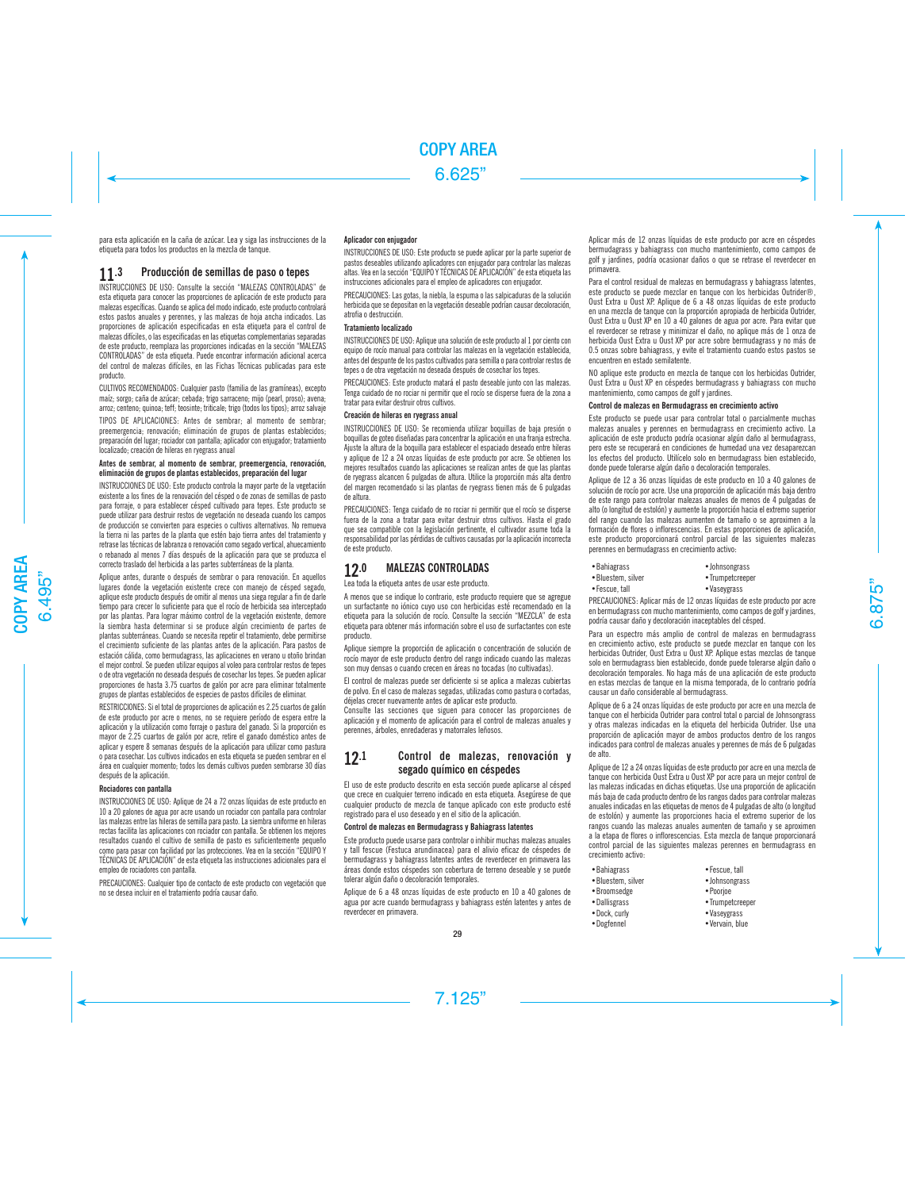para esta aplicación en la caña de azúcar. Lea y siga las instrucciones de la etiqueta para todos los productos en la mezcla de tanque.

# **11**.3 Producción de semillas de paso o tepes

INSTRUCCIONES DE USO: Consulte la sección "MALEZAS CONTROLADAS" de esta etiqueta para conocer las proporciones de aplicación de este producto para malezas específicas. Cuando se aplica del modo indicado, este producto controlará estos pastos anuales y perennes, y las malezas de hoja ancha indicados. Las proporciones de aplicación especificadas en esta etiqueta para el control de malezas difíciles, o las especificadas en las etiquetas complementarias separadas de este producto, reemplaza las proporciones indicadas en la sección "MALEZAS CONTROLADAS" de esta etiqueta. Puede encontrar información adicional acerca del control de malezas difíciles, en las Fichas Técnicas publicadas para este producto.

CULTIVOS RECOMENDADOS: Cualquier pasto (familia de las gramíneas), excepto maíz; sorgo; caña de azúcar; cebada; trigo sarraceno; mijo (pearl, proso); avena; arroz; centeno; quinoa; teff; teosinte; triticale; trigo (todos los tipos); arroz salvaje

TIPOS DE APLICACIONES: Antes de sembrar; al momento de sembrar; preemergencia; renovación; eliminación de grupos de plantas establecidos; preparación del lugar; rociador con pantalla; aplicador con enjugador; tratamiento localizado; creación de hileras en ryegrass anual

## Antes de sembrar, al momento de sembrar, preemergencia, renovación, eliminación de grupos de plantas establecidos, preparación del lugar

INSTRUCCIONES DE USO: Este producto controla la mayor parte de la vegetación existente a los fines de la renovación del césped o de zonas de semillas de pasto para forraje, o para establecer césped cultivado para tepes. Este producto se puede utilizar para destruir restos de vegetación no deseada cuando los campos de producción se convierten para especies o cultivos alternativos. No remueva la tierra ni las partes de la planta que estén bajo tierra antes del tratamiento y retrase las técnicas de labranza o renovación como segado vertical, ahuecamiento o rebanado al menos 7 días después de la aplicación para que se produzca el correcto traslado del herbicida a las partes subterráneas de la planta.

Aplique antes, durante o después de sembrar o para renovación. En aquellos lugares donde la vegetación existente crece con manejo de césped segado, aplique este producto después de omitir al menos una siega regular a fin de darle tiempo para crecer lo suficiente para que el rocío de herbicida sea interceptado por las plantas. Para lograr máximo control de la vegetación existente, demore la siembra hasta determinar si se produce algún crecimiento de partes de plantas subterráneas. Cuando se necesita repetir el tratamiento, debe permitirse el crecimiento suficiente de las plantas antes de la aplicación. Para pastos de estación cálida, como bermudagrass, las aplicaciones en verano u otoño brindan el mejor control. Se pueden utilizar equipos al voleo para controlar restos de tepes o de otra vegetación no deseada después de cosechar los tepes. Se pueden aplicar proporciones de hasta 3.75 cuartos de galón por acre para eliminar totalmente grupos de plantas establecidos de especies de pastos difíciles de eliminar.

RESTRICCIONES: Si el total de proporciones de aplicación es 2.25 cuartos de galón de este producto por acre o menos, no se requiere período de espera entre la aplicación y la utilización como forraje o pastura del ganado. Si la proporción es mayor de 2.25 cuartos de galón por acre, retire el ganado doméstico antes de aplicar y espere 8 semanas después de la aplicación para utilizar como pastura o para cosechar. Los cultivos indicados en esta etiqueta se pueden sembrar en el área en cualquier momento; todos los demás cultivos pueden sembrarse 30 días después de la aplicación.

# Rociadores con pantalla

INSTRUCCIONES DE USO: Aplique de 24 a 72 onzas líquidas de este producto en 10 a 20 galones de agua por acre usando un rociador con pantalla para controlar las malezas entre las hileras de semilla para pasto. La siembra uniforme en hileras rectas facilita las aplicaciones con rociador con pantalla. Se obtienen los mejores resultados cuando el cultivo de semilla de pasto es suficientemente pequeño como para pasar con facilidad por las protecciones. Vea en la sección "EQUIPO Y TÉCNICAS DE APLICACIÓN" de esta etiqueta las instrucciones adicionales para el empleo de rociadores con pantalla.

PRECAUCIONES: Cualquier tipo de contacto de este producto con vegetación que no se desea incluir en el tratamiento podría causar daño.

# Aplicador con enjugador

INSTRUCCIONES DE USO: Este producto se puede aplicar por la parte superior de pastos deseables utilizando aplicadores con enjugador para controlar las malezas altas. Vea en la sección "EQUIPO Y TÉCNICAS DE APLICACIÓN" de esta etiqueta las instrucciones adicionales para el empleo de aplicadores con enjugador.

PRECAUCIONES: Las gotas, la niebla, la espuma o las salpicaduras de la solución herbicida que se depositan en la vegetación deseable podrían causar decoloración, atrofia o destrucción.

# Tratamiento localizado

INSTRUCCIONES DE USO: Aplique una solución de este producto al 1 por ciento con equipo de rocío manual para controlar las malezas en la vegetación establecida, antes del despunte de los pastos cultivados para semilla o para controlar restos de tepes o de otra vegetación no deseada después de cosechar los tepes.

PRECAUCIONES: Este producto matará el pasto deseable junto con las malezas. Tenga cuidado de no rociar ni permitir que el rocío se disperse fuera de la zona a tratar para evitar destruir otros cultivos.

### Creación de hileras en ryegrass anual

INSTRUCCIONES DE USO: Se recomienda utilizar boquillas de baja presión o boquillas de goteo diseñadas para concentrar la aplicación en una franja estrecha. Ajuste la altura de la boquilla para establecer el espaciado deseado entre hileras y aplique de 12 a 24 onzas líquidas de este producto por acre. Se obtienen los mejores resultados cuando las aplicaciones se realizan antes de que las plantas de ryegrass alcancen 6 pulgadas de altura. Utilice la proporción más alta dentro del margen recomendado si las plantas de ryegrass tienen más de 6 pulgadas de altura.

PRECAUCIONES: Tenga cuidado de no rociar ni permitir que el rocío se disperse fuera de la zona a tratar para evitar destruir otros cultivos. Hasta el grado que sea compatible con la legislación pertinente, el cultivador asume toda la responsabilidad por las pérdidas de cultivos causadas por la aplicación incorrecta de este producto.

# 12.0 MALEZAS CONTROLADAS

Lea toda la etiqueta antes de usar este producto.

A menos que se indique lo contrario, este producto requiere que se agregue un surfactante no iónico cuyo uso con herbicidas esté recomendado en la etiqueta para la solución de rocío. Consulte la sección "MEZCLA" de esta etiqueta para obtener más información sobre el uso de surfactantes con este producto.

Aplique siempre la proporción de aplicación o concentración de solución de rocío mayor de este producto dentro del rango indicado cuando las malezas son muy densas o cuando crecen en áreas no tocadas (no cultivadas).

El control de malezas puede ser deficiente si se aplica a malezas cubiertas de polvo. En el caso de malezas segadas, utilizadas como pastura o cortadas, déjelas crecer nuevamente antes de aplicar este producto.

Consulte las secciones que siguen para conocer las proporciones de aplicación y el momento de aplicación para el control de malezas anuales y perennes, árboles, enredaderas y matorrales leñosos.

# 12.1 Control de malezas, renovación y segado químico en céspedes

El uso de este producto descrito en esta sección puede aplicarse al césped que crece en cualquier terreno indicado en esta etiqueta. Asegúrese de que cualquier producto de mezcla de tanque aplicado con este producto esté registrado para el uso deseado y en el sitio de la aplicación.

### Control de malezas en Bermudagrass y Bahiagrass latentes

Este producto puede usarse para controlar o inhibir muchas malezas anuales y tall fescue (Festuca arundinacea) para el alivio eficaz de céspedes de bermudagrass y bahiagrass latentes antes de reverdecer en primavera las áreas donde estos céspedes son cobertura de terreno deseable y se puede tolerar algún daño o decoloración temporales.

Aplique de 6 a 48 onzas líquidas de este producto en 10 a 40 galones de agua por acre cuando bermudagrass y bahiagrass estén latentes y antes de reverdecer en primavera.

Aplicar más de 12 onzas líquidas de este producto por acre en céspedes bermudagrass y bahiagrass con mucho mantenimiento, como campos de golf y jardines, podría ocasionar daños o que se retrase el reverdecer en primavera.

Para el control residual de malezas en bermudagrass y bahiagrass latentes, este producto se puede mezclar en tanque con los herbicidas Outrider®, Oust Extra u Oust XP. Aplique de 6 a 48 onzas líquidas de este producto en una mezcla de tanque con la proporción apropiada de herbicida Outrider, Oust Extra u Oust XP en 10 a 40 galones de agua por acre. Para evitar que el reverdecer se retrase y minimizar el daño, no aplique más de 1 onza de herbicida Oust Extra u Oust XP por acre sobre bermudagrass y no más de 0.5 onzas sobre bahiagrass, y evite el tratamiento cuando estos pastos se encuentren en estado semilatente.

NO aplique este producto en mezcla de tanque con los herbicidas Outrider, Oust Extra u Oust XP en céspedes bermudagrass y bahiagrass con mucho mantenimiento, como campos de golf y jardines.

# Control de malezas en Bermudagrass en crecimiento activo

Este producto se puede usar para controlar total o parcialmente muchas malezas anuales y perennes en bermudagrass en crecimiento activo. La aplicación de este producto podría ocasionar algún daño al bermudagrass, pero este se recuperará en condiciones de humedad una vez desaparezcan los efectos del producto. Utilícelo solo en bermudagrass bien establecido, donde puede tolerarse algún daño o decoloración temporales.

Aplique de 12 a 36 onzas líquidas de este producto en 10 a 40 galones de solución de rocío por acre. Use una proporción de aplicación más baja dentro de este rango para controlar malezas anuales de menos de 4 pulgadas de alto (o longitud de estolón) y aumente la proporción hacia el extremo superior del rango cuando las malezas aumenten de tamaño o se aproximen a la formación de flores o inflorescencias. En estas proporciones de aplicación, este producto proporcionará control parcial de las siguientes malezas perennes en bermudagrass en crecimiento activo:

| • Bahiagrass      | · Johnsongrass   |
|-------------------|------------------|
| •Bluestem, silver | • Trumpetcreeper |
| • Fescue, tall    | • Vaseygrass     |

PRECAUCIONES: Aplicar más de 12 onzas líquidas de este producto por acre en bermudagrass con mucho mantenimiento, como campos de golf y jardines, podría causar daño y decoloración inaceptables del césped.

Para un espectro más amplio de control de malezas en bermudagrass en crecimiento activo, este producto se puede mezclar en tanque con los herbicidas Outrider, Oust Extra u Oust XP. Aplique estas mezclas de tanque solo en bermudagrass bien establecido, donde puede tolerarse algún daño o decoloración temporales. No haga más de una aplicación de este producto en estas mezclas de tanque en la misma temporada, de lo contrario podría causar un daño considerable al bermudagrass.

Aplique de 6 a 24 onzas líquidas de este producto por acre en una mezcla de tanque con el herbicida Outrider para control total o parcial de Johnsongrass y otras malezas indicadas en la etiqueta del herbicida Outrider. Use una proporción de aplicación mayor de ambos productos dentro de los rangos indicados para control de malezas anuales y perennes de más de 6 pulgadas de alto.

Aplique de 12 a 24 onzas líquidas de este producto por acre en una mezcla de tanque con herbicida Oust Extra u Oust XP por acre para un mejor control de las malezas indicadas en dichas etiquetas. Use una proporción de aplicación más baja de cada producto dentro de los rangos dados para controlar malezas anuales indicadas en las etiquetas de menos de 4 pulgadas de alto (o longitud de estolón) y aumente las proporciones hacia el extremo superior de los rangos cuando las malezas anuales aumenten de tamaño y se aproximen a la etapa de flores o inflorescencias. Esta mezcla de tanque proporcionará control parcial de las siguientes malezas perennes en bermudagrass en crecimiento activo:

- •Bahiagrass •Fescue, tall<br>•Bluestem. silver lohnsongrass
- •Bluestem, silver
- •Broomsedge •Poorjoe
- Dallisgrass Trumpetcreeper
	-
- •Dock, curly •Vaseygrass •Vervain, blue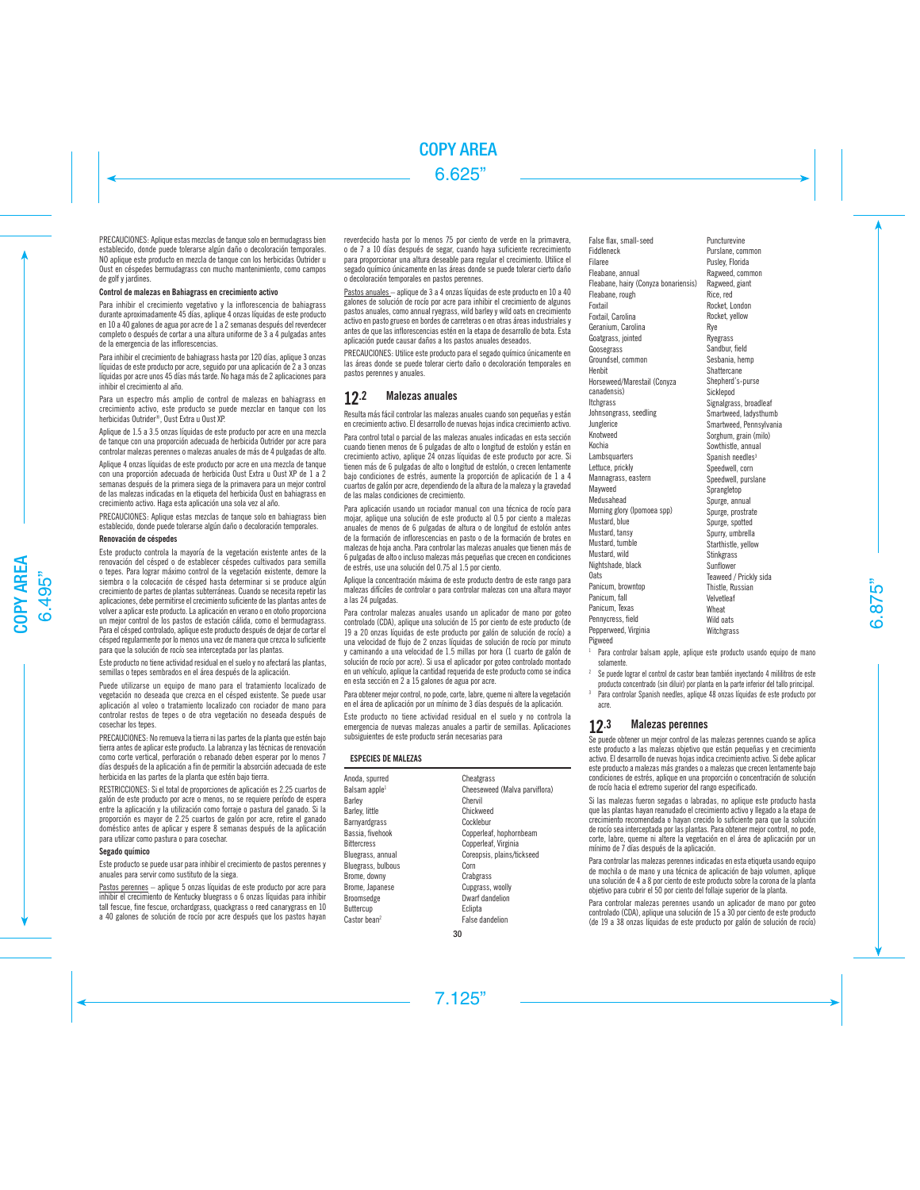PRECAUCIONES: Aplique estas mezclas de tanque solo en bermudagrass bien establecido, donde puede tolerarse algún daño o decoloración temporales. NO aplique este producto en mezcla de tanque con los herbicidas Outrider u Oust en céspedes bermudagrass con mucho mantenimiento, como campos de golf y jardines.

# Control de malezas en Bahiagrass en crecimiento activo

Para inhibir el crecimiento vegetativo y la inflorescencia de bahiagrass durante aproximadamente 45 días, aplique 4 onzas líquidas de este producto en 10 a 40 galones de agua por acre de 1 a 2 semanas después del reverdecer completo o después de cortar a una altura uniforme de 3 a 4 pulgadas antes de la emergencia de las inflorescencias.

Para inhibir el crecimiento de bahiagrass hasta por 120 días, aplique 3 onzas líquidas de este producto por acre, seguido por una aplicación de 2 a 3 onzas líquidas por acre unos 45 días más tarde. No haga más de 2 aplicaciones para inhibir el crecimiento al año.

Para un espectro más amplio de control de malezas en bahiagrass en crecimiento activo, este producto se puede mezclar en tanque con los herbicidas Outrider®, Oust Extra u Oust XP.

Aplique de 1.5 a 3.5 onzas líquidas de este producto por acre en una mezcla de tanque con una proporción adecuada de herbicida Outrider por acre para controlar malezas perennes o malezas anuales de más de 4 pulgadas de alto.

Aplique 4 onzas líquidas de este producto por acre en una mezcla de tanque con una proporción adecuada de herbicida Oust Extra u Oust XP de 1 a 2 semanas después de la primera siega de la primavera para un mejor control de las malezas indicadas en la etiqueta del herbicida Oust en bahiagrass en crecimiento activo. Haga esta aplicación una sola vez al año.

PRECAUCIONES: Aplique estas mezclas de tanque solo en bahiagrass bien establecido, donde puede tolerarse algún daño o decoloración temporales.

### Renovación de céspedes

Este producto controla la mayoría de la vegetación existente antes de la renovación del césped o de establecer céspedes cultivados para semilla o tepes. Para lograr máximo control de la vegetación existente, demore la siembra o la colocación de césped hasta determinar si se produce algún crecimiento de partes de plantas subterráneas. Cuando se necesita repetir las aplicaciones, debe permitirse el crecimiento suficiente de las plantas antes de volver a aplicar este producto. La aplicación en verano o en otoño proporciona un mejor control de los pastos de estación cálida, como el bermudagrass. Para el césped controlado, aplique este producto después de dejar de cortar el césped regularmente por lo menos una vez de manera que crezca lo suficiente para que la solución de rocío sea interceptada por las plantas.

Este producto no tiene actividad residual en el suelo y no afectará las plantas, semillas o tepes sembrados en el área después de la aplicación.

Puede utilizarse un equipo de mano para el tratamiento localizado de vegetación no deseada que crezca en el césped existente. Se puede usar aplicación al voleo o tratamiento localizado con rociador de mano para controlar restos de tepes o de otra vegetación no deseada después de cosechar los tepes.

PRECAUCIONES: No remueva la tierra ni las partes de la planta que estén bajo tierra antes de aplicar este producto. La labranza y las técnicas de renovación como corte vertical, perforación o rebanado deben esperar por lo menos 7 días después de la aplicación a fin de permitir la absorción adecuada de este herbicida en las partes de la planta que estén bajo tierra.

RESTRICCIONES: Si el total de proporciones de aplicación es 2.25 cuartos de galón de este producto por acre o menos, no se requiere período de espera entre la aplicación y la utilización como forraje o pastura del ganado. Si la proporción es mayor de 2.25 cuartos de galón por acre, retire el ganado doméstico antes de aplicar y espere 8 semanas después de la aplicación para utilizar como pastura o para cosechar.

# Segado químico

Este producto se puede usar para inhibir el crecimiento de pastos perennes y anuales para servir como sustituto de la siega.

Pastos perennes – aplique 5 onzas líquidas de este producto por acre para inhibir el crecimiento de Kentucky bluegrass o 6 onzas líquidas para inhibir tall fescue, fine fescue, orchardgrass, quackgrass o reed canarygrass en 10 a 40 galones de solución de rocío por acre después que los pastos hayan reverdecido hasta por lo menos 75 por ciento de verde en la primavera, o de 7 a 10 días después de segar, cuando haya suficiente recrecimiento para proporcionar una altura deseable para regular el crecimiento. Utilice el segado químico únicamente en las áreas donde se puede tolerar cierto daño o decoloración temporales en pastos perennes.

Pastos anuales – aplique de 3 a 4 onzas líquidas de este producto en 10 a 40 galones de solución de rocío por acre para inhibir el crecimiento de algunos pastos anuales, como annual ryegrass, wild barley y wild oats en crecimiento activo en pasto grueso en bordes de carreteras o en otras áreas industriales y antes de que las inflorescencias estén en la etapa de desarrollo de bota. Esta aplicación puede causar daños a los pastos anuales deseados.

PRECAUCIONES: Utilice este producto para el segado químico únicamente en las áreas donde se puede tolerar cierto daño o decoloración temporales en pastos perennes y anuales.

# 12.2 Malezas anuales

Resulta más fácil controlar las malezas anuales cuando son pequeñas y están en crecimiento activo. El desarrollo de nuevas hojas indica crecimiento activo.

Para control total o parcial de las malezas anuales indicadas en esta sección cuando tienen menos de 6 pulgadas de alto o longitud de estolón y están en crecimiento activo, aplique 24 onzas líquidas de este producto por acre. Si tienen más de 6 pulgadas de alto o longitud de estolón, o crecen lentamente bajo condiciones de estrés, aumente la proporción de aplicación de 1 a 4 cuartos de galón por acre, dependiendo de la altura de la maleza y la gravedad de las malas condiciones de crecimiento.

Para aplicación usando un rociador manual con una técnica de rocío para mojar, aplique una solución de este producto al 0.5 por ciento a malezas anuales de menos de 6 pulgadas de altura o de longitud de estolón antes de la formación de inflorescencias en pasto o de la formación de brotes en malezas de hoja ancha. Para controlar las malezas anuales que tienen más de 6 pulgadas de alto o incluso malezas más pequeñas que crecen en condiciones de estrés, use una solución del 0.75 al 1.5 por ciento.

Aplique la concentración máxima de este producto dentro de este rango para malezas difíciles de controlar o para controlar malezas con una altura mayor a las 24 pulgadas.

Para controlar malezas anuales usando un aplicador de mano por goteo controlado (CDA), aplique una solución de 15 por ciento de este producto (de 19 a 20 onzas líquidas de este producto por galón de solución de rocío) a una velocidad de flujo de 2 onzas líquidas de solución de rocío por minuto y caminando a una velocidad de 1.5 millas por hora (1 cuarto de galón de solución de rocío por acre). Si usa el aplicador por goteo controlado montado en un vehículo, aplique la cantidad requerida de este producto como se indica en esta sección en 2 a 15 galones de agua por acre.

Para obtener mejor control, no pode, corte, labre, queme ni altere la vegetación en el área de aplicación por un mínimo de 3 días después de la aplicación.

Este producto no tiene actividad residual en el suelo y no controla la emergencia de nuevas malezas anuales a partir de semillas. Aplicaciones subsiguientes de este producto serán necesarias para

# ESPECIES DE MALEZAS

| Anoda, spurred            | Cheatgrass                    |
|---------------------------|-------------------------------|
| Balsam apple <sup>1</sup> | Cheeseweed (Malva parviflora) |
| Barley                    | Chervil                       |
| Barley, little            | Chickweed                     |
| Barnyardgrass             | Cocklebur                     |
| Bassia, fivehook          | Copperleaf, hophornbeam       |
| <b>Bittercress</b>        | Copperleaf, Virginia          |
| Bluegrass, annual         | Coreopsis, plains/tickseed    |
| Bluegrass, bulbous        | Corn                          |
| Brome, downy              | Crabgrass                     |
| Brome, Japanese           | Cupgrass, woolly              |
| Broomsedge                | Dwarf dandelion               |
| Buttercup                 | Eclipta                       |
| Castor bean <sup>2</sup>  | <b>False dandelion</b>        |
|                           |                               |

False flax, small-seed Fiddleneck Filaree Fleabane, annual Fleabane, hairy (Conyza bonariensis) Fleabane, rough Foxtail Foxtail, Carolina Geranium, Carolina Goatgrass, jointed Goosegrass Groundsel, common Henbit Horseweed/Marestail (Conyza canadensis) Itchgrass Johnsongrass, seedling Junglerice Knotweed Kochia Lambsquarters Lettuce, prickly Mannagrass, eastern Mayweed Medusahead Morning glory (Inomoea spp) Mustard, blue Mustard, tansy Mustard, tumble Mustard, wild Nightshade, black Oats Panicum, browntop Panicum, fall Panicum, Texas Pennycress, field Pepperweed, Virginia

Puncturevine Purslane, common Pusley, Florida Ragweed, common Ragweed, giant Rice, red Rocket, London Rocket, yellow Rye Ryegrass Sandbur, field Sesbania, hemp Shattercane Shepherd's-purse Sicklepod Signalgrass, broadleaf Smartweed, ladysthumb Smartweed, Pennsylvania Sorghum, grain (milo) Sowthistle, annual Spanish needles<sup>3</sup> Speedwell, corn Speedwell, purslane Sprangletop Spurge, annual Spurge, prostrate Spurge, spotted Spurry, umbrella Starthistle, yellow **Stinkgrass** Sunflower Teaweed / Prickly sida Thistle, Russian Velvetleaf Wheat Wild oats Witchgrass

 $1$  Para controlar balsam apple, aplique este producto usando equipo de mano solamente.

<sup>2</sup> Se puede lograr el control de castor bean también inyectando 4 mililitros de este producto concentrado (sin diluir) por planta en la parte inferior del tallo principal.

<sup>3</sup> Para controlar Spanish needles, aplique 48 onzas líquidas de este producto por acre.

# 12.3 Malezas perennes

Pigweed

Se puede obtener un mejor control de las malezas perennes cuando se aplica este producto a las malezas objetivo que están pequeñas y en crecimiento activo. El desarrollo de nuevas hojas indica crecimiento activo. Si debe aplicar este producto a malezas más grandes o a malezas que crecen lentamente bajo condiciones de estrés, aplique en una proporción o concentración de solución de rocío hacia el extremo superior del rango especificado.

Si las malezas fueron segadas o labradas, no aplique este producto hasta que las plantas hayan reanudado el crecimiento activo y llegado a la etapa de crecimiento recomendada o hayan crecido lo suficiente para que la solución de rocío sea interceptada por las plantas. Para obtener mejor control, no pode, corte, labre, queme ni altere la vegetación en el área de aplicación por un mínimo de 7 días después de la aplicación.

Para controlar las malezas perennes indicadas en esta etiqueta usando equipo de mochila o de mano y una técnica de aplicación de bajo volumen, aplique una solución de 4 a 8 por ciento de este producto sobre la corona de la planta objetivo para cubrir el 50 por ciento del follaje superior de la planta.

Para controlar malezas perennes usando un aplicador de mano por goteo controlado (CDA), aplique una solución de 15 a 30 por ciento de este producto (de 19 a 38 onzas líquidas de este producto por galón de solución de rocío)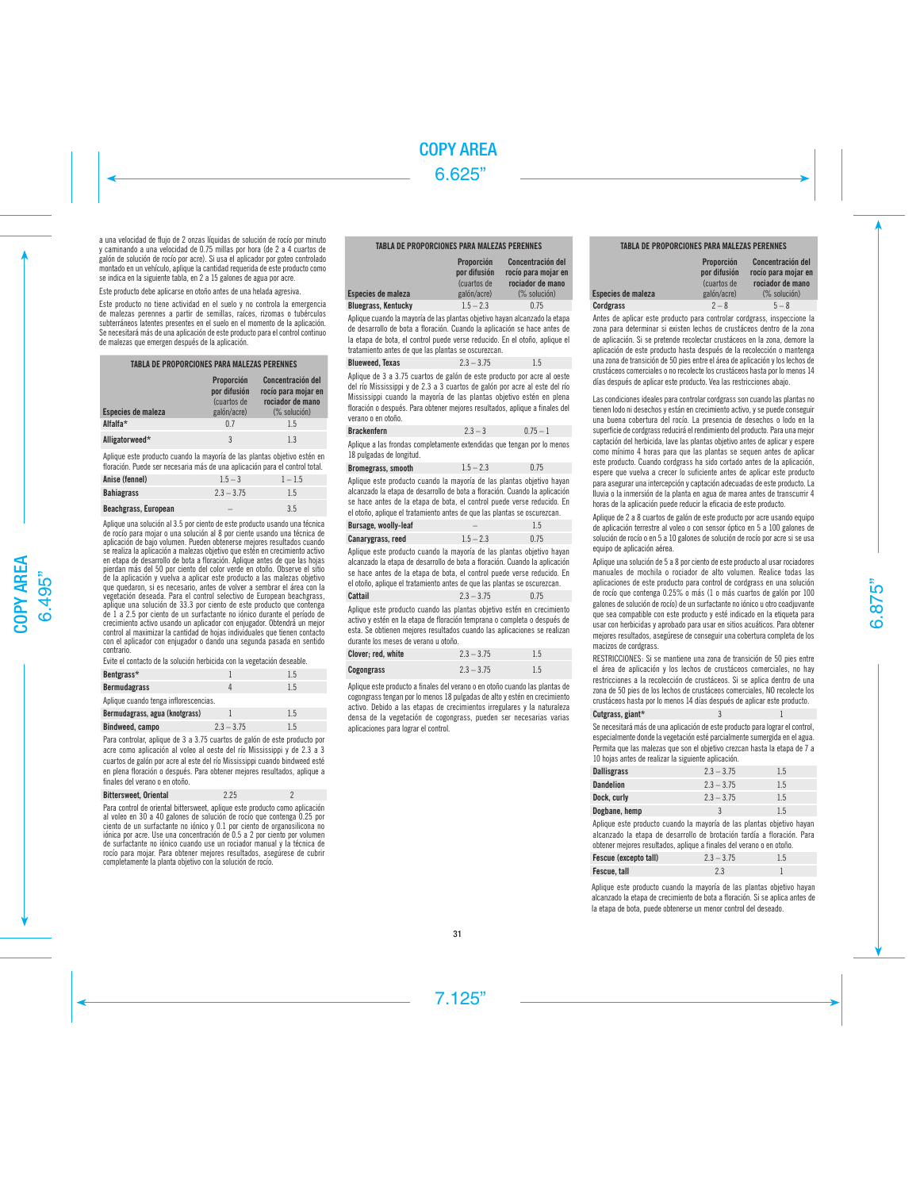a una velocidad de flujo de 2 onzas líquidas de solución de rocío por minuto y caminando a una velocidad de 0.75 millas por hora (de 2 a 4 cuartos de galón de solución de rocío por acre). Si usa el aplicador por goteo controlado montado en un vehículo, aplique la cantidad requerida de este producto como se indica en la siguiente tabla, en 2 a 15 galones de agua por acre.

Este producto debe aplicarse en otoño antes de una helada agresiva.

Este producto no tiene actividad en el suelo y no controla la emergencia de malezas perennes a partir de semillas, raíces, rizomas o tubérculos subterráneos latentes presentes en el suelo en el momento de la aplicación. Se necesitará más de una aplicación de este producto para el control continuo de malezas que emergen después de la aplicación.

| TABLA DE PROPORCIONES PARA MALEZAS PERENNES |                                                          |                                                                              |  |  |
|---------------------------------------------|----------------------------------------------------------|------------------------------------------------------------------------------|--|--|
| Especies de maleza                          | Proporción<br>por difusión<br>(cuartos de<br>galón/acre) | Concentración del<br>rocío para mojar en<br>rociador de mano<br>(% solución) |  |  |
| Alfalfa*                                    | 0.7                                                      | 1.5                                                                          |  |  |
| Alligatorweed*                              | 3                                                        | 13                                                                           |  |  |

Aplique este producto cuando la mayoría de las plantas objetivo estén en floración. Puede ser necesaria más de una aplicación para el control total.

| Anise (fennel)       | $1.5 - 3$    | $1 - 1.5$ |
|----------------------|--------------|-----------|
| Bahiagrass           | $2.3 - 3.75$ | 1.5       |
| Beachgrass, European | -            | 3.5       |

Aplique una solución al 3.5 por ciento de este producto usando una técnica de rocío para mojar o una solución al 8 por ciente usando una técnica de aplicación de bajo volumen. Pueden obtenerse mejores resultados cuando se realiza la aplicación a malezas objetivo que estén en crecimiento activo en etapa de desarrollo de bota a floración. Aplique antes de que las hojas pierdan más del 50 por ciento del color verde en otoño. Observe el sitio de la aplicación y vuelva a aplicar este producto a las malezas objetivo que quedaron, si es necesario, antes de volver a sembrar el área con la vegetación deseada. Para el control selectivo de European beachgrass, aplique una solución de 33.3 por ciento de este producto que contenga de 1 a 2.5 por ciento de un surfactante no iónico durante el período de crecimiento activo usando un aplicador con enjugador. Obtendrá un mejor control al maximizar la cantidad de hojas individuales que tienen contacto con el aplicador con enjugador o dando una segunda pasada en sentido contrario.

Evite el contacto de la solución herbicida con la vegetación deseable.

| Bentgrass*                            |              | 1.5 |  |  |  |  |
|---------------------------------------|--------------|-----|--|--|--|--|
| <b>Bermudagrass</b>                   |              | 1.5 |  |  |  |  |
| Aplique cuando tenga inflorescencias. |              |     |  |  |  |  |
| Bermudagrass, agua (knotgrass)        |              | 1.5 |  |  |  |  |
| Bindweed, campo                       | $2.3 - 3.75$ | 15  |  |  |  |  |

Para controlar, aplique de 3 a 3.75 cuartos de galón de este producto por acre como aplicación al voleo al oeste del río Mississippi y de 2.3 a 3 cuartos de galón por acre al este del río Mississippi cuando bindweed esté en plena floración o después. Para obtener mejores resultados, aplique a finales del verano o en otoño.

| <b>Bittersweet, Oriental</b> | 2.25 |  |
|------------------------------|------|--|
|------------------------------|------|--|

Para control de oriental bittersweet, aplique este producto como aplicación al voleo en 30 a 40 galones de solución de rocío que contenga 0.25 por ciento de un surfactante no iónico y 0.1 por ciento de organosilicona no iónica por acre. Use una concentración de 0.5 a 2 por ciento por volumen de surfactante no iónico cuando use un rociador manual y la técnica de rocío para mojar. Para obtener mejores resultados, asegúrese de cubrir completamente la planta objetivo con la solución de rocío.

## TABLA DE PROPORCIONES PARA MALEZAS PERENNES

| Especies de maleza         | Proporción<br>por difusión<br>Cuartos de<br>galón/acre) | Concentración del<br>rocío para mojar en<br>rociador de mano<br>$(\%$ solución) |
|----------------------------|---------------------------------------------------------|---------------------------------------------------------------------------------|
| <b>Bluegrass, Kentucky</b> | $1.5 - 2.3$                                             | 0.75                                                                            |

Aplique cuando la mayoría de las plantas objetivo hayan alcanzado la etapa de desarrollo de bota a floración. Cuando la aplicación se hace antes de la etapa de bota, el control puede verse reducido. En el otoño, aplique el tratamiento antes de que las plantas se oscurezcan.

# **Blueweed, Texas** 2.3 – 3.75 1.5

Aplique de 3 a 3.75 cuartos de galón de este producto por acre al oeste del río Mississippi y de 2.3 a 3 cuartos de galón por acre al este del río Mississippi cuando la mayoría de las plantas objetivo estén en plena floración o después. Para obtener mejores resultados, aplique a finales del verano o en otoño.

| <b>Brackenfern</b>                                                    | $2.3 - 3$ | $0.75 - 1$ |
|-----------------------------------------------------------------------|-----------|------------|
| Anlique a las frondas completamente extendidas que tengan por lo meno |           |            |

Aplique a las frondas completamente extendidas que tengan por lo menos 18 pulgadas de longitud.

| Bromegrass, smooth | $1.5 - 2.3$ | 0.75 |
|--------------------|-------------|------|
|--------------------|-------------|------|

Aplique este producto cuando la mayoría de las plantas objetivo hayan alcanzado la etapa de desarrollo de bota a floración. Cuando la aplicación se hace antes de la etapa de bota, el control puede verse reducido. En el otoño, aplique el tratamiento antes de que las plantas se oscurezcan.

| <b>Bursage, woolly-leaf</b> |             |      |
|-----------------------------|-------------|------|
| Canarygrass, reed           | $1.5 - 2.3$ | 0.75 |

Aplique este producto cuando la mayoría de las plantas objetivo hayan alcanzado la etapa de desarrollo de bota a floración. Cuando la aplicación se hace antes de la etapa de bota, el control puede verse reducido. En el otoño, aplique el tratamiento antes de que las plantas se oscurezcan.

# **Cattail** 2.3 – 3.75 0.75

Aplique este producto cuando las plantas objetivo estén en crecimiento activo y estén en la etapa de floración temprana o completa o después de esta. Se obtienen mejores resultados cuando las aplicaciones se realizan durante los meses de verano u otoño.

| Clover: red. white | $2.3 - 3.75$ | 1.5 |
|--------------------|--------------|-----|
| Cogongrass         | $2.3 - 3.75$ | 1.5 |

Aplique este producto a finales del verano o en otoño cuando las plantas de cogongrass tengan por lo menos 18 pulgadas de alto y estén en crecimiento activo. Debido a las etapas de crecimientos irregulares y la naturaleza densa de la vegetación de cogongrass, pueden ser necesarias varias aplicaciones para lograr el control.

# TABLA DE PROPORCIONES PARA MALEZAS PERENNES

| Especies de maleza | Proporción<br>por difusión<br>(cuartos de<br>galón/acre) | Concentración del<br>rocío para mojar en<br>rociador de mano<br>(% solución) |
|--------------------|----------------------------------------------------------|------------------------------------------------------------------------------|
| <b>Cordgrass</b>   | $2 - 8$                                                  | $5 - 8$                                                                      |

Antes de aplicar este producto para controlar cordgrass, inspeccione la zona para determinar si existen lechos de crustáceos dentro de la zona de aplicación. Si se pretende recolectar crustáceos en la zona, demore la aplicación de este producto hasta después de la recolección o mantenga una zona de transición de 50 pies entre el área de aplicación y los lechos de crustáceos comerciales o no recolecte los crustáceos hasta por lo menos 14 días después de aplicar este producto. Vea las restricciones abajo.

Las condiciones ideales para controlar cordgrass son cuando las plantas no tienen lodo ni desechos y están en crecimiento activo, y se puede conseguir una buena cobertura del rocío. La presencia de desechos o lodo en la superficie de cordgrass reducirá el rendimiento del producto. Para una mejor captación del herbicida, lave las plantas objetivo antes de aplicar y espere como mínimo 4 horas para que las plantas se sequen antes de aplicar este producto. Cuando cordgrass ha sido cortado antes de la aplicación, espere que vuelva a crecer lo suficiente antes de aplicar este producto para asegurar una intercepción y captación adecuadas de este producto. La lluvia o la inmersión de la planta en agua de marea antes de transcurrir 4 horas de la aplicación puede reducir la eficacia de este producto.

Aplique de 2 a 8 cuartos de galón de este producto por acre usando equipo de aplicación terrestre al voleo o con sensor óptico en 5 a 100 galones de solución de rocío o en 5 a 10 galones de solución de rocío por acre si se usa equipo de aplicación aérea.

Aplique una solución de 5 a 8 por ciento de este producto al usar rociadores manuales de mochila o rociador de alto volumen. Realice todas las aplicaciones de este producto para control de cordgrass en una solución de rocío que contenga 0.25% o más (1 o más cuartos de galón por 100 galones de solución de rocío) de un surfactante no iónico u otro coadjuvante que sea compatible con este producto y esté indicado en la etiqueta para usar con herbicidas y aprobado para usar en sitios acuáticos. Para obtener mejores resultados, asegúrese de conseguir una cobertura completa de los macizos de cordgrass.

RESTRICCIONES: Si se mantiene una zona de transición de 50 pies entre el área de aplicación y los lechos de crustáceos comerciales, no hay restricciones a la recolección de crustáceos. Si se aplica dentro de una zona de 50 pies de los lechos de crustáceos comerciales, NO recolecte los crustáceos hasta por lo menos 14 días después de aplicar este producto.

| Cutgrass, giant* |  |  |  |  |  |  |  |  |
|------------------|--|--|--|--|--|--|--|--|
|                  |  |  |  |  |  |  |  |  |

Se necesitará más de una aplicación de este producto para lograr el control, especialmente donde la vegetación esté parcialmente sumergida en el agua. Permita que las malezas que son el objetivo crezcan hasta la etapa de 7 a 10 hojas antes de realizar la siguiente aplicación.

| <b>Dallisgrass</b> | $2.3 - 3.75$ | 1.5 |
|--------------------|--------------|-----|
| <b>Dandelion</b>   | $2.3 - 3.75$ | 1.5 |
| Dock, curly        | $2.3 - 3.75$ | 1.5 |
| Dogbane, hemp      | 3            | 1.5 |

Aplique este producto cuando la mayoría de las plantas objetivo hayan alcanzado la etapa de desarrollo de brotación tardía a floración. Para obtener mejores resultados, aplique a finales del verano o en otoño.

| Fescue (excepto tall) | $2.3 - 3.75$ | 1.5 |
|-----------------------|--------------|-----|
| Fescue, tall          |              |     |

Aplique este producto cuando la mayoría de las plantas objetivo hayan alcanzado la etapa de crecimiento de bota a floración. Si se aplica antes de la etapa de bota, puede obtenerse un menor control del deseado.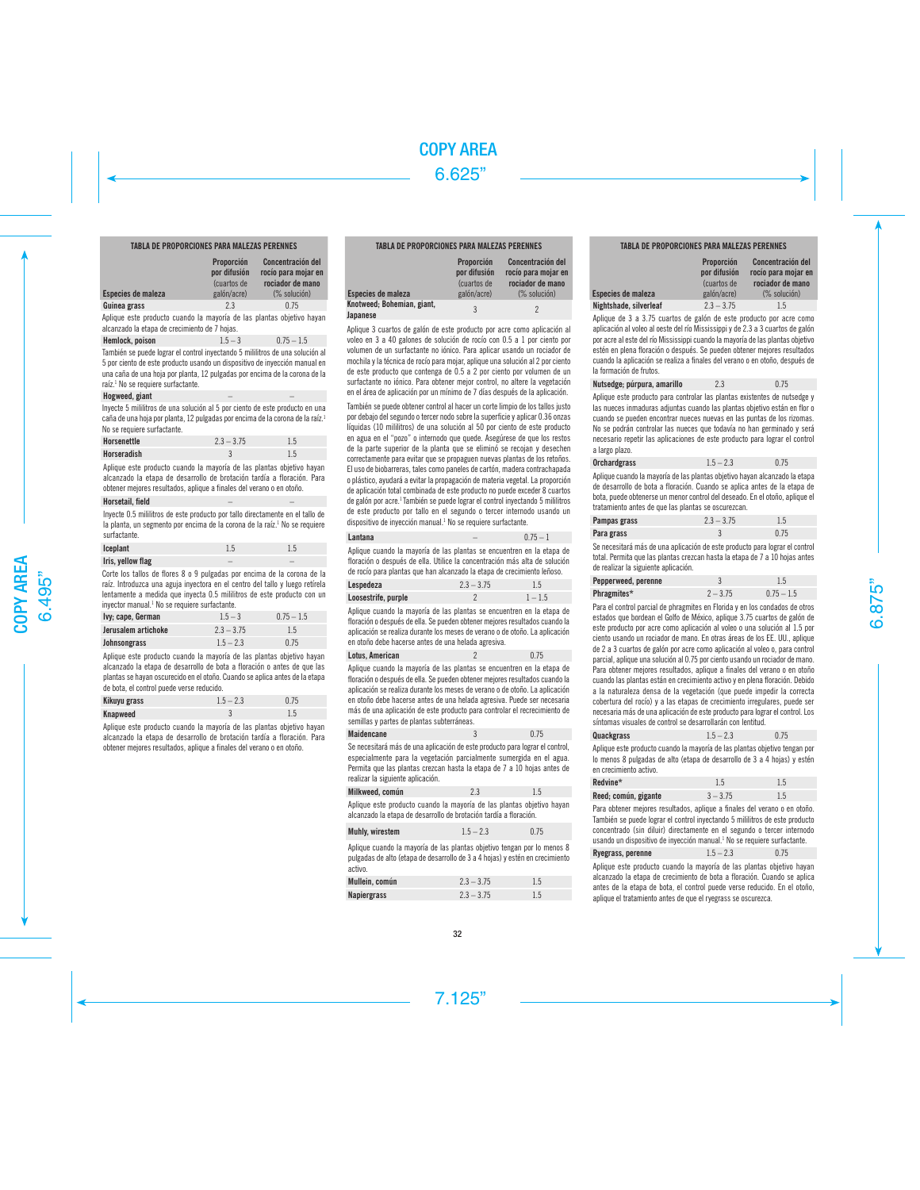# TABLA DE PROPORCIONES PARA MALEZAS PERENNES

| Especies de maleza | <b>Proporción</b><br>por difusión<br>(cuartos de<br>galón/acre) | Concentración del<br>rocío para mojar en<br>rociador de mano<br>$(\%$ solución) |
|--------------------|-----------------------------------------------------------------|---------------------------------------------------------------------------------|
|                    |                                                                 |                                                                                 |
| Guinea grass       | 2.3                                                             | 0.75                                                                            |
|                    |                                                                 |                                                                                 |

Aplique este producto cuando la mayoría de las plantas objetivo hayan alcanzado la etapa de crecimiento de 7 hojas.

| Hemlock, poison | $1.5 - 3$ | $0.75 - 1.5$ |
|-----------------|-----------|--------------|
|-----------------|-----------|--------------|

También se puede lograr el control inyectando 5 mililitros de una solución al 5 por ciento de este producto usando un dispositivo de inyección manual en una caña de una hoja por planta, 12 pulgadas por encima de la corona de la raíz. 1 No se requiere surfactante.

#### Hogweed, giant

Inyecte 5 mililitros de una solución al 5 por ciento de este producto en una caña de una hoja por planta, 12 pulgadas por encima de la corona de la raíz. 1 No se requiere surfactante.

| Horsenettle | $2.3 - 3.75$ | 1.5 |
|-------------|--------------|-----|
| Horseradish |              |     |

Aplique este producto cuando la mayoría de las plantas objetivo hayan alcanzado la etapa de desarrollo de brotación tardía a floración. Para obtener mejores resultados, aplique a finales del verano o en otoño.

# Horsetail, field

Inyecte 0.5 mililitros de este producto por tallo directamente en el tallo de la planta, un segmento por encima de la corona de la raíz.<sup>1</sup> No se requiere surfactante.

| Iceplant          | 1.5 | 1.5 |
|-------------------|-----|-----|
| Iris, yellow flag | -   |     |

Corte los tallos de flores 8 o 9 pulgadas por encima de la corona de la raíz. Introduzca una aguja inyectora en el centro del tallo y luego retírela lentamente a medida que inyecta 0.5 mililitros de este producto con un inyector manual. 1 No se requiere surfactante.

| Ivy; cape, German   | $1.5 - 3$    | $0.75 - 1.5$ |
|---------------------|--------------|--------------|
| Jerusalem artichoke | $2.3 - 3.75$ | 1.5          |
| Johnsongrass        | $1.5 - 2.3$  | 0.75         |

Aplique este producto cuando la mayoría de las plantas objetivo hayan alcanzado la etapa de desarrollo de bota a floración o antes de que las plantas se hayan oscurecido en el otoño. Cuando se aplica antes de la etapa de bota, el control puede verse reducido.

| Kikuyu grass | $1.5 - 2.3$ | 0.75 |
|--------------|-------------|------|
| Knapweed     |             | 1.5  |

Aplique este producto cuando la mayoría de las plantas objetivo hayan alcanzado la etapa de desarrollo de brotación tardía a floración. Para obtener mejores resultados, aplique a finales del verano o en otoño.

# TABLA DE PROPORCIONES PARA MALEZAS PERENNES

| Especies de maleza                     | Proporción<br>por difusión<br>(cuartos de<br>galón/acre) | Concentración del<br>rocío para mojar en<br>rociador de mano<br>$(\%$ solución) |
|----------------------------------------|----------------------------------------------------------|---------------------------------------------------------------------------------|
| Knotweed; Bohemian, giant,<br>Japanese | 3                                                        | 2                                                                               |

Aplique 3 cuartos de galón de este producto por acre como aplicación al voleo en 3 a 40 galones de solución de rocío con 0.5 a 1 por ciento por volumen de un surfactante no iónico. Para aplicar usando un rociador de mochila y la técnica de rocío para mojar, aplique una solución al 2 por ciento de este producto que contenga de 0.5 a 2 por ciento por volumen de un surfactante no iónico. Para obtener mejor control, no altere la vegetación en el área de aplicación por un mínimo de 7 días después de la aplicación.

También se puede obtener control al hacer un corte limpio de los tallos justo por debajo del segundo o tercer nodo sobre la superficie y aplicar 0.36 onzas líquidas (10 mililitros) de una solución al 50 por ciento de este producto en agua en el "pozo" o internodo que quede. Asegúrese de que los restos de la parte superior de la planta que se eliminó se recojan y desechen correctamente para evitar que se propaguen nuevas plantas de los retoños. El uso de biobarreras, tales como paneles de cartón, madera contrachapada o plástico, ayudará a evitar la propagación de materia vegetal. La proporción de aplicación total combinada de este producto no puede exceder 8 cuartos de galón por acre. 1 También se puede lograr el control inyectando 5 mililitros de este producto por tallo en el segundo o tercer internodo usando un dispositivo de inyección manual. 1 No se requiere surfactante.

| Lantana | $0.75 - 1$ |
|---------|------------|
|         |            |

Aplique cuando la mayoría de las plantas se encuentren en la etapa de floración o después de ella. Utilice la concentración más alta de solución de rocío para plantas que han alcanzado la etapa de crecimiento leñoso.

| Lespedeza           | $2.3 - 3.75$ | 1.5       |
|---------------------|--------------|-----------|
| Loosestrife, purple |              | $1 - 1.5$ |

Aplique cuando la mayoría de las plantas se encuentren en la etapa de floración o después de ella. Se pueden obtener mejores resultados cuando la aplicación se realiza durante los meses de verano o de otoño. La aplicación en otoño debe hacerse antes de una helada agresiva.

| Lotus, American | 0.75 |
|-----------------|------|
|                 |      |

Aplique cuando la mayoría de las plantas se encuentren en la etapa de floración o después de ella. Se pueden obtener mejores resultados cuando la aplicación se realiza durante los meses de verano o de otoño. La aplicación en otoño debe hacerse antes de una helada agresiva. Puede ser necesaria más de una aplicación de este producto para controlar el recrecimiento de semillas y partes de plantas subterráneas.

### Maidencane 3 0.75

Se necesitará más de una aplicación de este producto para lograr el control, especialmente para la vegetación parcialmente sumergida en el agua. Permita que las plantas crezcan hasta la etapa de 7 a 10 hojas antes de realizar la siguiente aplicación.

| Milkweed, común | 2.3 | 1.5 |
|-----------------|-----|-----|
|                 |     |     |

Aplique este producto cuando la mayoría de las plantas objetivo hayan alcanzado la etapa de desarrollo de brotación tardía a floración.

| Muhly, wirestem<br>$1.5 - 2.3$ | 0.75 |
|--------------------------------|------|
|--------------------------------|------|

Aplique cuando la mayoría de las plantas objetivo tengan por lo menos 8 pulgadas de alto (etapa de desarrollo de 3 a 4 hojas) y estén en crecimiento activo.

| Mullein, común | $2.3 - 3.75$ |     |
|----------------|--------------|-----|
| Napiergrass    | $2.3 - 3.75$ | 1.5 |

# TABLA DE PROPORCIONES PARA MALEZAS PERENNES

| Proporción<br>por difusión<br>(cuartos de<br>galón/acre) | Concentración del<br>rocío para moiar en<br>rociador de mano<br>(% solución) |
|----------------------------------------------------------|------------------------------------------------------------------------------|
| $2.3 - 3.75$                                             | 1.5                                                                          |
|                                                          |                                                                              |

Aplique de 3 a 3.75 cuartos de galón de este producto por acre como aplicación al voleo al oeste del río Mississippi y de 2.3 a 3 cuartos de galón por acre al este del río Mississippi cuando la mayoría de las plantas objetivo estén en plena floración o después. Se pueden obtener mejores resultados cuando la aplicación se realiza a finales del verano o en otoño, después de la formación de frutos.

| 2.3 | 0.75 |
|-----|------|
|     |      |

Esp<br>Nig

Aplique este producto para controlar las plantas existentes de nutsedge y las nueces inmaduras adjuntas cuando las plantas objetivo están en flor o cuando se pueden encontrar nueces nuevas en las puntas de los rizomas. No se podrán controlar las nueces que todavía no han germinado y será necesario repetir las aplicaciones de este producto para lograr el control a largo plazo.

| <b>Orchardgrass</b> | $1.5 - 2.3$ | 0.75 |
|---------------------|-------------|------|
|---------------------|-------------|------|

Aplique cuando la mayoría de las plantas objetivo hayan alcanzado la etapa de desarrollo de bota a floración. Cuando se aplica antes de la etapa de bota, puede obtenerse un menor control del deseado. En el otoño, aplique el tratamiento antes de que las plantas se oscurezcan.

| Pampas grass | $2.3 - 3.75$ | 1.5  |
|--------------|--------------|------|
| Para grass   |              | 0.75 |

Se necesitará más de una aplicación de este producto para lograr el control total. Permita que las plantas crezcan hasta la etapa de 7 a 10 hojas antes de realizar la siguiente aplicación.

| Pepperweed, perenne |            |              |
|---------------------|------------|--------------|
| Phragmites*         | $2 - 3.75$ | $0.75 - 1.5$ |

Para el control parcial de phragmites en Florida y en los condados de otros estados que bordean el Golfo de México, aplique 3.75 cuartos de galón de este producto por acre como aplicación al voleo o una solución al 1.5 por ciento usando un rociador de mano. En otras áreas de los EE. UU., aplique de 2 a 3 cuartos de galón por acre como aplicación al voleo o, para control parcial, aplique una solución al 0.75 por ciento usando un rociador de mano. Para obtener mejores resultados, aplique a finales del verano o en otoño cuando las plantas están en crecimiento activo y en plena floración. Debido a la naturaleza densa de la vegetación (que puede impedir la correcta cobertura del rocío) y a las etapas de crecimiento irregulares, puede ser necesaria más de una aplicación de este producto para lograr el control. Los síntomas visuales de control se desarrollarán con lentitud.

| Quackgrass<br>$1.5 - 2.3$ | 0.75 |
|---------------------------|------|
|---------------------------|------|

Aplique este producto cuando la mayoría de las plantas objetivo tengan por lo menos 8 pulgadas de alto (etapa de desarrollo de 3 a 4 hojas) y estén en crecimiento activo.

| Redvine*             | 1.5        | 1.5 |
|----------------------|------------|-----|
| Reed; común, gigante | $3 - 3.75$ | 1.5 |

Para obtener mejores resultados, aplique a finales del verano o en otoño. También se puede lograr el control inyectando 5 mililitros de este producto concentrado (sin diluir) directamente en el segundo o tercer internodo usando un dispositivo de inyección manual. 1 No se requiere surfactante.

| Ryegrass, perenne | $1.5 - 2.3$ | 0.75 |
|-------------------|-------------|------|
|-------------------|-------------|------|

Aplique este producto cuando la mayoría de las plantas objetivo hayan alcanzado la etapa de crecimiento de bota a floración. Cuando se aplica antes de la etapa de bota, el control puede verse reducido. En el otoño, aplique el tratamiento antes de que el ryegrass se oscurezca.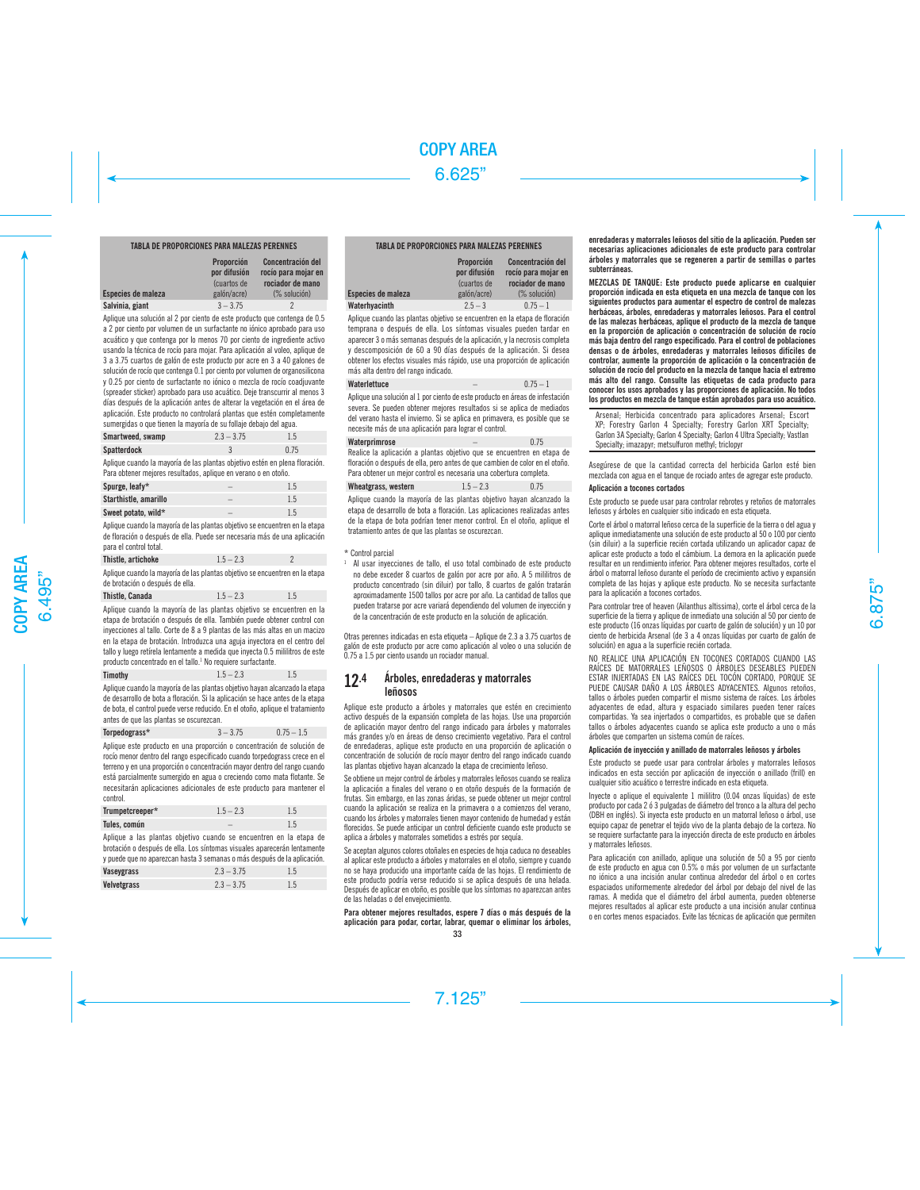# TABLA DE PROPORCIONES PARA MALEZAS PERENNES

| Especies de maleza | Proporción<br>por difusión<br>(cuartos de<br>galón/acre) | Concentración del<br>rocío para mojar en<br>rociador de mano<br>$(\%$ solución) |
|--------------------|----------------------------------------------------------|---------------------------------------------------------------------------------|
| Salvinia, giant    | $3 - 3.75$                                               |                                                                                 |

Aplique una solución al 2 por ciento de este producto que contenga de 0.5 a 2 por ciento por volumen de un surfactante no iónico aprobado para uso acuático y que contenga por lo menos 70 por ciento de ingrediente activo usando la técnica de rocío para mojar. Para aplicación al voleo, aplique de 3 a 3.75 cuartos de galón de este producto por acre en 3 a 40 galones de solución de rocío que contenga 0.1 por ciento por volumen de organosilicona y 0.25 por ciento de surfactante no iónico o mezcla de rocío coadjuvante (spreader sticker) aprobado para uso acuático. Deje transcurrir al menos 3 días después de la aplicación antes de alterar la vegetación en el área de aplicación. Este producto no controlará plantas que estén completamente sumergidas o que tienen la mayoría de su follaje debajo del agua.

| Smartweed, swamp   | $2.3 - 3.75$ | 1.5  |
|--------------------|--------------|------|
| <b>Spatterdock</b> |              | 0.75 |

Aplique cuando la mayoría de las plantas objetivo estén en plena floración. Para obtener mejores resultados, aplique en verano o en otoño.

| Spurge, leafy*        | - |     |
|-----------------------|---|-----|
| Starthistle, amarillo | - | 1.5 |
| Sweet potato, wild*   | - | 1.5 |

Aplique cuando la mayoría de las plantas objetivo se encuentren en la etapa de floración o después de ella. Puede ser necesaria más de una aplicación para el control total.

| Thistle, artichoke                                                          | $1.5 - 2.3$ |  |
|-----------------------------------------------------------------------------|-------------|--|
| Anlique cuando la mayoría de las plantas objetivo se encuentren en la etapa |             |  |

as objetivo se encuentren en la etap de brotación o después de ella.

| Thistle, Canada | $1.5 - 2.3$ | 1.5 |
|-----------------|-------------|-----|
|-----------------|-------------|-----|

Aplique cuando la mayoría de las plantas objetivo se encuentren en la etapa de brotación o después de ella. También puede obtener control con inyecciones al tallo. Corte de 8 a 9 plantas de las más altas en un macizo en la etapa de brotación. Introduzca una aguja inyectora en el centro del tallo y luego retírela lentamente a medida que inyecta 0.5 mililitros de este producto concentrado en el tallo. 1 No requiere surfactante.

| Timothy |  | $1.5 - 2.3$ | 1.5 |
|---------|--|-------------|-----|
|         |  |             |     |

Aplique cuando la mayoría de las plantas objetivo hayan alcanzado la etapa de desarrollo de bota a floración. Si la aplicación se hace antes de la etapa de bota, el control puede verse reducido. En el otoño, aplique el tratamiento antes de que las plantas se oscurezcan.

Aplique este producto en una proporción o concentración de solución de rocío menor dentro del rango especificado cuando torpedograss crece en el terreno y en una proporción o concentración mayor dentro del rango cuando está parcialmente sumergido en agua o creciendo como mata flotante. Se necesitarán aplicaciones adicionales de este producto para mantener el control.

| Trumpetcreeper* | $1.5 - 2.3$ | 1.5 |
|-----------------|-------------|-----|
| Tules, común    |             | 1.5 |

Aplique a las plantas objetivo cuando se encuentren en la etapa de brotación o después de ella. Los síntomas visuales aparecerán lentamente y puede que no aparezcan hasta 3 semanas o más después de la aplicación.

| Vaseygrass  | $2.3 - 3.75$ | 1.5 |
|-------------|--------------|-----|
| Velvetgrass | $2.3 - 3.75$ | 1.5 |

#### TABLA DE PROPORCIONES PARA MALEZAS PERENNES

| Especies de maleza | Proporción<br>por difusión<br>(cuartos de<br>galón/acre) | Concentración del<br>rocío para mojar en<br>rociador de mano<br>$(\%$ solución) |
|--------------------|----------------------------------------------------------|---------------------------------------------------------------------------------|
| Waterhyacinth      | $2.5 - 3$                                                | $0.75 - 1$                                                                      |

Aplique cuando las plantas objetivo se encuentren en la etapa de floración temprana o después de ella. Los síntomas visuales pueden tardar en aparecer 3 o más semanas después de la aplicación, y la necrosis completa y descomposición de 60 a 90 días después de la aplicación. Si desea obtener los efectos visuales más rápido, use una proporción de aplicación más alta dentro del rango indicado.

# Waterlettuce  $\begin{array}{ccc} 0.75 & -1 \end{array}$

Aplique una solución al 1 por ciento de este producto en áreas de infestación severa. Se pueden obtener mejores resultados si se aplica de mediados del verano hasta el invierno. Si se aplica en primavera, es posible que se necesite más de una aplicación para lograr el control.

# Waterprimrose – 0.75

Realice la aplicación a plantas objetivo que se encuentren en etapa de floración o después de ella, pero antes de que cambien de color en el otoño. Para obtener un mejor control es necesaria una cobertura completa.

# Wheatgrass, western  $1.5 - 2.3$  0.75

Aplique cuando la mayoría de las plantas objetivo hayan alcanzado la etapa de desarrollo de bota a floración. Las aplicaciones realizadas antes de la etapa de bota podrían tener menor control. En el otoño, aplique el tratamiento antes de que las plantas se oscurezcan.

### \* Control parcial

<sup>1</sup> Al usar inyecciones de tallo, el uso total combinado de este producto no debe exceder 8 cuartos de galón por acre por año. A 5 mililitros de producto concentrado (sin diluir) por tallo, 8 cuartos de galón tratarán aproximadamente 1500 tallos por acre por año. La cantidad de tallos que pueden tratarse por acre variará dependiendo del volumen de inyección y de la concentración de este producto en la solución de aplicación.

Otras perennes indicadas en esta etiqueta – Aplique de 2.3 a 3.75 cuartos de galón de este producto por acre como aplicación al voleo o una solución de 0.75 a 1.5 por ciento usando un rociador manual.

# 12.4 Árboles, enredaderas y matorrales leñosos

Aplique este producto a árboles y matorrales que estén en crecimiento activo después de la expansión completa de las hojas. Use una proporción de aplicación mayor dentro del rango indicado para árboles y matorrales más grandes y/o en áreas de denso crecimiento vegetativo. Para el control de enredaderas, aplique este producto en una proporción de aplicación o concentración de solución de rocío mayor dentro del rango indicado cuando las plantas objetivo hayan alcanzado la etapa de crecimiento leñoso.

Se obtiene un mejor control de árboles y matorrales leñosos cuando se realiza la aplicación a finales del verano o en otoño después de la formación de frutas. Sin embargo, en las zonas áridas, se puede obtener un mejor control cuando la aplicación se realiza en la primavera o a comienzos del verano, cuando los árboles y matorrales tienen mayor contenido de humedad y están florecidos. Se puede anticipar un control deficiente cuando este producto se aplica a árboles y matorrales sometidos a estrés por sequía.

Se aceptan algunos colores otoñales en especies de hoja caduca no deseables al aplicar este producto a árboles y matorrales en el otoño, siempre y cuando no se haya producido una importante caída de las hojas. El rendimiento de este producto podría verse reducido si se aplica después de una helada. Después de aplicar en otoño, es posible que los síntomas no aparezcan antes de las heladas o del envejecimiento.

Para obtener mejores resultados, espere 7 días o más después de la aplicación para podar, cortar, labrar, quemar o eliminar los árboles, enredaderas y matorrales leñosos del sitio de la aplicación. Pueden ser necesarias aplicaciones adicionales de este producto para controlar árboles y matorrales que se regeneren a partir de semillas o partes subterráneas.

MEZCLAS DE TANQUE: Este producto puede aplicarse en cualquier proporción indicada en esta etiqueta en una mezcla de tanque con los siguientes productos para aumentar el espectro de control de malezas herbáceas, árboles, enredaderas y matorrales leñosos. Para el control de las malezas herbáceas, aplique el producto de la mezcla de tanque en la proporción de aplicación o concentración de solución de rocío más baja dentro del rango especificado. Para el control de poblaciones densas o de árboles, enredaderas y matorrales leñosos difíciles de controlar, aumente la proporción de aplicación o la concentración de solución de rocío del producto en la mezcla de tanque hacia el extremo más alto del rango. Consulte las etiquetas de cada producto para conocer los usos aprobados y las proporciones de aplicación. No todos los productos en mezcla de tanque están aprobados para uso acuático.

Arsenal; Herbicida concentrado para aplicadores Arsenal; Escort XP; Forestry Garlon 4 Specialty; Forestry Garlon XRT Specialty; Garlon 3A Specialty; Garlon 4 Specialty; Garlon 4 Ultra Specialty; Vastlan Specialty; imazapyr; metsulfuron methyl; triclopyr

Asegúrese de que la cantidad correcta del herbicida Garlon esté bien mezclada con agua en el tanque de rociado antes de agregar este producto.

# Aplicación a tocones cortados

Este producto se puede usar para controlar rebrotes y retoños de matorrales leñosos y árboles en cualquier sitio indicado en esta etiqueta.

Corte el árbol o matorral leñoso cerca de la superficie de la tierra o del agua y aplique inmediatamente una solución de este producto al 50 o 100 por ciento (sin diluir) a la superficie recién cortada utilizando un aplicador capaz de aplicar este producto a todo el cámbium. La demora en la aplicación puede resultar en un rendimiento inferior. Para obtener mejores resultados, corte el árbol o matorral leñoso durante el período de crecimiento activo y expansión completa de las hojas y aplique este producto. No se necesita surfactante para la aplicación a tocones cortados.

Para controlar tree of heaven (Ailanthus altissima), corte el árbol cerca de la superficie de la tierra y aplique de inmediato una solución al 50 por ciento de este producto (16 onzas líquidas por cuarto de galón de solución) y un 10 por ciento de herbicida Arsenal (de 3 a 4 onzas líquidas por cuarto de galón de solución) en agua a la superficie recién cortada.

NO REALICE UNA APLICACIÓN EN TOCONES CORTADOS CUANDO LAS RAÍCES DE MATORRALES LEÑOSOS O ÁRBOLES DESEABLES PUEDEN ESTAR INJERTADAS EN LAS RAÍCES DEL TOCÓN CORTADO, PORQUE SE PUEDE CAUSAR DAÑO A LOS ÁRBOLES ADYACENTES. Algunos retoños, tallos o árboles pueden compartir el mismo sistema de raíces. Los árboles adyacentes de edad, altura y espaciado similares pueden tener raíces compartidas. Ya sea injertados o compartidos, es probable que se dañen tallos o árboles adyacentes cuando se aplica este producto a uno o más árboles que comparten un sistema común de raíces.

## Aplicación de inyección y anillado de matorrales leñosos y árboles

Este producto se puede usar para controlar árboles y matorrales leñosos indicados en esta sección por aplicación de inyección o anillado (frill) en cualquier sitio acuático o terrestre indicado en esta etiqueta.

Inyecte o aplique el equivalente 1 mililitro (0.04 onzas líquidas) de este producto por cada 2 ó 3 pulgadas de diámetro del tronco a la altura del pecho (DBH en inglés). Si inyecta este producto en un matorral leñoso o árbol, use equipo capaz de penetrar el tejido vivo de la planta debajo de la corteza. No se requiere surfactante para la inyección directa de este producto en árboles y matorrales leñosos.

Para aplicación con anillado, aplique una solución de 50 a 95 por ciento de este producto en agua con 0.5% o más por volumen de un surfactante no iónico a una incisión anular continua alrededor del árbol o en cortes espaciados uniformemente alrededor del árbol por debajo del nivel de las ramas. A medida que el diámetro del árbol aumenta, pueden obtenerse mejores resultados al aplicar este producto a una incisión anular continua o en cortes menos espaciados. Evite las técnicas de aplicación que permiten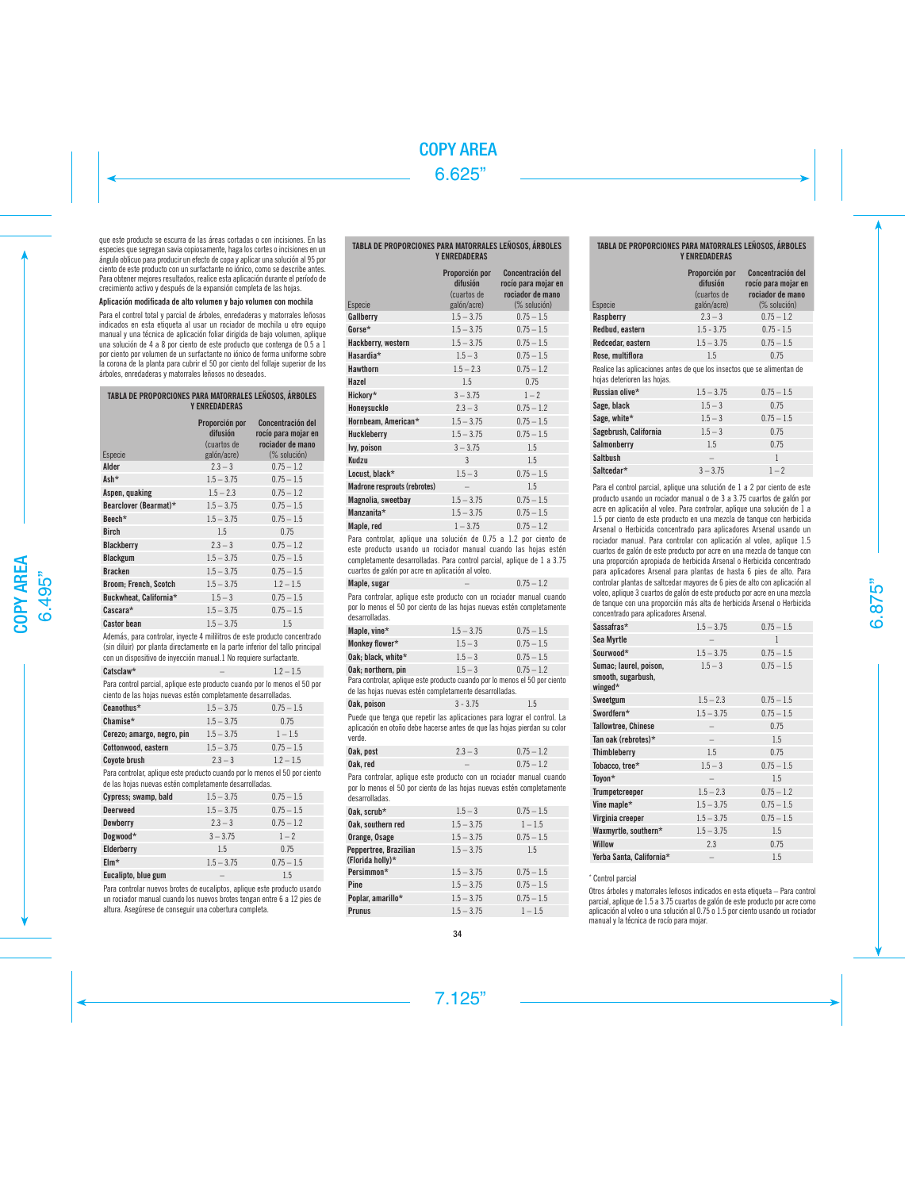que este producto se escurra de las áreas cortadas o con incisiones. En las especies que segregan savia copiosamente, haga los cortes o incisiones en un ángulo oblicuo para producir un efecto de copa y aplicar una solución al 95 por ciento de este producto con un surfactante no iónico, como se describe antes. Para obtener mejores resultados, realice esta aplicación durante el período de crecimiento activo y después de la expansión completa de las hojas.

# Aplicación modificada de alto volumen y bajo volumen con mochila

Para el control total y parcial de árboles, enredaderas y matorrales leñosos indicados en esta etiqueta al usar un rociador de mochila u otro equipo manual y una técnica de aplicación foliar dirigida de bajo volumen, aplique una solución de 4 a 8 por ciento de este producto que contenga de 0.5 a 1 por ciento por volumen de un surfactante no iónico de forma uniforme sobre la corona de la planta para cubrir el 50 por ciento del follaje superior de los árboles, enredaderas y matorrales leñosos no deseados.

| TABLA DE PROPORCIONES PARA MATORRALES LEÑOSOS. ÁRBOLES<br><b>Y ENREDADERAS</b> |                                                          |                                                                              |  |
|--------------------------------------------------------------------------------|----------------------------------------------------------|------------------------------------------------------------------------------|--|
| Especie                                                                        | Proporción por<br>difusión<br>(cuartos de<br>galón/acre) | Concentración del<br>rocío para mojar en<br>rociador de mano<br>(% solución) |  |
| Alder                                                                          | $2.3 - 3$                                                | $0.75 - 1.2$                                                                 |  |
| Ash*                                                                           | $1.5 - 3.75$                                             | $0.75 - 1.5$                                                                 |  |
| Aspen, quaking                                                                 | $1.5 - 2.3$                                              | $0.75 - 1.2$                                                                 |  |
| Bearclover (Bearmat)*                                                          | $1.5 - 3.75$                                             | $0.75 - 1.5$                                                                 |  |
| Beech*                                                                         | $1.5 - 3.75$                                             | $0.75 - 1.5$                                                                 |  |
| <b>Birch</b>                                                                   | 1.5                                                      | 0.75                                                                         |  |
| <b>Blackberry</b>                                                              | $2.3 - 3$                                                | $0.75 - 1.2$                                                                 |  |
| <b>Blackgum</b>                                                                | $1.5 - 3.75$                                             | $0.75 - 1.5$                                                                 |  |
| <b>Bracken</b>                                                                 | $1.5 - 3.75$                                             | $0.75 - 1.5$                                                                 |  |
| <b>Broom</b> ; French, Scotch                                                  | $1.5 - 3.75$                                             | $1.2 - 1.5$                                                                  |  |
| Buckwheat. California*                                                         | $1.5 - 3$                                                | $0.75 - 1.5$                                                                 |  |
| Cascara*                                                                       | $1.5 - 3.75$                                             | $0.75 - 1.5$                                                                 |  |
| <b>Castor bean</b>                                                             | $1.5 - 3.75$                                             | 1.5                                                                          |  |

Además, para controlar, inyecte 4 mililitros de este producto concentrado (sin diluir) por planta directamente en la parte inferior del tallo principal con un dispositivo de inyección manual.1 No requiere surfactante.

 $\text{Catsclaw*}$  – 1.2 – 1.5 Para control parcial, aplique este producto cuando por lo menos el 50 por ciento de las hojas nuevas estén completamente desarrolladas.

| Ceanothus*                 | $1.5 - 3.75$ | $0.75 - 1.5$ |
|----------------------------|--------------|--------------|
| Chamise*                   | $1.5 - 3.75$ | 0.75         |
| Cerezo; amargo, negro, pin | $1.5 - 3.75$ | $1 - 1.5$    |
| Cottonwood, eastern        | $1.5 - 3.75$ | $0.75 - 1.5$ |
| Coyote brush               | $2.3 - 3$    | $1.2 - 1.5$  |

Para controlar, aplique este producto cuando por lo menos el 50 por ciento de las hojas nuevas estén completamente desarrolladas.

| Cypress; swamp, bald | $1.5 - 3.75$ | $0.75 - 1.5$ |
|----------------------|--------------|--------------|
| <b>Deerweed</b>      | $1.5 - 3.75$ | $0.75 - 1.5$ |
| Dewberry             | $2.3 - 3$    | $0.75 - 1.2$ |
| Dogwood*             | $3 - 3.75$   | $1 - 2$      |
| Elderberry           | 1.5          | 0.75         |
| $EIm*$               | $1.5 - 3.75$ | $0.75 - 1.5$ |
| Eucalipto, blue gum  |              | 1.5          |

Para controlar nuevos brotes de eucaliptos, aplique este producto usando un rociador manual cuando los nuevos brotes tengan entre 6 a 12 pies de altura. Asegúrese de conseguir una cobertura completa.

# TABLA DE PROPORCIONES PARA MATORRALES LEÑOSOS, ÁRBOLES Y ENREDADERAS

| Especie                      | Proporción por<br>difusión<br>(cuartos de<br>galón/acre) | Concentración del<br>rocío para mojar en<br>rociador de mano<br>(% solución) |
|------------------------------|----------------------------------------------------------|------------------------------------------------------------------------------|
| Gallberry                    | $1.5 - 3.75$                                             | $0.75 - 1.5$                                                                 |
| Gorse*                       | $1.5 - 3.75$                                             | $0.75 - 1.5$                                                                 |
| Hackberry, western           | $1.5 - 3.75$                                             | $0.75 - 1.5$                                                                 |
| Hasardia*                    | $1.5 - 3$                                                | $0.75 - 1.5$                                                                 |
| <b>Hawthorn</b>              | $1.5 - 2.3$                                              | $0.75 - 1.2$                                                                 |
| Hazel                        | 1.5                                                      | 0.75                                                                         |
| Hickory*                     | $3 - 3.75$                                               | $1 - 2$                                                                      |
| Honeysuckle                  | $2.3 - 3$                                                | $0.75 - 1.2$                                                                 |
| Hornbeam, American*          | $1.5 - 3.75$                                             | $0.75 - 1.5$                                                                 |
| Huckleberry                  | $1.5 - 3.75$                                             | $0.75 - 1.5$                                                                 |
| lvy, poison                  | $3 - 3.75$                                               | 1.5                                                                          |
| Kudzu                        | 3                                                        | 1.5                                                                          |
| Locust. black*               | $1.5 - 3$                                                | $0.75 - 1.5$                                                                 |
| Madrone resprouts (rebrotes) |                                                          | 1.5                                                                          |
| Magnolia, sweetbay           | $1.5 - 3.75$                                             | $0.75 - 1.5$                                                                 |
| Manzanita*                   | $1.5 - 3.75$                                             | $0.75 - 1.5$                                                                 |
| Maple, red                   | $1 - 3.75$                                               | $0.75 - 1.2$                                                                 |

Para controlar, aplique una solución de 0.75 a 1.2 por ciento de este producto usando un rociador manual cuando las hojas estén completamente desarrolladas. Para control parcial, aplique de 1 a 3.75 cuartos de galón por acre en aplicación al voleo.

| Maple, sugar |  | $0.75 - 1.2$                                                       |
|--------------|--|--------------------------------------------------------------------|
|              |  | Dara controlar, oplique cata producto con un regiodor monual quand |

Para controlar, aplique este producto con un rociador manual cuando por lo menos el 50 por ciento de las hojas nuevas estén completamente desarrolladas.

| Maple, vine*       | $1.5 - 3.75$ | $0.75 - 1.5$ |
|--------------------|--------------|--------------|
| Monkey flower*     | $1.5 - 3$    | $0.75 - 1.5$ |
| Oak: black. white* | $1.5 - 3$    | $0.75 - 1.5$ |
| Oak: northern, pin | $1.5 - 3$    | $0.75 - 1.2$ |

Oak; northern, pin 1.5 – 3 0.75 – 1.2 Para controlar, aplique este producto cuando por lo menos el 50 por ciento de las hojas nuevas estén completamente desarrolladas.

| Puede que tenga que repetir las aplicaciones para lograr el control. La<br>aplicación en otoño debe hacerse antes de que las hoias pierdan su color | Oak. poison | $3 - 3.75$ | 1.5 |
|-----------------------------------------------------------------------------------------------------------------------------------------------------|-------------|------------|-----|
| under                                                                                                                                               |             |            |     |

| Oak, post | $2.3 - 3$                | $0.75 - 1.2$ |
|-----------|--------------------------|--------------|
| Oak.red   | $\overline{\phantom{a}}$ | $0.75 - 1.2$ |

Para controlar, aplique este producto con un rociador manual cuando por lo menos el 50 por ciento de las hojas nuevas estén completamente desarrolladas.

| $1.5 - 3$    | $0.75 - 1.5$ |
|--------------|--------------|
| $1.5 - 3.75$ | $1 - 1.5$    |
| $1.5 - 3.75$ | $0.75 - 1.5$ |
| $1.5 - 3.75$ | 1.5          |
| $1.5 - 3.75$ | $0.75 - 1.5$ |
| $1.5 - 3.75$ | $0.75 - 1.5$ |
| $1.5 - 3.75$ | $0.75 - 1.5$ |
| $1.5 - 3.75$ | $1 - 1.5$    |
|              |              |

# TABLA DE PROPORCIONES PARA MATORRALES LEÑOSOS, ÁRBOLES Y ENREDADERAS

| Especie                                                                                               | Proporción por<br>difusión<br>(cuartos de<br>galón/acre) | Concentración del<br>rocío para mojar en<br>rociador de mano<br>$(\%$ solución) |
|-------------------------------------------------------------------------------------------------------|----------------------------------------------------------|---------------------------------------------------------------------------------|
| Raspberry                                                                                             | $2.3 - 3$                                                | $0.75 - 1.2$                                                                    |
| Redbud, eastern                                                                                       | $1.5 - 3.75$                                             | $0.75 - 1.5$                                                                    |
| Redcedar, eastern                                                                                     | $1.5 - 3.75$                                             | $0.75 - 1.5$                                                                    |
| Rose, multiflora                                                                                      | 1.5                                                      | 0.75                                                                            |
| Realice las aplicaciones antes de que los insectos que se alimentan de<br>hojas deterioren las hojas. |                                                          |                                                                                 |
| Russian olive*                                                                                        | $1.5 - 3.75$                                             | $0.75 - 1.5$                                                                    |
| Sage, black                                                                                           | $1.5 - 3$                                                | 0.75                                                                            |
| Sage, white*                                                                                          | $1.5 - 3$                                                | $0.75 - 1.5$                                                                    |
| Sagebrush, California                                                                                 | $1.5 - 3$                                                | 0.75                                                                            |
| Salmonberry                                                                                           | 1.5                                                      | 0.75                                                                            |
| <b>Saltbush</b>                                                                                       |                                                          | 1                                                                               |

Para el control parcial, aplique una solución de 1 a 2 por ciento de este producto usando un rociador manual o de 3 a 3.75 cuartos de galón por acre en aplicación al voleo. Para controlar, aplique una solución de 1 a 1.5 por ciento de este producto en una mezcla de tanque con herbicida Arsenal o Herbicida concentrado para aplicadores Arsenal usando un rociador manual. Para controlar con aplicación al voleo, aplique 1.5 cuartos de galón de este producto por acre en una mezcla de tanque con una proporción apropiada de herbicida Arsenal o Herbicida concentrado para aplicadores Arsenal para plantas de hasta 6 pies de alto. Para controlar plantas de saltcedar mayores de 6 pies de alto con aplicación al voleo, aplique 3 cuartos de galón de este producto por acre en una mezcla de tanque con una proporción más alta de herbicida Arsenal o Herbicida concentrado para aplicadores Arsenal.

**Saltcedar\***  $3 - 3.75$   $1 - 2$ 

| Sassafras*                                              | $1.5 - 3.75$             | $0.75 - 1.5$ |
|---------------------------------------------------------|--------------------------|--------------|
| Sea Myrtle                                              |                          | $\mathbf{1}$ |
| Sourwood*                                               | $1.5 - 3.75$             | $0.75 - 1.5$ |
| Sumac; laurel, poison,<br>smooth, sugarbush,<br>winged* | $1.5 - 3$                | $0.75 - 1.5$ |
| Sweetgum                                                | $1.5 - 2.3$              | $0.75 - 1.5$ |
| Swordfern*                                              | $1.5 - 3.75$             | $0.75 - 1.5$ |
| <b>Tallowtree, Chinese</b>                              |                          | 0.75         |
| Tan oak (rebrotes)*                                     |                          | 1.5          |
| Thimbleberry                                            | 1.5                      | 0.75         |
| Tobacco, tree*                                          | $1.5 - 3$                | $0.75 - 1.5$ |
| Toyon*                                                  |                          | 1.5          |
| <b>Trumpetcreeper</b>                                   | $1.5 - 2.3$              | $0.75 - 1.2$ |
| Vine maple*                                             | $1.5 - 3.75$             | $0.75 - 1.5$ |
| Virginia creeper                                        | $1.5 - 3.75$             | $0.75 - 1.5$ |
| Waxmyrtle, southern*                                    | $1.5 - 3.75$             | 1.5          |
| <b>Willow</b>                                           | 2.3                      | 0.75         |
| Yerba Santa, California*                                | $\overline{\phantom{0}}$ | 1.5          |

# \* Control parcial

Otros árboles y matorrales leñosos indicados en esta etiqueta – Para control parcial, aplique de 1.5 a 3.75 cuartos de galón de este producto por acre como aplicación al voleo o una solución al 0.75 o 1.5 por ciento usando un rociador manual y la técnica de rocío para mojar.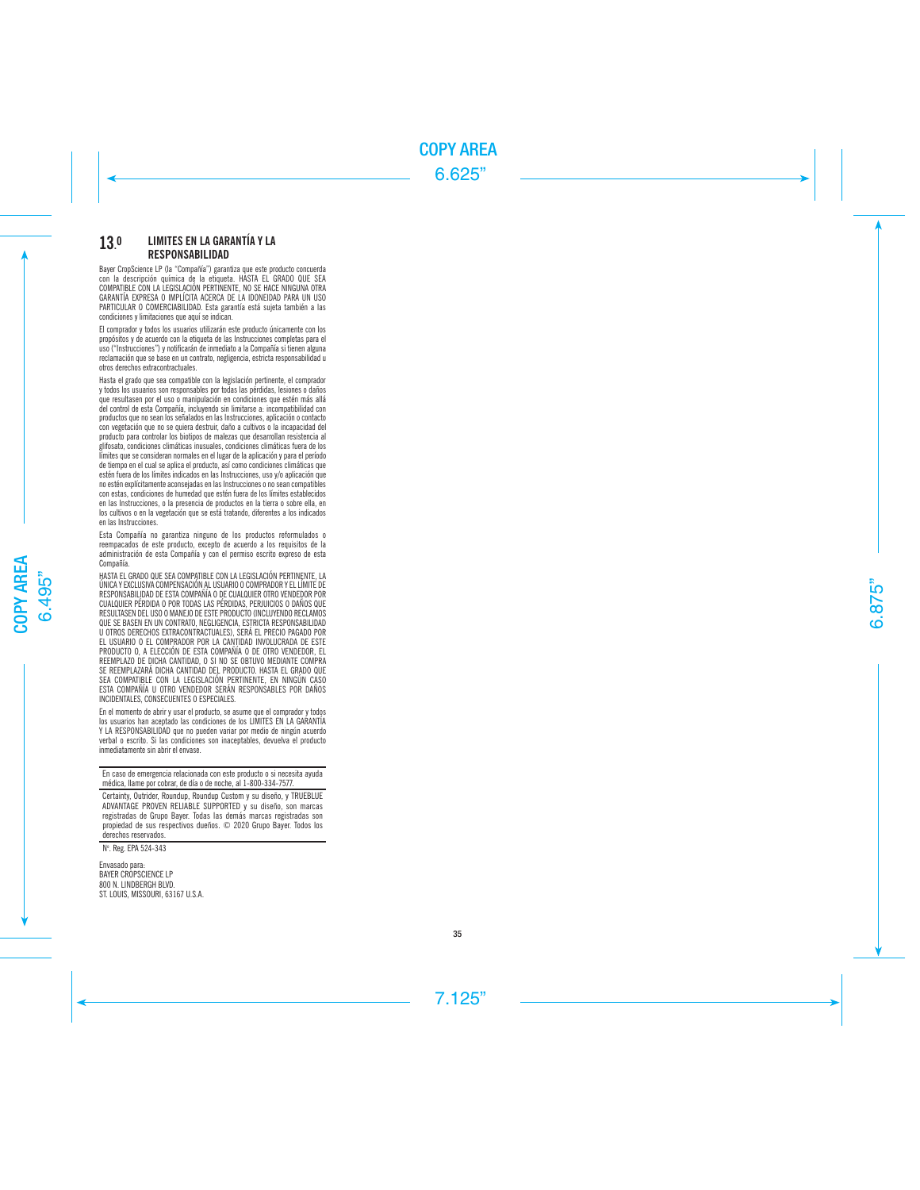### 13 . 0 LIMITES EN LA GARANTÍA Y LA RESPONSABILIDAD

Bayer CropScience LP (la "Compañía") garantiza que este producto concuerda con la descripción química de la etiqueta . HASTA EL GRADO QUE SEA COMPATIBLE CON LA LEGISLACIÓN PERTINENTE, NO SE HACE NINGUNA OTRA GARANTÍA EXPRESA O IMPLÍCITA ACERCA DE LA IDONEIDAD PARA UN USO PARTICULAR O COMERCIABILIDAD . Esta garantía está sujeta también a las condiciones y limitaciones que aquí se indican .

El comprador y todos los usuarios utilizarán este producto únicamente con los propósitos y de acuerdo con la etiqueta de las Instrucciones completas para el uso ("Instrucciones") y notificarán de inmediato a la Compañía si tienen alguna reclamación que se base en un contrato, negligencia, estricta responsabilidad u otros derechos extracontractuales .

Hasta el grado que sea compatible con la legislación pertinente, el comprador y todos los usuarios son responsables por todas las pérdidas, lesiones o daños que resultasen por el uso o manipulación en condiciones que estén más allá del control de esta Compañía, incluyendo sin limitarse a: incompatibilidad con productos que no sean los señalados en las Instrucciones, aplicación o contacto con vegetación que no se quiera destruir, daño a cultivos o la incapacidad del producto para controlar los biotipos de malezas que desarrollan resistencia al glifosato, condiciones climáticas inusuales, condiciones climáticas fuera de los límites que se consideran normales en el lugar de la aplicación y para el período de tiempo en el cual se aplica el producto, así como condiciones climáticas que estén fuera de los límites indicados en las Instrucciones, uso y/o aplicación que no estén explícitamente aconsejadas en las Instrucciones o no sean compatibles con estas, condiciones de humedad que estén fuera de los límites establecidos en las Instrucciones, o la presencia de productos en la tierra o sobre ella, en los cultivos o en la vegetación que se está tratando, diferentes a los indicados en las Instrucciones .

Esta Compañía no garantiza ninguno de los productos reformulados o reempacados de este producto, excepto de acuerdo a los requisitos de la administración de esta Compañía y con el permiso escrito expreso de esta Compañía .

HASTA EL GRADO QUE SEA COMPATIBLE CON LA LEGISLACIÓN PERTINENTE, LA ÚNICA Y EXCLUSIVA COMPENSACIÓN AL USUARIO O COMPRADOR Y EL LÍMITE DE RESPONSABILIDAD DE ESTA COMPAÑÍA O DE CUALQUIER OTRO VENDEDOR POR CUALQUIER PÉRDIDA O POR TODAS LAS PÉRDIDAS, PERJUICIOS O DAÑOS QUE RESULTASEN DEL USO O MANEJO DE ESTE PRODUCTO (INCLUYENDO RECLAMOS QUE SE BASEN EN UN CONTRATO, NEGLIGENCIA, ESTRICTA RESPONSABILIDAD U OTROS DERECHOS EXTRACONTRACTUALES), SERÁ EL PRECIO PAGADO POR EL USUARIO O EL COMPRADOR POR LA CANTIDAD INVOLUCRADA DE ESTE PRODUCTO O, A ELECCIÓN DE ESTA COMPAÑÍA O DE OTRO VENDEDOR, EL REEMPLAZO DE DICHA CANTIDAD, O SI NO SE OBTUVO MEDIANTE COMPRA SE REEMPLAZARÁ DICHA CANTIDAD DEL PRODUCTO . HASTA EL GRADO QUE SEA COMPATIBLE CON LA LEGISLACIÓN PERTINENTE, EN NINGÚN CASO ESTA COMPAÑÍA U OTRO VENDEDOR SERÁN RESPONSABLES POR DAÑOS INCIDENTALES, CONSECUENTES O ESPECIALES .

En el momento de abrir y usar el producto, se asume que el comprador y todos los usuarios han aceptado las condiciones de los LIMITES EN LA GARANTÍA Y LA RESPONSABILIDAD que no pueden variar por medio de ningún acuerdo verbal o escrito . Si las condiciones son inaceptables, devuelva el producto inmediatamente sin abrir el envase .

En caso de emergencia relacionada con este producto o si necesita ayuda médica, llame por cobrar, de día o de noche, al 1-800-334-7577 .

Certainty, Outrider, Roundup, Roundup Custom y su diseño, y TRUEBLUE ADVANTAGE PROVEN RELIABLE SUPPORTED y su diseño, son marcas registradas de Grupo Bayer . Todas las demás marcas registradas son propiedad de sus respectivos dueños . © 2020 Grupo Bayer. Todos los derechos reservados .

N°. Reg. EPA 524-343

Envasado para: BAYER CROPSCIENCE LP 800 N. LINDBERGH BLVD. ST. LOUIS, MISSOURI, 63167 U.S.A.